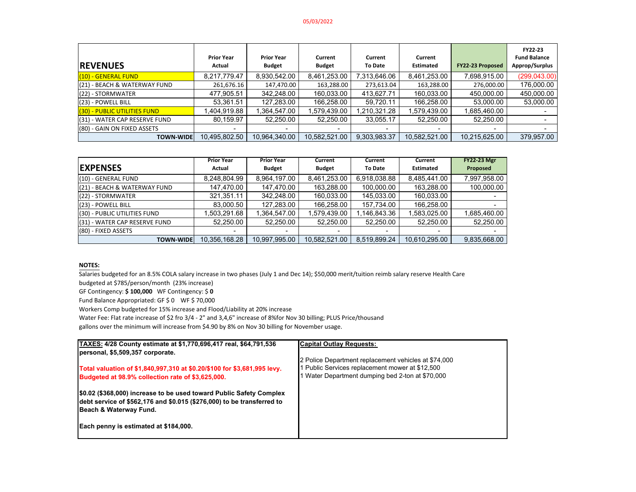#### 05/03/2022

| <b>REVENUES</b>               | <b>Prior Year</b><br>Actual | <b>Prior Year</b><br><b>Budget</b> | Current<br><b>Budget</b> | Current<br><b>To Date</b> | Current<br><b>Estimated</b> | <b>FY22-23 Proposed</b> | <b>FY22-23</b><br><b>Fund Balance</b><br>Approp/Surplus |
|-------------------------------|-----------------------------|------------------------------------|--------------------------|---------------------------|-----------------------------|-------------------------|---------------------------------------------------------|
| (10) - GENERAL FUND           | 8,217,779.47                | 8,930,542.00                       | 8,461,253.00             | 7,313,646.06              | 8,461,253.00                | 7,698,915.00            | (299, 043.00)                                           |
| (21) - BEACH & WATERWAY FUND  | 261,676.16                  | 147,470.00                         | 163,288.00               | 273,613.04                | 163,288.00                  | 276,000.00              | 176,000.00                                              |
| $(22)$ - STORMWATER           | 477,905.51                  | 342,248.00                         | 160,033.00               | 413.627.71                | 160,033.00                  | 450,000.00              | 450,000.00                                              |
| (23) - POWELL BILL            | 53.361.51                   | 127.283.00                         | 166,258.00               | 59.720.11                 | 166.258.00                  | 53.000.00               | 53,000.00                                               |
| (30) - PUBLIC UTILITIES FUND  | 1,404,919.88                | .364,547.00                        | 579,439.00               | 1,210,321.28              | 1,579,439.00                | .685.460.00             |                                                         |
| (31) - WATER CAP RESERVE FUND | 80,159.97                   | 52,250.00                          | 52,250.00                | 33,055.17                 | 52,250.00                   | 52,250.00               |                                                         |
| (80) - GAIN ON FIXED ASSETS   | $\overline{\phantom{0}}$    | $\overline{\phantom{0}}$           |                          | $\overline{\phantom{0}}$  | $\overline{\phantom{0}}$    |                         |                                                         |
| <b>TOWN-WIDE</b>              | 10.495.802.50               | 10.964.340.00                      | 10,582,521.00            | 9,303,983.37              | 10.582.521.00               | 10,215,625.00           | 379,957.00                                              |

|                               | <b>Prior Year</b> | <b>Prior Year</b> | Current       | Current        | Current          | <b>FY22-23 Mgr</b> |
|-------------------------------|-------------------|-------------------|---------------|----------------|------------------|--------------------|
| <b>EXPENSES</b>               | Actual            | <b>Budget</b>     | <b>Budget</b> | <b>To Date</b> | <b>Estimated</b> | Proposed           |
| (10) - GENERAL FUND           | 8,248,804.99      | 8,964,197.00      | 8,461,253.00  | 6,918,038.88   | 8.485.441.00     | 7,997,958.00       |
| (21) - BEACH & WATERWAY FUND  | 147,470.00        | 147,470.00        | 163,288.00    | 100,000.00     | 163,288.00       | 100,000.00         |
| (22) - STORMWATER             | 321,351.11        | 342.248.00        | 160.033.00    | 145.033.00     | 160,033.00       |                    |
| (23) - POWELL BILL            | 83,000.50         | 127,283.00        | 166,258.00    | 157,734.00     | 166,258.00       |                    |
| (30) - PUBLIC UTILITIES FUND  | .503,291.68       | 1,364,547.00      | 1,579,439.00  | 1,146,843.36   | 1,583,025.00     | 1,685,460.00       |
| (31) - WATER CAP RESERVE FUND | 52,250.00         | 52,250.00         | 52,250.00     | 52,250.00      | 52,250.00        | 52,250.00          |
| (80) - FIXED ASSETS           | -                 | ۰                 |               |                |                  |                    |
| <b>TOWN-WIDE</b>              | 10,356,168.28     | 10,997,995.00     | 10,582,521.00 | 8,519,899.24   | 10,610,295.00    | 9,835,668.00       |

### **NOTES:**

Salaries budgeted for an 8.5% COLA salary increase in two phases (July 1 and Dec 14); \$50,000 merit/tuition reimb salary reserve Health Care

budgeted at \$785/person/month (23% increase)

GF Contingency: **\$ 100,000** WF Contingency: \$ **<sup>0</sup>** Fund Balance Appropriated: GF \$ <sup>0</sup> WF \$ 70,000

Workers Comp budgeted for 15% increase and Flood/Liability at 20% increase

Water Fee: Flat rate increase of \$2 fro 3/4 ‐ 2" and 3,4,6" increase of 8%for Nov <sup>30</sup> billing; PLUS Price/thousand

gallons over the minimum will increase from \$4.90 by 8% on Nov <sup>30</sup> billing for November usage.

| <b>Capital Outlay Requests:</b>                      |
|------------------------------------------------------|
|                                                      |
| 2 Police Department replacement vehicles at \$74,000 |
| 1 Public Services replacement mower at \$12,500      |
| 1 Water Department dumping bed 2-ton at \$70,000     |
|                                                      |
|                                                      |
|                                                      |
|                                                      |
|                                                      |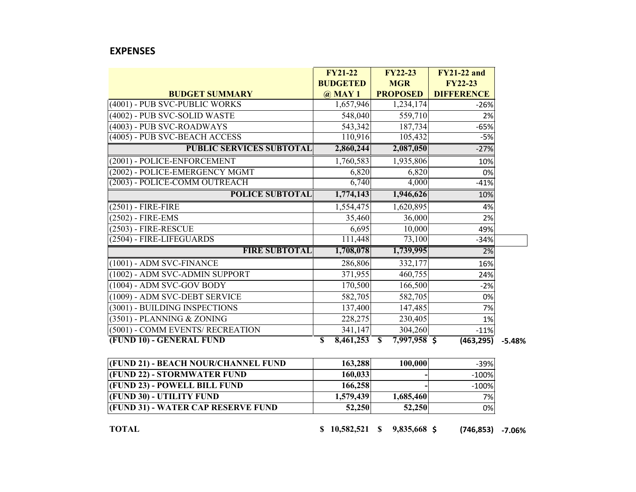## **EXPENSES**

|                                  | <b>FY21-22</b>  | <b>FY22-23</b>                            | <b>FY21-22 and</b> |          |
|----------------------------------|-----------------|-------------------------------------------|--------------------|----------|
|                                  | <b>BUDGETED</b> | <b>MGR</b>                                | <b>FY22-23</b>     |          |
| <b>BUDGET SUMMARY</b>            | $\omega$ MAY 1  | <b>PROPOSED</b>                           | <b>DIFFERENCE</b>  |          |
| (4001) - PUB SVC-PUBLIC WORKS    | 1,657,946       | 1,234,174                                 | $-26%$             |          |
| (4002) - PUB SVC-SOLID WASTE     | 548,040         | 559,710                                   | 2%                 |          |
| (4003) - PUB SVC-ROADWAYS        | 543,342         | 187,734                                   | $-65%$             |          |
| (4005) - PUB SVC-BEACH ACCESS    | 110,916         | 105,432                                   | $-5%$              |          |
| <b>PUBLIC SERVICES SUBTOTAL</b>  | 2,860,244       | 2,087,050                                 | $-27%$             |          |
| (2001) - POLICE-ENFORCEMENT      | 1,760,583       | 1,935,806                                 | 10%                |          |
| (2002) - POLICE-EMERGENCY MGMT   | 6,820           | 6,820                                     | 0%                 |          |
| (2003) - POLICE-COMM OUTREACH    | 6,740           | 4,000                                     | $-41%$             |          |
| <b>POLICE SUBTOTAL</b>           | 1,774,143       | 1,946,626                                 | 10%                |          |
| $(2501)$ - FIRE-FIRE             | 1,554,475       | 1,620,895                                 | 4%                 |          |
| (2502) - FIRE-EMS                | 35,460          | 36,000                                    | 2%                 |          |
| $(2503)$ - FIRE-RESCUE           | 6,695           | 10,000                                    | 49%                |          |
| (2504) - FIRE-LIFEGUARDS         | 111,448         | 73,100                                    | $-34%$             |          |
| <b>FIRE SUBTOTAL</b>             | 1,708,078       | 1,739,995                                 | 2%                 |          |
| (1001) - ADM SVC-FINANCE         | 286,806         | 332,177                                   | 16%                |          |
| (1002) - ADM SVC-ADMIN SUPPORT   | 371,955         | 460,755                                   | 24%                |          |
| (1004) - ADM SVC-GOV BODY        | 170,500         | 166,500                                   | $-2%$              |          |
| (1009) - ADM SVC-DEBT SERVICE    | 582,705         | 582,705                                   | 0%                 |          |
| (3001) - BUILDING INSPECTIONS    | 137,400         | 147,485                                   | 7%                 |          |
| (3501) - PLANNING & ZONING       | 228,275         | 230,405                                   | 1%                 |          |
| (5001) - COMM EVENTS/ RECREATION | 341,147         | 304,260                                   | $-11%$             |          |
| (FUND 10) - GENERAL FUND         | 8,461,253<br>\$ | $\overline{\mathbf{s}}$<br>$7,997,958$ \$ | (463, 295)         | $-5.48%$ |

| (FUND 21) - BEACH NOUR/CHANNEL FUND | 163,288   | 100,000   | $-39%$  |
|-------------------------------------|-----------|-----------|---------|
| <b>(FUND 22) - STORMWATER FUND</b>  | 160,033   |           | $-100%$ |
| (FUND 23) - POWELL BILL FUND        | 166,258   |           | $-100%$ |
| <b>(FUND 30) - UTILITY FUND</b>     | 1,579,439 | 1,685,460 | 7%      |
| (FUND 31) - WATER CAP RESERVE FUND  | 52,250    | 52,250    | 0%      |

**TOTAL \$ 10,582,521 \$ 9,835,668 \$ (746,853) ‐7.06%**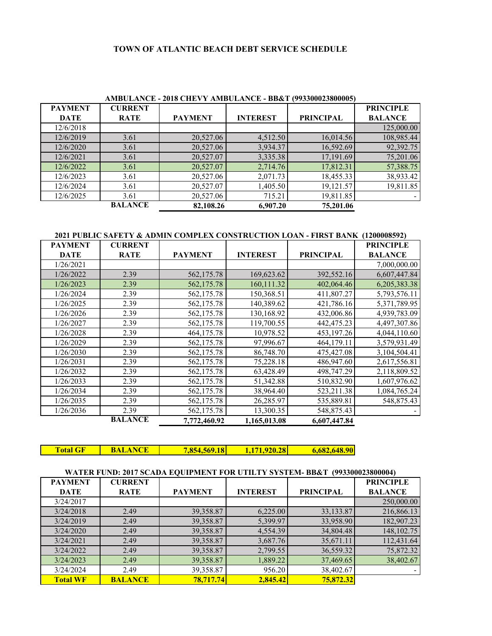# **TOWN OF ATLANTIC BEACH DEBT SERVICE SCHEDULE**

| <b>CURRENT</b> |                |                 |                  | <b>PRINCIPLE</b>                                                                                                                                     |
|----------------|----------------|-----------------|------------------|------------------------------------------------------------------------------------------------------------------------------------------------------|
| <b>RATE</b>    | <b>PAYMENT</b> | <b>INTEREST</b> | <b>PRINCIPAL</b> | <b>BALANCE</b>                                                                                                                                       |
|                |                |                 |                  | 125,000.00                                                                                                                                           |
| 3.61           | 20,527.06      | 4,512.50        |                  | 108,985.44                                                                                                                                           |
| 3.61           | 20,527.06      | 3,934.37        |                  | 92,392.75                                                                                                                                            |
| 3.61           | 20,527.07      |                 |                  | 75,201.06                                                                                                                                            |
| 3.61           | 20,527.07      | 2,714.76        | 17,812.31        | 57,388.75                                                                                                                                            |
| 3.61           | 20,527.06      | 2,071.73        |                  | 38,933.42                                                                                                                                            |
| 3.61           | 20,527.07      | 1,405.50        |                  | 19,811.85                                                                                                                                            |
| 3.61           | 20,527.06      | 715.21          |                  |                                                                                                                                                      |
| <b>BALANCE</b> | 82,108.26      | 6,907.20        | 75,201.06        |                                                                                                                                                      |
|                |                |                 |                  | AMBULANCE - 2018 CHEVY AMBULANCE - BB& 1 (995500025800005)<br>16,014.56<br>16,592.69<br>3,335.38<br>17,191.69<br>18,455.33<br>19,121.57<br>19,811.85 |

**AMBULANCE - 2018 CHEVY AMBULANCE - BB&T (993300023800005)**

**2021 PUBLIC SAFETY & ADMIN COMPLEX CONSTRUCTION LOAN - FIRST BANK (1200008592)**

| <b>PAYMENT</b> | <b>CURRENT</b> |                |                 |                  | <b>PRINCIPLE</b> |
|----------------|----------------|----------------|-----------------|------------------|------------------|
| <b>DATE</b>    | <b>RATE</b>    | <b>PAYMENT</b> | <b>INTEREST</b> | <b>PRINCIPAL</b> | <b>BALANCE</b>   |
| 1/26/2021      |                |                |                 |                  | 7,000,000.00     |
| 1/26/2022      | 2.39           | 562,175.78     | 169,623.62      | 392,552.16       | 6,607,447.84     |
| 1/26/2023      | 2.39           | 562,175.78     | 160,111.32      | 402,064.46       | 6,205,383.38     |
| 1/26/2024      | 2.39           | 562,175.78     | 150,368.51      | 411,807.27       | 5,793,576.11     |
| 1/26/2025      | 2.39           | 562,175.78     | 140,389.62      | 421,786.16       | 5,371,789.95     |
| 1/26/2026      | 2.39           | 562,175.78     | 130,168.92      | 432,006.86       | 4,939,783.09     |
| 1/26/2027      | 2.39           | 562,175.78     | 119,700.55      | 442,475.23       | 4,497,307.86     |
| 1/26/2028      | 2.39           | 464,175.78     | 10,978.52       | 453,197.26       | 4,044,110.60     |
| 1/26/2029      | 2.39           | 562,175.78     | 97,996.67       | 464,179.11       | 3,579,931.49     |
| 1/26/2030      | 2.39           | 562,175.78     | 86,748.70       | 475,427.08       | 3,104,504.41     |
| 1/26/2031      | 2.39           | 562,175.78     | 75,228.18       | 486,947.60       | 2,617,556.81     |
| 1/26/2032      | 2.39           | 562,175.78     | 63,428.49       | 498,747.29       | 2,118,809.52     |
| 1/26/2033      | 2.39           | 562,175.78     | 51,342.88       | 510,832.90       | 1,607,976.62     |
| 1/26/2034      | 2.39           | 562,175.78     | 38,964.40       | 523,211.38       | 1,084,765.24     |
| 1/26/2035      | 2.39           | 562,175.78     | 26,285.97       | 535,889.81       | 548,875.43       |
| 1/26/2036      | 2.39           | 562,175.78     | 13,300.35       | 548,875.43       |                  |
|                | <b>BALANCE</b> | 7,772,460.92   | 1,165,013.08    | 6,607,447.84     |                  |

**Total GF | BALANCE | 7,854,569.18 1,171,920.28 6,682,648.90** 

# **WATER FUND: 2017 SCADA EQUIPMENT FOR UTILTY SYSTEM- BB&T (993300023800004)**

| <b>PAYMENT</b>  | <b>CURRENT</b> |                |                 |                  | <b>PRINCIPLE</b> |
|-----------------|----------------|----------------|-----------------|------------------|------------------|
| <b>DATE</b>     | <b>RATE</b>    | <b>PAYMENT</b> | <b>INTEREST</b> | <b>PRINCIPAL</b> | <b>BALANCE</b>   |
| 3/24/2017       |                |                |                 |                  | 250,000.00       |
| 3/24/2018       | 2.49           | 39,358.87      | 6,225.00        | 33,133.87        | 216,866.13       |
| 3/24/2019       | 2.49           | 39,358.87      | 5,399.97        | 33,958.90        | 182,907.23       |
| 3/24/2020       | 2.49           | 39,358.87      | 4,554.39        | 34,804.48        | 148, 102. 75     |
| 3/24/2021       | 2.49           | 39,358.87      | 3,687.76        | 35,671.11        | 112,431.64       |
| 3/24/2022       | 2.49           | 39,358.87      | 2,799.55        | 36,559.32        | 75,872.32        |
| 3/24/2023       | 2.49           | 39,358.87      | 1,889.22        | 37,469.65        | 38,402.67        |
| 3/24/2024       | 2.49           | 39,358.87      | 956.20          | 38,402.67        |                  |
| <b>Total WF</b> | <b>BALANCE</b> | 78.717.74      | 2,845.42        | 75,872.32        |                  |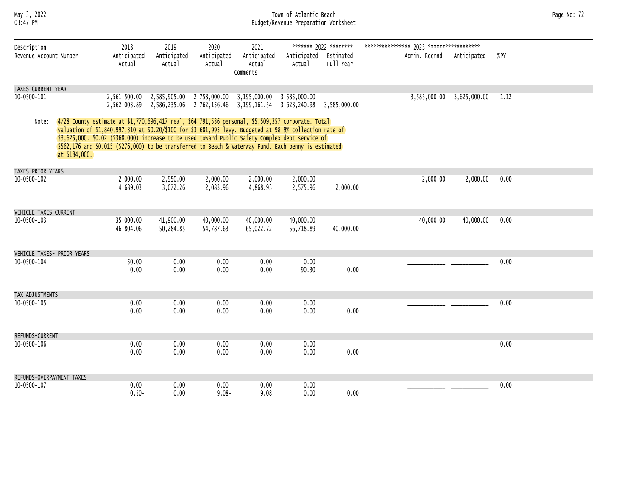#### May 3, 2022 Town of Atlantic Beach Page No: 72 03:47 PM Budget/Revenue Preparation Worksheet

| Page No: 72 |  |  |
|-------------|--|--|
|-------------|--|--|

| Description                |               | 2018                                                                                                                                                                                                                                                                                                                                                                                                                      | 2019                                                                                                                                              | 2020                   | 2021                              |                                 | ******* 2022 ******** |               |                           |      |
|----------------------------|---------------|---------------------------------------------------------------------------------------------------------------------------------------------------------------------------------------------------------------------------------------------------------------------------------------------------------------------------------------------------------------------------------------------------------------------------|---------------------------------------------------------------------------------------------------------------------------------------------------|------------------------|-----------------------------------|---------------------------------|-----------------------|---------------|---------------------------|------|
| Revenue Account Number     |               | Anticipated<br>Actual                                                                                                                                                                                                                                                                                                                                                                                                     | Anticipated<br>Actual                                                                                                                             | Anticipated<br>Actual  | Anticipated<br>Actual<br>Comments | Anticipated Estimated<br>Actual | Full Year             | Admin. Recmnd | Anticipated               | %PY  |
| TAXES-CURRENT YEAR         |               |                                                                                                                                                                                                                                                                                                                                                                                                                           |                                                                                                                                                   |                        |                                   |                                 |                       |               |                           |      |
| 10-0500-101                |               |                                                                                                                                                                                                                                                                                                                                                                                                                           | 2,561,500.00 2,585,905.00 2,758,000.00 3,195,000.00 3,585,000.00<br>2,562,003.89 2,586,235.06 2,762,156.46 3,199,161.54 3,628,240.98 3,585,000.00 |                        |                                   |                                 |                       |               | 3,585,000.00 3,625,000.00 | 1.12 |
| Note:                      | at \$184,000. | 4/28 County estimate at \$1,770,696,417 real, \$64,791,536 personal, \$5,509,357 corporate. Total<br>valuation of \$1,840,997,310 at \$0.20/\$100 for \$3,681,995 levy. Budgeted at 98.9% collection rate of<br>\$3,625,000. \$0.02 (\$368,000) increase to be used toward Public Safety Complex debt service of<br>\$562,176 and \$0.015 (\$276,000) to be transferred to Beach & Waterway Fund. Each penny is estimated |                                                                                                                                                   |                        |                                   |                                 |                       |               |                           |      |
| TAXES PRIOR YEARS          |               |                                                                                                                                                                                                                                                                                                                                                                                                                           |                                                                                                                                                   |                        |                                   |                                 |                       |               |                           |      |
| 10-0500-102                |               | 2,000.00<br>4,689.03                                                                                                                                                                                                                                                                                                                                                                                                      | 2,950.00<br>3,072.26                                                                                                                              | 2,000.00<br>2,083.96   | 2,000.00<br>4,868.93              | 2,000.00<br>2,575.96            | 2,000.00              | 2,000.00      | 2,000.00                  | 0.00 |
| VEHICLE TAXES CURRENT      |               |                                                                                                                                                                                                                                                                                                                                                                                                                           |                                                                                                                                                   |                        |                                   |                                 |                       |               |                           |      |
| 10-0500-103                |               | 35,000.00<br>46,804.06                                                                                                                                                                                                                                                                                                                                                                                                    | 41,900.00<br>50,284.85                                                                                                                            | 40,000.00<br>54,787.63 | 40,000.00<br>65,022.72            | 40,000.00<br>56,718.89          | 40,000.00             | 40,000.00     | 40,000.00                 | 0.00 |
| VEHICLE TAXES- PRIOR YEARS |               |                                                                                                                                                                                                                                                                                                                                                                                                                           |                                                                                                                                                   |                        |                                   |                                 |                       |               |                           |      |
| 10-0500-104                |               | 50.00<br>0.00                                                                                                                                                                                                                                                                                                                                                                                                             | 0.00<br>0.00                                                                                                                                      | 0.00<br>0.00           | 0.00<br>0.00                      | 0.00<br>90.30                   | 0.00                  |               |                           | 0.00 |
| TAX ADJUSTMENTS            |               |                                                                                                                                                                                                                                                                                                                                                                                                                           |                                                                                                                                                   |                        |                                   |                                 |                       |               |                           |      |
| $10 - 0500 - 105$          |               | 0.00<br>0.00                                                                                                                                                                                                                                                                                                                                                                                                              | 0.00<br>0.00                                                                                                                                      | 0.00<br>0.00           | 0.00<br>0.00                      | 0.00<br>0.00                    | 0.00                  |               |                           | 0.00 |
| REFUNDS-CURRENT            |               |                                                                                                                                                                                                                                                                                                                                                                                                                           |                                                                                                                                                   |                        |                                   |                                 |                       |               |                           |      |
| 10-0500-106                |               | 0.00<br>0.00                                                                                                                                                                                                                                                                                                                                                                                                              | 0.00<br>0.00                                                                                                                                      | 0.00<br>0.00           | 0.00<br>0.00                      | 0.00<br>0.00                    | 0.00                  |               |                           | 0.00 |
| REFUNDS-OVERPAYMENT TAXES  |               |                                                                                                                                                                                                                                                                                                                                                                                                                           |                                                                                                                                                   |                        |                                   |                                 |                       |               |                           |      |
| 10-0500-107                |               | 0.00<br>$0.50 -$                                                                                                                                                                                                                                                                                                                                                                                                          | 0.00<br>0.00                                                                                                                                      | 0.00<br>$9.08 -$       | 0.00<br>9.08                      | 0.00<br>0.00                    | 0.00                  |               |                           | 0.00 |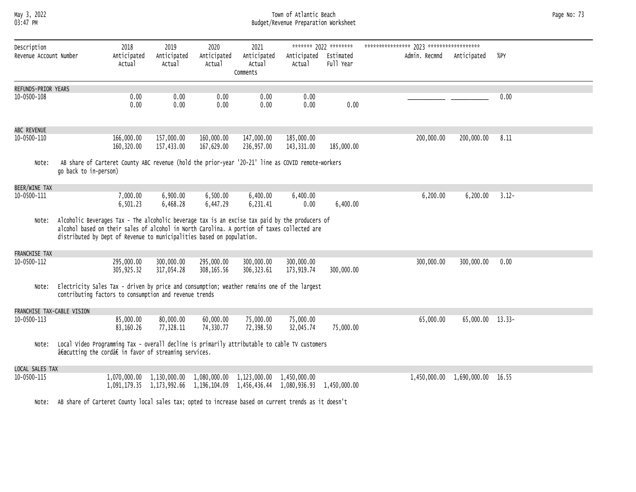## May 3, 2022 Town of Atlantic Beach Page No: 73 Budget/Revenue Preparation Worksheet

| Description<br>Revenue Account Number |                                                                                                                                                                                                                                                                        | 2018<br>Anticipated       | 2019<br>Anticipated      | 2020<br>Anticipated                                                           | 2021<br>Anticipated                    | Anticipated Estimated    | ******* 2022 ******** | Admin. Recmnd | Anticipated      | %PY      |
|---------------------------------------|------------------------------------------------------------------------------------------------------------------------------------------------------------------------------------------------------------------------------------------------------------------------|---------------------------|--------------------------|-------------------------------------------------------------------------------|----------------------------------------|--------------------------|-----------------------|---------------|------------------|----------|
|                                       |                                                                                                                                                                                                                                                                        | Actual                    | Actual                   | Actual                                                                        | Actual<br>Comments                     | Actual                   | Full Year             |               |                  |          |
| REFUNDS-PRIOR YEARS                   |                                                                                                                                                                                                                                                                        |                           |                          |                                                                               |                                        |                          |                       |               |                  |          |
| 10-0500-108                           |                                                                                                                                                                                                                                                                        | 0.00<br>0.00              | 0.00<br>0.00             | 0.00<br>0.00                                                                  | 0.00<br>0.00                           | 0.00<br>0.00             | 0.00                  |               |                  | 0.00     |
| ABC REVENUE                           |                                                                                                                                                                                                                                                                        |                           |                          |                                                                               |                                        |                          |                       |               |                  |          |
| 10-0500-110                           |                                                                                                                                                                                                                                                                        | 166,000.00<br>160,320.00  | 157,000.00<br>157,433.00 | 160,000.00<br>167,629.00                                                      | 147,000.00<br>236,957.00               | 185,000.00<br>143,331.00 | 185,000.00            | 200,000.00    | 200,000.00       | 8.11     |
| Note:                                 | AB share of Carteret County ABC revenue (hold the prior-year '20-21' line as COVID remote-workers<br>go back to in-person)                                                                                                                                             |                           |                          |                                                                               |                                        |                          |                       |               |                  |          |
| BEER/WINE TAX                         |                                                                                                                                                                                                                                                                        |                           |                          |                                                                               |                                        |                          |                       |               |                  |          |
| 10-0500-111                           |                                                                                                                                                                                                                                                                        | 7,000.00<br>6,501.23      | 6,900.00<br>6,468.28     | 6,500.00<br>6,447.29                                                          | 6,400.00<br>6,231.41                   | 6,400.00<br>0.00         | 6,400.00              | 6,200.00      | 6,200.00         | $3.12 -$ |
| Note:                                 | Alcoholic Beverages Tax - The alcoholic beverage tax is an excise tax paid by the producers of<br>alcohol based on their sales of alcohol in North Carolina. A portion of taxes collected are<br>distributed by Dept of Revenue to municipalities based on population. |                           |                          |                                                                               |                                        |                          |                       |               |                  |          |
| FRANCHISE TAX                         |                                                                                                                                                                                                                                                                        |                           |                          |                                                                               |                                        |                          |                       |               |                  |          |
| 10-0500-112                           |                                                                                                                                                                                                                                                                        | 295,000.00<br>305, 925.32 | 300,000.00<br>317,054.28 | 295,000.00<br>308,165.56                                                      | 300,000.00<br>306, 323.61              | 300,000.00<br>173,919.74 | 300,000.00            | 300,000.00    | 300,000.00       | 0.00     |
| Note:                                 | Electricity Sales Tax - driven by price and consumption; weather remains one of the largest<br>contributing factors to consumption and revenue trends                                                                                                                  |                           |                          |                                                                               |                                        |                          |                       |               |                  |          |
| FRANCHISE TAX-CABLE VISION            |                                                                                                                                                                                                                                                                        |                           |                          |                                                                               |                                        |                          |                       |               |                  |          |
| 10-0500-113                           |                                                                                                                                                                                                                                                                        | 85,000.00<br>83,160.26    | 80,000.00<br>77,328.11   | 60,000.00<br>74,330.77                                                        | 75,000.00<br>72,398.50                 | 75,000.00<br>32,045.74   | 75,000.00             | 65,000.00     | 65,000.00 13.33- |          |
| Note:                                 | Local Video Programming Tax - overall decline is primarily attributable to cable TV customers<br>"cutting the cord†in favor of streaming services.                                                                                                                     |                           |                          |                                                                               |                                        |                          |                       |               |                  |          |
| LOCAL SALES TAX                       |                                                                                                                                                                                                                                                                        |                           |                          |                                                                               |                                        |                          |                       |               |                  |          |
| 10-0500-115                           |                                                                                                                                                                                                                                                                        | 1,070,000.00 1,130,000.00 |                          | 1,091,179.35 1,173,992.66 1,196,104.09 1,456,436.44 1,080,936.93 1,450,000.00 | 1,080,000.00 1,123,000.00 1,450,000.00 |                          |                       | 1,450,000.00  | 1,690,000.00     | 16.55    |
| Note:                                 | AB share of Carteret County local sales tax; opted to increase based on current trends as it doesn't                                                                                                                                                                   |                           |                          |                                                                               |                                        |                          |                       |               |                  |          |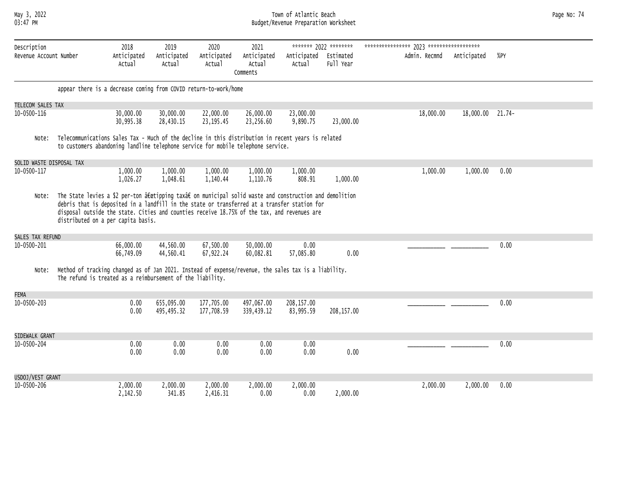#### May 3, 2022 Town of Atlantic Beach Page No: 74 03:47 PM Budget/Revenue Preparation Worksheet

| Page No: 74 |  |
|-------------|--|
|             |  |

| Description              |                                                                                                                                                                                                                                                                                                                                           | 2018                   | 2019                     | 2020                     | 2021                              |                                 | ******* 2022 ******** |               |             |          |
|--------------------------|-------------------------------------------------------------------------------------------------------------------------------------------------------------------------------------------------------------------------------------------------------------------------------------------------------------------------------------------|------------------------|--------------------------|--------------------------|-----------------------------------|---------------------------------|-----------------------|---------------|-------------|----------|
| Revenue Account Number   |                                                                                                                                                                                                                                                                                                                                           | Anticipated<br>Actual  | Anticipated<br>Actual    | Anticipated<br>Actual    | Anticipated<br>Actual<br>Comments | Anticipated Estimated<br>Actual | Full Year             | Admin. Recmnd | Anticipated | %PY      |
|                          | appear there is a decrease coming from COVID return-to-work/home                                                                                                                                                                                                                                                                          |                        |                          |                          |                                   |                                 |                       |               |             |          |
| TELECOM SALES TAX        |                                                                                                                                                                                                                                                                                                                                           |                        |                          |                          |                                   |                                 |                       |               |             |          |
| 10-0500-116              |                                                                                                                                                                                                                                                                                                                                           | 30,000.00<br>30,995.38 | 30,000.00<br>28,430.15   | 22,000.00<br>23, 195.45  | 26,000.00<br>23,256.60            | 23,000.00<br>9,890.75           | 23,000.00             | 18,000.00     | 18,000.00   | $21.74-$ |
| Note:                    | Telecommunications Sales Tax - Much of the decline in this distribution in recent years is related<br>to customers abandoning landline telephone service for mobile telephone service.                                                                                                                                                    |                        |                          |                          |                                   |                                 |                       |               |             |          |
| SOLID WASTE DISPOSAL TAX |                                                                                                                                                                                                                                                                                                                                           |                        |                          |                          |                                   |                                 |                       |               |             |          |
| 10-0500-117              |                                                                                                                                                                                                                                                                                                                                           | 1,000.00<br>1,026.27   | 1,000.00<br>1,048.61     | 1,000.00<br>1,140.44     | 1,000.00<br>1,110.76              | 1,000.00<br>808.91              | 1,000.00              | 1,000.00      | 1,000.00    | 0.00     |
| Note:                    | The State levies a \$2 per-ton "tipping tax†on municipal solid waste and construction and demolition<br>debris that is deposited in a landfill in the state or transferred at a transfer station for<br>disposal outside the state. Cities and counties receive 18.75% of the tax, and revenues are<br>distributed on a per capita basis. |                        |                          |                          |                                   |                                 |                       |               |             |          |
| SALES TAX REFUND         |                                                                                                                                                                                                                                                                                                                                           |                        |                          |                          |                                   |                                 |                       |               |             |          |
| 10-0500-201              |                                                                                                                                                                                                                                                                                                                                           | 66,000.00<br>66,749.09 | 44,560.00<br>44,560.41   | 67,500.00<br>67,922.24   | 50,000.00<br>60,082.81            | 0.00<br>57,085.80               | 0.00                  |               |             | 0.00     |
| Note:                    | Method of tracking changed as of Jan 2021. Instead of expense/revenue, the sales tax is a liability.<br>The refund is treated as a reimbursement of the liability.                                                                                                                                                                        |                        |                          |                          |                                   |                                 |                       |               |             |          |
| <b>FEMA</b>              |                                                                                                                                                                                                                                                                                                                                           |                        |                          |                          |                                   |                                 |                       |               |             |          |
| $10 - 0500 - 203$        |                                                                                                                                                                                                                                                                                                                                           | 0.00<br>0.00           | 655,095.00<br>495,495.32 | 177,705.00<br>177,708.59 | 497,067.00<br>339,439.12          | 208,157.00<br>83,995.59         | 208,157.00            |               |             | 0.00     |
| SIDEWALK GRANT           |                                                                                                                                                                                                                                                                                                                                           |                        |                          |                          |                                   |                                 |                       |               |             |          |
| 10-0500-204              |                                                                                                                                                                                                                                                                                                                                           | 0.00<br>0.00           | 0.00<br>0.00             | 0.00<br>0.00             | 0.00<br>0.00                      | 0.00<br>0.00                    | 0.00                  |               |             | 0.00     |
| USDOJ/VEST GRANT         |                                                                                                                                                                                                                                                                                                                                           |                        |                          |                          |                                   |                                 |                       |               |             |          |
| 10-0500-206              |                                                                                                                                                                                                                                                                                                                                           | 2,000.00<br>2,142.50   | 2,000.00<br>341.85       | 2,000.00<br>2,416.31     | 2,000.00<br>0.00                  | 2,000.00<br>0.00                | 2,000.00              | 2,000,00      | 2,000,00    | 0.00     |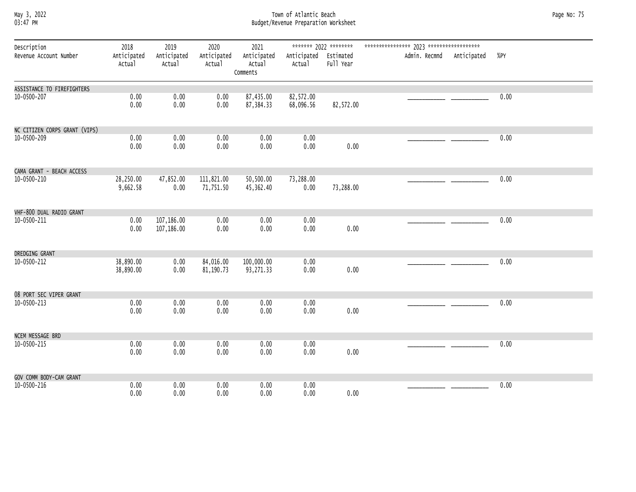#### May 3, 2022 Town of Atlantic Beach Page No: 75 03:47 PM Budget/Revenue Preparation Worksheet

| Description                   | 2018                   | 2019                     | 2020                    | 2021                              |                                 |           |                           |      |
|-------------------------------|------------------------|--------------------------|-------------------------|-----------------------------------|---------------------------------|-----------|---------------------------|------|
| Revenue Account Number        | Anticipated<br>Actual  | Anticipated<br>Actual    | Anticipated<br>Actual   | Anticipated<br>Actual<br>Comments | Anticipated Estimated<br>Actual | Full Year | Admin. Recmnd Anticipated | %PY  |
| ASSISTANCE TO FIREFIGHTERS    |                        |                          |                         |                                   |                                 |           |                           |      |
| 10-0500-207                   | 0.00<br>0.00           | 0.00<br>0.00             | 0.00<br>0.00            | 87,435.00<br>87, 384. 33          | 82,572.00<br>68,096.56          | 82,572.00 |                           | 0.00 |
| NC CITIZEN CORPS GRANT (VIPS) |                        |                          |                         |                                   |                                 |           |                           |      |
| 10-0500-209                   | 0.00<br>0.00           | 0.00<br>0.00             | 0.00<br>0.00            | 0.00<br>0.00                      | 0.00<br>0.00                    | 0.00      |                           | 0.00 |
| CAMA GRANT - BEACH ACCESS     |                        |                          |                         |                                   |                                 |           |                           |      |
| 10-0500-210                   | 28,250.00<br>9,662.58  | 47,852.00<br>0.00        | 111,821.00<br>71,751.50 | 50,500.00<br>45,362.40            | 73,288.00<br>0.00               | 73,288.00 |                           | 0.00 |
| VHF-800 DUAL RADIO GRANT      |                        |                          |                         |                                   |                                 |           |                           |      |
| 10-0500-211                   | 0.00<br>0.00           | 107,186.00<br>107,186.00 | 0.00<br>0.00            | 0.00<br>0.00                      | 0.00<br>0.00                    | 0.00      |                           | 0.00 |
| DREDGING GRANT                |                        |                          |                         |                                   |                                 |           |                           |      |
| 10-0500-212                   | 38,890.00<br>38,890.00 | 0.00<br>0.00             | 84,016.00<br>81,190.73  | 100,000.00<br>93,271.33           | 0.00<br>0.00                    | 0.00      |                           | 0.00 |
| 08 PORT SEC VIPER GRANT       |                        |                          |                         |                                   |                                 |           |                           |      |
| 10-0500-213                   | 0.00<br>0.00           | 0.00<br>0.00             | 0.00<br>0.00            | 0.00<br>0.00                      | 0.00<br>0.00                    | 0.00      |                           | 0.00 |
| NCEM MESSAGE BRD              |                        |                          |                         |                                   |                                 |           |                           |      |
| 10-0500-215                   | 0.00<br>0.00           | 0.00<br>0.00             | 0.00<br>0.00            | 0.00<br>0.00                      | 0.00<br>0.00                    | 0.00      |                           | 0.00 |
| GOV COMM BODY-CAM GRANT       |                        |                          |                         |                                   |                                 |           |                           |      |
| 10-0500-216                   | 0.00<br>0.00           | 0.00<br>0.00             | 0.00<br>0.00            | 0.00<br>0.00                      | 0.00<br>0.00                    | 0.00      |                           | 0.00 |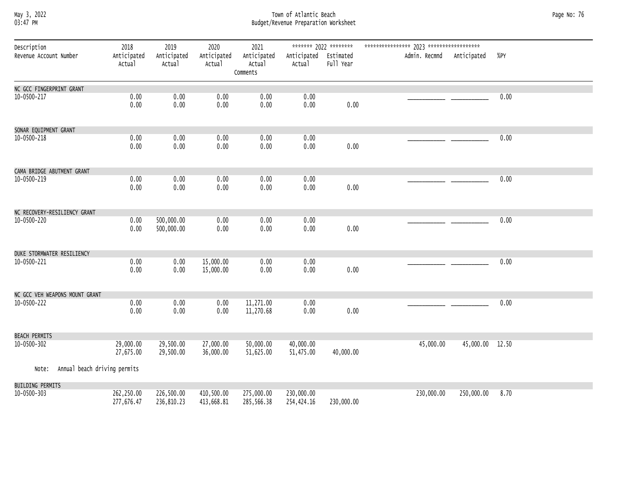## May 3, 2022<br>Budget/Revenue Preparation Worksheet Budget/Revenue Preparation Worksheet Page No: 76<br>03:47 PM Budget/Revenue Preparation Worksheet

| Description<br>Revenue Account Number | 2018<br>Anticipated<br>Actual | 2019<br>Anticipated<br>Actual | 2020<br>Anticipated<br>Actual | 2021<br>Anticipated<br>Actual<br>Comments | Anticipated Estimated<br>Actual | Full Year  | Admin. Recmnd Anticipated |                 | %PY  |
|---------------------------------------|-------------------------------|-------------------------------|-------------------------------|-------------------------------------------|---------------------------------|------------|---------------------------|-----------------|------|
| NC GCC FINGERPRINT GRANT              |                               |                               |                               |                                           |                                 |            |                           |                 |      |
| 10-0500-217                           | 0.00<br>0.00                  | 0.00<br>0.00                  | 0.00<br>0.00                  | 0.00<br>0.00                              | 0.00<br>0.00                    | 0.00       |                           |                 | 0.00 |
| SONAR EQUIPMENT GRANT                 |                               |                               |                               |                                           |                                 |            |                           |                 |      |
| 10-0500-218                           | 0.00<br>0.00                  | 0.00<br>0.00                  | 0.00<br>0.00                  | 0.00<br>0.00                              | 0.00<br>0.00                    | 0.00       |                           |                 | 0.00 |
| CAMA BRIDGE ABUTMENT GRANT            |                               |                               |                               |                                           |                                 |            |                           |                 |      |
| 10-0500-219                           | 0.00<br>0.00                  | 0.00<br>0.00                  | 0.00<br>0.00                  | 0.00<br>0.00                              | 0.00<br>0.00                    | 0.00       |                           |                 | 0.00 |
| NC RECOVERY-RESILIENCY GRANT          |                               |                               |                               |                                           |                                 |            |                           |                 |      |
| 10-0500-220                           | 0.00<br>0.00                  | 500,000.00<br>500,000.00      | 0.00<br>0.00                  | 0.00<br>0.00                              | 0.00<br>0.00                    | 0.00       |                           |                 | 0.00 |
| DUKE STORMWATER RESILIENCY            |                               |                               |                               |                                           |                                 |            |                           |                 |      |
| 10-0500-221                           | 0.00<br>0.00                  | 0.00<br>0.00                  | 15,000.00<br>15,000.00        | 0.00<br>0.00                              | 0.00<br>0.00                    | 0.00       |                           |                 | 0.00 |
| NC GCC VEH WEAPONS MOUNT GRANT        |                               |                               |                               |                                           |                                 |            |                           |                 |      |
| 10-0500-222                           | 0.00<br>0.00                  | 0.00<br>0.00                  | 0.00<br>0.00                  | 11,271.00<br>11,270.68                    | 0.00<br>0.00                    | 0.00       |                           |                 | 0.00 |
| <b>BEACH PERMITS</b>                  |                               |                               |                               |                                           |                                 |            |                           |                 |      |
| 10-0500-302                           | 29,000.00<br>27,675.00        | 29,500.00<br>29,500.00        | 27,000.00<br>36,000.00        | 50,000.00<br>51,625.00                    | 40,000.00<br>51,475.00          | 40,000.00  | 45,000.00                 | 45,000.00 12.50 |      |
| Annual beach driving permits<br>Note: |                               |                               |                               |                                           |                                 |            |                           |                 |      |
| BUILDING PERMITS                      |                               |                               |                               |                                           |                                 |            |                           |                 |      |
| 10-0500-303                           | 262,250.00<br>277,676.47      | 226,500.00<br>236,810.23      | 410,500.00<br>413,668.81      | 275,000.00<br>285,566.38                  | 230,000.00<br>254,424.16        | 230,000.00 | 230,000.00                | 250,000.00      | 8.70 |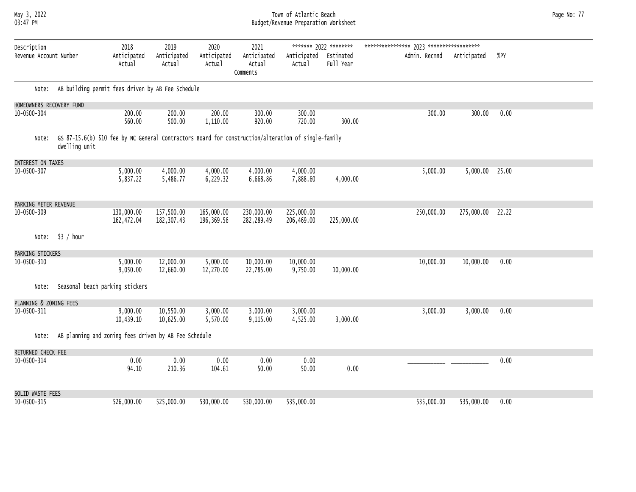#### May 3, 2022 Town of Atlantic Beach Page No: 77 03:47 PM Budget/Revenue Preparation Worksheet

| Page No: 77 |  |  |
|-------------|--|--|
|-------------|--|--|

| Description              |               | 2018                                                                                                | 2019                      | 2020                     | 2021                              |                          | ******* 2022 ********  |               |             |       |  |
|--------------------------|---------------|-----------------------------------------------------------------------------------------------------|---------------------------|--------------------------|-----------------------------------|--------------------------|------------------------|---------------|-------------|-------|--|
| Revenue Account Number   |               | Anticipated<br>Actual                                                                               | Anticipated<br>Actual     | Anticipated<br>Actual    | Anticipated<br>Actual<br>Comments | Anticipated<br>Actual    | Estimated<br>Full Year | Admin. Recmnd | Anticipated | %PY   |  |
| Note:                    |               | AB building permit fees driven by AB Fee Schedule                                                   |                           |                          |                                   |                          |                        |               |             |       |  |
| HOMEOWNERS RECOVERY FUND |               |                                                                                                     |                           |                          |                                   |                          |                        |               |             |       |  |
| $10 - 0500 - 304$        |               | 200.00<br>560.00                                                                                    | 200.00<br>500.00          | 200.00<br>1,110.00       | 300.00<br>920.00                  | 300.00<br>720.00         | 300.00                 | 300.00        | 300.00      | 0.00  |  |
| Note:                    | dwelling unit | GS 87-15.6(b) \$10 fee by NC General Contractors Board for construction/alteration of single-family |                           |                          |                                   |                          |                        |               |             |       |  |
| INTEREST ON TAXES        |               |                                                                                                     |                           |                          |                                   |                          |                        |               |             |       |  |
| 10-0500-307              |               | 5,000.00<br>5,837.22                                                                                | 4,000.00<br>5,486.77      | 4,000.00<br>6,229.32     | 4,000.00<br>6,668.86              | 4,000.00<br>7,888.60     | 4,000.00               | 5,000.00      | 5,000.00    | 25.00 |  |
| PARKING METER REVENUE    |               |                                                                                                     |                           |                          |                                   |                          |                        |               |             |       |  |
| 10-0500-309              |               | 130,000.00<br>162,472.04                                                                            | 157,500.00<br>182, 307.43 | 165,000.00<br>196,369.56 | 230,000.00<br>282,289.49          | 225,000.00<br>206,469.00 | 225,000.00             | 250,000.00    | 275,000.00  | 22.22 |  |
| Note:                    | \$3 / hour    |                                                                                                     |                           |                          |                                   |                          |                        |               |             |       |  |
| PARKING STICKERS         |               |                                                                                                     |                           |                          |                                   |                          |                        |               |             |       |  |
| 10-0500-310              |               | 5,000.00<br>9,050.00                                                                                | 12,000.00<br>12,660.00    | 5,000.00<br>12,270.00    | 10,000.00<br>22,785.00            | 10,000.00<br>9,750.00    | 10,000.00              | 10,000.00     | 10,000.00   | 0.00  |  |
| Note:                    |               | Seasonal beach parking stickers                                                                     |                           |                          |                                   |                          |                        |               |             |       |  |
| PLANNING & ZONING FEES   |               |                                                                                                     |                           |                          |                                   |                          |                        |               |             |       |  |
| 10-0500-311              |               | 9,000.00<br>10,439.10                                                                               | 10,550.00<br>10,625.00    | 3,000.00<br>5,570.00     | 3,000.00<br>9,115.00              | 3,000.00<br>4,525.00     | 3,000.00               | 3,000.00      | 3,000.00    | 0.00  |  |
| Note:                    |               | AB planning and zoning fees driven by AB Fee Schedule                                               |                           |                          |                                   |                          |                        |               |             |       |  |
| RETURNED CHECK FEE       |               |                                                                                                     |                           |                          |                                   |                          |                        |               |             |       |  |
| 10-0500-314              |               | 0.00<br>94.10                                                                                       | 0.00<br>210.36            | 0.00<br>104.61           | 0.00<br>50.00                     | 0.00<br>50.00            | 0.00                   |               |             | 0.00  |  |
| SOLID WASTE FEES         |               |                                                                                                     |                           |                          |                                   |                          |                        |               |             |       |  |
| 10-0500-315              |               | 526,000.00                                                                                          | 525,000.00                | 530,000.00               | 530,000.00                        | 535,000.00               |                        | 535,000.00    | 535,000.00  | 0.00  |  |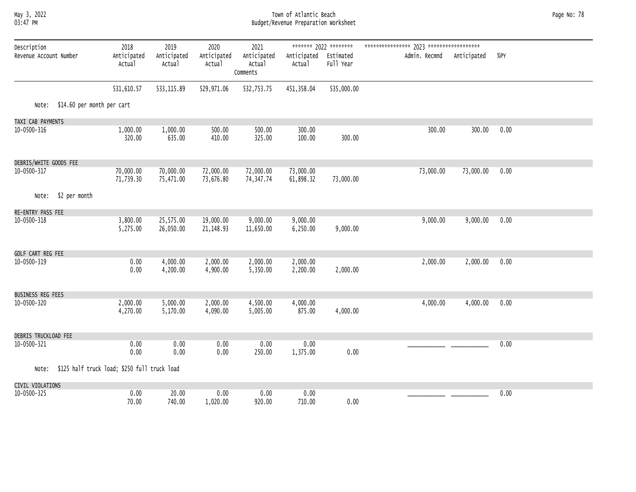#### May 3, 2022 Town of Atlantic Beach Page No: 78 03:47 PM Budget/Revenue Preparation Worksheet

| Description            |                                              | 2018                   | 2019                   | 2020                   | 2021                              |                        | ******* 2022 ********  |               |             |      |  |
|------------------------|----------------------------------------------|------------------------|------------------------|------------------------|-----------------------------------|------------------------|------------------------|---------------|-------------|------|--|
| Revenue Account Number |                                              | Anticipated<br>Actual  | Anticipated<br>Actual  | Anticipated<br>Actual  | Anticipated<br>Actual<br>Comments | Anticipated<br>Actual  | Estimated<br>Full Year | Admin. Recmnd | Anticipated | %PY  |  |
|                        |                                              | 531,610.57             | 533, 115.89            | 529,971.06             | 532,753.75                        | 451,358.04             | 535,000.00             |               |             |      |  |
| Note:                  | \$14.60 per month per cart                   |                        |                        |                        |                                   |                        |                        |               |             |      |  |
| TAXI CAB PAYMENTS      |                                              |                        |                        |                        |                                   |                        |                        |               |             |      |  |
| 10-0500-316            |                                              | 1,000.00<br>320.00     | 1,000.00<br>635.00     | 500.00<br>410.00       | 500.00<br>325.00                  | 300.00<br>100.00       | 300.00                 | 300.00        | 300.00      | 0.00 |  |
| DEBRIS/WHITE GOODS FEE |                                              |                        |                        |                        |                                   |                        |                        |               |             |      |  |
| 10-0500-317            |                                              | 70,000.00<br>71,739.30 | 70,000.00<br>75,471.00 | 72,000.00<br>73,676.80 | 72,000.00<br>74, 347.74           | 73,000.00<br>61,898.32 | 73,000.00              | 73,000.00     | 73,000.00   | 0.00 |  |
| Note:                  | \$2 per month                                |                        |                        |                        |                                   |                        |                        |               |             |      |  |
| RE-ENTRY PASS FEE      |                                              |                        |                        |                        |                                   |                        |                        |               |             |      |  |
| 10-0500-318            |                                              | 3,800.00<br>5,275.00   | 25,575.00<br>26,050.00 | 19,000.00<br>21,148.93 | 9,000.00<br>11,650.00             | 9,000.00<br>6,250.00   | 9,000.00               | 9,000.00      | 9,000.00    | 0.00 |  |
| GOLF CART REG FEE      |                                              |                        |                        |                        |                                   |                        |                        |               |             |      |  |
| 10-0500-319            |                                              | 0.00<br>0.00           | 4,000.00<br>4,200.00   | 2,000.00<br>4,900.00   | 2,000.00<br>5,350.00              | 2,000.00<br>2,200.00   | 2,000.00               | 2,000.00      | 2,000.00    | 0.00 |  |
| BUSINESS REG FEES      |                                              |                        |                        |                        |                                   |                        |                        |               |             |      |  |
| 10-0500-320            |                                              | 2,000.00<br>4,270.00   | 5,000.00<br>5,170.00   | 2,000.00<br>4,090.00   | 4,500.00<br>5,005.00              | 4,000.00<br>875.00     | 4,000.00               | 4,000.00      | 4,000.00    | 0.00 |  |
| DEBRIS TRUCKLOAD FEE   |                                              |                        |                        |                        |                                   |                        |                        |               |             |      |  |
| 10-0500-321            |                                              | 0.00<br>0.00           | 0.00<br>0.00           | 0.00<br>0.00           | 0.00<br>250.00                    | 0.00<br>1,375.00       | 0.00                   |               |             | 0.00 |  |
| Note:                  | \$125 half truck load; \$250 full truck load |                        |                        |                        |                                   |                        |                        |               |             |      |  |
| CIVIL VIOLATIONS       |                                              |                        |                        |                        |                                   |                        |                        |               |             |      |  |
| 10-0500-325            |                                              | 0.00<br>70.00          | 20.00<br>740.00        | 0.00<br>1,020.00       | 0.00<br>920.00                    | 0.00<br>710.00         | 0.00                   |               |             | 0.00 |  |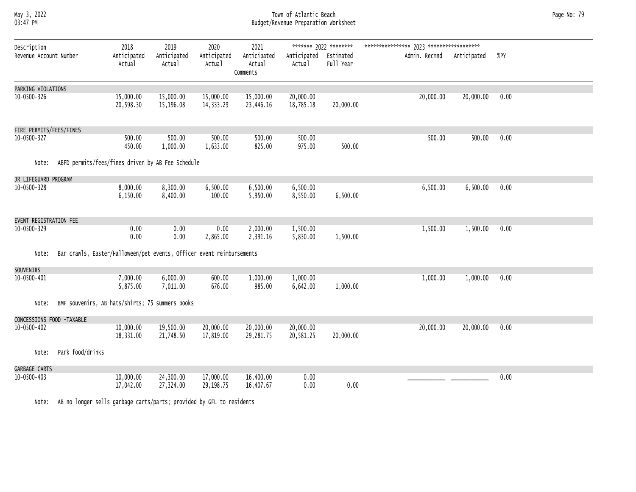#### May 3, 2022 Town of Atlantic Beach Page No: 79 03:47 PM Budget/Revenue Preparation Worksheet

| Description<br>Revenue Account Number  |                                                                       | 2018<br>Anticipated<br>Actual | 2019<br>Anticipated<br>Actual | 2020<br>Anticipated<br>Actual | 2021<br>Anticipated<br>Actual<br>Comments | Anticipated<br>Actual  | ******* 2022 ********<br>Estimated<br>Full Year | Admin. Recmnd | Anticipated | %PY  |
|----------------------------------------|-----------------------------------------------------------------------|-------------------------------|-------------------------------|-------------------------------|-------------------------------------------|------------------------|-------------------------------------------------|---------------|-------------|------|
| PARKING VIOLATIONS<br>10-0500-326      |                                                                       | 15,000.00<br>20,598.30        | 15,000.00<br>15,196.08        | 15,000.00<br>14,333.29        | 15,000.00<br>23,446.16                    | 20,000.00<br>18,785.18 | 20,000.00                                       | 20,000.00     | 20,000.00   | 0.00 |
|                                        |                                                                       |                               |                               |                               |                                           |                        |                                                 |               |             |      |
| FIRE PERMITS/FEES/FINES<br>10-0500-327 |                                                                       | 500.00<br>450.00              | 500.00<br>1,000.00            | 500.00<br>1,633.00            | 500.00<br>825.00                          | 500.00<br>975.00       | 500.00                                          | 500.00        | 500.00      | 0.00 |
| Note:                                  | ABFD permits/fees/fines driven by AB Fee Schedule                     |                               |                               |                               |                                           |                        |                                                 |               |             |      |
| JR LIFEGUARD PROGRAM                   |                                                                       |                               |                               |                               |                                           |                        |                                                 |               |             |      |
| 10-0500-328                            |                                                                       | 8,000.00<br>6,150.00          | 8,300.00<br>8,400.00          | 6,500.00<br>100.00            | 6,500.00<br>5,950.00                      | 6,500.00<br>8,550.00   | 6,500.00                                        | 6,500.00      | 6,500.00    | 0.00 |
| EVENT REGISTRATION FEE                 |                                                                       |                               |                               |                               |                                           |                        |                                                 |               |             |      |
| 10-0500-329                            |                                                                       | 0.00<br>0.00                  | 0.00<br>0.00                  | 0.00<br>2,865.00              | 2,000.00<br>2,391.16                      | 1,500.00<br>5,830.00   | 1,500.00                                        | 1,500.00      | 1,500.00    | 0.00 |
| Note:                                  | Bar crawls, Easter/Halloween/pet events, Officer event reimbursements |                               |                               |                               |                                           |                        |                                                 |               |             |      |
| SOUVENIRS                              |                                                                       |                               |                               |                               |                                           |                        |                                                 |               |             |      |
| 10-0500-401                            |                                                                       | 7,000.00<br>5,875.00          | 6,000.00<br>7,011.00          | 600.00<br>676.00              | 1,000.00<br>985.00                        | 1,000.00<br>6,642.00   | 1,000.00                                        | 1,000.00      | 1,000.00    | 0.00 |
| Note:                                  | BMF souvenirs, AB hats/shirts; 75 summers books                       |                               |                               |                               |                                           |                        |                                                 |               |             |      |
| CONCESSIONS FOOD -TAXABLE              |                                                                       |                               |                               |                               |                                           |                        |                                                 |               |             |      |
| 10-0500-402                            |                                                                       | 10,000.00<br>18,331.00        | 19,500.00<br>21,748.50        | 20,000.00<br>17,819.00        | 20,000.00<br>29,281.75                    | 20,000.00<br>20,581.25 | 20,000.00                                       | 20,000.00     | 20,000.00   | 0.00 |
| Note:                                  | Park food/drinks                                                      |                               |                               |                               |                                           |                        |                                                 |               |             |      |
| GARBAGE CARTS<br>10-0500-403           |                                                                       | 10,000.00<br>17,042.00        | 24,300.00<br>27,324.00        | 17,000.00<br>29,198.75        | 16,400.00<br>16,407.67                    | 0.00<br>0.00           | 0.00                                            |               |             | 0.00 |

Note: AB no longer sells garbage carts/parts; provided by GFL to residents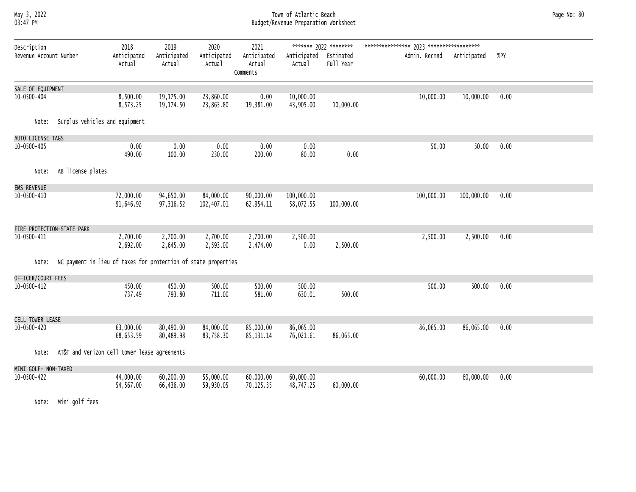#### May 3, 2022 Town of Atlantic Beach Page No: 80 03:47 PM Budget/Revenue Preparation Worksheet

| Description<br>Revenue Account Number |                                | 2018<br>Anticipated<br>Actual                                  | 2019<br>Anticipated<br>Actual | 2020<br>Anticipated<br>Actual | 2021<br>Anticipated<br>Actual<br>Comments | Anticipated Estimated<br>Actual | ******* 2022 ********<br>Full Year | Admin. Recmnd | Anticipated | %PY  |  |
|---------------------------------------|--------------------------------|----------------------------------------------------------------|-------------------------------|-------------------------------|-------------------------------------------|---------------------------------|------------------------------------|---------------|-------------|------|--|
| SALE OF EQUIPMENT<br>10-0500-404      |                                | 8,500.00<br>8,573.25                                           | 19,175.00<br>19,174.50        | 23,860.00<br>23,863.80        | 0.00<br>19,381.00                         | 10,000.00<br>43,905.00          | 10,000.00                          | 10,000.00     | 10,000.00   | 0.00 |  |
| Note:                                 | Surplus vehicles and equipment |                                                                |                               |                               |                                           |                                 |                                    |               |             |      |  |
| AUTO LICENSE TAGS                     |                                |                                                                |                               |                               |                                           |                                 |                                    |               |             |      |  |
| $10 - 0500 - 405$                     |                                | 0.00<br>490.00                                                 | 0.00<br>100.00                | 0.00<br>230.00                | 0.00<br>200.00                            | 0.00<br>80.00                   | 0.00                               | 50.00         | 50.00       | 0.00 |  |
| Note:                                 | AB license plates              |                                                                |                               |                               |                                           |                                 |                                    |               |             |      |  |
| EMS REVENUE                           |                                |                                                                |                               |                               |                                           |                                 |                                    |               |             |      |  |
| 10-0500-410                           |                                | 72,000.00<br>91,646.92                                         | 94,650.00<br>97,316.52        | 84,000.00<br>102,407.01       | 90,000.00<br>62,954.11                    | 100,000.00<br>58,072.55         | 100,000.00                         | 100,000.00    | 100,000.00  | 0.00 |  |
| FIRE PROTECTION-STATE PARK            |                                |                                                                |                               |                               |                                           |                                 |                                    |               |             |      |  |
| 10-0500-411                           |                                | 2,700.00<br>2,692.00                                           | 2,700.00<br>2,645.00          | 2,700.00<br>2,593.00          | 2,700.00<br>2,474.00                      | 2,500.00<br>0.00                | 2,500.00                           | 2,500.00      | 2,500.00    | 0.00 |  |
| Note:                                 |                                | NC payment in lieu of taxes for protection of state properties |                               |                               |                                           |                                 |                                    |               |             |      |  |
| OFFICER/COURT FEES                    |                                |                                                                |                               |                               |                                           |                                 |                                    |               |             |      |  |
| 10-0500-412                           |                                | 450.00<br>737.49                                               | 450.00<br>793.80              | 500.00<br>711.00              | 500.00<br>581.00                          | 500.00<br>630.01                | 500.00                             | 500.00        | 500.00      | 0.00 |  |
| CELL TOWER LEASE                      |                                |                                                                |                               |                               |                                           |                                 |                                    |               |             |      |  |
| 10-0500-420                           |                                | 63,000.00<br>68,653.59                                         | 80,490.00<br>80,489.98        | 84,000.00<br>83,758.30        | 85,000.00<br>85, 131. 14                  | 86,065.00<br>76,021.61          | 86,065.00                          | 86,065.00     | 86,065.00   | 0.00 |  |
| Note:                                 |                                | AT&T and Verizon cell tower lease agreements                   |                               |                               |                                           |                                 |                                    |               |             |      |  |
| MINI GOLF- NON-TAXED                  |                                |                                                                |                               |                               |                                           |                                 |                                    |               |             |      |  |
| 10-0500-422                           |                                | 44,000.00<br>54,567.00                                         | 60,200.00<br>66,436.00        | 55,000.00<br>59,930.05        | 60,000.00<br>70,125.35                    | 60,000.00<br>48,747.25          | 60,000.00                          | 60,000.00     | 60,000.00   | 0.00 |  |

Note: Mini golf fees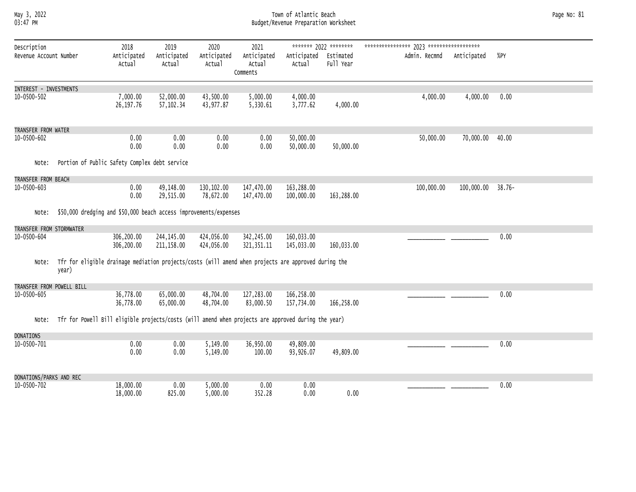#### May 3, 2022 Town of Atlantic Beach Page No: 81 03:47 PM Budget/Revenue Preparation Worksheet

| Description               |                                                                                                      | 2018                   | 2019                   | 2020                   | 2021                    |                          | ******* 2022 ******** |               |             |           |
|---------------------------|------------------------------------------------------------------------------------------------------|------------------------|------------------------|------------------------|-------------------------|--------------------------|-----------------------|---------------|-------------|-----------|
| Revenue Account Number    |                                                                                                      | Anticipated            | Anticipated            | Anticipated            | Anticipated             | Anticipated              | Estimated             | Admin. Recmnd | Anticipated | %PY       |
|                           |                                                                                                      | Actual                 | Actual                 | Actual                 | Actual                  | Actual                   | Full Year             |               |             |           |
|                           |                                                                                                      |                        |                        |                        | Comments                |                          |                       |               |             |           |
| INTEREST - INVESTMENTS    |                                                                                                      |                        |                        |                        |                         |                          |                       |               |             |           |
| 10-0500-502               |                                                                                                      | 7,000.00               | 52,000.00              | 43,500.00              | 5,000.00                | 4,000.00                 |                       | 4,000.00      | 4,000.00    | 0.00      |
|                           |                                                                                                      | 26, 197.76             | 57, 102.34             | 43,977.87              | 5,330.61                | 3,777.62                 | 4,000.00              |               |             |           |
|                           |                                                                                                      |                        |                        |                        |                         |                          |                       |               |             |           |
| TRANSFER FROM WATER       |                                                                                                      |                        |                        |                        |                         |                          |                       |               |             |           |
| 10-0500-602               |                                                                                                      | 0.00                   | 0.00                   | 0.00                   | 0.00                    | 50,000.00                |                       | 50,000.00     | 70,000.00   | 40.00     |
|                           |                                                                                                      | 0.00                   | 0.00                   | 0.00                   | 0.00                    | 50,000.00                | 50,000.00             |               |             |           |
|                           |                                                                                                      |                        |                        |                        |                         |                          |                       |               |             |           |
| Note:                     | Portion of Public Safety Complex debt service                                                        |                        |                        |                        |                         |                          |                       |               |             |           |
| TRANSFER FROM BEACH       |                                                                                                      |                        |                        |                        |                         |                          |                       |               |             |           |
| 10-0500-603               |                                                                                                      | 0.00                   | 49,148.00              | 130,102.00             | 147,470.00              | 163,288.00               |                       | 100,000.00    | 100,000.00  | $38.76 -$ |
|                           |                                                                                                      | 0.00                   | 29,515.00              | 78,672.00              | 147,470.00              | 100,000.00               | 163,288.00            |               |             |           |
|                           | \$50,000 dredging and \$50,000 beach access improvements/expenses                                    |                        |                        |                        |                         |                          |                       |               |             |           |
| Note:                     |                                                                                                      |                        |                        |                        |                         |                          |                       |               |             |           |
| TRANSFER FROM STORMWATER  |                                                                                                      |                        |                        |                        |                         |                          |                       |               |             |           |
| 10-0500-604               |                                                                                                      | 306,200.00             | 244, 145.00            | 424,056.00             | 342,245.00              | 160,033.00               |                       |               |             | 0.00      |
|                           |                                                                                                      | 306,200.00             | 211, 158.00            | 424,056.00             | 321, 351. 11            | 145,033.00               | 160,033.00            |               |             |           |
| Note:                     | Tfr for eligible drainage mediation projects/costs (will amend when projects are approved during the |                        |                        |                        |                         |                          |                       |               |             |           |
|                           | year)                                                                                                |                        |                        |                        |                         |                          |                       |               |             |           |
|                           |                                                                                                      |                        |                        |                        |                         |                          |                       |               |             |           |
| TRANSFER FROM POWELL BILL |                                                                                                      |                        |                        |                        |                         |                          |                       |               |             |           |
| 10-0500-605               |                                                                                                      | 36,778.00<br>36,778.00 | 65,000.00<br>65,000.00 | 48,704.00<br>48,704.00 | 127,283.00<br>83,000.50 | 166,258.00<br>157,734.00 | 166,258.00            |               |             | 0.00      |
|                           |                                                                                                      |                        |                        |                        |                         |                          |                       |               |             |           |
| Note:                     | Tfr for Powell Bill eligible projects/costs (will amend when projects are approved during the year)  |                        |                        |                        |                         |                          |                       |               |             |           |
|                           |                                                                                                      |                        |                        |                        |                         |                          |                       |               |             |           |
| <b>DONATIONS</b>          |                                                                                                      |                        |                        |                        |                         |                          |                       |               |             |           |
| 10-0500-701               |                                                                                                      | 0.00<br>0.00           | 0.00<br>0.00           | 5,149.00<br>5,149.00   | 36,950.00<br>100.00     | 49,809.00<br>93,926.07   | 49,809.00             |               |             | 0.00      |
|                           |                                                                                                      |                        |                        |                        |                         |                          |                       |               |             |           |
|                           |                                                                                                      |                        |                        |                        |                         |                          |                       |               |             |           |
| DONATIONS/PARKS AND REC   |                                                                                                      |                        |                        |                        |                         |                          |                       |               |             |           |
| 10-0500-702               |                                                                                                      | 18,000.00<br>18,000.00 | 0.00<br>825.00         | 5,000.00<br>5,000.00   | 0.00<br>352.28          | 0.00<br>0.00             | 0.00                  |               |             | 0.00      |
|                           |                                                                                                      |                        |                        |                        |                         |                          |                       |               |             |           |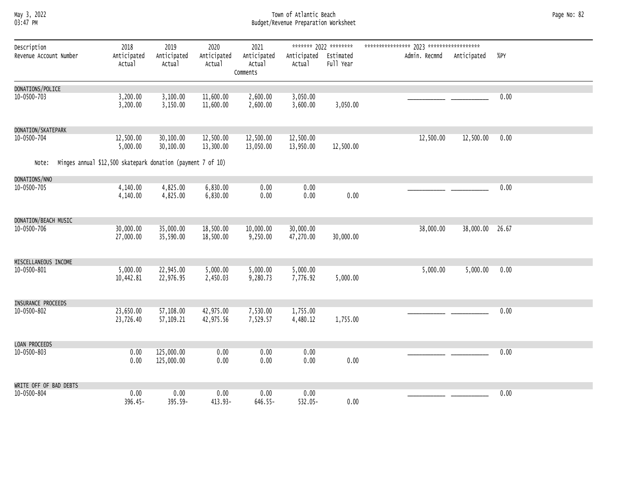#### May 3, 2022 Town of Atlantic Beach Page No: 82 03:47 PM Budget/Revenue Preparation Worksheet

| Description                                                          | 2018                   | 2019                     | 2020                   | 2021                              |                                 | ******* 2022 ******** |               |             |       |
|----------------------------------------------------------------------|------------------------|--------------------------|------------------------|-----------------------------------|---------------------------------|-----------------------|---------------|-------------|-------|
| Revenue Account Number                                               | Anticipated<br>Actual  | Anticipated<br>Actual    | Anticipated<br>Actual  | Anticipated<br>Actual<br>Comments | Anticipated Estimated<br>Actual | Full Year             | Admin. Recmnd | Anticipated | %PY   |
| DONATIONS/POLICE                                                     |                        |                          |                        |                                   |                                 |                       |               |             |       |
| 10-0500-703                                                          | 3,200.00<br>3,200.00   | 3,100.00<br>3,150.00     | 11,600.00<br>11,600.00 | 2,600.00<br>2,600.00              | 3,050.00<br>3,600.00            | 3,050.00              |               |             | 0.00  |
| DONATION/SKATEPARK                                                   |                        |                          |                        |                                   |                                 |                       |               |             |       |
| 10-0500-704                                                          | 12,500.00<br>5,000.00  | 30,100.00<br>30,100.00   | 12,500.00<br>13,300.00 | 12,500.00<br>13,050.00            | 12,500.00<br>13,950.00          | 12,500.00             | 12,500.00     | 12,500.00   | 0.00  |
| Minges annual \$12,500 skatepark donation (payment 7 of 10)<br>Note: |                        |                          |                        |                                   |                                 |                       |               |             |       |
| DONATIONS/NNO                                                        |                        |                          |                        |                                   |                                 |                       |               |             |       |
| 10-0500-705                                                          | 4,140.00<br>4,140.00   | 4,825.00<br>4,825.00     | 6,830.00<br>6,830.00   | 0.00<br>0.00                      | 0.00<br>0.00                    | 0.00                  |               |             | 0.00  |
| DONATION/BEACH MUSIC                                                 |                        |                          |                        |                                   |                                 |                       |               |             |       |
| 10-0500-706                                                          | 30,000.00<br>27,000.00 | 35,000.00<br>35,590.00   | 18,500.00<br>18,500.00 | 10,000.00<br>9,250.00             | 30,000.00<br>47,270.00          | 30,000.00             | 38,000.00     | 38,000.00   | 26.67 |
| MISCELLANEOUS INCOME                                                 |                        |                          |                        |                                   |                                 |                       |               |             |       |
| 10-0500-801                                                          | 5,000.00<br>10,442.81  | 22,945.00<br>22,976.95   | 5,000.00<br>2,450.03   | 5,000.00<br>9,280.73              | 5,000.00<br>7,776.92            | 5,000.00              | 5,000.00      | 5,000.00    | 0.00  |
| INSURANCE PROCEEDS                                                   |                        |                          |                        |                                   |                                 |                       |               |             |       |
| 10-0500-802                                                          | 23,650.00<br>23,726.40 | 57,108.00<br>57,109.21   | 42,975.00<br>42,975.56 | 7,530.00<br>7,529.57              | 1,755.00<br>4,480.12            | 1,755.00              |               |             | 0.00  |
| LOAN PROCEEDS                                                        |                        |                          |                        |                                   |                                 |                       |               |             |       |
| 10-0500-803                                                          | 0.00<br>0.00           | 125,000.00<br>125,000.00 | 0.00<br>0.00           | 0.00<br>0.00                      | 0.00<br>0.00                    | 0.00                  |               |             | 0.00  |
| WRITE OFF OF BAD DEBTS                                               |                        |                          |                        |                                   |                                 |                       |               |             |       |
| 10-0500-804                                                          | 0.00<br>396.45-        | 0.00<br>395.59-          | 0.00<br>413.93-        | 0.00<br>$646.55 -$                | 0.00<br>532.05-                 | 0.00                  |               |             | 0.00  |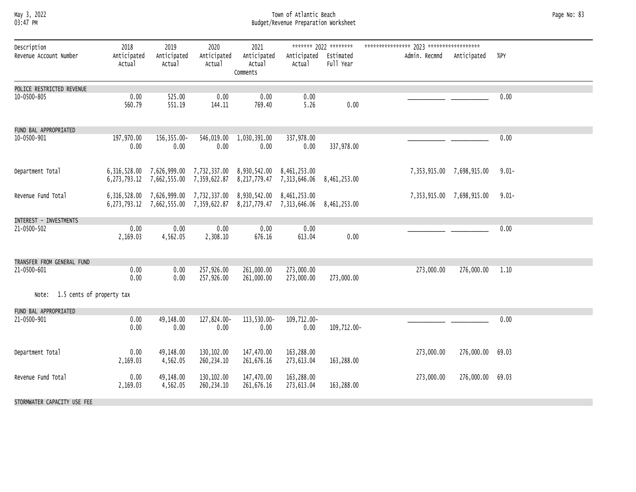#### May 3, 2022 Town of Atlantic Beach Page No: 83 03:47 PM Budget/Revenue Preparation Worksheet

| Description                     | 2018                  | 2019                                   | 2020                     | 2021                                                                                                                                                          |                                              | ******* 2022 ********  |                           |            |          |
|---------------------------------|-----------------------|----------------------------------------|--------------------------|---------------------------------------------------------------------------------------------------------------------------------------------------------------|----------------------------------------------|------------------------|---------------------------|------------|----------|
| Revenue Account Number          | Anticipated<br>Actual | Anticipated<br>Actual                  | Anticipated<br>Actual    | Anticipated<br>Actual<br>Comments                                                                                                                             | Anticipated<br>Actual                        | Estimated<br>Full Year | Admin. Recmnd Anticipated |            | %PY      |
| POLICE RESTRICTED REVENUE       |                       |                                        |                          |                                                                                                                                                               |                                              |                        |                           |            |          |
| 10-0500-805                     | 0.00<br>560.79        | 525.00<br>551.19                       | 0.00<br>144.11           | 0.00<br>769.40                                                                                                                                                | 0.00<br>5.26                                 | 0.00                   |                           |            | 0.00     |
| FUND BAL APPROPRIATED           |                       |                                        |                          |                                                                                                                                                               |                                              |                        |                           |            |          |
| 10-0500-901                     | 197,970.00<br>0.00    | 156, 355.00-<br>0.00                   | 546,019.00<br>0.00       | 1,030,391.00<br>0.00                                                                                                                                          | 337,978.00<br>0.00                           | 337,978.00             |                           |            | 0.00     |
| Department Total                |                       | 6,273,793.12 7,662,555.00 7,359,622.87 |                          | 6,316,528.00 7,626,999.00 7,732,337.00 8,930,542.00 8,461,253.00                                                                                              | 8, 217, 779.47 7, 313, 646.06 8, 461, 253.00 |                        | 7,353,915.00 7,698,915.00 |            | $9.01 -$ |
| Revenue Fund Total              |                       |                                        |                          | 6,316,528.00 7,626,999.00 7,732,337.00 8,930,542.00 8,461,253.00<br>6, 273, 793.12 7, 662, 555.00 7, 359, 622.87 8, 217, 779.47 7, 313, 646.06 8, 461, 253.00 |                                              |                        | 7,353,915.00 7,698,915.00 |            | $9.01 -$ |
| INTEREST - INVESTMENTS          |                       |                                        |                          |                                                                                                                                                               |                                              |                        |                           |            |          |
| 21-0500-502                     | 0.00<br>2,169.03      | 0.00<br>4,562.05                       | 0.00<br>2,308.10         | 0.00<br>676.16                                                                                                                                                | 0.00<br>613.04                               | 0.00                   |                           |            | 0.00     |
| TRANSFER FROM GENERAL FUND      |                       |                                        |                          |                                                                                                                                                               |                                              |                        |                           |            |          |
| 21-0500-601                     | 0.00<br>0.00          | 0.00<br>0.00                           | 257,926.00<br>257,926.00 | 261,000.00<br>261,000.00                                                                                                                                      | 273,000.00<br>273,000.00                     | 273,000.00             | 273,000.00                | 276,000.00 | 1.10     |
| Note: 1.5 cents of property tax |                       |                                        |                          |                                                                                                                                                               |                                              |                        |                           |            |          |
| FUND BAL APPROPRIATED           |                       |                                        |                          |                                                                                                                                                               |                                              |                        |                           |            |          |
| 21-0500-901                     | 0.00<br>0.00          | 49,148.00<br>0.00                      | 127,824.00-<br>0.00      | 113,530.00-<br>0.00                                                                                                                                           | 109,712.00-<br>0.00                          | 109,712.00-            |                           |            | 0.00     |
| Department Total                | 0.00<br>2,169.03      | 49,148.00<br>4,562.05                  | 130,102.00<br>260,234.10 | 147,470.00<br>261,676.16                                                                                                                                      | 163,288.00<br>273,613.04                     | 163,288.00             | 273,000.00                | 276,000.00 | 69.03    |
| Revenue Fund Total              | 0.00<br>2,169.03      | 49,148.00<br>4,562.05                  | 130,102.00<br>260,234.10 | 147,470.00<br>261,676.16                                                                                                                                      | 163,288.00<br>273,613.04                     | 163,288.00             | 273,000.00                | 276,000.00 | 69.03    |
| STORMWATER CAPACITY USE FEE     |                       |                                        |                          |                                                                                                                                                               |                                              |                        |                           |            |          |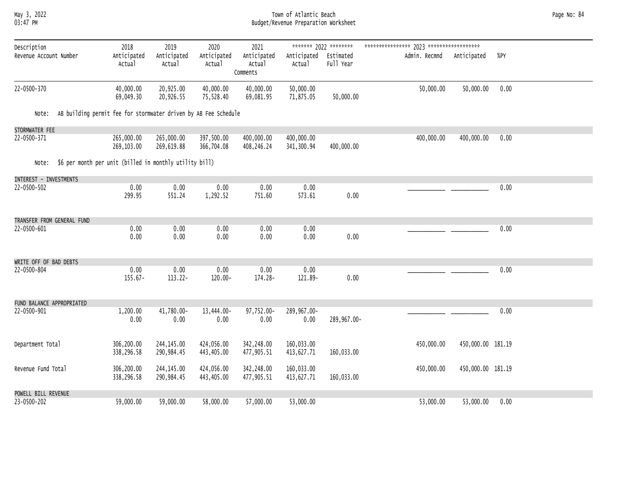#### May 3, 2022 Town of Atlantic Beach Page No: 84 03:47 PM Budget/Revenue Preparation Worksheet

| Description                |                                                                 | 2018                     | 2019                      | 2020                     | 2021                              |                          | ******* 2022 ********  |               |                   |      |
|----------------------------|-----------------------------------------------------------------|--------------------------|---------------------------|--------------------------|-----------------------------------|--------------------------|------------------------|---------------|-------------------|------|
| Revenue Account Number     |                                                                 | Anticipated<br>Actual    | Anticipated<br>Actual     | Anticipated<br>Actual    | Anticipated<br>Actual<br>Comments | Anticipated<br>Actual    | Estimated<br>Full Year | Admin. Recmnd | Anticipated       | %PY  |
| 22-0500-370                |                                                                 | 40,000.00<br>69,049.30   | 20,925.00<br>20,926.55    | 40,000.00<br>75,528.40   | 40,000.00<br>69,081.95            | 50,000.00<br>71,875.05   | 50,000.00              | 50,000.00     | 50,000.00         | 0.00 |
| Note:                      | AB building permit fee for stormwater driven by AB Fee Schedule |                          |                           |                          |                                   |                          |                        |               |                   |      |
| STORMWATER FEE             |                                                                 |                          |                           |                          |                                   |                          |                        |               |                   |      |
| 22-0500-371                |                                                                 | 265,000.00<br>269,103.00 | 265,000.00<br>269,619.88  | 397,500.00<br>366,704.08 | 400,000.00<br>408,246.24          | 400,000.00<br>341,300.94 | 400,000.00             | 400,000.00    | 400,000.00        | 0.00 |
| Note:                      | \$6 per month per unit (billed in monthly utility bill)         |                          |                           |                          |                                   |                          |                        |               |                   |      |
| INTEREST - INVESTMENTS     |                                                                 |                          |                           |                          |                                   |                          |                        |               |                   |      |
| 22-0500-502                |                                                                 | 0.00<br>299.95           | 0.00<br>551.24            | 0.00<br>1,292.52         | 0.00<br>751.60                    | 0.00<br>573.61           | 0.00                   |               |                   | 0.00 |
| TRANSFER FROM GENERAL FUND |                                                                 |                          |                           |                          |                                   |                          |                        |               |                   |      |
| 22-0500-601                |                                                                 | 0.00<br>0.00             | 0.00<br>0.00              | 0.00<br>0.00             | 0.00<br>0.00                      | 0.00<br>0.00             | 0.00                   |               |                   | 0.00 |
| WRITE OFF OF BAD DEBTS     |                                                                 |                          |                           |                          |                                   |                          |                        |               |                   |      |
| 22-0500-804                |                                                                 | 0.00<br>$155.67 -$       | 0.00<br>$113.22 -$        | 0.00<br>120.00-          | 0.00<br>174.28-                   | 0.00<br>121.89-          | 0.00                   |               |                   | 0.00 |
| FUND BALANCE APPROPRIATED  |                                                                 |                          |                           |                          |                                   |                          |                        |               |                   |      |
| 22-0500-901                |                                                                 | 1,200.00<br>0.00         | 41,780.00-<br>0.00        | 13,444.00-<br>0.00       | 97,752.00-<br>0.00                | 289,967.00-<br>0.00      | 289,967.00-            |               |                   | 0.00 |
| Department Total           |                                                                 | 306,200.00<br>338,296.58 | 244, 145.00<br>290,984.45 | 424,056.00<br>443,405.00 | 342,248.00<br>477,905.51          | 160,033.00<br>413,627.71 | 160,033.00             | 450,000.00    | 450,000.00 181.19 |      |
| Revenue Fund Total         |                                                                 | 306,200.00<br>338,296.58 | 244, 145.00<br>290,984.45 | 424,056.00<br>443,405.00 | 342,248.00<br>477,905.51          | 160,033.00<br>413,627.71 | 160,033.00             | 450,000.00    | 450,000.00 181.19 |      |
| POWELL BILL REVENUE        |                                                                 |                          |                           |                          |                                   |                          |                        |               |                   |      |
| 23-0500-202                |                                                                 | 59,000.00                | 59,000.00                 | 58,000.00                | 57,000.00                         | 53,000.00                |                        | 53,000.00     | 53,000.00         | 0.00 |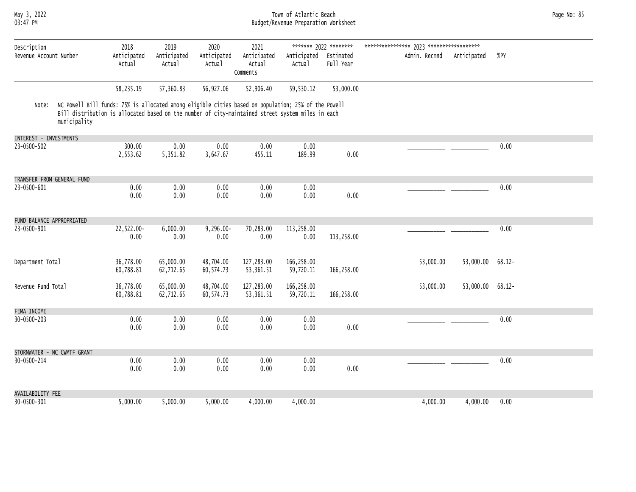#### May 3, 2022 Town of Atlantic Beach Page No: 85 03:47 PM Budget/Revenue Preparation Worksheet

| Description                 |                                                                                                                                                                                                                          | 2018                   | 2019                   | 2020                   | 2021                              |                                 | ******* 2022 ******** |               |             |           |
|-----------------------------|--------------------------------------------------------------------------------------------------------------------------------------------------------------------------------------------------------------------------|------------------------|------------------------|------------------------|-----------------------------------|---------------------------------|-----------------------|---------------|-------------|-----------|
| Revenue Account Number      |                                                                                                                                                                                                                          | Anticipated<br>Actual  | Anticipated<br>Actual  | Anticipated<br>Actual  | Anticipated<br>Actual<br>Comments | Anticipated Estimated<br>Actual | Full Year             | Admin. Recmnd | Anticipated | %PY       |
|                             |                                                                                                                                                                                                                          | 58,235.19              | 57,360.83              | 56,927.06              | 52,906.40                         | 59,530.12                       | 53,000.00             |               |             |           |
| Note:                       | NC Powell Bill funds: 75% is allocated among eligible cities based on population; 25% of the Powell<br>Bill distribution is allocated based on the number of city-maintained street system miles in each<br>municipality |                        |                        |                        |                                   |                                 |                       |               |             |           |
| INTEREST - INVESTMENTS      |                                                                                                                                                                                                                          |                        |                        |                        |                                   |                                 |                       |               |             |           |
| 23-0500-502                 |                                                                                                                                                                                                                          | 300.00<br>2,553.62     | 0.00<br>5,351.82       | 0.00<br>3,647.67       | 0.00<br>455.11                    | 0.00<br>189.99                  | 0.00                  |               |             | 0.00      |
| TRANSFER FROM GENERAL FUND  |                                                                                                                                                                                                                          |                        |                        |                        |                                   |                                 |                       |               |             |           |
| 23-0500-601                 |                                                                                                                                                                                                                          | 0.00<br>0.00           | 0.00<br>0.00           | 0.00<br>0.00           | 0.00<br>0.00                      | 0.00<br>0.00                    | 0.00                  |               |             | 0.00      |
| FUND BALANCE APPROPRIATED   |                                                                                                                                                                                                                          |                        |                        |                        |                                   |                                 |                       |               |             |           |
| 23-0500-901                 |                                                                                                                                                                                                                          | 22,522.00-<br>0.00     | 6,000.00<br>0.00       | $9,296.00 -$<br>0.00   | 70,283.00<br>0.00                 | 113,258.00<br>0.00              | 113,258.00            |               |             | 0.00      |
| Department Total            |                                                                                                                                                                                                                          | 36,778.00<br>60,788.81 | 65,000.00<br>62,712.65 | 48,704.00<br>60,574.73 | 127,283.00<br>53, 361.51          | 166,258.00<br>59,720.11         | 166,258.00            | 53,000.00     | 53,000.00   | $68.12 -$ |
| Revenue Fund Total          |                                                                                                                                                                                                                          | 36,778.00<br>60,788.81 | 65,000.00<br>62,712.65 | 48,704.00<br>60,574.73 | 127,283.00<br>53,361.51           | 166,258.00<br>59,720.11         | 166,258.00            | 53,000.00     | 53,000.00   | $68.12 -$ |
| FEMA INCOME                 |                                                                                                                                                                                                                          |                        |                        |                        |                                   |                                 |                       |               |             |           |
| 30-0500-203                 |                                                                                                                                                                                                                          | 0.00<br>0.00           | 0.00<br>0.00           | 0.00<br>0.00           | 0.00<br>0.00                      | 0.00<br>0.00                    | 0.00                  |               |             | 0.00      |
| STORMWATER - NC CWMTF GRANT |                                                                                                                                                                                                                          |                        |                        |                        |                                   |                                 |                       |               |             |           |
| 30-0500-214                 |                                                                                                                                                                                                                          | 0.00<br>0.00           | 0.00<br>0.00           | 0.00<br>0.00           | 0.00<br>0.00                      | 0.00<br>0.00                    | 0.00                  |               |             | 0.00      |
| <b>AVAILABILITY FEE</b>     |                                                                                                                                                                                                                          |                        |                        |                        |                                   |                                 |                       |               |             |           |
| 30-0500-301                 |                                                                                                                                                                                                                          | 5,000.00               | 5,000.00               | 5,000.00               | 4,000.00                          | 4,000.00                        |                       | 4,000.00      | 4,000.00    | 0.00      |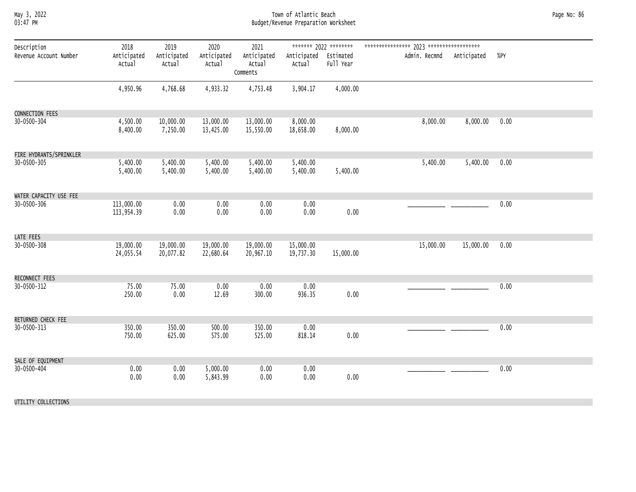#### May 3, 2022 Town of Atlantic Beach Page No: 86 03:47 PM Budget/Revenue Preparation Worksheet

| Description             | 2018                     | 2019                   | 2020                   | 2021                              |                                 | ******* 2022 ******** |               |             |      |
|-------------------------|--------------------------|------------------------|------------------------|-----------------------------------|---------------------------------|-----------------------|---------------|-------------|------|
| Revenue Account Number  | Anticipated<br>Actual    | Anticipated<br>Actual  | Anticipated<br>Actual  | Anticipated<br>Actual<br>Comments | Anticipated Estimated<br>Actual | Full Year             | Admin. Recmnd | Anticipated | %PY  |
|                         | 4,950.96                 | 4,768.68               | 4,933.32               | 4,753.48                          | 3,904.17                        | 4,000.00              |               |             |      |
| CONNECTION FEES         |                          |                        |                        |                                   |                                 |                       |               |             |      |
| 30-0500-304             | 4,500.00<br>8,400.00     | 10,000.00<br>7,250.00  | 13,000.00<br>13,425.00 | 13,000.00<br>15,550.00            | 8,000.00<br>18,658.00           | 8,000.00              | 8,000.00      | 8,000.00    | 0.00 |
| FIRE HYDRANTS/SPRINKLER |                          |                        |                        |                                   |                                 |                       |               |             |      |
| 30-0500-305             | 5,400.00<br>5,400.00     | 5,400.00<br>5,400.00   | 5,400.00<br>5,400.00   | 5,400.00<br>5,400.00              | 5,400.00<br>5,400.00            | 5,400.00              | 5,400.00      | 5,400.00    | 0.00 |
| WATER CAPACITY USE FEE  |                          |                        |                        |                                   |                                 |                       |               |             |      |
| 30-0500-306             | 113,000.00<br>113,954.39 | 0.00<br>0.00           | 0.00<br>0.00           | 0.00<br>0.00                      | 0.00<br>0.00                    | 0.00                  |               |             | 0.00 |
| LATE FEES               |                          |                        |                        |                                   |                                 |                       |               |             |      |
| 30-0500-308             | 19,000.00<br>24,055.54   | 19,000.00<br>20,077.82 | 19,000.00<br>22,680.64 | 19,000.00<br>20,967.10            | 15,000.00<br>19,737.30          | 15,000.00             | 15,000.00     | 15,000.00   | 0.00 |
| RECONNECT FEES          |                          |                        |                        |                                   |                                 |                       |               |             |      |
| 30-0500-312             | 75.00<br>250.00          | 75.00<br>0.00          | 0.00<br>12.69          | 0.00<br>300.00                    | 0.00<br>936.35                  | 0.00                  |               |             | 0.00 |
| RETURNED CHECK FEE      |                          |                        |                        |                                   |                                 |                       |               |             |      |
| 30-0500-313             | 350.00<br>750.00         | 350.00<br>625.00       | 500.00<br>575.00       | 350.00<br>525.00                  | 0.00<br>818.14                  | 0.00                  |               |             | 0.00 |
| SALE OF EQUIPMENT       |                          |                        |                        |                                   |                                 |                       |               |             |      |
| 30-0500-404             | 0.00<br>0.00             | 0.00<br>0.00           | 5,000.00<br>5,843.99   | 0.00<br>0.00                      | 0.00<br>0.00                    | 0.00                  |               |             | 0.00 |
| UTILITY COLLECTIONS     |                          |                        |                        |                                   |                                 |                       |               |             |      |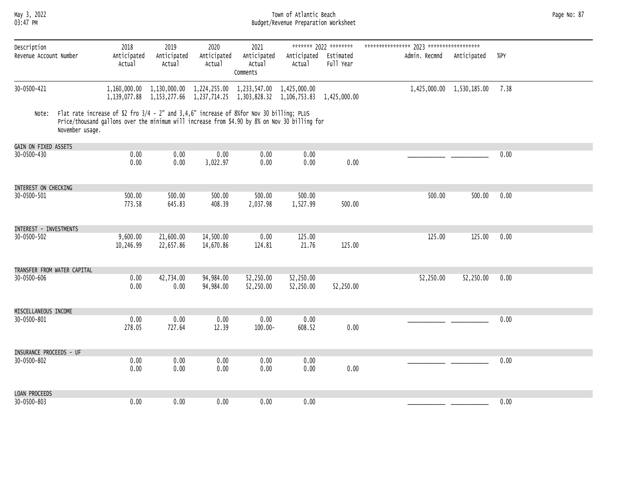#### May 3, 2022 Town of Atlantic Beach Page No: 87 03:47 PM Budget/Revenue Preparation Worksheet

| Description<br>Revenue Account Number |                 | 2018<br>Anticipated                                                                                                                                                                       | 2019<br>Anticipated                                                                           | 2020<br>Anticipated    | 2021<br>Anticipated       | Anticipated            | ******* 2022 ********<br>Estimated | Admin. Recmnd | Anticipated               | %PY  |
|---------------------------------------|-----------------|-------------------------------------------------------------------------------------------------------------------------------------------------------------------------------------------|-----------------------------------------------------------------------------------------------|------------------------|---------------------------|------------------------|------------------------------------|---------------|---------------------------|------|
|                                       |                 | Actual                                                                                                                                                                                    | Actual                                                                                        | Actual                 | Actual<br>Comments        | Actual                 | Full Year                          |               |                           |      |
| 30-0500-421                           |                 |                                                                                                                                                                                           | 1,160,000.00 1,130,000.00<br>1,139,077.88 1,153,277.66 1,237,714.25 1,303,828.32 1,106,753.83 |                        | 1,224,255.00 1,233,547.00 | 1,425,000,00           | 1,425,000.00                       |               | 1,425,000.00 1,530,185.00 | 7.38 |
| Note:                                 | November usage. | Flat rate increase of \$2 fro 3/4 - 2" and 3,4,6" increase of 8%for Nov 30 billing; PLUS<br>Price/thousand gallons over the minimum will increase from \$4.90 by 8% on Nov 30 billing for |                                                                                               |                        |                           |                        |                                    |               |                           |      |
| GAIN ON FIXED ASSETS                  |                 |                                                                                                                                                                                           |                                                                                               |                        |                           |                        |                                    |               |                           |      |
| 30-0500-430                           |                 | 0.00<br>0.00                                                                                                                                                                              | 0.00<br>0.00                                                                                  | 0.00<br>3,022.97       | 0.00<br>0.00              | 0.00<br>0.00           | 0.00                               |               |                           | 0.00 |
| INTEREST ON CHECKING                  |                 |                                                                                                                                                                                           |                                                                                               |                        |                           |                        |                                    |               |                           |      |
| 30-0500-501                           |                 | 500.00<br>773.58                                                                                                                                                                          | 500.00<br>645.83                                                                              | 500.00<br>408.39       | 500.00<br>2,037.98        | 500.00<br>1,527.99     | 500.00                             | 500.00        | 500.00                    | 0.00 |
|                                       |                 |                                                                                                                                                                                           |                                                                                               |                        |                           |                        |                                    |               |                           |      |
| INTEREST - INVESTMENTS                |                 |                                                                                                                                                                                           |                                                                                               |                        |                           |                        |                                    |               |                           |      |
| 30-0500-502                           |                 | 9,600.00<br>10,246.99                                                                                                                                                                     | 21,600.00<br>22,657.86                                                                        | 14,500.00<br>14,670.86 | 0.00<br>124.81            | 125.00<br>21.76        | 125.00                             | 125.00        | 125.00                    | 0.00 |
| TRANSFER FROM WATER CAPITAL           |                 |                                                                                                                                                                                           |                                                                                               |                        |                           |                        |                                    |               |                           |      |
| 30-0500-606                           |                 | 0.00<br>0.00                                                                                                                                                                              | 42,734.00<br>0.00                                                                             | 94,984.00<br>94,984.00 | 52,250.00<br>52,250.00    | 52,250.00<br>52,250.00 | 52,250.00                          | 52,250.00     | 52,250.00                 | 0.00 |
| MISCELLANEOUS INCOME                  |                 |                                                                                                                                                                                           |                                                                                               |                        |                           |                        |                                    |               |                           |      |
| 30-0500-801                           |                 | 0.00<br>278.05                                                                                                                                                                            | 0.00<br>727.64                                                                                | 0.00<br>12.39          | 0.00<br>$100.00 -$        | 0.00<br>608.52         | 0.00                               |               |                           | 0.00 |
| INSURANCE PROCEEDS - UF               |                 |                                                                                                                                                                                           |                                                                                               |                        |                           |                        |                                    |               |                           |      |
| 30-0500-802                           |                 | 0.00                                                                                                                                                                                      | 0.00                                                                                          | 0.00                   | 0.00                      | 0.00                   |                                    |               |                           | 0.00 |
|                                       |                 | 0.00                                                                                                                                                                                      | 0.00                                                                                          | 0.00                   | 0.00                      | 0.00                   | 0.00                               |               |                           |      |
| LOAN PROCEEDS                         |                 |                                                                                                                                                                                           |                                                                                               |                        |                           |                        |                                    |               |                           |      |
| $30 - 0500 - 803$                     |                 | 0.00                                                                                                                                                                                      | 0.00                                                                                          | 0.00                   | 0.00                      | 0.00                   |                                    |               |                           | 0.00 |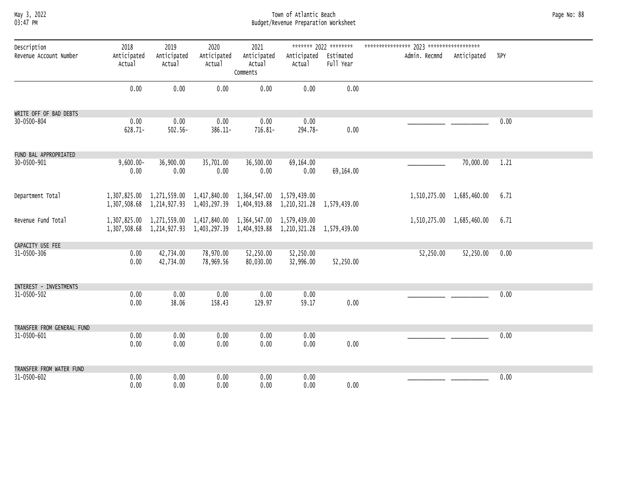#### May 3, 2022 Town of Atlantic Beach Page No: 88 03:47 PM Budget/Revenue Preparation Worksheet

| Description<br>Revenue Account Number | 2018<br>Anticipated<br>Actual | 2019<br>Anticipated<br>Actual | 2020<br>Anticipated<br>Actual                                                                                                                     | 2021<br>Anticipated<br>Actual<br>Comments | Anticipated Estimated<br>Actual | ******* 2022 ********<br>Full Year | Admin. Recmnd Anticipated |                           | %PY  |
|---------------------------------------|-------------------------------|-------------------------------|---------------------------------------------------------------------------------------------------------------------------------------------------|-------------------------------------------|---------------------------------|------------------------------------|---------------------------|---------------------------|------|
|                                       | 0.00                          | 0.00                          | 0.00                                                                                                                                              | 0.00                                      | 0.00                            | 0.00                               |                           |                           |      |
| WRITE OFF OF BAD DEBTS                |                               |                               |                                                                                                                                                   |                                           |                                 |                                    |                           |                           |      |
| 30-0500-804                           | 0.00<br>$628.71 -$            | 0.00<br>$502.56 -$            | 0.00<br>386.11-                                                                                                                                   | 0.00<br>716.81-                           | 0.00<br>294.78-                 | 0.00                               |                           |                           | 0.00 |
| FUND BAL APPROPRIATED                 |                               |                               |                                                                                                                                                   |                                           |                                 |                                    |                           |                           |      |
| 30-0500-901                           | $9,600.00 -$<br>0.00          | 36,900.00<br>0.00             | 35,701.00<br>0.00                                                                                                                                 | 36,500.00<br>0.00                         | 69,164.00<br>0.00               | 69,164.00                          |                           | 70,000.00                 | 1.21 |
| Department Total                      |                               |                               | 1,307,825.00 1,271,559.00 1,417,840.00 1,364,547.00 1,579,439.00<br>1,307,508.68 1,214,927.93 1,403,297.39 1,404,919.88 1,210,321.28 1,579,439.00 |                                           |                                 |                                    |                           | 1,510,275.00 1,685,460.00 | 6.71 |
| Revenue Fund Total                    |                               |                               | 1,307,825.00 1,271,559.00 1,417,840.00 1,364,547.00 1,579,439.00<br>1,307,508.68 1,214,927.93 1,403,297.39 1,404,919.88 1,210,321.28 1,579,439.00 |                                           |                                 |                                    |                           | 1,510,275.00 1,685,460.00 | 6.71 |
| CAPACITY USE FEE                      |                               |                               |                                                                                                                                                   |                                           |                                 |                                    |                           |                           |      |
| 31-0500-306                           | 0.00<br>0.00                  | 42,734.00<br>42,734.00        | 78,970.00<br>78,969.56                                                                                                                            | 52,250.00<br>80,030.00                    | 52,250.00<br>32,996.00          | 52,250.00                          | 52,250.00                 | 52,250.00                 | 0.00 |
| INTEREST - INVESTMENTS                |                               |                               |                                                                                                                                                   |                                           |                                 |                                    |                           |                           |      |
| 31-0500-502                           | 0.00<br>0.00                  | 0.00<br>38.06                 | 0.00<br>158.43                                                                                                                                    | 0.00<br>129.97                            | 0.00<br>59.17                   | 0.00                               |                           |                           | 0.00 |
| TRANSFER FROM GENERAL FUND            |                               |                               |                                                                                                                                                   |                                           |                                 |                                    |                           |                           |      |
| 31-0500-601                           | 0.00<br>0.00                  | 0.00<br>0.00                  | 0.00<br>0.00                                                                                                                                      | 0.00<br>0.00                              | 0.00<br>0.00                    | 0.00                               |                           |                           | 0.00 |
| TRANSFER FROM WATER FUND              |                               |                               |                                                                                                                                                   |                                           |                                 |                                    |                           |                           |      |
| 31-0500-602                           | 0.00<br>0.00                  | 0.00<br>0.00                  | 0.00<br>0.00                                                                                                                                      | 0.00<br>0.00                              | 0.00<br>0.00                    | 0.00                               |                           |                           | 0.00 |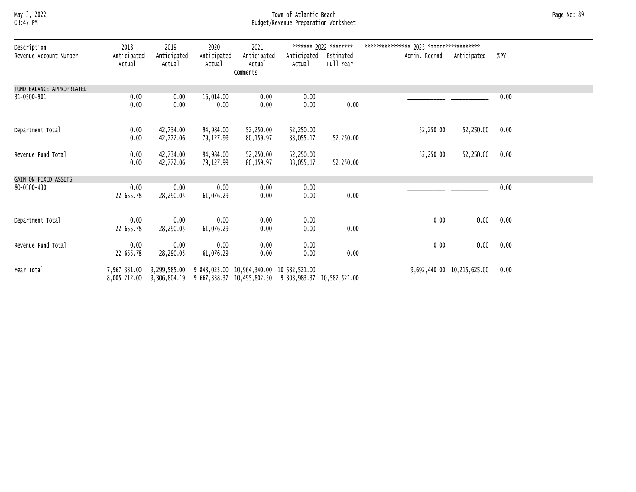#### May 3, 2022 Town of Atlantic Beach Page No: 89 03:47 PM Budget/Revenue Preparation Worksheet

| Description<br>Revenue Account Number | 2018<br>Anticipated<br>Actual | 2019<br>Anticipated<br>Actual | 2020<br>Anticipated<br>Actual | 2021<br>Anticipated<br>Actual<br>Comments                                                                      | Anticipated<br>Actual  | ******* 2022 ********<br>Estimated<br>Full Year | Admin. Recmnd | Anticipated                | %PY  |  |
|---------------------------------------|-------------------------------|-------------------------------|-------------------------------|----------------------------------------------------------------------------------------------------------------|------------------------|-------------------------------------------------|---------------|----------------------------|------|--|
| FUND BALANCE APPROPRIATED             |                               |                               |                               |                                                                                                                |                        |                                                 |               |                            |      |  |
| 31-0500-901                           | 0.00<br>0.00                  | 0.00<br>0.00                  | 16,014.00<br>0.00             | 0.00<br>0.00                                                                                                   | 0.00<br>0.00           | 0.00                                            |               |                            | 0.00 |  |
| Department Total                      | 0.00<br>0.00                  | 42,734.00<br>42,772.06        | 94,984.00<br>79,127.99        | 52,250.00<br>80,159.97                                                                                         | 52,250.00<br>33,055.17 | 52,250.00                                       | 52,250.00     | 52,250.00                  | 0.00 |  |
| Revenue Fund Total                    | 0.00<br>0.00                  | 42,734.00<br>42,772.06        | 94,984.00<br>79,127.99        | 52,250.00<br>80,159.97                                                                                         | 52,250.00<br>33,055.17 | 52,250.00                                       | 52,250.00     | 52,250.00                  | 0.00 |  |
| GAIN ON FIXED ASSETS                  |                               |                               |                               |                                                                                                                |                        |                                                 |               |                            |      |  |
| 80-0500-430                           | 0.00<br>22,655.78             | 0.00<br>28,290.05             | 0.00<br>61,076.29             | 0.00<br>0.00                                                                                                   | 0.00<br>0.00           | 0.00                                            |               |                            | 0.00 |  |
| Department Total                      | 0.00<br>22,655.78             | 0.00<br>28,290.05             | 0.00<br>61,076.29             | 0.00<br>0.00                                                                                                   | 0.00<br>0.00           | 0.00                                            | 0.00          | 0.00                       | 0.00 |  |
| Revenue Fund Total                    | 0.00<br>22,655.78             | 0.00<br>28,290.05             | 0.00<br>61,076.29             | 0.00<br>0.00                                                                                                   | 0.00<br>0.00           | 0.00                                            | 0.00          | 0.00                       | 0.00 |  |
| Year Total                            | 7,967,331.00<br>8,005,212.00  | 9,306,804.19                  |                               | 9,299,585.00 9,848,023.00 10,964,340.00 10,582,521.00<br>9,667,338.37 10,495,802.50 9,303,983.37 10,582,521.00 |                        |                                                 |               | 9,692,440.00 10,215,625.00 | 0.00 |  |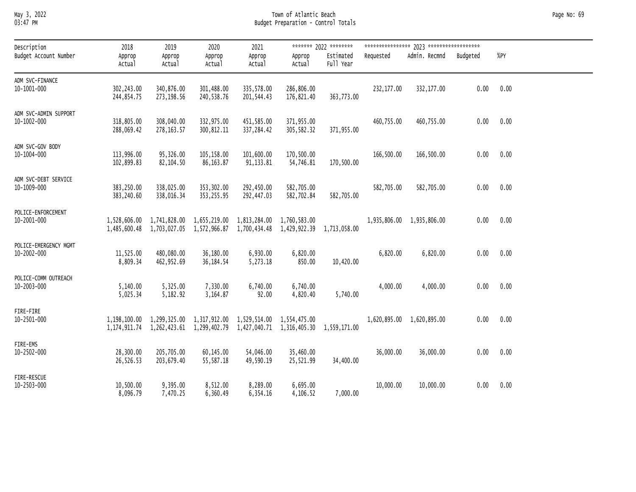### May 3, 2022 Town of Atlantic Beach Page No: 69 03:47 PM Budget Preparation - Control Totals

| Description                                | 2018                     | 2019                                                                                                                                              | 2020                     | 2021                     |                          | ******* 2022 ********  |            |                           |          |      |
|--------------------------------------------|--------------------------|---------------------------------------------------------------------------------------------------------------------------------------------------|--------------------------|--------------------------|--------------------------|------------------------|------------|---------------------------|----------|------|
| Budget Account Number                      | Approp<br>Actual         | Approp<br>Actual                                                                                                                                  | Approp<br>Actual         | Approp<br>Actual         | Approp<br>Actual         | Estimated<br>Full Year | Requested  | Admin. Recmnd             | Budgeted | %PY  |
| ADM SVC-FINANCE<br>10-1001-000             | 302,243.00<br>244,854.75 | 340,876.00<br>273,198.56                                                                                                                          | 301,488.00<br>240,538.76 | 335,578.00<br>201,544.43 | 286,806.00<br>176,821.40 | 363,773.00             | 232,177.00 | 332,177.00                | 0.00     | 0.00 |
| ADM SVC-ADMIN SUPPORT<br>10-1002-000       | 318,805.00<br>288,069.42 | 308,040.00<br>278, 163.57                                                                                                                         | 332,975.00<br>300,812.11 | 451,585.00<br>337,284.42 | 371,955.00<br>305,582.32 | 371,955.00             | 460,755.00 | 460,755.00                | 0.00     | 0.00 |
| ADM SVC-GOV BODY<br>10-1004-000            | 113,996.00<br>102,899.83 | 95,326.00<br>82,104.50                                                                                                                            | 105,158.00<br>86,163.87  | 101,600.00<br>91,133.81  | 170,500.00<br>54,746.81  | 170,500.00             | 166,500.00 | 166,500.00                | 0.00     | 0.00 |
| ADM SVC-DEBT SERVICE<br>10-1009-000        | 383,250.00<br>383,240.60 | 338,025.00<br>338,016.34                                                                                                                          | 353,302.00<br>353,255.95 | 292,450.00<br>292,447.03 | 582,705.00<br>582,702.84 | 582,705.00             | 582,705.00 | 582,705.00                | 0.00     | 0.00 |
| POLICE-ENFORCEMENT<br>10-2001-000          |                          | 1,528,606.00 1,741,828.00 1,655,219.00 1,813,284.00 1,760,583.00<br>1,485,600.48 1,703,027.05 1,572,966.87 1,700,434.48 1,429,922.39 1,713,058.00 |                          |                          |                          |                        |            | 1,935,806.00 1,935,806.00 | 0.00     | 0.00 |
| POLICE-EMERGENCY MGMT<br>$10 - 2002 - 000$ | 11,525.00<br>8,809.34    | 480,080.00<br>462,952.69                                                                                                                          | 36,180.00<br>36,184.54   | 6,930.00<br>5,273.18     | 6,820.00<br>850.00       | 10,420.00              | 6,820.00   | 6,820.00                  | 0.00     | 0.00 |
| POLICE-COMM OUTREACH<br>10-2003-000        | 5,140.00<br>5,025.34     | 5,325.00<br>5,182.92                                                                                                                              | 7,330.00<br>3,164.87     | 6,740.00<br>92.00        | 6,740.00<br>4,820.40     | 5,740.00               | 4,000.00   | 4,000.00                  | 0.00     | 0.00 |
| FIRE-FIRE<br>10-2501-000                   |                          | 1,198,100.00 1,299,325.00 1,317,912.00 1,529,514.00 1,554,475.00<br>1,174,911.74 1,262,423.61 1,299,402.79 1,427,040.71 1,316,405.30 1,559,171.00 |                          |                          |                          |                        |            | 1,620,895.00 1,620,895.00 | 0.00     | 0.00 |
| FIRE-EMS<br>$10 - 2502 - 000$              | 28,300.00<br>26,526.53   | 205,705.00<br>203,679.40                                                                                                                          | 60,145.00<br>55,587.18   | 54,046.00<br>49,590.19   | 35,460.00<br>25,521.99   | 34,400.00              | 36,000.00  | 36,000.00                 | 0.00     | 0.00 |
| FIRE-RESCUE<br>10-2503-000                 | 10,500.00<br>8,096.79    | 9,395.00<br>7,470.25                                                                                                                              | 8,512.00<br>6,360.49     | 8,289.00<br>6,354.16     | 6,695.00<br>4,106.52     | 7,000.00               | 10,000.00  | 10,000.00                 | 0.00     | 0.00 |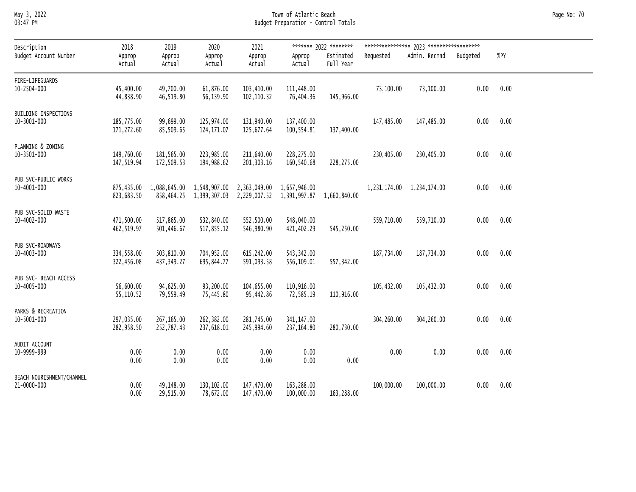#### May 3, 2022 Town of Atlantic Beach Page No: 70 03:47 PM Budget Preparation - Control Totals

| Description<br>Budget Account Number     | 2018<br>Approp<br>Actual | 2019<br>Approp<br>Actual                                       | 2020<br>Approp<br>Actual | 2021<br>Approp<br>Actual | Approp<br>Actual                                               | ******* 2022 ********<br>Estimated<br>Full Year | Requested  | Admin. Recmnd             | Budgeted | $%$ PY |  |
|------------------------------------------|--------------------------|----------------------------------------------------------------|--------------------------|--------------------------|----------------------------------------------------------------|-------------------------------------------------|------------|---------------------------|----------|--------|--|
| FIRE-LIFEGUARDS<br>10-2504-000           | 45,400.00<br>44,838.90   | 49,700.00<br>46,519.80                                         | 61,876.00<br>56,139.90   | 103,410.00<br>102,110.32 | 111,448.00<br>76,404.36                                        | 145,966.00                                      | 73,100.00  | 73,100.00                 | 0.00     | 0.00   |  |
| BUILDING INSPECTIONS<br>10-3001-000      | 185,775.00<br>171,272.60 | 99,699.00<br>85,509.65                                         | 125,974.00<br>124,171.07 | 131,940.00<br>125,677.64 | 137,400.00<br>100,554.81                                       | 137,400.00                                      | 147,485.00 | 147,485.00                | 0.00     | 0.00   |  |
| PLANNING & ZONING<br>10-3501-000         | 149,760.00<br>147,519.94 | 181,565.00<br>172,509.53                                       | 223,985.00<br>194,988.62 | 211,640.00<br>201,303.16 | 228,275.00<br>160,540.68                                       | 228,275.00                                      | 230,405.00 | 230,405.00                | 0.00     | 0.00   |  |
| PUB SVC-PUBLIC WORKS<br>10-4001-000      | 823,683.50               | 875,435.00 1,088,645.00 1,548,907.00 2,363,049.00 1,657,946.00 |                          |                          | 858,464.25 1,399,307.03 2,229,007.52 1,391,997.87 1,660,840.00 |                                                 |            | 1,231,174.00 1,234,174.00 | 0.00     | 0.00   |  |
| PUB SVC-SOLID WASTE<br>10-4002-000       | 471,500.00<br>462,519.97 | 517,865.00<br>501,446.67                                       | 532,840.00<br>517,855.12 | 546,980.90               | 552,500.00 548,040.00<br>421,402.29                            | 545,250.00                                      | 559,710.00 | 559,710.00                | 0.00     | 0.00   |  |
| PUB SVC-ROADWAYS<br>10-4003-000          | 334,558.00<br>322,456.08 | 503,810.00<br>437,349.27                                       | 704,952.00<br>695,844.77 | 615,242.00<br>591,093.58 | 543,342.00<br>556,109.01                                       | 557,342.00                                      | 187,734.00 | 187,734.00                | 0.00     | 0.00   |  |
| PUB SVC- BEACH ACCESS<br>10-4005-000     | 56,600.00<br>55,110.52   | 94,625.00<br>79,559.49                                         | 93,200.00<br>75,445.80   | 104,655.00<br>95,442.86  | 110,916.00<br>72,585.19                                        | 110,916.00                                      | 105,432.00 | 105,432.00                | 0.00     | 0.00   |  |
| PARKS & RECREATION<br>10-5001-000        | 297,035.00<br>282,958.50 | 267,165.00<br>252,787.43                                       | 262,382.00<br>237,618.01 | 281,745.00<br>245,994.60 | 341,147.00<br>237,164.80                                       | 280,730.00                                      | 304,260.00 | 304,260.00                | 0.00     | 0.00   |  |
| AUDIT ACCOUNT<br>10-9999-999             | 0.00<br>0.00             | 0.00<br>0.00                                                   | 0.00<br>0.00             | 0.00<br>0.00             | 0.00<br>0.00                                                   | 0.00                                            | 0.00       | 0.00                      | 0.00     | 0.00   |  |
| BEACH NOURISHMENT/CHANNEL<br>21-0000-000 | 0.00<br>0.00             | 49,148.00<br>29,515.00                                         | 130,102.00<br>78,672.00  | 147,470.00<br>147,470.00 | 163,288.00<br>100,000.00                                       | 163,288.00                                      | 100,000.00 | 100,000.00                | 0.00     | 0.00   |  |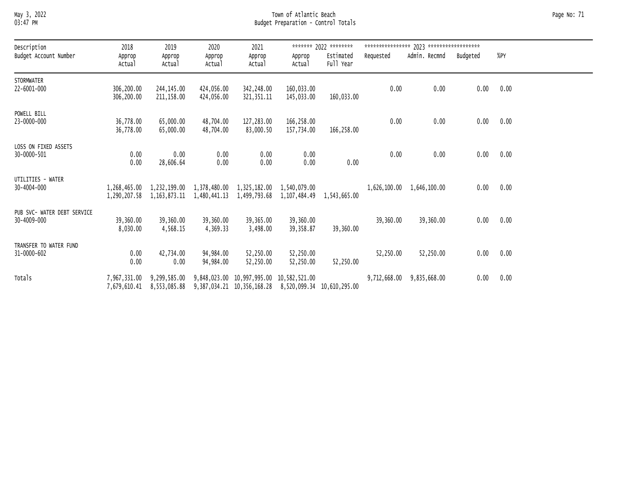#### May 3, 2022 Town of Atlantic Beach Page No: 71 03:47 PM Budget Preparation - Control Totals

| Description                      | 2018                   | 2019                                                                                                                                                  | 2020                   | 2021                    |                          | ******* 2022 ********  |                                   |                           |      |                   |  |
|----------------------------------|------------------------|-------------------------------------------------------------------------------------------------------------------------------------------------------|------------------------|-------------------------|--------------------------|------------------------|-----------------------------------|---------------------------|------|-------------------|--|
| Budget Account Number            | Approp<br>Actual       | Approp<br>Actual                                                                                                                                      | Approp<br>Actual       | Approp<br>Actual        | Approp<br>Actual         | Estimated<br>Full Year | Requested                         | Admin. Recmnd Budgeted    |      | %PY               |  |
| <b>STORMWATER</b><br>22-6001-000 | 306,200.00             | 244,145.00                                                                                                                                            | 424,056.00             | 342,248.00              | 160,033.00               |                        | 0.00                              | 0.00                      | 0.00 | 0.00              |  |
|                                  | 306,200.00             | 211,158.00                                                                                                                                            | 424,056.00             | 321,351.11              | 145,033.00               | 160,033.00             |                                   |                           |      |                   |  |
| POWELL BILL<br>23-0000-000       | 36,778.00<br>36,778.00 | 65,000.00<br>65,000.00                                                                                                                                | 48,704.00<br>48,704.00 | 127,283.00<br>83,000.50 | 166,258.00<br>157,734.00 | 166,258.00             | 0.00                              | 0.00                      | 0.00 | 0.00              |  |
| LOSS ON FIXED ASSETS             |                        |                                                                                                                                                       |                        |                         |                          |                        |                                   |                           |      |                   |  |
| 30-0000-501                      | 0.00<br>0.00           | 0.00<br>28,606.64                                                                                                                                     | 0.00<br>0.00           | 0.00<br>0.00            | 0.00<br>0.00             | 0.00                   | 0.00                              | 0.00                      | 0.00 | 0.00              |  |
| UTILITIES - WATER                |                        |                                                                                                                                                       |                        |                         |                          |                        |                                   |                           |      |                   |  |
| 30-4004-000                      |                        | 1,268,465.00 1,232,199.00 1,378,480.00 1,325,182.00 1,540,079.00<br>1,290,207.58 1,163,873.11 1,480,441.13 1,499,793.68 1,107,484.49 1,543,665.00     |                        |                         |                          |                        | $1,626,100.00 \quad 1,646,100.00$ |                           | 0.00 | 0.00              |  |
| PUB SVC- WATER DEBT SERVICE      |                        |                                                                                                                                                       |                        |                         |                          |                        |                                   |                           |      |                   |  |
| 30-4009-000                      | 39,360.00<br>8,030.00  | 39,360.00<br>4,568.15                                                                                                                                 | 39,360.00<br>4,369.33  | 39,365.00<br>3,498.00   | 39,360.00<br>39,358.87   | 39,360.00              | 39,360.00                         | 39,360.00                 |      | $0.00\qquad 0.00$ |  |
| TRANSFER TO WATER FUND           |                        |                                                                                                                                                       |                        |                         |                          |                        |                                   |                           |      |                   |  |
| 31-0000-602                      | 0.00<br>0.00           | 42,734.00<br>0.00                                                                                                                                     | 94,984.00<br>94,984.00 | 52,250.00<br>52,250.00  | 52,250.00<br>52,250.00   | 52,250.00              | 52,250.00                         | 52,250.00                 |      | $0.00\qquad 0.00$ |  |
| Totals                           |                        | 7,967,331.00 9,299,585.00 9,848,023.00 10,997,995.00 10,582,521.00<br>7,679,610.41 8,553,085.88 9,387,034.21 10,356,168.28 8,520,099.34 10,610,295.00 |                        |                         |                          |                        |                                   | 9,712,668.00 9,835,668.00 | 0.00 | 0.00              |  |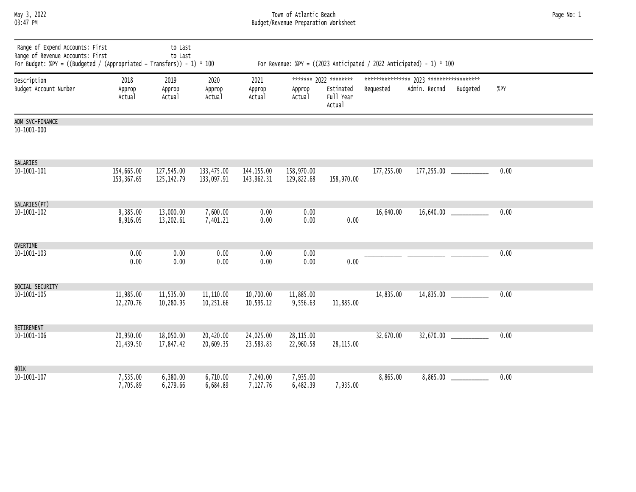May 3, 2022 Town of Atlantic Beach Page No: 1 03:47 PM Budget/Revenue Preparation Worksheet

| Range of Expend Accounts: First<br>Range of Revenue Accounts: First<br>For Budget: %PY = ((Budgeted / (Appropriated + Transfers)) - 1) * 100 |                          | to Last<br>to Last         |                          |                          |                          |                                                           |            | For Revenue: %PY = $((2023 \text{ Anticipated } / 2022 \text{ Anticipated}) - 1) * 100$ |          |      |  |
|----------------------------------------------------------------------------------------------------------------------------------------------|--------------------------|----------------------------|--------------------------|--------------------------|--------------------------|-----------------------------------------------------------|------------|-----------------------------------------------------------------------------------------|----------|------|--|
| Description<br>Budget Account Number                                                                                                         | 2018<br>Approp<br>Actual | 2019<br>Approp<br>Actual   | 2020<br>Approp<br>Actual | 2021<br>Approp<br>Actual | Approp<br>Actual         | ******* 2022 ********<br>Estimated<br>Full Year<br>Actual | Requested  | Admin. Recmnd                                                                           | Budgeted | %PY  |  |
| ADM SVC-FINANCE<br>10-1001-000                                                                                                               |                          |                            |                          |                          |                          |                                                           |            |                                                                                         |          |      |  |
| <b>SALARIES</b><br>$10 - 1001 - 101$                                                                                                         | 154,665.00<br>153,367.65 | 127,545.00<br>125, 142. 79 | 133,475.00<br>133,097.91 | 144,155.00<br>143,962.31 | 158,970.00<br>129,822.68 | 158,970.00                                                | 177,255.00 |                                                                                         |          | 0.00 |  |
| SALARIES(PT)<br>$10 - 1001 - 102$                                                                                                            | 9,385.00<br>8,916.05     | 13,000.00<br>13,202.61     | 7,600.00<br>7,401.21     | 0.00<br>0.00             | 0.00<br>0.00             | 0.00                                                      | 16,640.00  |                                                                                         |          | 0.00 |  |
| <b>OVERTIME</b><br>10-1001-103                                                                                                               | 0.00<br>0.00             | 0.00<br>0.00               | 0.00<br>0.00             | 0.00<br>0.00             | 0.00<br>0.00             | 0.00                                                      |            |                                                                                         |          | 0.00 |  |
| SOCIAL SECURITY<br>$10 - 1001 - 105$                                                                                                         | 11,985.00<br>12,270.76   | 11,535.00<br>10,280.95     | 11,110.00<br>10,251.66   | 10,700.00<br>10,595.12   | 11,885.00<br>9,556.63    | 11,885.00                                                 | 14,835.00  |                                                                                         |          | 0.00 |  |
| RETIREMENT<br>$10 - 1001 - 106$                                                                                                              | 20,950.00<br>21,439.50   | 18,050.00<br>17,847.42     | 20,420.00<br>20,609.35   | 24,025.00<br>23,583.83   | 28,115.00<br>22,960.58   | 28,115.00                                                 | 32,670.00  |                                                                                         |          | 0.00 |  |
| 401K<br>$10 - 1001 - 107$                                                                                                                    | 7,535.00<br>7,705.89     | 6,380.00<br>6,279.66       | 6,710.00<br>6,684.89     | 7,240.00<br>7,127.76     | 7,935.00<br>6,482.39     | 7,935.00                                                  | 8,865.00   |                                                                                         | 8,865.00 | 0.00 |  |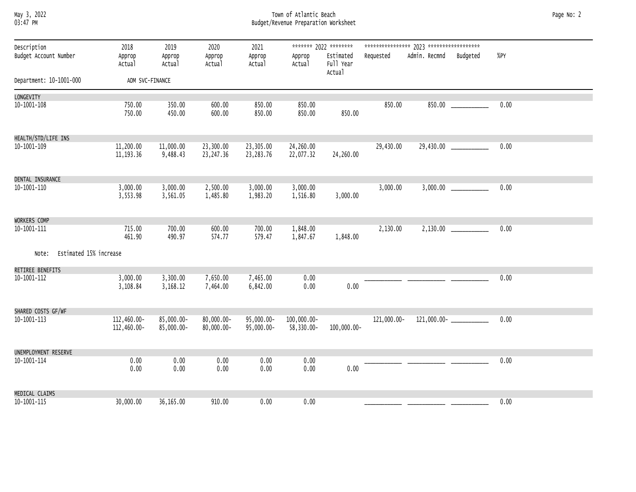#### May 3, 2022 Town of Atlantic Beach Page No: 2 03:47 PM Budget/Revenue Preparation Worksheet

| Description                     | 2018                       | 2019                     | 2020                     | 2021                        |                           | ******* 2022 ********            |             |                        |                         |      |
|---------------------------------|----------------------------|--------------------------|--------------------------|-----------------------------|---------------------------|----------------------------------|-------------|------------------------|-------------------------|------|
| Budget Account Number           | Approp<br>Actual           | Approp<br>Actual         | Approp<br>Actual         | Approp<br>Actual            | Approp<br>Actual          | Estimated<br>Full Year<br>Actual | Requested   | Admin. Recmnd Budgeted |                         | %PY  |
| Department: 10-1001-000         | ADM SVC-FINANCE            |                          |                          |                             |                           |                                  |             |                        |                         |      |
| LONGEVITY                       |                            |                          |                          |                             |                           |                                  |             |                        |                         |      |
| 10-1001-108                     | 750.00<br>750.00           | 350.00<br>450.00         | 600.00<br>600.00         | 850.00<br>850.00            | 850.00<br>850.00          | 850.00                           | 850.00      |                        | $850.00$ _____________  | 0.00 |
| HEALTH/STD/LIFE INS             |                            |                          |                          |                             |                           |                                  |             |                        |                         |      |
| 10-1001-109                     | 11,200.00<br>11, 193.36    | 11,000.00<br>9,488.43    | 23,300.00<br>23,247.36   | 23,305.00<br>23,283.76      | 24,260.00<br>22,077.32    | 24,260.00                        | 29,430.00   |                        | 29,430.00 _____________ | 0.00 |
| DENTAL INSURANCE                |                            |                          |                          |                             |                           |                                  |             |                        |                         |      |
| 10-1001-110                     | 3,000.00<br>3,553.98       | 3,000.00<br>3,561.05     | 2,500.00<br>1,485.80     | 3,000.00<br>1,983.20        | 3,000.00<br>1,516.80      | 3,000.00                         | 3,000.00    |                        |                         | 0.00 |
| WORKERS COMP                    |                            |                          |                          |                             |                           |                                  |             |                        |                         |      |
| 10-1001-111                     | 715.00<br>461.90           | 700.00<br>490.97         | 600.00<br>574.77         | 700.00<br>579.47            | 1,848.00<br>1,847.67      | 1,848.00                         | 2,130.00    |                        |                         | 0.00 |
| Estimated 15% increase<br>Note: |                            |                          |                          |                             |                           |                                  |             |                        |                         |      |
| RETIREE BENEFITS<br>10-1001-112 | 3,000.00                   | 3,300.00                 | 7,650.00                 | 7,465.00                    | 0.00                      |                                  |             |                        |                         | 0.00 |
|                                 | 3,108.84                   | 3,168.12                 | 7,464.00                 | 6,842.00                    | 0.00                      | 0.00                             |             |                        |                         |      |
| SHARED COSTS GF/WF              |                            |                          |                          |                             |                           |                                  |             |                        |                         |      |
| 10-1001-113                     | 112,460.00-<br>112,460.00- | 85,000.00-<br>85,000.00- | 80,000.00-<br>80,000.00- | 95,000.00-<br>$95,000.00 -$ | 100,000.00-<br>58,330.00- | 100,000.00-                      | 121,000.00- |                        |                         | 0.00 |
| UNEMPLOYMENT RESERVE            |                            |                          |                          |                             |                           |                                  |             |                        |                         |      |
| 10-1001-114                     | 0.00<br>0.00               | 0.00<br>0.00             | 0.00<br>0.00             | 0.00<br>0.00                | 0.00<br>0.00              | 0.00                             |             |                        |                         | 0.00 |
| MEDICAL CLAIMS                  |                            |                          |                          |                             |                           |                                  |             |                        |                         |      |
| 10-1001-115                     | 30,000.00                  | 36,165.00                | 910.00                   | 0.00                        | 0.00                      |                                  |             |                        |                         | 0.00 |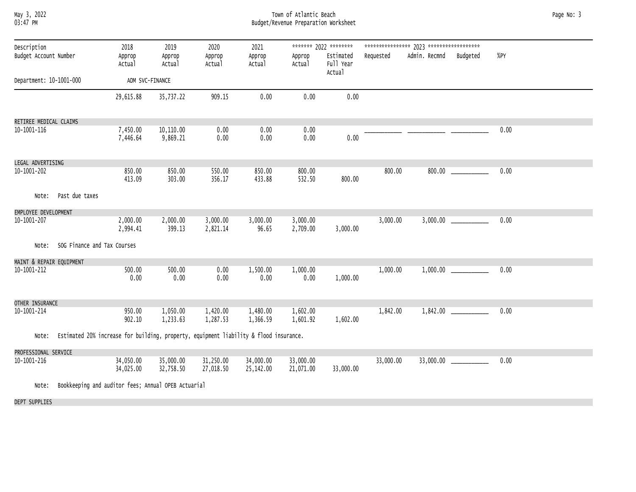|          | May 3, 2022 |
|----------|-------------|
| 03:47 PM |             |

#### May 3, 2022 Town of Atlantic Beach Page No: 3 03:47 PM Budget/Revenue Preparation Worksheet

| Description              |                                                                                       | 2018                   | 2019                   | 2020                   | 2021                   |                        | ******* 2022 ********            |           |               |                             |      |  |
|--------------------------|---------------------------------------------------------------------------------------|------------------------|------------------------|------------------------|------------------------|------------------------|----------------------------------|-----------|---------------|-----------------------------|------|--|
| Budget Account Number    |                                                                                       | Approp<br>Actual       | Approp<br>Actual       | Approp<br>Actual       | Approp<br>Actual       | Approp<br>Actual       | Estimated<br>Full Year<br>Actual | Requested | Admin. Recmnd | Budgeted                    | %PY  |  |
| Department: 10-1001-000  |                                                                                       | ADM SVC-FINANCE        |                        |                        |                        |                        |                                  |           |               |                             |      |  |
|                          |                                                                                       | 29,615.88              | 35,737.22              | 909.15                 | 0.00                   | 0.00                   | 0.00                             |           |               |                             |      |  |
| RETIREE MEDICAL CLAIMS   |                                                                                       |                        |                        |                        |                        |                        |                                  |           |               |                             |      |  |
| 10-1001-116              |                                                                                       | 7,450.00<br>7,446.64   | 10,110.00<br>9,869.21  | 0.00<br>0.00           | 0.00<br>0.00           | 0.00<br>0.00           | 0.00                             |           |               |                             | 0.00 |  |
| LEGAL ADVERTISING        |                                                                                       |                        |                        |                        |                        |                        |                                  |           |               |                             |      |  |
| 10-1001-202              |                                                                                       | 850.00<br>413.09       | 850.00<br>303.00       | 550.00<br>356.17       | 850.00<br>433.88       | 800.00<br>532.50       | 800.00                           | 800.00    | 800.00        |                             | 0.00 |  |
| Note:                    | Past due taxes                                                                        |                        |                        |                        |                        |                        |                                  |           |               |                             |      |  |
| EMPLOYEE DEVELOPMENT     |                                                                                       |                        |                        |                        |                        |                        |                                  |           |               |                             |      |  |
| 10-1001-207              |                                                                                       | 2,000.00<br>2,994.41   | 2,000.00<br>399.13     | 3,000.00<br>2,821.14   | 3,000.00<br>96.65      | 3,000.00<br>2,709.00   | 3,000.00                         | 3,000.00  |               |                             | 0.00 |  |
| Note:                    | SOG Finance and Tax Courses                                                           |                        |                        |                        |                        |                        |                                  |           |               |                             |      |  |
| MAINT & REPAIR EQUIPMENT |                                                                                       |                        |                        |                        |                        |                        |                                  |           |               |                             |      |  |
| 10-1001-212              |                                                                                       | 500.00<br>0.00         | 500.00<br>0.00         | 0.00<br>0.00           | 1,500.00<br>0.00       | 1,000.00<br>0.00       | 1,000.00                         | 1,000.00  | 1,000.00      |                             | 0.00 |  |
| OTHER INSURANCE          |                                                                                       |                        |                        |                        |                        |                        |                                  |           |               |                             |      |  |
| 10-1001-214              |                                                                                       | 950.00<br>902.10       | 1,050.00<br>1,233.63   | 1,420.00<br>1,287.53   | 1,480.00<br>1,366.59   | 1,602.00<br>1,601.92   | 1,602.00                         | 1,842.00  |               |                             | 0.00 |  |
| Note:                    | Estimated 20% increase for building, property, equipment liability & flood insurance. |                        |                        |                        |                        |                        |                                  |           |               |                             |      |  |
| PROFESSIONAL SERVICE     |                                                                                       |                        |                        |                        |                        |                        |                                  |           |               |                             |      |  |
| 10-1001-216              |                                                                                       | 34,050.00<br>34,025.00 | 35,000.00<br>32,758.50 | 31,250.00<br>27,018.50 | 34,000.00<br>25,142.00 | 33,000.00<br>21,071.00 | 33,000.00                        | 33,000.00 |               | $33,000.00$ _______________ | 0.00 |  |
| Note:                    | Bookkeeping and auditor fees; Annual OPEB Actuarial                                   |                        |                        |                        |                        |                        |                                  |           |               |                             |      |  |

DEPT SUPPLIES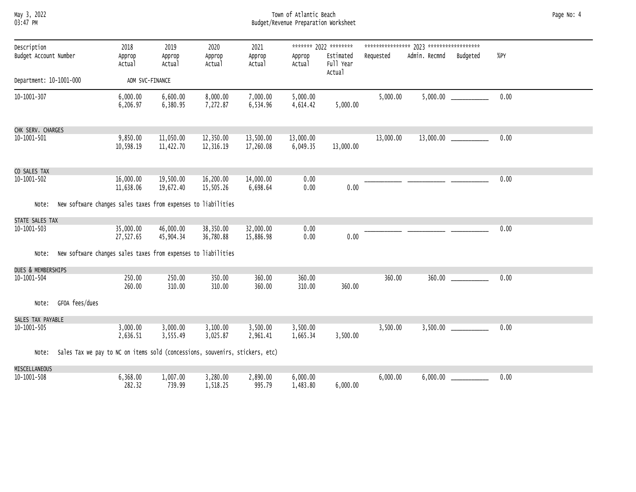May 3, 2022 Town of Atlantic Beach Page No: 4 03:47 PM Budget/Revenue Preparation Worksheet

| Description             |                                                                              | 2018                   | 2019                   | 2020                   | 2021                   |                       | ******* 2022 ********            |           |               |          |      |
|-------------------------|------------------------------------------------------------------------------|------------------------|------------------------|------------------------|------------------------|-----------------------|----------------------------------|-----------|---------------|----------|------|
| Budget Account Number   |                                                                              | Approp<br>Actual       | Approp<br>Actual       | Approp<br>Actual       | Approp<br>Actual       | Approp<br>Actual      | Estimated<br>Full Year<br>Actual | Requested | Admin. Recmnd | Budgeted | %PY  |
| Department: 10-1001-000 |                                                                              | ADM SVC-FINANCE        |                        |                        |                        |                       |                                  |           |               |          |      |
| 10-1001-307             |                                                                              | 6,000.00<br>6,206.97   | 6,600.00<br>6,380.95   | 8,000.00<br>7,272.87   | 7,000.00<br>6,534.96   | 5,000.00<br>4,614.42  | 5,000.00                         | 5,000.00  |               |          | 0.00 |
| CHK SERV. CHARGES       |                                                                              |                        |                        |                        |                        |                       |                                  |           |               |          |      |
| 10-1001-501             |                                                                              | 9,850.00<br>10,598.19  | 11,050.00<br>11,422.70 | 12,350.00<br>12,316.19 | 13,500.00<br>17,260.08 | 13,000.00<br>6,049.35 | 13,000.00                        | 13,000.00 |               |          | 0.00 |
| CO SALES TAX            |                                                                              |                        |                        |                        |                        |                       |                                  |           |               |          |      |
| 10-1001-502             |                                                                              | 16,000.00<br>11,638.06 | 19,500.00<br>19,672.40 | 16,200.00<br>15,505.26 | 14,000.00<br>6,698.64  | 0.00<br>0.00          | 0.00                             |           |               |          | 0.00 |
| Note:                   | New software changes sales taxes from expenses to liabilities                |                        |                        |                        |                        |                       |                                  |           |               |          |      |
| STATE SALES TAX         |                                                                              |                        |                        |                        |                        |                       |                                  |           |               |          |      |
| 10-1001-503             |                                                                              | 35,000.00<br>27,527.65 | 46,000.00<br>45,904.34 | 38,350.00<br>36,780.88 | 32,000.00<br>15,886.98 | 0.00<br>0.00          | 0.00                             |           |               |          | 0.00 |
| Note:                   | New software changes sales taxes from expenses to liabilities                |                        |                        |                        |                        |                       |                                  |           |               |          |      |
| DUES & MEMBERSHIPS      |                                                                              |                        |                        |                        |                        |                       |                                  |           |               |          |      |
| 10-1001-504             |                                                                              | 250.00<br>260.00       | 250.00<br>310.00       | 350.00<br>310.00       | 360.00<br>360.00       | 360.00<br>310.00      | 360.00                           | 360.00    |               |          | 0.00 |
| Note:                   | GFOA fees/dues                                                               |                        |                        |                        |                        |                       |                                  |           |               |          |      |
| SALES TAX PAYABLE       |                                                                              |                        |                        |                        |                        |                       |                                  |           |               |          |      |
| 10-1001-505             |                                                                              | 3,000.00<br>2,636.51   | 3,000.00<br>3,555.49   | 3,100.00<br>3,025.87   | 3,500.00<br>2,961.41   | 3,500.00<br>1,665.34  | 3,500.00                         | 3,500.00  |               |          | 0.00 |
| Note:                   | Sales Tax we pay to NC on items sold (concessions, souvenirs, stickers, etc) |                        |                        |                        |                        |                       |                                  |           |               |          |      |
| MISCELLANEOUS           |                                                                              |                        |                        |                        |                        |                       |                                  |           |               |          |      |
| 10-1001-508             |                                                                              | 6,368.00<br>282.32     | 1,007.00<br>739.99     | 3,280.00<br>1,518.25   | 2,890.00<br>995.79     | 6,000.00<br>1,483.80  | 6,000.00                         | 6,000.00  | 6,000.00      |          | 0.00 |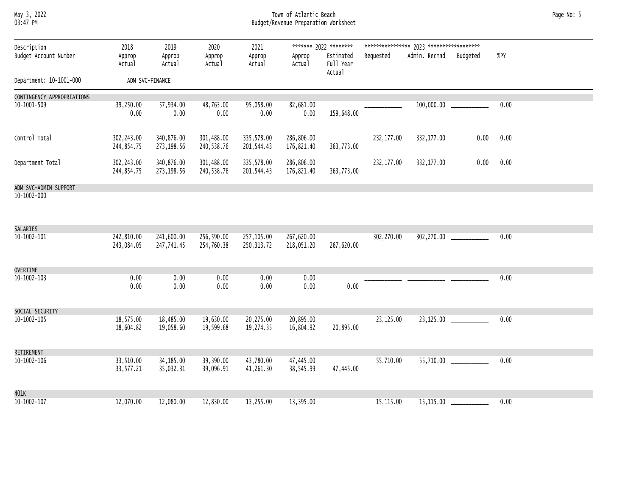#### May 3, 2022 Town of Atlantic Beach Page No: 5 03:47 PM Budget/Revenue Preparation Worksheet

| Description                                | 2018                     | 2019                      | 2020                     | 2021                      |                          | ******* 2022 ********            |            |               |          |      |  |
|--------------------------------------------|--------------------------|---------------------------|--------------------------|---------------------------|--------------------------|----------------------------------|------------|---------------|----------|------|--|
| Budget Account Number                      | Approp<br>Actual         | Approp<br>Actual          | Approp<br>Actual         | Approp<br>Actual          | Approp<br>Actual         | Estimated<br>Full Year<br>Actual | Requested  | Admin. Recmnd | Budgeted | %PY  |  |
| Department: 10-1001-000                    |                          | ADM SVC-FINANCE           |                          |                           |                          |                                  |            |               |          |      |  |
| CONTINGENCY APPROPRIATIONS                 |                          |                           |                          |                           |                          |                                  |            |               |          |      |  |
| 10-1001-509                                | 39,250.00<br>0.00        | 57,934.00<br>0.00         | 48,763.00<br>0.00        | 95,058.00<br>0.00         | 82,681.00<br>0.00        | 159,648.00                       |            | 100,000.00    |          | 0.00 |  |
| Control Total                              | 302,243.00<br>244,854.75 | 340,876.00<br>273, 198.56 | 301,488.00<br>240,538.76 | 335,578.00<br>201,544.43  | 286,806.00<br>176,821.40 | 363,773.00                       | 232,177.00 | 332,177.00    | 0.00     | 0.00 |  |
| Department Total                           | 302,243.00<br>244,854.75 | 340,876.00<br>273,198.56  | 301,488.00<br>240,538.76 | 335,578.00<br>201,544.43  | 286,806.00<br>176,821.40 | 363,773.00                       | 232,177.00 | 332,177.00    | 0.00     | 0.00 |  |
| ADM SVC-ADMIN SUPPORT<br>$10 - 1002 - 000$ |                          |                           |                          |                           |                          |                                  |            |               |          |      |  |
| SALARIES                                   |                          |                           |                          |                           |                          |                                  |            |               |          |      |  |
| $10 - 1002 - 101$                          | 242,810.00<br>243,084.05 | 241,600.00<br>247,741.45  | 256,590.00<br>254,760.38 | 257,105.00<br>250, 313.72 | 267,620.00<br>218,051.20 | 267,620.00                       | 302,270.00 |               |          | 0.00 |  |
| <b>OVERTIME</b>                            |                          |                           |                          |                           |                          |                                  |            |               |          |      |  |
| $10 - 1002 - 103$                          | 0.00<br>0.00             | 0.00<br>0.00              | 0.00<br>0.00             | 0.00<br>0.00              | 0.00<br>0.00             | 0.00                             |            |               |          | 0.00 |  |
| SOCIAL SECURITY                            |                          |                           |                          |                           |                          |                                  |            |               |          |      |  |
| $10 - 1002 - 105$                          | 18,575.00<br>18,604.82   | 18,485.00<br>19,058.60    | 19,630.00<br>19,599.68   | 20,275.00<br>19,274.35    | 20,895.00<br>16,804.92   | 20,895.00                        | 23,125.00  |               |          | 0.00 |  |
| RETIREMENT                                 |                          |                           |                          |                           |                          |                                  |            |               |          |      |  |
| $10 - 1002 - 106$                          | 33,510.00<br>33,577.21   | 34, 185.00<br>35,032.31   | 39,390.00<br>39,096.91   | 43,780.00<br>41,261.30    | 47,445.00<br>38,545.99   | 47,445.00                        | 55,710.00  |               |          | 0.00 |  |
| 401K                                       |                          |                           |                          |                           |                          |                                  |            |               |          |      |  |
| $10 - 1002 - 107$                          | 12,070.00                | 12,080.00                 | 12,830.00                | 13,255.00                 | 13,395.00                |                                  | 15,115.00  | 15,115.00     |          | 0.00 |  |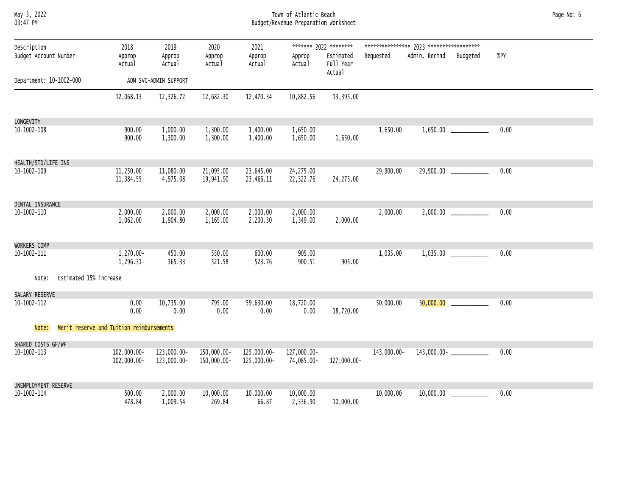| Мау      | 3, 2022 |
|----------|---------|
| 03:47 PM |         |

#### May 3, 2022 Town of Atlantic Beach Page No: 6 03:47 PM Budget/Revenue Preparation Worksheet

| Description                     | 2018                                     | 2019                       | 2020                       | 2021                       |                           | ******* 2022 ********            |             |                               |                            |      |
|---------------------------------|------------------------------------------|----------------------------|----------------------------|----------------------------|---------------------------|----------------------------------|-------------|-------------------------------|----------------------------|------|
| Budget Account Number           | Approp<br>Actual                         | Approp<br>Actual           | Approp<br>Actual           | Approp<br>Actual           | Approp<br>Actual          | Estimated<br>Full Year<br>Actual | Requested   | Admin. Recmnd                 | Budgeted                   | %PY  |
| Department: 10-1002-000         |                                          | ADM SVC-ADMIN SUPPORT      |                            |                            |                           |                                  |             |                               |                            |      |
|                                 | 12,068.13                                | 12,326.72                  | 12,682.30                  | 12,470.34                  | 10,882.56                 | 13,395.00                        |             |                               |                            |      |
| LONGEVITY                       |                                          |                            |                            |                            |                           |                                  |             |                               |                            |      |
| $10 - 1002 - 108$               | 900.00<br>900.00                         | 1,000.00<br>1,300.00       | 1,300.00<br>1,300.00       | 1,400.00<br>1,400.00       | 1,650.00<br>1,650.00      | 1,650.00                         | 1,650.00    |                               |                            | 0.00 |
| HEALTH/STD/LIFE INS             |                                          |                            |                            |                            |                           |                                  |             |                               |                            |      |
| 10-1002-109                     | 11,250.00<br>11,384.55                   | 11,080.00<br>4,975.08      | 21,095.00<br>19,941.90     | 23,645.00<br>23,466.11     | 24,275.00<br>22,322.76    | 24,275.00                        | 29,900.00   |                               | 29,900.00                  | 0.00 |
| DENTAL INSURANCE                |                                          |                            |                            |                            |                           |                                  |             |                               |                            |      |
| 10-1002-110                     | 2,000.00<br>1,062.00                     | 2,000.00<br>1,904.80       | 2,000.00<br>1,165.00       | 2,000.00<br>2,200.30       | 2,000.00<br>1,349.00      | 2,000.00                         | 2,000.00    |                               | 2,000.00                   | 0.00 |
| WORKERS COMP                    |                                          |                            |                            |                            |                           |                                  |             |                               |                            |      |
| $10 - 1002 - 111$               | $1,270.00 -$<br>1,296.31-                | 450.00<br>365.33           | 550.00<br>521.58           | 600.00<br>523.76           | 905.00<br>900.51          | 905.00                           | 1,035.00    |                               |                            | 0.00 |
| Estimated 15% increase<br>Note: |                                          |                            |                            |                            |                           |                                  |             |                               |                            |      |
| SALARY RESERVE                  |                                          |                            |                            |                            |                           |                                  |             |                               |                            |      |
| 10-1002-112                     | 0.00<br>0.00                             | 10,735.00<br>0.00          | 795.00<br>0.00             | 59,630.00<br>0.00          | 18,720.00<br>0.00         | 18,720.00                        | 50,000.00   |                               | $50,000.00$ ______________ | 0.00 |
| Note:                           | Merit reserve and Tuition reimbursements |                            |                            |                            |                           |                                  |             |                               |                            |      |
| SHARED COSTS GF/WF              |                                          |                            |                            |                            |                           |                                  |             |                               |                            |      |
| 10-1002-113                     | 102,000.00-<br>102,000.00-               | 123,000.00-<br>123,000.00- | 150,000.00-<br>150,000.00- | 125,000.00-<br>125,000.00- | 127,000.00-<br>74,085.00- | 127,000.00-                      | 143,000.00- | $143,000.00 -$ ______________ |                            | 0.00 |
| UNEMPLOYMENT RESERVE            |                                          |                            |                            |                            |                           |                                  |             |                               |                            |      |
| 10-1002-114                     | 500.00<br>478.84                         | 2,000.00<br>1,009.54       | 10,000.00<br>269.84        | 10,000.00<br>66.87         | 10,000.00<br>2,336.90     | 10,000.00                        | 10,000.00   |                               | $10,000.00$ ______________ | 0.00 |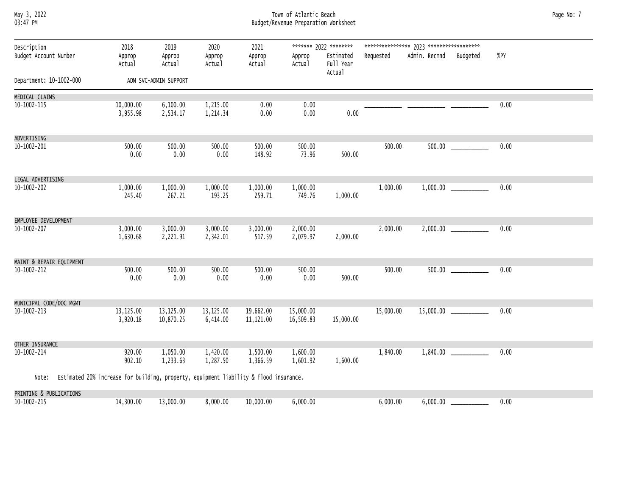#### May 3, 2022 Town of Atlantic Beach Page No: 7 03:47 PM Budget/Revenue Preparation Worksheet

| Description<br>Budget Account Number |                                                                                             | 2018<br>Approp<br>Actual | 2019<br>Approp<br>Actual | 2020<br>Approp<br>Actual | 2021<br>Approp<br>Actual | Approp<br>Actual       | ******* 2022 ********<br>Estimated<br>Full Year<br>Actual | Requested | Admin. Recmnd Budgeted   |                             | %PY  |
|--------------------------------------|---------------------------------------------------------------------------------------------|--------------------------|--------------------------|--------------------------|--------------------------|------------------------|-----------------------------------------------------------|-----------|--------------------------|-----------------------------|------|
| Department: 10-1002-000              |                                                                                             |                          | ADM SVC-ADMIN SUPPORT    |                          |                          |                        |                                                           |           |                          |                             |      |
| MEDICAL CLAIMS                       |                                                                                             |                          |                          |                          |                          |                        |                                                           |           |                          |                             |      |
| 10-1002-115                          |                                                                                             | 10,000.00<br>3,955.98    | 6,100.00<br>2,534.17     | 1,215.00<br>1,214.34     | 0.00<br>0.00             | 0.00<br>0.00           | 0.00                                                      |           |                          |                             | 0.00 |
| ADVERTISING                          |                                                                                             |                          |                          |                          |                          |                        |                                                           |           |                          |                             |      |
| 10-1002-201                          |                                                                                             | 500.00<br>0.00           | 500.00<br>0.00           | 500.00<br>0.00           | 500.00<br>148.92         | 500.00<br>73.96        | 500.00                                                    | 500.00    |                          | $500.00$ ____________       | 0.00 |
| LEGAL ADVERTISING                    |                                                                                             |                          |                          |                          |                          |                        |                                                           |           |                          |                             |      |
| 10-1002-202                          |                                                                                             | 1,000.00<br>245.40       | 1,000.00<br>267.21       | 1,000.00<br>193.25       | 1,000.00<br>259.71       | 1,000.00<br>749.76     | 1,000.00                                                  | 1,000.00  |                          |                             | 0.00 |
| EMPLOYEE DEVELOPMENT                 |                                                                                             |                          |                          |                          |                          |                        |                                                           |           |                          |                             |      |
| 10-1002-207                          |                                                                                             | 3.000.00<br>1,630.68     | 3,000.00<br>2,221.91     | 3,000.00<br>2,342.01     | 3,000.00<br>517.59       | 2,000.00<br>2,079.97   | 2,000.00                                                  | 2,000.00  |                          | $2,000.00$ ______________   | 0.00 |
| MAINT & REPAIR EQUIPMENT             |                                                                                             |                          |                          |                          |                          |                        |                                                           |           |                          |                             |      |
| 10-1002-212                          |                                                                                             | 500.00<br>0.00           | 500.00<br>0.00           | 500.00<br>0.00           | 500.00<br>0.00           | 500.00<br>0.00         | 500.00                                                    | 500.00    |                          |                             | 0.00 |
| MUNICIPAL CODE/DOC MGMT              |                                                                                             |                          |                          |                          |                          |                        |                                                           |           |                          |                             |      |
| 10-1002-213                          |                                                                                             | 13,125.00<br>3,920.18    | 13,125.00<br>10,870.25   | 13,125.00<br>6,414.00    | 19,662.00<br>11,121.00   | 15,000.00<br>16,509.83 | 15,000.00                                                 | 15,000.00 |                          | $15,000.00$ _______________ | 0.00 |
| OTHER INSURANCE                      |                                                                                             |                          |                          |                          |                          |                        |                                                           |           |                          |                             |      |
| 10-1002-214                          |                                                                                             | 920.00<br>902.10         | 1,050.00<br>1,233.63     | 1,420.00<br>1,287.50     | 1,500.00<br>1,366.59     | 1,600.00<br>1,601.92   | 1,600.00                                                  | 1,840.00  |                          | $1,840.00$ ______________   | 0.00 |
|                                      | Note: Estimated 20% increase for building, property, equipment liability & flood insurance. |                          |                          |                          |                          |                        |                                                           |           |                          |                             |      |
| PRINTING & PUBLICATIONS              |                                                                                             |                          |                          |                          |                          |                        |                                                           |           |                          |                             |      |
| 10-1002-215                          |                                                                                             | 14,300.00                | 13,000.00                | 8,000.00                 | 10,000.00                | 6,000.00               |                                                           | 6,000.00  | $6,000.00$ $\phantom{0}$ |                             | 0.00 |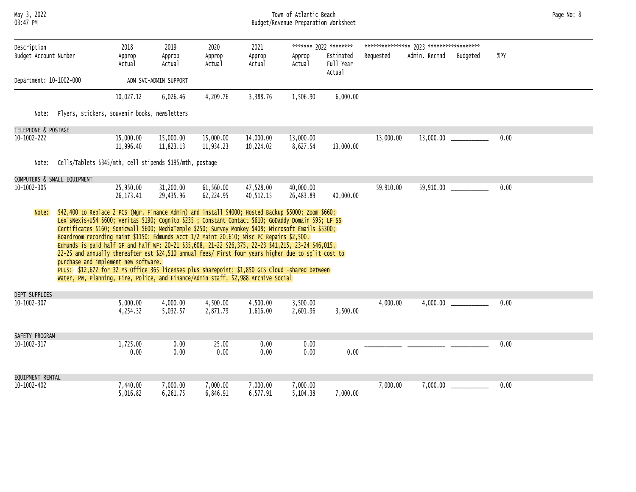#### May 3, 2022 Town of Atlantic Beach Page No: 8 03:47 PM Budget/Revenue Preparation Worksheet

| Description                        |                                                                                                                                                                                                                                                                                                                                                                                                                                                                                                                                                                                                                                                                                                                                                                                                                                                                                 | 2018                    | 2019                   | 2020                   | 2021                   |                        | ******* 2022 ********            |           |               |                         |      |  |  |
|------------------------------------|---------------------------------------------------------------------------------------------------------------------------------------------------------------------------------------------------------------------------------------------------------------------------------------------------------------------------------------------------------------------------------------------------------------------------------------------------------------------------------------------------------------------------------------------------------------------------------------------------------------------------------------------------------------------------------------------------------------------------------------------------------------------------------------------------------------------------------------------------------------------------------|-------------------------|------------------------|------------------------|------------------------|------------------------|----------------------------------|-----------|---------------|-------------------------|------|--|--|
| Budget Account Number              |                                                                                                                                                                                                                                                                                                                                                                                                                                                                                                                                                                                                                                                                                                                                                                                                                                                                                 | Approp<br>Actual        | Approp<br>Actual       | Approp<br>Actual       | Approp<br>Actual       | Approp<br>Actual       | Estimated<br>Full Year<br>Actual | Requested | Admin. Recmnd | Budgeted                | %PY  |  |  |
| Department: 10-1002-000            |                                                                                                                                                                                                                                                                                                                                                                                                                                                                                                                                                                                                                                                                                                                                                                                                                                                                                 |                         | ADM SVC-ADMIN SUPPORT  |                        |                        |                        |                                  |           |               |                         |      |  |  |
|                                    |                                                                                                                                                                                                                                                                                                                                                                                                                                                                                                                                                                                                                                                                                                                                                                                                                                                                                 | 10,027.12               | 6,026.46               | 4,209.76               | 3,388.76               | 1,506.90               | 6,000.00                         |           |               |                         |      |  |  |
| Note:                              | Flyers, stickers, souvenir books, newsletters                                                                                                                                                                                                                                                                                                                                                                                                                                                                                                                                                                                                                                                                                                                                                                                                                                   |                         |                        |                        |                        |                        |                                  |           |               |                         |      |  |  |
| TELEPHONE & POSTAGE                |                                                                                                                                                                                                                                                                                                                                                                                                                                                                                                                                                                                                                                                                                                                                                                                                                                                                                 |                         |                        |                        |                        |                        |                                  |           |               |                         |      |  |  |
| 10-1002-222                        |                                                                                                                                                                                                                                                                                                                                                                                                                                                                                                                                                                                                                                                                                                                                                                                                                                                                                 | 15,000.00<br>11,996.40  | 15,000.00<br>11,823.13 | 15,000.00<br>11,934.23 | 14,000.00<br>10,224.02 | 13,000.00<br>8,627.54  | 13,000.00                        | 13,000.00 |               |                         | 0.00 |  |  |
| Note:                              | Cells/Tablets \$345/mth, cell stipends \$195/mth, postage                                                                                                                                                                                                                                                                                                                                                                                                                                                                                                                                                                                                                                                                                                                                                                                                                       |                         |                        |                        |                        |                        |                                  |           |               |                         |      |  |  |
| COMPUTERS & SMALL EQUIPMENT        |                                                                                                                                                                                                                                                                                                                                                                                                                                                                                                                                                                                                                                                                                                                                                                                                                                                                                 |                         |                        |                        |                        |                        |                                  |           |               |                         |      |  |  |
| $10 - 1002 - 305$                  |                                                                                                                                                                                                                                                                                                                                                                                                                                                                                                                                                                                                                                                                                                                                                                                                                                                                                 | 25,950.00<br>26, 173.41 | 31,200.00<br>29,435.96 | 61,560.00<br>62,224.95 | 47,528.00<br>40,512.15 | 40,000.00<br>26,483.89 | 40,000.00                        | 59,910.00 |               | 59,910.00 _____________ | 0.00 |  |  |
|                                    | \$42,400 to Replace 2 PCS (Mgr, Finance Admin) and install \$4000; Hosted Backup \$5000; Zoom \$660;<br>Note:<br>LexisNexis+U54 \$600; Veritas \$190; Cognito \$235 ; Constant Contact \$610; GoDaddy Domain \$95; LF SS<br>Certificates \$160; Sonicwall \$600; MediaTemple \$250; Survey Monkey \$408; Microsoft Emails \$5300;<br>Boardroom recording maint \$1150; Edmunds Acct 1/2 Maint 20,610; Misc PC Repairs \$2,500.<br>Edmunds is paid half GF and half WF: 20-21 \$35,608, 21-22 \$26,375, 22-23 \$41,215, 23-24 \$46,015,<br>22-25 and annually thereafter est \$24,510 annual fees/ First four years higher due to split cost to<br>purchase and implement new software.<br>PLUS: \$12,672 for 32 MS Office 365 licenses plus sharepoint; \$1,850 GIS Cloud -shared between<br>Water, PW, Planning, Fire, Police, and Finance/Admin staff, \$2,988 Archive Social |                         |                        |                        |                        |                        |                                  |           |               |                         |      |  |  |
| DEPT SUPPLIES<br>$10 - 1002 - 307$ |                                                                                                                                                                                                                                                                                                                                                                                                                                                                                                                                                                                                                                                                                                                                                                                                                                                                                 | 5,000.00<br>4,254.32    | 4,000.00<br>5,032.57   | 4,500.00<br>2,871.79   | 4,500.00<br>1,616.00   | 3,500.00<br>2,601.96   | 3,500.00                         | 4,000.00  |               |                         | 0.00 |  |  |
| SAFETY PROGRAM<br>10-1002-317      |                                                                                                                                                                                                                                                                                                                                                                                                                                                                                                                                                                                                                                                                                                                                                                                                                                                                                 | 1,725.00<br>0.00        | 0.00<br>0.00           | 25.00<br>0.00          | 0.00<br>0.00           | 0.00<br>0.00           | 0.00                             |           |               |                         | 0.00 |  |  |
| EQUIPMENT RENTAL                   |                                                                                                                                                                                                                                                                                                                                                                                                                                                                                                                                                                                                                                                                                                                                                                                                                                                                                 |                         |                        |                        |                        |                        |                                  |           |               |                         |      |  |  |
| 10-1002-402                        |                                                                                                                                                                                                                                                                                                                                                                                                                                                                                                                                                                                                                                                                                                                                                                                                                                                                                 | 7,440.00<br>5,016.82    | 7,000.00<br>6,261.75   | 7,000.00<br>6,846.91   | 7,000.00<br>6,577.91   | 7,000.00<br>5,104.38   | 7,000.00                         | 7,000.00  |               |                         | 0.00 |  |  |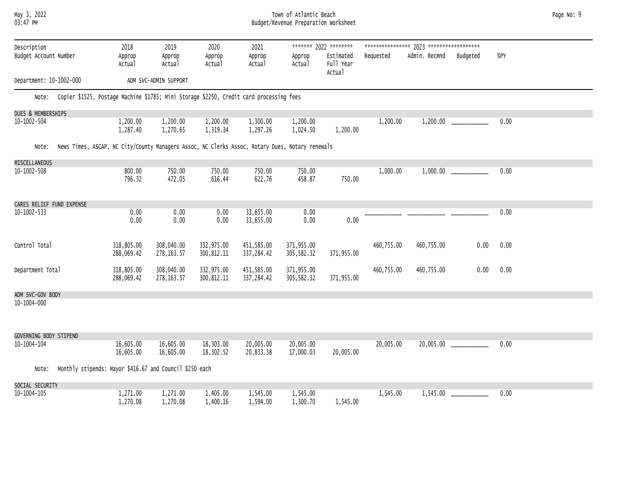#### May 3, 2022 Town of Atlantic Beach Page No: 9 03:47 PM Budget/Revenue Preparation Worksheet

| Description<br>Budget Account Number | 2018<br>Approp<br>Actual                                                                        | 2019<br>Approp<br>Actual  | 2020<br>Approp<br>Actual  | 2021<br>Approp<br>Actual | Approp<br>Actual         | ******* 2022 ********<br>Estimated<br>Full Year<br>Actual | Requested  | Admin. Recmnd | Budgeted | %PY  |  |
|--------------------------------------|-------------------------------------------------------------------------------------------------|---------------------------|---------------------------|--------------------------|--------------------------|-----------------------------------------------------------|------------|---------------|----------|------|--|
| Department: 10-1002-000              |                                                                                                 | ADM SVC-ADMIN SUPPORT     |                           |                          |                          |                                                           |            |               |          |      |  |
| Note:                                | Copier \$1525, Postage Machine \$1785; Mini Storage \$2250, Credit card processing fees         |                           |                           |                          |                          |                                                           |            |               |          |      |  |
| DUES & MEMBERSHIPS                   |                                                                                                 |                           |                           |                          |                          |                                                           |            |               |          |      |  |
| 10-1002-504                          | 1,200.00<br>1,287.40                                                                            | 1,200.00<br>1,270.65      | 1,200.00<br>1,319.34      | 1,300.00<br>1,297.26     | 1,200.00<br>1,024.50     | 1,200.00                                                  | 1,200.00   |               |          | 0.00 |  |
| Note:                                | News Times, ASCAP, NC City/County Managers Assoc, NC Clerks Assoc, Rotary Dues, Notary renewals |                           |                           |                          |                          |                                                           |            |               |          |      |  |
| MISCELLANEOUS                        |                                                                                                 |                           |                           |                          |                          |                                                           |            |               |          |      |  |
| 10-1002-508                          | 800.00<br>796.32                                                                                | 750.00<br>472.05          | 750.00<br>616.44          | 750.00<br>622.76         | 750.00<br>458.87         | 750.00                                                    | 1,000.00   |               |          | 0.00 |  |
| CARES RELIEF FUND EXPENSE            |                                                                                                 |                           |                           |                          |                          |                                                           |            |               |          |      |  |
| 10-1002-533                          | 0.00<br>0.00                                                                                    | 0.00<br>0.00              | 0.00<br>0.00              | 33,655.00<br>33,655.00   | 0.00<br>0.00             | 0.00                                                      |            |               |          | 0.00 |  |
| Control Total                        | 318,805.00<br>288,069.42                                                                        | 308,040.00<br>278, 163.57 | 332,975.00<br>300, 812.11 | 451,585.00<br>337,284.42 | 371,955.00<br>305,582.32 | 371,955.00                                                | 460,755.00 | 460,755.00    | 0.00     | 0.00 |  |
| Department Total                     | 318,805.00<br>288,069.42                                                                        | 308,040.00<br>278, 163.57 | 332,975.00<br>300, 812.11 | 451,585.00<br>337,284.42 | 371,955.00<br>305,582.32 | 371,955.00                                                | 460,755.00 | 460,755.00    | 0.00     | 0.00 |  |
| ADM SVC-GOV BODY                     |                                                                                                 |                           |                           |                          |                          |                                                           |            |               |          |      |  |
| 10-1004-000                          |                                                                                                 |                           |                           |                          |                          |                                                           |            |               |          |      |  |
| GOVERNING BODY STIPEND               |                                                                                                 |                           |                           |                          |                          |                                                           |            |               |          |      |  |
| 10-1004-104                          | 16,605.00<br>16,605.00                                                                          | 16,605.00<br>16,605.00    | 18,303.00<br>18,302.52    | 20,005.00<br>20,833.38   | 20,005.00<br>17,000.03   | 20,005.00                                                 | 20,005.00  |               |          | 0.00 |  |
| Note:                                | Monthly stipends: Mayor \$416.67 and Council \$250 each                                         |                           |                           |                          |                          |                                                           |            |               |          |      |  |
| SOCIAL SECURITY                      |                                                                                                 |                           |                           |                          |                          |                                                           |            |               |          |      |  |
| 10-1004-105                          | 1,271.00<br>1,270.08                                                                            | 1,271.00<br>1,270.08      | 1,405.00<br>1,400.16      | 1,545.00<br>1,594.00     | 1,545.00<br>1,300.70     | 1,545.00                                                  | 1,545.00   |               |          | 0.00 |  |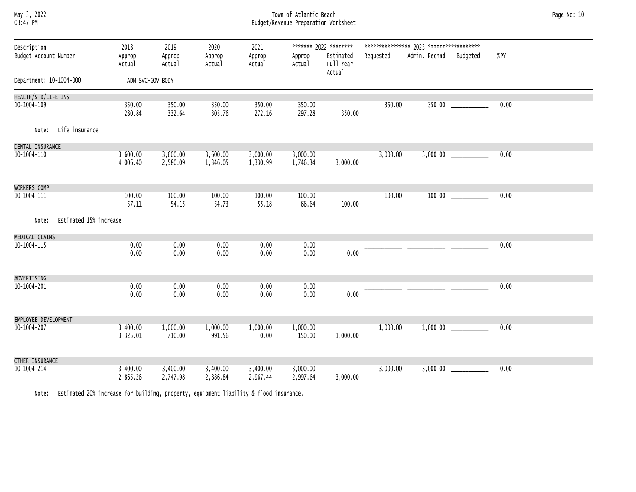#### May 3, 2022 Town of Atlantic Beach Page No: 10 03:47 PM Budget/Revenue Preparation Worksheet

| Description<br>Budget Account Number |                        | 2018<br>Approp<br>Actual | 2019<br>Approp<br>Actual | 2020<br>Approp<br>Actual | 2021<br>Approp<br>Actual | Approp<br>Actual     | ******* 2022 ********<br>Estimated<br>Full Year | Requested | Admin. Recmnd | Budgeted | %PY  |
|--------------------------------------|------------------------|--------------------------|--------------------------|--------------------------|--------------------------|----------------------|-------------------------------------------------|-----------|---------------|----------|------|
|                                      |                        |                          |                          |                          |                          |                      | Actual                                          |           |               |          |      |
| Department: 10-1004-000              |                        | ADM SVC-GOV BODY         |                          |                          |                          |                      |                                                 |           |               |          |      |
| HEALTH/STD/LIFE INS                  |                        |                          |                          |                          |                          |                      |                                                 |           |               |          |      |
| 10-1004-109                          |                        | 350.00<br>280.84         | 350.00<br>332.64         | 350.00<br>305.76         | 350.00<br>272.16         | 350.00<br>297.28     | 350.00                                          | 350.00    |               |          | 0.00 |
| Note:                                | Life insurance         |                          |                          |                          |                          |                      |                                                 |           |               |          |      |
| DENTAL INSURANCE                     |                        |                          |                          |                          |                          |                      |                                                 |           |               |          |      |
| 10-1004-110                          |                        | 3,600.00<br>4,006.40     | 3,600.00<br>2,580.09     | 3,600.00<br>1,346.05     | 3,000.00<br>1,330.99     | 3,000.00<br>1,746.34 | 3,000.00                                        | 3,000.00  |               |          | 0.00 |
| WORKERS COMP                         |                        |                          |                          |                          |                          |                      |                                                 |           |               |          |      |
| 10-1004-111                          |                        | 100.00<br>57.11          | 100.00<br>54.15          | 100.00<br>54.73          | 100.00<br>55.18          | 100.00<br>66.64      | 100.00                                          | 100.00    |               |          | 0.00 |
| Note:                                | Estimated 15% increase |                          |                          |                          |                          |                      |                                                 |           |               |          |      |
| MEDICAL CLAIMS                       |                        |                          |                          |                          |                          |                      |                                                 |           |               |          |      |
| 10-1004-115                          |                        | 0.00<br>0.00             | 0.00<br>0.00             | 0.00<br>0.00             | 0.00<br>0.00             | 0.00<br>0.00         | 0.00                                            |           |               |          | 0.00 |
| ADVERTISING                          |                        |                          |                          |                          |                          |                      |                                                 |           |               |          |      |
| 10-1004-201                          |                        | 0.00<br>0.00             | 0.00<br>0.00             | 0.00<br>0.00             | 0.00<br>0.00             | 0.00<br>0.00         | 0.00                                            |           |               |          | 0.00 |
| EMPLOYEE DEVELOPMENT                 |                        |                          |                          |                          |                          |                      |                                                 |           |               |          |      |
| 10-1004-207                          |                        | 3,400.00<br>3,325.01     | 1,000.00<br>710.00       | 1,000.00<br>991.56       | 1,000.00<br>0.00         | 1,000.00<br>150.00   | 1,000.00                                        | 1,000.00  |               |          | 0.00 |
| OTHER INSURANCE                      |                        |                          |                          |                          |                          |                      |                                                 |           |               |          |      |
| 10-1004-214                          |                        | 3,400.00<br>2,865.26     | 3,400.00<br>2,747.98     | 3,400.00<br>2,886.84     | 3,400.00<br>2,967.44     | 3,000.00<br>2,997.64 | 3,000.00                                        | 3,000.00  |               |          | 0.00 |

Note: Estimated 20% increase for building, property, equipment liability & flood insurance.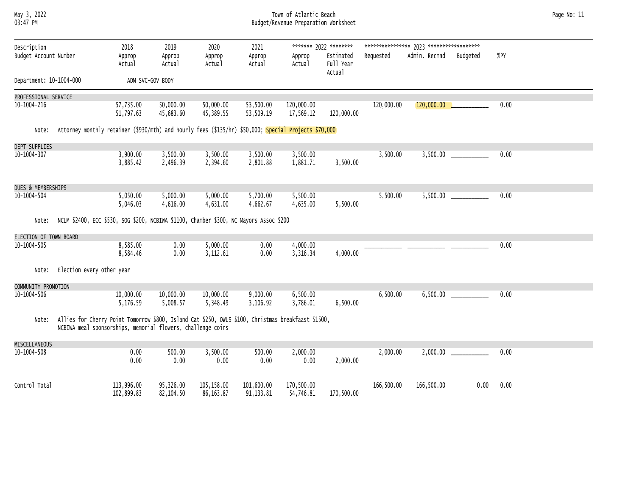#### May 3, 2022 Town of Atlantic Beach Page No: 11 03:47 PM Budget/Revenue Preparation Worksheet

| Description             |                                                                                                                                                                   | 2018                     | 2019                   | 2020                     | 2021                    |                         | ******* 2022 ********  |            |                            |          |      |
|-------------------------|-------------------------------------------------------------------------------------------------------------------------------------------------------------------|--------------------------|------------------------|--------------------------|-------------------------|-------------------------|------------------------|------------|----------------------------|----------|------|
| Budget Account Number   |                                                                                                                                                                   | Approp<br>Actual         | Approp<br>Actual       | Approp<br>Actual         | Approp<br>Actual        | Approp<br>Actual        | Estimated<br>Full Year | Requested  | Admin. Recmnd              | Budgeted | %PY  |
| Department: 10-1004-000 |                                                                                                                                                                   |                          | ADM SVC-GOV BODY       |                          |                         |                         | Actual                 |            |                            |          |      |
| PROFESSIONAL SERVICE    |                                                                                                                                                                   |                          |                        |                          |                         |                         |                        |            |                            |          |      |
| 10-1004-216             |                                                                                                                                                                   | 57,735.00<br>51,797.63   | 50,000.00<br>45,683.60 | 50,000.00<br>45,389.55   | 53,500.00<br>53,509.19  | 120,000.00<br>17,569.12 | 120,000.00             | 120,000.00 | $120,000.00$ $\phantom{0}$ |          | 0.00 |
| Note:                   | Attorney monthly retainer (\$930/mth) and hourly fees (\$135/hr) \$50,000; Special Projects \$70,000                                                              |                          |                        |                          |                         |                         |                        |            |                            |          |      |
| DEPT SUPPLIES           |                                                                                                                                                                   |                          |                        |                          |                         |                         |                        |            |                            |          |      |
| $10 - 1004 - 307$       |                                                                                                                                                                   | 3,900.00<br>3,885.42     | 3,500.00<br>2,496.39   | 3,500.00<br>2,394.60     | 3,500.00<br>2,801.88    | 3,500.00<br>1,881.71    | 3,500.00               | 3,500.00   | 3,500.00                   |          | 0.00 |
| DUES & MEMBERSHIPS      |                                                                                                                                                                   |                          |                        |                          |                         |                         |                        |            |                            |          |      |
| 10-1004-504             |                                                                                                                                                                   | 5,050.00<br>5,046.03     | 5,000.00<br>4,616.00   | 5,000.00<br>4,631.00     | 5,700.00<br>4,662.67    | 5,500.00<br>4,635.00    | 5,500.00               | 5,500.00   |                            |          | 0.00 |
| Note:                   | NCLM \$2400, ECC \$530, SOG \$200, NCBIWA \$1100, Chamber \$300, NC Mayors Assoc \$200                                                                            |                          |                        |                          |                         |                         |                        |            |                            |          |      |
| ELECTION OF TOWN BOARD  |                                                                                                                                                                   |                          |                        |                          |                         |                         |                        |            |                            |          |      |
| 10-1004-505             |                                                                                                                                                                   | 8,585.00<br>8,584.46     | 0.00<br>0.00           | 5,000.00<br>3,112.61     | 0.00<br>0.00            | 4,000.00<br>3,316.34    | 4,000.00               |            |                            |          | 0.00 |
| Note:                   | Election every other year                                                                                                                                         |                          |                        |                          |                         |                         |                        |            |                            |          |      |
| COMMUNITY PROMOTION     |                                                                                                                                                                   |                          |                        |                          |                         |                         |                        |            |                            |          |      |
| 10-1004-506             |                                                                                                                                                                   | 10,000.00<br>5,176.59    | 10,000.00<br>5,008.57  | 10,000.00<br>5,348.49    | 9,000.00<br>3,106.92    | 6,500.00<br>3,786.01    | 6,500.00               | 6,500.00   |                            | 6,500.00 | 0.00 |
| Note:                   | Allies for Cherry Point Tomorrow \$800, Island Cat \$250, OWLS \$100, Christmas breakfaast \$1500,<br>NCBIWA meal sponsorships, memorial flowers, challenge coins |                          |                        |                          |                         |                         |                        |            |                            |          |      |
| MISCELLANEOUS           |                                                                                                                                                                   |                          |                        |                          |                         |                         |                        |            |                            |          |      |
| $10 - 1004 - 508$       |                                                                                                                                                                   | 0.00<br>0.00             | 500.00<br>0.00         | 3,500.00<br>0.00         | 500.00<br>0.00          | 2,000.00<br>0.00        | 2,000.00               | 2,000.00   | 2,000.00                   |          | 0.00 |
| Control Total           |                                                                                                                                                                   | 113,996.00<br>102,899.83 | 95,326.00<br>82,104.50 | 105,158.00<br>86, 163.87 | 101,600.00<br>91,133.81 | 170,500.00<br>54,746.81 | 170,500.00             | 166,500.00 | 166,500.00                 | 0.00     | 0.00 |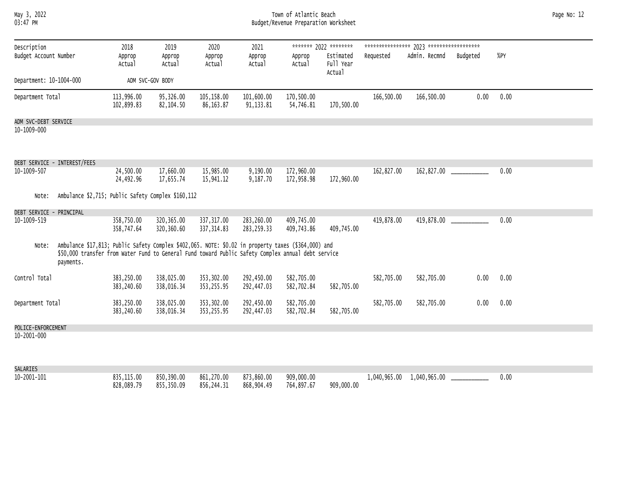| мау   | 2022 |
|-------|------|
| 03:47 | PМ   |

#### May 3, 2022 Town of Atlantic Beach Page No: 12 03:47 PM Budget/Revenue Preparation Worksheet

| Description              |                                                                                                                                                                                                                        | 2018                      | 2019                      | 2020                      | 2021                      |                          | ******* 2022 ********            |            |                           |          |      |  |
|--------------------------|------------------------------------------------------------------------------------------------------------------------------------------------------------------------------------------------------------------------|---------------------------|---------------------------|---------------------------|---------------------------|--------------------------|----------------------------------|------------|---------------------------|----------|------|--|
| Budget Account Number    |                                                                                                                                                                                                                        | Approp<br>Actual          | Approp<br>Actual          | Approp<br>Actual          | Approp<br>Actual          | Approp<br>Actual         | Estimated<br>Full Year<br>Actual | Requested  | Admin. Recmnd             | Budgeted | %PY  |  |
| Department: 10-1004-000  |                                                                                                                                                                                                                        |                           | ADM SVC-GOV BODY          |                           |                           |                          |                                  |            |                           |          |      |  |
| Department Total         |                                                                                                                                                                                                                        | 113,996.00<br>102,899.83  | 95,326.00<br>82,104.50    | 105,158.00<br>86,163.87   | 101,600.00<br>91,133.81   | 170,500.00<br>54,746.81  | 170,500.00                       | 166,500.00 | 166,500.00                | 0.00     | 0.00 |  |
| ADM SVC-DEBT SERVICE     |                                                                                                                                                                                                                        |                           |                           |                           |                           |                          |                                  |            |                           |          |      |  |
| 10-1009-000              |                                                                                                                                                                                                                        |                           |                           |                           |                           |                          |                                  |            |                           |          |      |  |
|                          | DEBT SERVICE - INTEREST/FEES                                                                                                                                                                                           |                           |                           |                           |                           |                          |                                  |            |                           |          |      |  |
| 10-1009-507              |                                                                                                                                                                                                                        | 24,500.00<br>24,492.96    | 17,660.00<br>17,655.74    | 15,985.00<br>15,941.12    | 9,190.00<br>9,187.70      | 172,960.00<br>172,958.98 | 172,960.00                       | 162,827.00 |                           |          | 0.00 |  |
| Note:                    | Ambulance \$2,715; Public Safety Complex \$160,112                                                                                                                                                                     |                           |                           |                           |                           |                          |                                  |            |                           |          |      |  |
| DEBT SERVICE - PRINCIPAL |                                                                                                                                                                                                                        |                           |                           |                           |                           |                          |                                  |            |                           |          |      |  |
| 10-1009-519              |                                                                                                                                                                                                                        | 358,750.00<br>358,747.64  | 320, 365.00<br>320,360.60 | 337,317.00<br>337, 314.83 | 283,260.00<br>283, 259.33 | 409,745.00<br>409,743.86 | 409,745.00                       | 419,878.00 | 419,878.00 _____________  |          | 0.00 |  |
| Note:                    | Ambulance \$17,813; Public Safety Complex \$402,065. NOTE: \$0.02 in property taxes (\$364,000) and<br>\$50,000 transfer from Water Fund to General Fund toward Public Safety Complex annual debt service<br>payments. |                           |                           |                           |                           |                          |                                  |            |                           |          |      |  |
| Control Total            |                                                                                                                                                                                                                        | 383,250.00<br>383,240.60  | 338,025.00<br>338,016.34  | 353,302.00<br>353,255.95  | 292,450.00<br>292,447.03  | 582,705.00<br>582,702.84 | 582,705.00                       | 582,705.00 | 582,705.00                | 0.00     | 0.00 |  |
| Department Total         |                                                                                                                                                                                                                        | 383,250.00<br>383,240.60  | 338,025.00<br>338,016.34  | 353,302.00<br>353,255.95  | 292,450.00<br>292,447.03  | 582,705.00<br>582,702.84 | 582,705.00                       | 582,705.00 | 582,705.00                | 0.00     | 0.00 |  |
| POLICE-ENFORCEMENT       |                                                                                                                                                                                                                        |                           |                           |                           |                           |                          |                                  |            |                           |          |      |  |
| 10-2001-000              |                                                                                                                                                                                                                        |                           |                           |                           |                           |                          |                                  |            |                           |          |      |  |
| SALARIES                 |                                                                                                                                                                                                                        |                           |                           |                           |                           |                          |                                  |            |                           |          |      |  |
| 10-2001-101              |                                                                                                                                                                                                                        | 835, 115.00<br>828,089.79 | 850,390.00<br>855,350.09  | 861,270.00<br>856,244.31  | 873,860.00<br>868,904.49  | 909,000.00<br>764,897.67 | 909,000.00                       |            | 1,040,965.00 1,040,965.00 |          | 0.00 |  |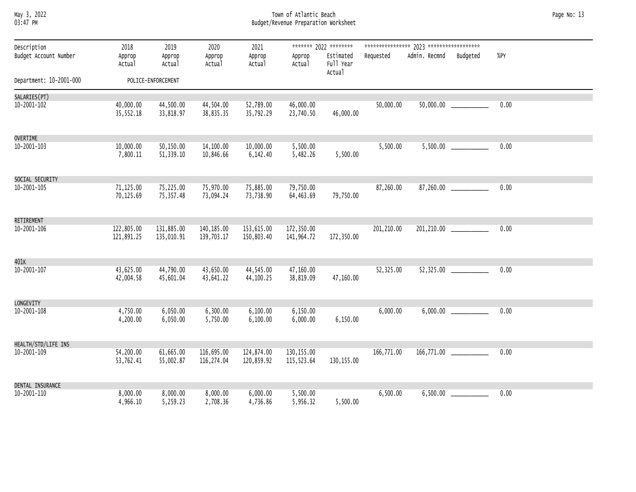### May 3, 2022 Town of Atlantic Beach Page No: 13 03:47 PM Budget/Revenue Preparation Worksheet

| Description             | 2018                     | 2019                     | 2020                     | 2021                     |                          | ******* 2022 ********            |             |                        |                             |      |
|-------------------------|--------------------------|--------------------------|--------------------------|--------------------------|--------------------------|----------------------------------|-------------|------------------------|-----------------------------|------|
| Budget Account Number   | Approp<br>Actual         | Approp<br>Actual         | Approp<br>Actual         | Approp<br>Actual         | Approp<br>Actual         | Estimated<br>Full Year<br>Actual | Requested   | Admin. Recmnd Budgeted |                             | %PY  |
| Department: 10-2001-000 |                          | POLICE-ENFORCEMENT       |                          |                          |                          |                                  |             |                        |                             |      |
| SALARIES(PT)            |                          |                          |                          |                          |                          |                                  |             |                        |                             |      |
| $10 - 2001 - 102$       | 40,000.00<br>35,552.18   | 44,500.00<br>33,818.97   | 44,504.00<br>38,835.35   | 52,789.00<br>35,792.29   | 46,000.00<br>23,740.50   | 46,000.00                        | 50,000.00   |                        | $50,000.00$ _____________   | 0.00 |
| OVERTIME                |                          |                          |                          |                          |                          |                                  |             |                        |                             |      |
| $10 - 2001 - 103$       | 10,000.00<br>7,800.11    | 50,150.00<br>51,339.10   | 14,100.00<br>10,846.66   | 10,000.00<br>6,142.40    | 5,500.00<br>5,482.26     | 5,500.00                         | 5,500.00    |                        |                             | 0.00 |
| SOCIAL SECURITY         |                          |                          |                          |                          |                          |                                  |             |                        |                             |      |
| 10-2001-105             | 71,125.00<br>70,125.69   | 75,225.00<br>75,357.48   | 75,970.00<br>73,094.24   | 75,885.00<br>73,738.90   | 79,750.00<br>64,463.69   | 79,750.00                        | 87,260.00   |                        | 87,260.00                   | 0.00 |
| RETIREMENT              |                          |                          |                          |                          |                          |                                  |             |                        |                             |      |
| $10 - 2001 - 106$       | 122,805.00<br>121,891.25 | 131,885.00<br>135,010.91 | 140,185.00<br>139,703.17 | 153,615.00<br>150,803.40 | 172,350.00<br>141,964.72 | 172,350.00                       | 201, 210.00 |                        | 201,210.00                  | 0.00 |
| 401K                    |                          |                          |                          |                          |                          |                                  |             |                        |                             |      |
| $10 - 2001 - 107$       | 43,625.00<br>42,004.58   | 44,790.00<br>45,601.04   | 43,650.00<br>43,641.22   | 44,545.00<br>44,100.25   | 47,160.00<br>38,819.09   | 47,160.00                        | 52,325.00   |                        |                             | 0.00 |
| LONGEVITY               |                          |                          |                          |                          |                          |                                  |             |                        |                             |      |
| $10 - 2001 - 108$       | 4,750.00<br>4,200.00     | 6,050.00<br>6,050.00     | 6,300.00<br>5,750.00     | 6,100.00<br>6,100.00     | 6,150.00<br>6,000.00     | 6,150.00                         | 6,000.00    |                        | 6,000.00                    | 0.00 |
| HEALTH/STD/LIFE INS     |                          |                          |                          |                          |                          |                                  |             |                        |                             |      |
| 10-2001-109             | 54,200.00<br>53,762.41   | 61,665.00<br>55,002.87   | 116,695.00<br>116,274.04 | 124,874.00<br>120,859.92 | 130,155.00<br>115,523.64 | 130,155.00                       | 166,771.00  |                        | $166,771.00$ ______________ | 0.00 |
| DENTAL INSURANCE        |                          |                          |                          |                          |                          |                                  |             |                        |                             |      |
| 10-2001-110             | 8,000.00<br>4,966.10     | 8,000.00<br>5,259.23     | 8,000.00<br>2,708.36     | 6,000.00<br>4,736.86     | 5,500.00<br>5,956.32     | 5,500.00                         | 6,500.00    |                        |                             | 0.00 |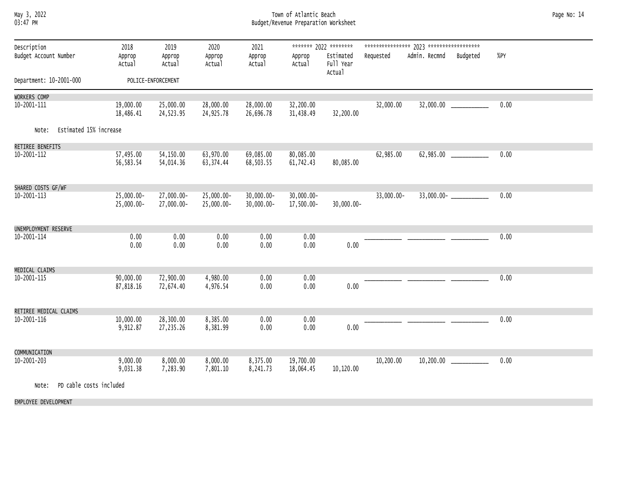# May 3, 2022 Town of Atlantic Beach Page No: 14 03:47 PM Budget/Revenue Preparation Worksheet

| Description<br>Budget Account Number | 2018<br>Approp<br>Actual    | 2019<br>Approp<br>Actual | 2020<br>Approp<br>Actual    | 2021<br>Approp<br>Actual       | Approp<br>Actual            | ******* 2022 ********<br>Estimated<br>Full Year<br>Actual | Requested  | Admin. Recmnd<br>Budgeted | %PY  |
|--------------------------------------|-----------------------------|--------------------------|-----------------------------|--------------------------------|-----------------------------|-----------------------------------------------------------|------------|---------------------------|------|
| Department: 10-2001-000              |                             | POLICE-ENFORCEMENT       |                             |                                |                             |                                                           |            |                           |      |
| WORKERS COMP                         |                             |                          |                             |                                |                             |                                                           |            |                           |      |
| 10-2001-111                          | 19,000.00<br>18,486.41      | 25,000.00<br>24,523.95   | 28,000.00<br>24,925.78      | 28,000.00<br>26,696.78         | 32,200.00<br>31,438.49      | 32,200.00                                                 | 32,000.00  |                           | 0.00 |
| Estimated 15% increase<br>Note:      |                             |                          |                             |                                |                             |                                                           |            |                           |      |
| RETIREE BENEFITS                     |                             |                          |                             |                                |                             |                                                           |            |                           |      |
| 10-2001-112                          | 57,495.00<br>56,583.54      | 54,150.00<br>54,014.36   | 63,970.00<br>63,374.44      | 69,085.00<br>68,503.55         | 80,085.00<br>61,742.43      | 80,085.00                                                 | 62,985.00  | 62,985.00 _____________   | 0.00 |
| SHARED COSTS GF/WF                   |                             |                          |                             |                                |                             |                                                           |            |                           |      |
| 10-2001-113                          | $25,000.00 -$<br>25,000.00- | 27,000.00-<br>27,000.00- | $25,000.00 -$<br>25,000.00- | $30,000.00 -$<br>$30,000.00 -$ | $30,000.00 -$<br>17,500.00- | $30,000.00 -$                                             | 33,000.00- |                           | 0.00 |
| UNEMPLOYMENT RESERVE                 |                             |                          |                             |                                |                             |                                                           |            |                           |      |
| 10-2001-114                          | 0.00<br>0.00                | 0.00<br>0.00             | 0.00<br>0.00                | 0.00<br>0.00                   | 0.00<br>0.00                | 0.00                                                      |            |                           | 0.00 |
| MEDICAL CLAIMS                       |                             |                          |                             |                                |                             |                                                           |            |                           |      |
| 10-2001-115                          | 90,000.00<br>87,818.16      | 72,900.00<br>72,674.40   | 4,980.00<br>4,976.54        | 0.00<br>0.00                   | 0.00<br>0.00                | 0.00                                                      |            |                           | 0.00 |
| RETIREE MEDICAL CLAIMS               |                             |                          |                             |                                |                             |                                                           |            |                           |      |
| 10-2001-116                          | 10,000.00<br>9,912.87       | 28,300.00<br>27,235.26   | 8,385.00<br>8,381.99        | 0.00<br>0.00                   | 0.00<br>0.00                | 0.00                                                      |            |                           | 0.00 |
| COMMUNICATION                        |                             |                          |                             |                                |                             |                                                           |            |                           |      |
| 10-2001-203                          | 9,000.00<br>9,031.38        | 8,000.00<br>7,283.90     | 8,000.00<br>7,801.10        | 8,375.00<br>8,241.73           | 19,700.00<br>18,064.45      | 10,120.00                                                 | 10,200.00  | 10,200.00                 | 0.00 |
| PD cable costs included<br>Note:     |                             |                          |                             |                                |                             |                                                           |            |                           |      |

EMPLOYEE DEVELOPMENT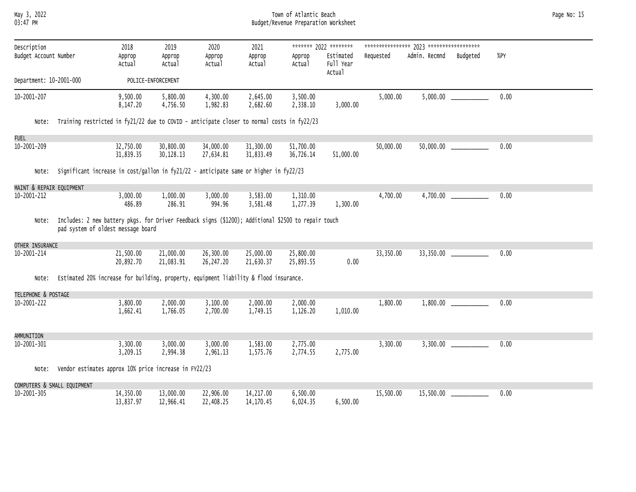May 3, 2022 Town of Atlantic Beach Page No: 15 03:47 PM Budget/Revenue Preparation Worksheet

| Description<br>Budget Account Number |                                                                                                                                           | 2018<br>Approp<br>Actual | 2019<br>Approp<br>Actual | 2020<br>Approp<br>Actual | 2021<br>Approp<br>Actual | Approp<br>Actual       | ******* 2022 ********<br>Estimated<br>Full Year<br>Actual | Requested | Admin. Recmnd | Budgeted                   | %PY  |  |
|--------------------------------------|-------------------------------------------------------------------------------------------------------------------------------------------|--------------------------|--------------------------|--------------------------|--------------------------|------------------------|-----------------------------------------------------------|-----------|---------------|----------------------------|------|--|
| Department: 10-2001-000              |                                                                                                                                           |                          | POLICE-ENFORCEMENT       |                          |                          |                        |                                                           |           |               |                            |      |  |
| 10-2001-207                          |                                                                                                                                           | 9,500.00<br>8,147.20     | 5,800.00<br>4,756.50     | 4,300.00<br>1,982.83     | 2,645.00<br>2,682.60     | 3,500.00<br>2,338.10   | 3,000.00                                                  | 5,000.00  |               |                            | 0.00 |  |
| Note:                                | Training restricted in fy21/22 due to COVID - anticipate closer to normal costs in fy22/23                                                |                          |                          |                          |                          |                        |                                                           |           |               |                            |      |  |
| <b>FUEL</b>                          |                                                                                                                                           |                          |                          |                          |                          |                        |                                                           |           |               |                            |      |  |
| 10-2001-209                          |                                                                                                                                           | 32,750.00<br>31,839.35   | 30,800.00<br>30,128.13   | 34,000.00<br>27,634.81   | 31,300.00<br>31,833.49   | 51,700.00<br>36,726.14 | 51,000.00                                                 | 50,000.00 |               | $50,000.00$ ______________ | 0.00 |  |
| Note:                                | Significant increase in cost/gallon in fy21/22 - anticipate same or higher in fy22/23                                                     |                          |                          |                          |                          |                        |                                                           |           |               |                            |      |  |
| MAINT & REPAIR EQUIPMENT             |                                                                                                                                           |                          |                          |                          |                          |                        |                                                           |           |               |                            |      |  |
| 10-2001-212                          |                                                                                                                                           | 3,000.00<br>486.89       | 1,000.00<br>286.91       | 3,000.00<br>994.96       | 3,583.00<br>3,581.48     | 1,310.00<br>1,277.39   | 1,300.00                                                  | 4,700.00  | 4,700.00      |                            | 0.00 |  |
| Note:                                | Includes: 2 new battery pkgs. for Driver Feedback signs (\$1200); Additional \$2500 to repair touch<br>pad system of oldest message board |                          |                          |                          |                          |                        |                                                           |           |               |                            |      |  |
| OTHER INSURANCE                      |                                                                                                                                           |                          |                          |                          |                          |                        |                                                           |           |               |                            |      |  |
| 10-2001-214                          |                                                                                                                                           | 21,500.00<br>20,892.70   | 21,000.00<br>21,083.91   | 26,300.00<br>26,247.20   | 25,000.00<br>21,630.37   | 25,800.00<br>25,893.55 | 0.00                                                      | 33,350.00 | 33,350.00     |                            | 0.00 |  |
| Note:                                | Estimated 20% increase for building, property, equipment liability & flood insurance.                                                     |                          |                          |                          |                          |                        |                                                           |           |               |                            |      |  |
| TELEPHONE & POSTAGE                  |                                                                                                                                           |                          |                          |                          |                          |                        |                                                           |           |               |                            |      |  |
| 10-2001-222                          |                                                                                                                                           | 3,800.00<br>1,662.41     | 2,000.00<br>1,766.05     | 3,100.00<br>2,700.00     | 2,000.00<br>1,749.15     | 2,000.00<br>1,126.20   | 1,010.00                                                  | 1,800.00  | 1,800.00      |                            | 0.00 |  |
| AMMUNITION                           |                                                                                                                                           |                          |                          |                          |                          |                        |                                                           |           |               |                            |      |  |
| 10-2001-301                          |                                                                                                                                           | 3,300.00<br>3,209.15     | 3,000.00<br>2,994.38     | 3,000.00<br>2,961.13     | 1,583.00<br>1,575.76     | 2,775.00<br>2,774.55   | 2,775.00                                                  | 3,300.00  |               | 3,300.00                   | 0.00 |  |
| Note:                                | Vendor estimates approx 10% price increase in FY22/23                                                                                     |                          |                          |                          |                          |                        |                                                           |           |               |                            |      |  |
|                                      | COMPUTERS & SMALL EQUIPMENT                                                                                                               |                          |                          |                          |                          |                        |                                                           |           |               |                            |      |  |
| 10-2001-305                          |                                                                                                                                           | 14,350.00<br>13,837.97   | 13,000.00<br>12,966.41   | 22,906.00<br>22,408.25   | 14,217.00<br>14,170.45   | 6,500.00<br>6,024.35   | 6,500.00                                                  | 15,500.00 | 15,500.00     |                            | 0.00 |  |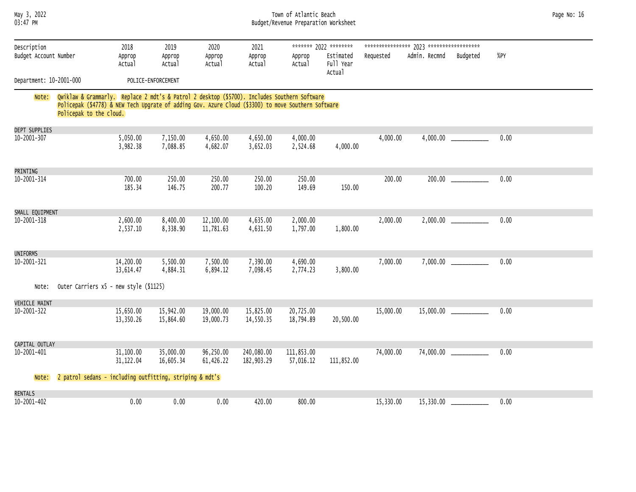| May 3, 2022<br>03:47 PM              |                                                                                                                                                                                                                                |                          |                          |                          |                          | Town of Atlantic Beach<br>Budget/Revenue Preparation Worksheet |                                                           |           |                          |          |      | Page No: 16 |
|--------------------------------------|--------------------------------------------------------------------------------------------------------------------------------------------------------------------------------------------------------------------------------|--------------------------|--------------------------|--------------------------|--------------------------|----------------------------------------------------------------|-----------------------------------------------------------|-----------|--------------------------|----------|------|-------------|
| Description<br>Budget Account Number |                                                                                                                                                                                                                                | 2018<br>Approp<br>Actual | 2019<br>Approp<br>Actual | 2020<br>Approp<br>Actual | 2021<br>Approp<br>Actual | Approp<br>Actual                                               | ******* 2022 ********<br>Estimated<br>Full Year<br>Actual | Requested | Admin. Recmnd            | Budgeted | %PY  |             |
| Department: 10-2001-000              |                                                                                                                                                                                                                                |                          | POLICE-ENFORCEMENT       |                          |                          |                                                                |                                                           |           |                          |          |      |             |
| Note:                                | Qwiklaw & Grammarly. Replace 2 mdt's & Patrol 2 desktop (\$5700). Includes Southern Software<br>Policepak (\$4778) & NEW Tech Upgrate of adding Gov. Azure Cloud (\$3300) to move Southern Software<br>Policepak to the cloud. |                          |                          |                          |                          |                                                                |                                                           |           |                          |          |      |             |
| <b>DEPT SUPPLIES</b>                 |                                                                                                                                                                                                                                |                          |                          |                          |                          |                                                                |                                                           |           |                          |          |      |             |
| 10-2001-307                          |                                                                                                                                                                                                                                | 5,050.00<br>3,982.38     | 7,150.00<br>7,088.85     | 4,650.00<br>4,682.07     | 4,650.00<br>3,652.03     | 4,000.00<br>2,524.68                                           | 4,000.00                                                  | 4,000.00  |                          |          | 0.00 |             |
| PRINTING                             |                                                                                                                                                                                                                                |                          |                          |                          |                          |                                                                |                                                           |           |                          |          |      |             |
| 10-2001-314                          |                                                                                                                                                                                                                                | 700.00<br>185.34         | 250.00<br>146.75         | 250.00<br>200.77         | 250.00<br>100.20         | 250.00<br>149.69                                               | 150.00                                                    | 200.00    | 200.00                   |          | 0.00 |             |
| SMALL EQUIPMENT                      |                                                                                                                                                                                                                                |                          |                          |                          |                          |                                                                |                                                           |           |                          |          |      |             |
| 10-2001-318                          |                                                                                                                                                                                                                                | 2,600.00<br>2,537.10     | 8,400.00<br>8,338.90     | 12,100.00<br>11,781.63   | 4,635.00<br>4,631.50     | 2,000.00<br>1,797.00                                           | 1,800.00                                                  | 2,000.00  |                          |          | 0.00 |             |
| UNIFORMS                             |                                                                                                                                                                                                                                |                          |                          |                          |                          |                                                                |                                                           |           |                          |          |      |             |
| 10-2001-321                          |                                                                                                                                                                                                                                | 14,200.00<br>13,614.47   | 5,500.00<br>4,884.31     | 7,500.00<br>6,894.12     | 7,390.00<br>7,098.45     | 4,690.00<br>2,774.23                                           | 3,800.00                                                  | 7,000.00  |                          |          | 0.00 |             |
| Note:                                | Outer Carriers x5 - new style (\$1125)                                                                                                                                                                                         |                          |                          |                          |                          |                                                                |                                                           |           |                          |          |      |             |
| <b>VEHICLE MAINT</b>                 |                                                                                                                                                                                                                                |                          |                          |                          |                          |                                                                |                                                           |           |                          |          |      |             |
| 10-2001-322                          |                                                                                                                                                                                                                                | 15,650.00<br>13,350.26   | 15,942.00<br>15,864.60   | 19,000.00<br>19,000.73   | 15,825.00<br>14,550.35   | 20,725.00<br>18,794.89                                         | 20,500.00                                                 | 15,000.00 |                          |          | 0.00 |             |
| CAPITAL OUTLAY                       |                                                                                                                                                                                                                                |                          |                          |                          |                          |                                                                |                                                           |           |                          |          |      |             |
| 10-2001-401                          |                                                                                                                                                                                                                                | 31,100.00<br>31, 122.04  | 35,000.00<br>16,605.34   | 96,250.00<br>61,426.22   | 240,080.00<br>182,903.29 | 111,853.00<br>57,016.12                                        | 111,852.00                                                | 74,000.00 | 74,000.00 ______________ |          | 0.00 |             |
| Note:                                | 2 patrol sedans - including outfitting, striping & mdt's                                                                                                                                                                       |                          |                          |                          |                          |                                                                |                                                           |           |                          |          |      |             |
| <b>RENTALS</b>                       |                                                                                                                                                                                                                                |                          |                          |                          |                          |                                                                |                                                           |           |                          |          |      |             |
| 10-2001-402                          |                                                                                                                                                                                                                                | 0.00                     | 0.00                     | 0.00                     | 420.00                   | 800.00                                                         |                                                           | 15,330.00 | 15,330.00                |          | 0.00 |             |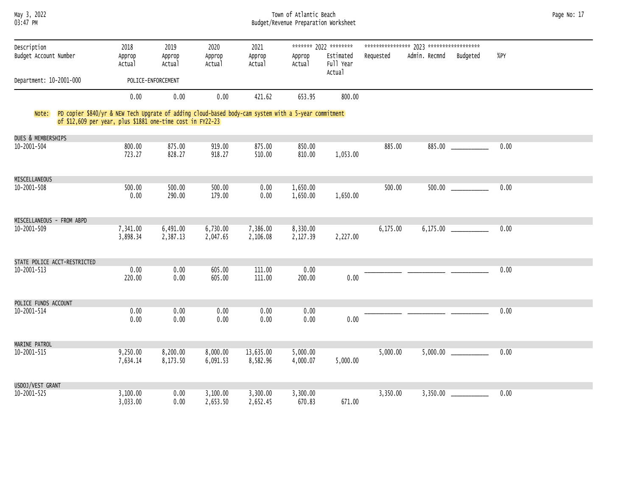# May 3, 2022 Town of Atlantic Beach Page No: 17 03:47 PM Budget/Revenue Preparation Worksheet

| Description<br>Budget Account Number |                              | 2018<br>Approp<br>Actual                                                                                                                                                 | 2019<br>Approp<br>Actual | 2020<br>Approp<br>Actual | 2021<br>Approp<br>Actual | Approp<br>Actual     | ******* 2022 ********<br>Estimated<br>Full Year<br>Actual | Requested | Admin. Recmnd | Budgeted | %PY  |
|--------------------------------------|------------------------------|--------------------------------------------------------------------------------------------------------------------------------------------------------------------------|--------------------------|--------------------------|--------------------------|----------------------|-----------------------------------------------------------|-----------|---------------|----------|------|
| Department: 10-2001-000              |                              |                                                                                                                                                                          | POLICE-ENFORCEMENT       |                          |                          |                      |                                                           |           |               |          |      |
|                                      |                              | 0.00                                                                                                                                                                     | 0.00                     | 0.00                     | 421.62                   | 653.95               | 800.00                                                    |           |               |          |      |
|                                      |                              | Note: PD copier \$840/yr & NEW Tech Upgrate of adding cloud-based body-cam system with a 5-year commitment<br>of \$12,609 per year, plus \$1881 one-time cost in FY22-23 |                          |                          |                          |                      |                                                           |           |               |          |      |
| DUES & MEMBERSHIPS                   |                              |                                                                                                                                                                          |                          |                          |                          |                      |                                                           |           |               |          |      |
| $10 - 2001 - 504$                    |                              | 800.00<br>723.27                                                                                                                                                         | 875.00<br>828.27         | 919.00<br>918.27         | 875.00<br>510.00         | 850.00<br>810.00     | 1,053.00                                                  | 885.00    |               | 885.00   | 0.00 |
| MISCELLANEOUS                        |                              |                                                                                                                                                                          |                          |                          |                          |                      |                                                           |           |               |          |      |
| 10-2001-508                          |                              | 500.00<br>0.00                                                                                                                                                           | 500.00<br>290.00         | 500.00<br>179.00         | 0.00<br>0.00             | 1,650.00<br>1,650.00 | 1,650.00                                                  | 500.00    |               |          | 0.00 |
| MISCELLANEOUS - FROM ABPD            |                              |                                                                                                                                                                          |                          |                          |                          |                      |                                                           |           |               |          |      |
| 10-2001-509                          |                              | 7,341.00<br>3,898.34                                                                                                                                                     | 6,491.00<br>2,387.13     | 6,730.00<br>2,047.65     | 7,386.00<br>2,106.08     | 8,330.00<br>2,127.39 | 2,227.00                                                  | 6,175.00  |               |          | 0.00 |
|                                      | STATE POLICE ACCT-RESTRICTED |                                                                                                                                                                          |                          |                          |                          |                      |                                                           |           |               |          |      |
| 10-2001-513                          |                              | 0.00<br>220.00                                                                                                                                                           | 0.00<br>0.00             | 605.00<br>605.00         | 111.00<br>111.00         | 0.00<br>200.00       | 0.00                                                      |           |               |          | 0.00 |
| POLICE FUNDS ACCOUNT                 |                              |                                                                                                                                                                          |                          |                          |                          |                      |                                                           |           |               |          |      |
| 10-2001-514                          |                              | 0.00<br>0.00                                                                                                                                                             | 0.00<br>0.00             | 0.00<br>0.00             | 0.00<br>0.00             | 0.00<br>0.00         | 0.00                                                      |           |               |          | 0.00 |
| MARINE PATROL                        |                              |                                                                                                                                                                          |                          |                          |                          |                      |                                                           |           |               |          |      |
| 10-2001-515                          |                              | 9,250.00<br>7,634.14                                                                                                                                                     | 8,200.00<br>8,173.50     | 8,000.00<br>6,091.53     | 13,635.00<br>8,582.96    | 5,000.00<br>4,000.07 | 5,000.00                                                  | 5,000.00  | 5,000.00      |          | 0.00 |
| USDOJ/VEST GRANT                     |                              |                                                                                                                                                                          |                          |                          |                          |                      |                                                           |           |               |          |      |
| 10-2001-525                          |                              | 3,100.00<br>3,033.00                                                                                                                                                     | 0.00<br>0.00             | 3,100.00<br>2,653.50     | 3,300.00<br>2,652.45     | 3,300.00<br>670.83   | 671.00                                                    | 3,350.00  |               |          | 0.00 |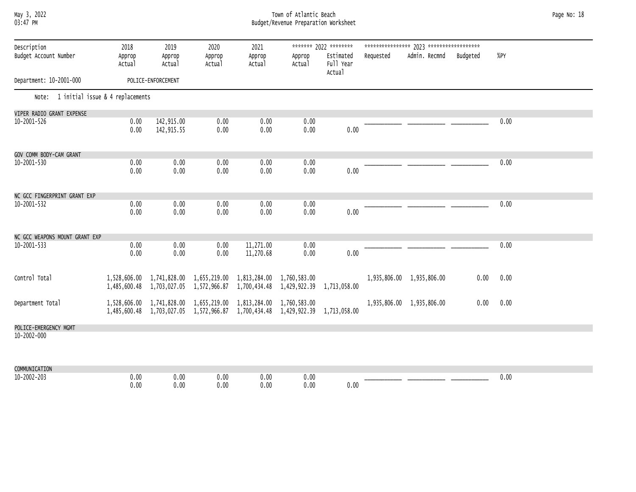# May 3, 2022 Town of Atlantic Beach Page No: 18 03:47 PM Budget/Revenue Preparation Worksheet

| Description                            | 2018             | 2019               | 2020                                                                                                                                              | 2021                   |                  | ******* 2022 ********            |           |                           |          |      |
|----------------------------------------|------------------|--------------------|---------------------------------------------------------------------------------------------------------------------------------------------------|------------------------|------------------|----------------------------------|-----------|---------------------------|----------|------|
| Budget Account Number                  | Approp<br>Actual | Approp<br>Actual   | Approp<br>Actual                                                                                                                                  | Approp<br>Actual       | Approp<br>Actual | Estimated<br>Full Year<br>Actual | Requested | Admin. Recmnd             | Budgeted | %PY  |
| Department: 10-2001-000                |                  | POLICE-ENFORCEMENT |                                                                                                                                                   |                        |                  |                                  |           |                           |          |      |
| Note: 1 initial issue & 4 replacements |                  |                    |                                                                                                                                                   |                        |                  |                                  |           |                           |          |      |
| VIPER RADIO GRANT EXPENSE              |                  |                    |                                                                                                                                                   |                        |                  |                                  |           |                           |          |      |
| 10-2001-526                            | 0.00             | 142,915.00         | 0.00                                                                                                                                              | 0.00                   | 0.00             |                                  |           |                           |          | 0.00 |
|                                        | 0.00             | 142,915.55         | 0.00                                                                                                                                              | 0.00                   | 0.00             | 0.00                             |           |                           |          |      |
| GOV COMM BODY-CAM GRANT                |                  |                    |                                                                                                                                                   |                        |                  |                                  |           |                           |          |      |
| 10-2001-530                            | 0.00             | 0.00               | 0.00                                                                                                                                              | 0.00                   | 0.00             |                                  |           |                           |          | 0.00 |
|                                        | 0.00             | 0.00               | 0.00                                                                                                                                              | 0.00                   | 0.00             | 0.00                             |           |                           |          |      |
| NC GCC FINGERPRINT GRANT EXP           |                  |                    |                                                                                                                                                   |                        |                  |                                  |           |                           |          |      |
| 10-2001-532                            | 0.00             | 0.00               | 0.00                                                                                                                                              | 0.00                   | 0.00             |                                  |           |                           |          | 0.00 |
|                                        | 0.00             | 0.00               | 0.00                                                                                                                                              | 0.00                   | 0.00             | 0.00                             |           |                           |          |      |
| NC GCC WEAPONS MOUNT GRANT EXP         |                  |                    |                                                                                                                                                   |                        |                  |                                  |           |                           |          |      |
| 10-2001-533                            | 0.00<br>0.00     | 0.00<br>0.00       | 0.00<br>0.00                                                                                                                                      | 11,271.00<br>11,270.68 | 0.00<br>0.00     | 0.00                             |           |                           |          | 0.00 |
| Control Total                          |                  |                    |                                                                                                                                                   |                        |                  |                                  |           | 1,935,806.00 1,935,806.00 | 0.00     | 0.00 |
|                                        |                  |                    | 1,528,606.00 1,741,828.00 1,655,219.00 1,813,284.00 1,760,583.00<br>1,485,600.48 1,703,027.05 1,572,966.87 1,700,434.48 1,429,922.39 1,713,058.00 |                        |                  |                                  |           |                           |          |      |
| Department Total                       |                  |                    | 1,528,606.00 1,741,828.00 1,655,219.00 1,813,284.00 1,760,583.00<br>1,485,600.48 1,703,027.05 1,572,966.87 1,700,434.48 1,429,922.39              |                        |                  | 1,713,058.00                     |           | 1,935,806.00 1,935,806.00 | 0.00     | 0.00 |
| POLICE-EMERGENCY MGMT                  |                  |                    |                                                                                                                                                   |                        |                  |                                  |           |                           |          |      |
| 10-2002-000                            |                  |                    |                                                                                                                                                   |                        |                  |                                  |           |                           |          |      |
| COMMUNICATION                          |                  |                    |                                                                                                                                                   |                        |                  |                                  |           |                           |          |      |
| 10-2002-203                            | 0.00             | 0.00               | 0.00                                                                                                                                              | 0.00                   | 0.00             |                                  |           |                           |          | 0.00 |
|                                        | 0.00             | 0.00               | 0.00                                                                                                                                              | 0.00                   | 0.00             | 0.00                             |           |                           |          |      |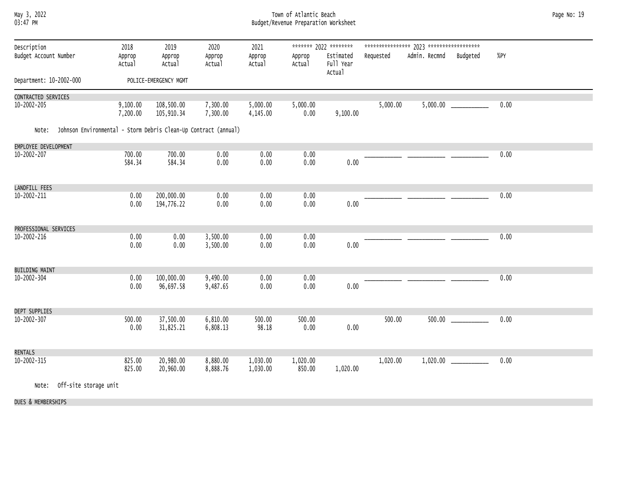# May 3, 2022 Town of Atlantic Beach Page No: 19 03:47 PM Budget/Revenue Preparation Worksheet

| Description<br>Budget Account Number<br>Department: 10-2002-000 |                       | 2018<br>Approp<br>Actual                                        | 2019<br>Approp<br>Actual<br>POLICE-EMERGENCY MGMT | 2020<br>Approp<br>Actual | 2021<br>Approp<br>Actual | Approp<br>Actual   | ******* 2022 ********<br>Estimated<br>Full Year<br>Actual | Requested | Admin. Recmnd | Budgeted | %PY  |  |
|-----------------------------------------------------------------|-----------------------|-----------------------------------------------------------------|---------------------------------------------------|--------------------------|--------------------------|--------------------|-----------------------------------------------------------|-----------|---------------|----------|------|--|
|                                                                 |                       |                                                                 |                                                   |                          |                          |                    |                                                           |           |               |          |      |  |
| CONTRACTED SERVICES<br>$10 - 2002 - 205$                        |                       | 9,100.00<br>7,200.00                                            | 108,500.00<br>105,910.34                          | 7,300.00<br>7,300.00     | 5,000.00<br>4,145.00     | 5,000.00<br>0.00   | 9,100.00                                                  | 5,000.00  |               |          | 0.00 |  |
| Note:                                                           |                       | Johnson Environmental - Storm Debris Clean-Up Contract (annual) |                                                   |                          |                          |                    |                                                           |           |               |          |      |  |
| EMPLOYEE DEVELOPMENT                                            |                       |                                                                 |                                                   |                          |                          |                    |                                                           |           |               |          |      |  |
| 10-2002-207                                                     |                       | 700.00<br>584.34                                                | 700.00<br>584.34                                  | 0.00<br>0.00             | 0.00<br>0.00             | 0.00<br>0.00       | 0.00                                                      |           |               |          | 0.00 |  |
| LANDFILL FEES                                                   |                       |                                                                 |                                                   |                          |                          |                    |                                                           |           |               |          |      |  |
| 10-2002-211                                                     |                       | 0.00<br>0.00                                                    | 200,000.00<br>194,776.22                          | 0.00<br>0.00             | 0.00<br>0.00             | 0.00<br>$0.00\,$   | 0.00                                                      |           |               |          | 0.00 |  |
| PROFESSIONAL SERVICES                                           |                       |                                                                 |                                                   |                          |                          |                    |                                                           |           |               |          |      |  |
| $10 - 2002 - 216$                                               |                       | 0.00<br>0.00                                                    | 0.00<br>0.00                                      | 3,500.00<br>3,500.00     | 0.00<br>0.00             | 0.00<br>0.00       | 0.00                                                      |           |               |          | 0.00 |  |
| <b>BUILDING MAINT</b>                                           |                       |                                                                 |                                                   |                          |                          |                    |                                                           |           |               |          |      |  |
| $10 - 2002 - 304$                                               |                       | 0.00<br>0.00                                                    | 100,000.00<br>96,697.58                           | 9,490.00<br>9,487.65     | 0.00<br>0.00             | 0.00<br>0.00       | 0.00                                                      |           |               |          | 0.00 |  |
| DEPT SUPPLIES                                                   |                       |                                                                 |                                                   |                          |                          |                    |                                                           |           |               |          |      |  |
| $10 - 2002 - 307$                                               |                       | 500.00<br>0.00                                                  | 37,500.00<br>31,825.21                            | 6,810.00<br>6,808.13     | 500.00<br>98.18          | 500.00<br>0.00     | 0.00                                                      | 500.00    | 500.00        |          | 0.00 |  |
| <b>RENTALS</b>                                                  |                       |                                                                 |                                                   |                          |                          |                    |                                                           |           |               |          |      |  |
| 10-2002-315                                                     |                       | 825.00<br>825.00                                                | 20,980.00<br>20,960.00                            | 8,880.00<br>8,888.76     | 1,030.00<br>1,030.00     | 1,020.00<br>850.00 | 1,020.00                                                  | 1,020.00  | 1,020.00      |          | 0.00 |  |
| Note:                                                           | Off-site storage unit |                                                                 |                                                   |                          |                          |                    |                                                           |           |               |          |      |  |

DUES & MEMBERSHIPS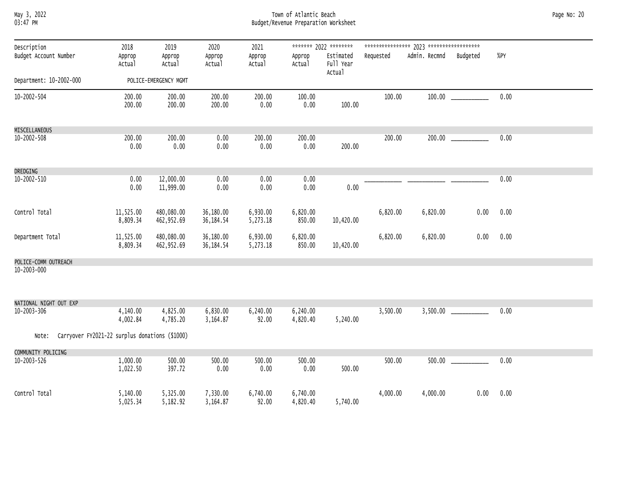# May 3, 2022 Town of Atlantic Beach Page No: 20 03:47 PM Budget/Revenue Preparation Worksheet

| Description<br>Budget Account Number  | 2018<br>Approp<br>Actual                       | 2019<br>Approp<br>Actual | 2020<br>Approp<br>Actual | 2021<br>Approp<br>Actual | Approp<br>Actual     | ******* 2022 ********<br>Estimated<br>Full Year<br>Actual | Requested | Admin. Recmnd | Budgeted | $%$ PY |
|---------------------------------------|------------------------------------------------|--------------------------|--------------------------|--------------------------|----------------------|-----------------------------------------------------------|-----------|---------------|----------|--------|
| Department: 10-2002-000               |                                                | POLICE-EMERGENCY MGMT    |                          |                          |                      |                                                           |           |               |          |        |
| $10 - 2002 - 504$                     | 200.00<br>200.00                               | 200.00<br>200.00         | 200.00<br>200.00         | 200.00<br>0.00           | 100.00<br>0.00       | 100.00                                                    | 100.00    |               |          | 0.00   |
| MISCELLANEOUS                         |                                                |                          |                          |                          |                      |                                                           |           |               |          |        |
| $10 - 2002 - 508$                     | 200.00<br>0.00                                 | 200.00<br>0.00           | 0.00<br>0.00             | 200.00<br>0.00           | 200.00<br>0.00       | 200.00                                                    | 200.00    |               |          | 0.00   |
| DREDGING                              |                                                |                          |                          |                          |                      |                                                           |           |               |          |        |
| $10 - 2002 - 510$                     | 0.00<br>0.00                                   | 12,000.00<br>11,999.00   | 0.00<br>0.00             | 0.00<br>0.00             | 0.00<br>0.00         | 0.00                                                      |           |               |          | 0.00   |
| Control Total                         | 11,525.00<br>8,809.34                          | 480,080.00<br>462,952.69 | 36,180.00<br>36, 184.54  | 6,930.00<br>5,273.18     | 6,820.00<br>850.00   | 10,420.00                                                 | 6,820.00  | 6,820.00      | 0.00     | 0.00   |
| Department Total                      | 11,525.00<br>8,809.34                          | 480,080.00<br>462,952.69 | 36,180.00<br>36, 184.54  | 6,930.00<br>5,273.18     | 6,820.00<br>850.00   | 10,420.00                                                 | 6,820.00  | 6,820.00      | 0.00     | 0.00   |
| POLICE-COMM OUTREACH                  |                                                |                          |                          |                          |                      |                                                           |           |               |          |        |
| 10-2003-000                           |                                                |                          |                          |                          |                      |                                                           |           |               |          |        |
| NATIONAL NIGHT OUT EXP<br>10-2003-306 | 4,140.00                                       | 4,825.00                 | 6,830.00                 | 6,240.00                 | 6,240.00             |                                                           | 3,500.00  |               |          | 0.00   |
|                                       | 4,002.84                                       | 4,785.20                 | 3,164.87                 | 92.00                    | 4,820.40             | 5,240.00                                                  |           |               |          |        |
| Note:                                 | Carryover FY2021-22 surplus donations (\$1000) |                          |                          |                          |                      |                                                           |           |               |          |        |
| COMMUNITY POLICING                    |                                                |                          |                          |                          |                      |                                                           |           |               |          |        |
| 10-2003-526                           | 1,000.00<br>1,022.50                           | 500.00<br>397.72         | 500.00<br>0.00           | 500.00<br>0.00           | 500.00<br>0.00       | 500.00                                                    | 500.00    |               |          | 0.00   |
| Control Total                         | 5,140.00<br>5,025.34                           | 5,325.00<br>5,182.92     | 7,330.00<br>3,164.87     | 6,740.00<br>92.00        | 6,740.00<br>4,820.40 | 5,740.00                                                  | 4,000.00  | 4,000.00      | 0.00     | 0.00   |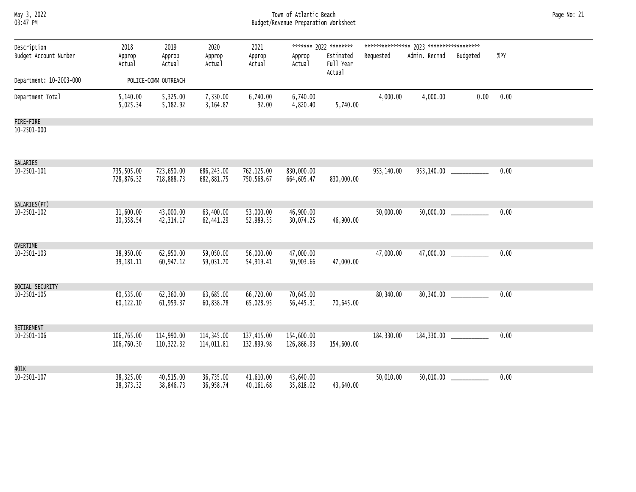| May 3, 2022<br>03:47 PM              |                          |                           | Page No: 21              |                          |                          |                                    |            |                        |                          |      |  |
|--------------------------------------|--------------------------|---------------------------|--------------------------|--------------------------|--------------------------|------------------------------------|------------|------------------------|--------------------------|------|--|
| Description<br>Budget Account Number | 2018<br>Approp           | 2019<br>Approp            | 2020<br>Approp           | 2021<br>Approp           | Approp                   | ******* 2022 ********<br>Estimated | Requested  | Admin. Recmnd Budgeted |                          | %PY  |  |
|                                      | Actual                   | Actual                    | Actual                   | Actual                   | Actual                   | Full Year<br>Actual                |            |                        |                          |      |  |
| Department: 10-2003-000              |                          | POLICE-COMM OUTREACH      |                          |                          |                          |                                    |            |                        |                          |      |  |
| Department Total                     | 5,140.00<br>5,025.34     | 5,325.00<br>5,182.92      | 7,330.00<br>3,164.87     | 6,740.00<br>92.00        | 6,740.00<br>4,820.40     | 5,740.00                           | 4,000.00   | 4,000.00               | 0.00                     | 0.00 |  |
| FIRE-FIRE                            |                          |                           |                          |                          |                          |                                    |            |                        |                          |      |  |
| 10-2501-000                          |                          |                           |                          |                          |                          |                                    |            |                        |                          |      |  |
| SALARIES                             |                          |                           |                          |                          |                          |                                    |            |                        |                          |      |  |
| 10-2501-101                          | 735,505.00<br>728,876.32 | 723,650.00<br>718,888.73  | 686,243.00<br>682,881.75 | 762,125.00<br>750,568.67 | 830,000.00<br>664,605.47 | 830,000.00                         | 953,140.00 |                        |                          | 0.00 |  |
| SALARIES(PT)                         |                          |                           |                          |                          |                          |                                    |            |                        |                          |      |  |
| 10-2501-102                          | 31,600.00<br>30,358.54   | 43,000.00<br>42, 314.17   | 63,400.00<br>62,441.29   | 53,000.00<br>52,989.55   | 46,900.00<br>30,074.25   | 46,900.00                          | 50,000.00  |                        | 50,000.00 _____________  | 0.00 |  |
| <b>OVERTIME</b>                      |                          |                           |                          |                          |                          |                                    |            |                        |                          |      |  |
| 10-2501-103                          | 38,950.00<br>39, 181. 11 | 62,950.00<br>60,947.12    | 59,050.00<br>59,031.70   | 56,000.00<br>54,919.41   | 47,000.00<br>50,903.66   | 47,000.00                          | 47,000.00  |                        | 47,000.00 ____________   | 0.00 |  |
| SOCIAL SECURITY                      |                          |                           |                          |                          |                          |                                    |            |                        |                          |      |  |
| 10-2501-105                          | 60,535.00<br>60,122.10   | 62,360.00<br>61,959.37    | 63,685.00<br>60,838.78   | 66,720.00<br>65,028.95   | 70,645.00<br>56,445.31   | 70,645.00                          | 80,340.00  |                        | 80,340.00 ______________ | 0.00 |  |
| RETIREMENT                           |                          |                           |                          |                          |                          |                                    |            |                        |                          |      |  |
| 10-2501-106                          | 106,765.00<br>106,760.30 | 114,990.00<br>110, 322.32 | 114,345.00<br>114,011.81 | 137,415.00<br>132,899.98 | 154,600.00<br>126,866.93 | 154,600.00                         | 184,330.00 |                        |                          | 0.00 |  |
| 401K                                 |                          |                           |                          |                          |                          |                                    |            |                        |                          |      |  |
| 10-2501-107                          | 38,325.00<br>38, 373. 32 | 40,515.00<br>38,846.73    | 36,735.00<br>36,958.74   | 41,610.00<br>40,161.68   | 43,640.00<br>35,818.02   | 43,640.00                          | 50,010.00  |                        |                          | 0.00 |  |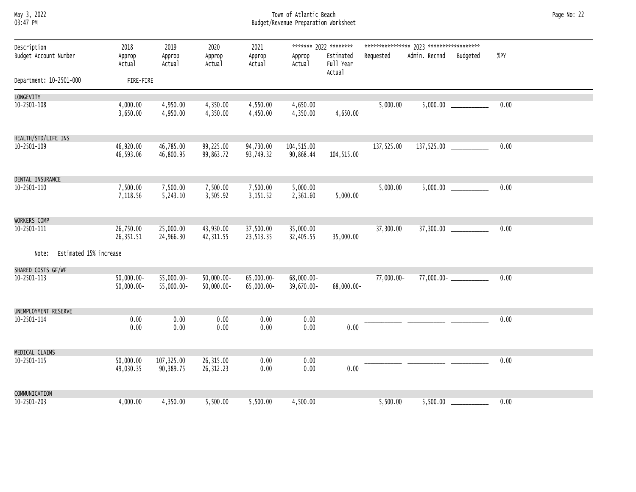# May 3, 2022 Town of Atlantic Beach Page No: 22 03:47 PM Budget/Revenue Preparation Worksheet

| Description                     | 2018                           | 2019                     | 2020                           | 2021                     |                          | ******* 2022 ********            |            |               |               |        |
|---------------------------------|--------------------------------|--------------------------|--------------------------------|--------------------------|--------------------------|----------------------------------|------------|---------------|---------------|--------|
| Budget Account Number           | Approp<br>Actual               | Approp<br>Actual         | Approp<br>Actual               | Approp<br>Actual         | Approp<br>Actual         | Estimated<br>Full Year<br>Actual | Requested  | Admin. Recmnd | Budgeted      | $%$ PY |
| Department: 10-2501-000         | FIRE-FIRE                      |                          |                                |                          |                          |                                  |            |               |               |        |
| LONGEVITY                       |                                |                          |                                |                          |                          |                                  |            |               |               |        |
| 10-2501-108                     | 4,000.00<br>3,650.00           | 4,950.00<br>4,950.00     | 4,350.00<br>4,350.00           | 4,550.00<br>4,450.00     | 4,650.00<br>4,350.00     | 4,650.00                         | 5,000.00   |               |               | 0.00   |
| HEALTH/STD/LIFE INS             |                                |                          |                                |                          |                          |                                  |            |               |               |        |
| 10-2501-109                     | 46,920.00<br>46,593.06         | 46,785.00<br>46,800.95   | 99,225.00<br>99,863.72         | 94,730.00<br>93,749.32   | 104,515.00<br>90,868.44  | 104,515.00                       | 137,525.00 |               |               | 0.00   |
| DENTAL INSURANCE                |                                |                          |                                |                          |                          |                                  |            |               |               |        |
| $10 - 2501 - 110$               | 7,500.00<br>7,118.56           | 7,500.00<br>5,243.10     | 7,500.00<br>3,505.92           | 7,500.00<br>3,151.52     | 5,000.00<br>2,361.60     | 5,000.00                         | 5,000.00   |               | 5,000.00      | 0.00   |
| WORKERS COMP                    |                                |                          |                                |                          |                          |                                  |            |               |               |        |
| 10-2501-111                     | 26,750.00<br>26,351.51         | 25,000.00<br>24,966.30   | 43,930.00<br>42,311.55         | 37,500.00<br>23,513.35   | 35,000.00<br>32,405.55   | 35,000.00                        | 37,300.00  |               | 37,300.00     | 0.00   |
| Estimated 15% increase<br>Note: |                                |                          |                                |                          |                          |                                  |            |               |               |        |
| SHARED COSTS GF/WF              |                                |                          |                                |                          |                          |                                  |            |               |               |        |
| 10-2501-113                     | $50,000.00 -$<br>$50,000.00 -$ | 55,000.00-<br>55,000.00- | $50,000.00 -$<br>$50,000.00 -$ | 65,000.00-<br>65,000.00- | 68,000.00-<br>39,670.00- | 68,000.00-                       | 77,000.00- |               | $77,000.00 -$ | 0.00   |
| UNEMPLOYMENT RESERVE            |                                |                          |                                |                          |                          |                                  |            |               |               |        |
| 10-2501-114                     | 0.00<br>0.00                   | 0.00<br>0.00             | 0.00<br>0.00                   | 0.00<br>0.00             | 0.00<br>0.00             | 0.00                             |            |               |               | 0.00   |
| MEDICAL CLAIMS                  |                                |                          |                                |                          |                          |                                  |            |               |               |        |
| 10-2501-115                     | 50,000.00<br>49,030.35         | 107,325.00<br>90,389.75  | 26,315.00<br>26, 312.23        | 0.00<br>0.00             | 0.00<br>0.00             | 0.00                             |            |               |               | 0.00   |
| COMMUNICATION                   |                                |                          |                                |                          |                          |                                  |            |               |               |        |
| 10-2501-203                     | 4,000.00                       | 4,350.00                 | 5,500.00                       | 5,500.00                 | 4,500.00                 |                                  | 5,500.00   | 5,500.00      |               | 0.00   |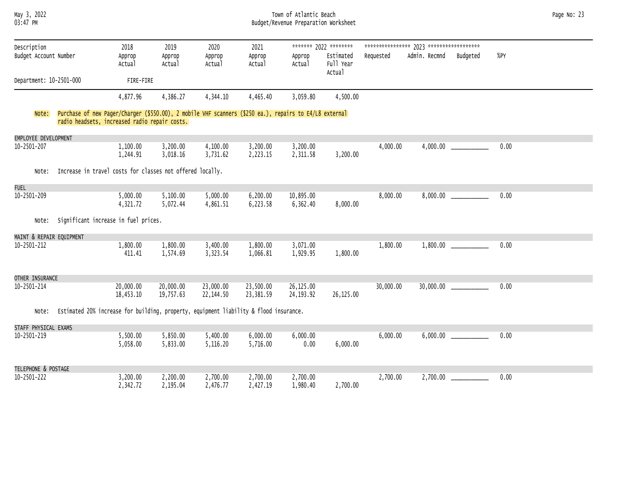# May 3, 2022 Town of Atlantic Beach Page No: 23 03:47 PM Budget/Revenue Preparation Worksheet

| Description              | 2018                                                                                                                                                    | 2019                   | 2020                   | 2021                   |                          | ******* 2022 ********            |           |               |          |      |
|--------------------------|---------------------------------------------------------------------------------------------------------------------------------------------------------|------------------------|------------------------|------------------------|--------------------------|----------------------------------|-----------|---------------|----------|------|
| Budget Account Number    | Approp<br>Actual                                                                                                                                        | Approp<br>Actual       | Approp<br>Actual       | Approp<br>Actual       | Approp<br>Actual         | Estimated<br>Full Year<br>Actual | Requested | Admin. Recmnd | Budgeted | %PY  |
| Department: 10-2501-000  | FIRE-FIRE                                                                                                                                               |                        |                        |                        |                          |                                  |           |               |          |      |
|                          | 4,877.96                                                                                                                                                | 4,386.27               | 4,344.10               | 4,465.40               | 3,059.80                 | 4,500.00                         |           |               |          |      |
| Note:                    | Purchase of new Pager/Charger (\$550.00), 2 mobile VHF scanners (\$250 ea.), repairs to E4/L8 external<br>radio headsets, increased radio repair costs. |                        |                        |                        |                          |                                  |           |               |          |      |
| EMPLOYEE DEVELOPMENT     |                                                                                                                                                         |                        |                        |                        |                          |                                  |           |               |          |      |
| 10-2501-207              | 1,100.00<br>1,244.91                                                                                                                                    | 3,200.00<br>3,018.16   | 4,100.00<br>3,731.62   | 3,200.00<br>2,223.15   | 3,200.00<br>2,311.58     | 3,200.00                         | 4,000.00  | 4,000.00      |          | 0.00 |
| Note:                    | Increase in travel costs for classes not offered locally.                                                                                               |                        |                        |                        |                          |                                  |           |               |          |      |
| <b>FUEL</b>              |                                                                                                                                                         |                        |                        |                        |                          |                                  |           |               |          |      |
| 10-2501-209              | 5,000.00<br>4,321.72                                                                                                                                    | 5,100.00<br>5,072.44   | 5,000.00<br>4,861.51   | 6,200.00<br>6,223.58   | 10,895.00<br>6,362.40    | 8,000.00                         | 8,000.00  | 8,000.00      |          | 0.00 |
| Note:                    | Significant increase in fuel prices.                                                                                                                    |                        |                        |                        |                          |                                  |           |               |          |      |
| MAINT & REPAIR EQUIPMENT |                                                                                                                                                         |                        |                        |                        |                          |                                  |           |               |          |      |
| 10-2501-212              | 1,800.00<br>411.41                                                                                                                                      | 1,800.00<br>1,574.69   | 3,400.00<br>3,323.54   | 1,800.00<br>1,066.81   | 3,071.00<br>1,929.95     | 1,800.00                         | 1,800.00  | 1,800.00      |          | 0.00 |
| OTHER INSURANCE          |                                                                                                                                                         |                        |                        |                        |                          |                                  |           |               |          |      |
| 10-2501-214              | 20,000.00<br>18,453.10                                                                                                                                  | 20,000.00<br>19,757.63 | 23,000.00<br>22,144.50 | 23,500.00<br>23,381.59 | 26,125.00<br>24, 193. 92 | 26,125.00                        | 30,000.00 | 30,000.00     |          | 0.00 |
| Note:                    | Estimated 20% increase for building, property, equipment liability & flood insurance.                                                                   |                        |                        |                        |                          |                                  |           |               |          |      |
| STAFF PHYSICAL EXAMS     |                                                                                                                                                         |                        |                        |                        |                          |                                  |           |               |          |      |
| 10-2501-219              | 5,500.00<br>5,058.00                                                                                                                                    | 5,850.00<br>5,833.00   | 5,400.00<br>5,116.20   | 6,000.00<br>5,716.00   | 6,000.00<br>0.00         | 6,000.00                         | 6,000.00  | 6,000.00      |          | 0.00 |
| TELEPHONE & POSTAGE      |                                                                                                                                                         |                        |                        |                        |                          |                                  |           |               |          |      |
| 10-2501-222              | 3,200.00<br>2,342.72                                                                                                                                    | 2,200.00<br>2,195.04   | 2,700.00<br>2,476.77   | 2,700.00<br>2,427.19   | 2,700.00<br>1,980.40     | 2,700.00                         | 2,700.00  | 2,700.00      |          | 0.00 |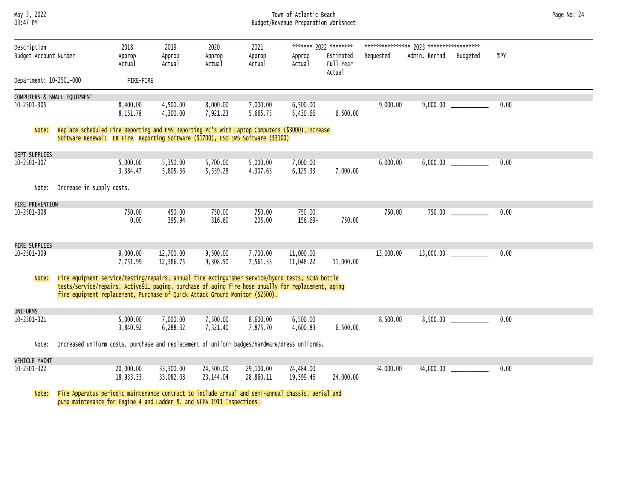# May 3, 2022 Town of Atlantic Beach Page No: 24 03:47 PM Budget/Revenue Preparation Worksheet

| Description             |                                                                                                                                                                                      | 2018                 | 2019                   | 2020                 | 2021                 |                        | ******* 2022 ******** |           |               |          |      |  |
|-------------------------|--------------------------------------------------------------------------------------------------------------------------------------------------------------------------------------|----------------------|------------------------|----------------------|----------------------|------------------------|-----------------------|-----------|---------------|----------|------|--|
| Budget Account Number   |                                                                                                                                                                                      | Approp               | Approp                 | Approp               | Approp               | Approp                 | Estimated             | Requested | Admin. Recmnd | Budgeted | %PY  |  |
|                         |                                                                                                                                                                                      | Actual               | Actual                 | Actual               | Actual               | Actual                 | Full Year<br>Actual   |           |               |          |      |  |
| Department: 10-2501-000 |                                                                                                                                                                                      | FIRE-FIRE            |                        |                      |                      |                        |                       |           |               |          |      |  |
|                         | COMPUTERS & SMALL EQUIPMENT                                                                                                                                                          |                      |                        |                      |                      |                        |                       |           |               |          |      |  |
| 10-2501-305             |                                                                                                                                                                                      | 8,400.00             | 4,500.00               | 8,000.00             | 7,000.00             | 6,500.00               |                       | 9,000.00  | 9,000.00      |          | 0.00 |  |
|                         |                                                                                                                                                                                      | 8,151.78             | 4,300.00               | 7,921.23             | 5,665.75             | 5,430.66               | 6,500.00              |           |               |          |      |  |
| Note:                   | Replace scheduled Fire Reporting and EMS Reporting PC's with Laptop Computers (\$3000), Increase                                                                                     |                      |                        |                      |                      |                        |                       |           |               |          |      |  |
|                         | Software Renewal: ER Fire Reporting Software (\$1700), ESO EMS Software (\$3100)                                                                                                     |                      |                        |                      |                      |                        |                       |           |               |          |      |  |
| <b>DEPT SUPPLIES</b>    |                                                                                                                                                                                      |                      |                        |                      |                      |                        |                       |           |               |          |      |  |
| 10-2501-307             |                                                                                                                                                                                      | 5,000.00             | 5,350.00               | 5,700.00             | 5,000.00             | 7,000.00               |                       | 6,000.00  | 6,000.00      |          | 0.00 |  |
|                         |                                                                                                                                                                                      | 3,384.47             | 5,805.36               | 5,539.28             | 4,307.63             | 6,125.33               | 7,000.00              |           |               |          |      |  |
| Note:                   | Increase in supply costs.                                                                                                                                                            |                      |                        |                      |                      |                        |                       |           |               |          |      |  |
| FIRE PREVENTION         |                                                                                                                                                                                      |                      |                        |                      |                      |                        |                       |           |               |          |      |  |
| 10-2501-308             |                                                                                                                                                                                      | 750.00               | 450.00                 | 750.00               | 750.00               | 750.00                 |                       | 750.00    | 750.00        |          | 0.00 |  |
|                         |                                                                                                                                                                                      | 0.00                 | 395.94                 | 316.60               | 205.00               | 156.69-                | 750.00                |           |               |          |      |  |
|                         |                                                                                                                                                                                      |                      |                        |                      |                      |                        |                       |           |               |          |      |  |
| FIRE SUPPLIES           |                                                                                                                                                                                      |                      |                        |                      |                      |                        |                       |           |               |          |      |  |
| 10-2501-309             |                                                                                                                                                                                      | 9,000.00<br>7,751.99 | 12,700.00<br>12,386.75 | 9,500.00<br>9,308.50 | 7,700.00<br>7,561.33 | 11,000.00<br>11,048.22 | 11,000.00             | 13,000.00 | 13,000.00     |          | 0.00 |  |
|                         |                                                                                                                                                                                      |                      |                        |                      |                      |                        |                       |           |               |          |      |  |
| Note:                   | Fire equipment service/testing/repairs, annual fire extinguisher service/hydro tests, SCBA bottle                                                                                    |                      |                        |                      |                      |                        |                       |           |               |          |      |  |
|                         | tests/service/repairs, Active911 paging, purchase of aging fire hose anually for replacement, aging<br>fire equipment replacement, Purchase of Quick Attack Ground Monitor (\$2500). |                      |                        |                      |                      |                        |                       |           |               |          |      |  |
|                         |                                                                                                                                                                                      |                      |                        |                      |                      |                        |                       |           |               |          |      |  |
| <b>UNIFORMS</b>         |                                                                                                                                                                                      |                      |                        |                      |                      |                        |                       |           |               |          |      |  |
| $10 - 2501 - 321$       |                                                                                                                                                                                      | 5,000.00<br>3,840.92 | 7,000.00<br>6,288.32   | 7,500.00<br>7,321.40 | 8,600.00<br>7,875.70 | 6,500.00<br>4,600.83   | 6,500.00              | 8,500.00  | 8,500.00      |          | 0.00 |  |
|                         |                                                                                                                                                                                      |                      |                        |                      |                      |                        |                       |           |               |          |      |  |
| Note:                   | Increased uniform costs, purchase and replacement of uniform badges/hardware/dress uniforms.                                                                                         |                      |                        |                      |                      |                        |                       |           |               |          |      |  |
| <b>VEHICLE MAINT</b>    |                                                                                                                                                                                      |                      |                        |                      |                      |                        |                       |           |               |          |      |  |
| 10-2501-322             |                                                                                                                                                                                      | 20,000.00            | 33,300.00              | 24,500.00            | 29,100.00            | 24,484.00              |                       | 34,000.00 | 34,000.00     |          | 0.00 |  |
|                         |                                                                                                                                                                                      | 18,933.33            | 33,082.08              | 23,144.04            | 28,860.11            | 19,599.46              | 24,000.00             |           |               |          |      |  |
| Note:                   | Fire Apparatus periodic maintenance contract to include annual and semi-annual chassis, aerial and                                                                                   |                      |                        |                      |                      |                        |                       |           |               |          |      |  |
|                         | pump maintenance for Engine 4 and Ladder 8, and NFPA 1911 Inspections.                                                                                                               |                      |                        |                      |                      |                        |                       |           |               |          |      |  |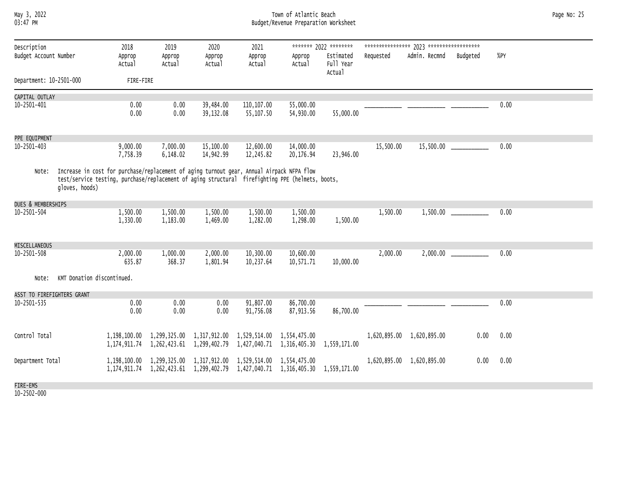# May 3, 2022 Town of Atlantic Beach Page No: 25 03:47 PM Budget/Revenue Preparation Worksheet

| Description                |                            | 2018                                                                                                                                                                                          | 2019                                                            | 2020                   | 2021                                      |                                           | ******* 2022 ********            |           |                           |          |      |  |
|----------------------------|----------------------------|-----------------------------------------------------------------------------------------------------------------------------------------------------------------------------------------------|-----------------------------------------------------------------|------------------------|-------------------------------------------|-------------------------------------------|----------------------------------|-----------|---------------------------|----------|------|--|
| Budget Account Number      |                            | Approp<br>Actual                                                                                                                                                                              | Approp<br>Actual                                                | Approp<br>Actual       | Approp<br>Actual                          | Approp<br>Actual                          | Estimated<br>Full Year<br>Actual | Requested | Admin. Recmnd             | Budgeted | %PY  |  |
| Department: 10-2501-000    |                            | FIRE-FIRE                                                                                                                                                                                     |                                                                 |                        |                                           |                                           |                                  |           |                           |          |      |  |
| CAPITAL OUTLAY             |                            |                                                                                                                                                                                               |                                                                 |                        |                                           |                                           |                                  |           |                           |          |      |  |
| $10 - 2501 - 401$          |                            | 0.00<br>0.00                                                                                                                                                                                  | 0.00<br>0.00                                                    | 39,484.00<br>39,132.08 | 110, 107.00<br>55,107.50                  | 55,000.00<br>54,930.00                    | 55,000.00                        |           |                           |          | 0.00 |  |
| PPE EQUIPMENT              |                            |                                                                                                                                                                                               |                                                                 |                        |                                           |                                           |                                  |           |                           |          |      |  |
| 10-2501-403                |                            | 9,000.00<br>7,758.39                                                                                                                                                                          | 7,000.00<br>6,148.02                                            | 15,100.00<br>14,942.99 | 12,600.00<br>12,245.82                    | 14,000.00<br>20,176.94                    | 23,946.00                        | 15,500.00 | 15,500.00                 |          | 0.00 |  |
| Note:                      | gloves, hoods)             | Increase in cost for purchase/replacement of aging turnout gear, Annual Airpack NFPA flow<br>test/service testing, purchase/replacement of aging structural firefighting PPE (helmets, boots, |                                                                 |                        |                                           |                                           |                                  |           |                           |          |      |  |
| DUES & MEMBERSHIPS         |                            |                                                                                                                                                                                               |                                                                 |                        |                                           |                                           |                                  |           |                           |          |      |  |
| 10-2501-504                |                            | 1,500.00<br>1,330.00                                                                                                                                                                          | 1,500.00<br>1,183.00                                            | 1,500.00<br>1,469.00   | 1,500.00<br>1,282.00                      | 1,500.00<br>1,298.00                      | 1,500.00                         | 1,500.00  | 1,500.00                  |          | 0.00 |  |
| MISCELLANEOUS              |                            |                                                                                                                                                                                               |                                                                 |                        |                                           |                                           |                                  |           |                           |          |      |  |
| 10-2501-508                |                            | 2,000.00<br>635.87                                                                                                                                                                            | 1,000.00<br>368.37                                              | 2,000.00<br>1,801.94   | 10,300.00<br>10,237.64                    | 10,600.00<br>10,571.71                    | 10,000.00                        | 2,000.00  | 2,000.00                  |          | 0.00 |  |
| Note:                      | KMT Donation discontinued. |                                                                                                                                                                                               |                                                                 |                        |                                           |                                           |                                  |           |                           |          |      |  |
| ASST TO FIREFIGHTERS GRANT |                            |                                                                                                                                                                                               |                                                                 |                        |                                           |                                           |                                  |           |                           |          |      |  |
| 10-2501-535                |                            | 0.00<br>0.00                                                                                                                                                                                  | 0.00<br>0.00                                                    | 0.00<br>0.00           | 91,807.00<br>91,756.08                    | 86,700.00<br>87,913.56                    | 86,700.00                        |           |                           |          | 0.00 |  |
| Control Total              |                            | 1,198,100.00<br>1,174,911.74                                                                                                                                                                  | 1,299,325.00 1,317,912.00<br>1,262,423.61                       | 1,299,402.79           | 1,529,514.00                              | 1,554,475.00<br>1,427,040.71 1,316,405.30 | 1,559,171.00                     |           | 1,620,895.00 1,620,895.00 | 0.00     | 0.00 |  |
| Department Total           |                            | 1,198,100.00                                                                                                                                                                                  | 1,299,325.00<br>1, 174, 911. 74 1, 262, 423. 61 1, 299, 402. 79 | 1,317,912.00           | 1,529,514.00<br>1,427,040.71 1,316,405.30 | 1,554,475.00                              | 1,559,171.00                     |           | 1,620,895.00 1,620,895.00 | 0.00     | 0.00 |  |
| FIRE-EMS                   |                            |                                                                                                                                                                                               |                                                                 |                        |                                           |                                           |                                  |           |                           |          |      |  |
|                            |                            |                                                                                                                                                                                               |                                                                 |                        |                                           |                                           |                                  |           |                           |          |      |  |

10-2502-000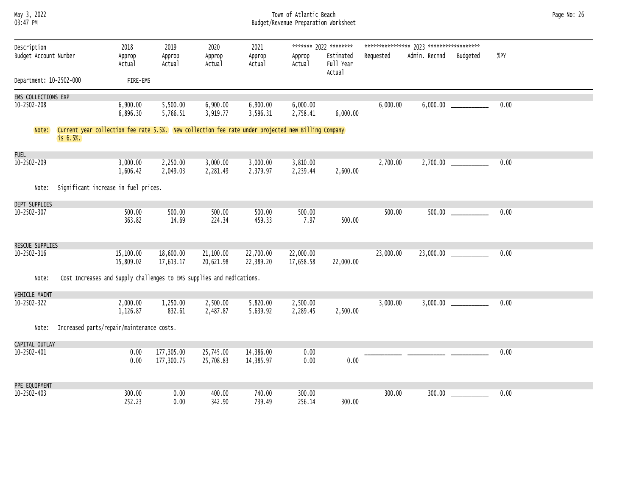### May 3, 2022 Town of Atlantic Beach Page No: 26 03:47 PM Budget/Revenue Preparation Worksheet

| Description             |                                                                                                                   | 2018                   | 2019                     | 2020                   | 2021                   |                        | ******* 2022 ********            |           |               |          |      |
|-------------------------|-------------------------------------------------------------------------------------------------------------------|------------------------|--------------------------|------------------------|------------------------|------------------------|----------------------------------|-----------|---------------|----------|------|
| Budget Account Number   |                                                                                                                   | Approp<br>Actual       | Approp<br>Actual         | Approp<br>Actual       | Approp<br>Actual       | Approp<br>Actual       | Estimated<br>Full Year<br>Actual | Requested | Admin. Recmnd | Budgeted | %PY  |
| Department: 10-2502-000 |                                                                                                                   | FIRE-EMS               |                          |                        |                        |                        |                                  |           |               |          |      |
| EMS COLLECTIONS EXP     |                                                                                                                   |                        |                          |                        |                        |                        |                                  |           |               |          |      |
| $10 - 2502 - 208$       |                                                                                                                   | 6,900.00<br>6,896.30   | 5,500.00<br>5,766.51     | 6,900.00<br>3,919.77   | 6,900.00<br>3,596.31   | 6,000.00<br>2,758.41   | 6,000.00                         | 6,000.00  | 6,000.00      |          | 0.00 |
| Note:                   | Current year collection fee rate 5.5%. New collection fee rate under projected new Billing Company<br>$is 6.5%$ . |                        |                          |                        |                        |                        |                                  |           |               |          |      |
| <b>FUEL</b>             |                                                                                                                   |                        |                          |                        |                        |                        |                                  |           |               |          |      |
| 10-2502-209             |                                                                                                                   | 3,000.00<br>1,606.42   | 2,250.00<br>2,049.03     | 3,000.00<br>2,281.49   | 3,000.00<br>2,379.97   | 3,810.00<br>2,239.44   | 2,600.00                         | 2,700.00  |               |          | 0.00 |
| Note:                   | Significant increase in fuel prices.                                                                              |                        |                          |                        |                        |                        |                                  |           |               |          |      |
| DEPT SUPPLIES           |                                                                                                                   |                        |                          |                        |                        |                        |                                  |           |               |          |      |
| $10 - 2502 - 307$       |                                                                                                                   | 500.00<br>363.82       | 500.00<br>14.69          | 500.00<br>224.34       | 500.00<br>459.33       | 500.00<br>7.97         | 500.00                           | 500.00    | 500.00        |          | 0.00 |
| RESCUE SUPPLIES         |                                                                                                                   |                        |                          |                        |                        |                        |                                  |           |               |          |      |
| $10 - 2502 - 316$       |                                                                                                                   | 15,100.00<br>15,809.02 | 18,600.00<br>17,613.17   | 21,100.00<br>20,621.98 | 22,700.00<br>22,389.20 | 22,000.00<br>17,658.58 | 22,000.00                        | 23,000.00 | 23,000.00     |          | 0.00 |
| Note:                   | Cost Increases and Supply challenges to EMS supplies and medications.                                             |                        |                          |                        |                        |                        |                                  |           |               |          |      |
| <b>VEHICLE MAINT</b>    |                                                                                                                   |                        |                          |                        |                        |                        |                                  |           |               |          |      |
| 10-2502-322             |                                                                                                                   | 2,000.00<br>1,126.87   | 1,250.00<br>832.61       | 2,500.00<br>2,487.87   | 5,820.00<br>5,639.92   | 2,500.00<br>2,289.45   | 2,500.00                         | 3,000.00  | 3,000.00      |          | 0.00 |
| Note:                   | Increased parts/repair/maintenance costs.                                                                         |                        |                          |                        |                        |                        |                                  |           |               |          |      |
| CAPITAL OUTLAY          |                                                                                                                   |                        |                          |                        |                        |                        |                                  |           |               |          |      |
| $10 - 2502 - 401$       |                                                                                                                   | 0.00<br>0.00           | 177,305.00<br>177,300.75 | 25,745.00<br>25,708.83 | 14,386.00<br>14,385.97 | 0.00<br>0.00           | 0.00                             |           |               |          | 0.00 |
| PPE EQUIPMENT           |                                                                                                                   |                        |                          |                        |                        |                        |                                  |           |               |          |      |
| $10 - 2502 - 403$       |                                                                                                                   | 300.00<br>252.23       | 0.00<br>0.00             | 400.00<br>342.90       | 740.00<br>739.49       | 300.00<br>256.14       | 300.00                           | 300.00    | 300.00        |          | 0.00 |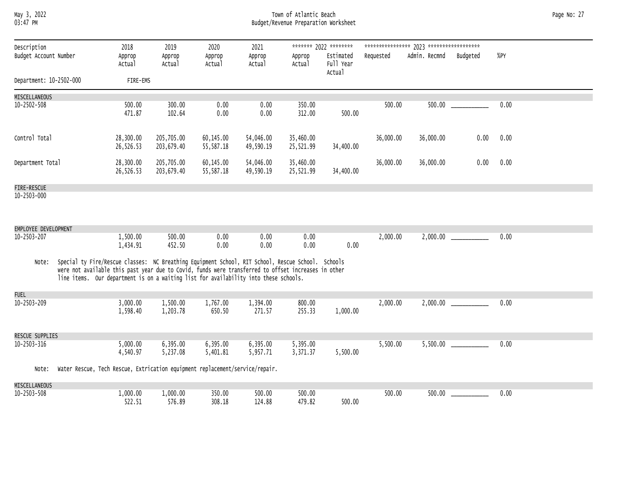May 3, 2022 Town of Atlantic Beach Page No: 27 03:47 PM Budget/Revenue Preparation Worksheet

| Description<br>Budget Account Number |                                                                                                                                                                                                                                                                                                  | 2018<br>Approp         | 2019<br>Approp           | 2020<br>Approp         | 2021<br>Approp         | Approp                 | ******* 2022 ********<br>Estimated | Requested | Admin. Recmnd | Budgeted | $%$ PY |
|--------------------------------------|--------------------------------------------------------------------------------------------------------------------------------------------------------------------------------------------------------------------------------------------------------------------------------------------------|------------------------|--------------------------|------------------------|------------------------|------------------------|------------------------------------|-----------|---------------|----------|--------|
|                                      |                                                                                                                                                                                                                                                                                                  | Actual                 | Actual                   | Actual                 | Actual                 | Actual                 | Full Year<br>Actual                |           |               |          |        |
| Department: 10-2502-000              |                                                                                                                                                                                                                                                                                                  | FIRE-EMS               |                          |                        |                        |                        |                                    |           |               |          |        |
| MISCELLANEOUS                        |                                                                                                                                                                                                                                                                                                  |                        |                          |                        |                        |                        |                                    |           |               |          |        |
| $10 - 2502 - 508$                    |                                                                                                                                                                                                                                                                                                  | 500.00<br>471.87       | 300.00<br>102.64         | 0.00<br>0.00           | 0.00<br>0.00           | 350.00<br>312.00       | 500.00                             | 500.00    | 500.00        |          | 0.00   |
| Control Total                        |                                                                                                                                                                                                                                                                                                  | 28,300.00<br>26,526.53 | 205,705.00<br>203,679.40 | 60,145.00<br>55,587.18 | 54,046.00<br>49,590.19 | 35,460.00<br>25,521.99 | 34,400.00                          | 36,000.00 | 36,000.00     | 0.00     | 0.00   |
| Department Total                     |                                                                                                                                                                                                                                                                                                  | 28,300.00<br>26,526.53 | 205,705.00<br>203,679.40 | 60,145.00<br>55,587.18 | 54,046.00<br>49,590.19 | 35,460.00<br>25,521.99 | 34,400.00                          | 36,000.00 | 36,000.00     | 0.00     | 0.00   |
| FIRE-RESCUE                          |                                                                                                                                                                                                                                                                                                  |                        |                          |                        |                        |                        |                                    |           |               |          |        |
| 10-2503-000                          |                                                                                                                                                                                                                                                                                                  |                        |                          |                        |                        |                        |                                    |           |               |          |        |
| EMPLOYEE DEVELOPMENT                 |                                                                                                                                                                                                                                                                                                  |                        |                          |                        |                        |                        |                                    |           |               |          |        |
| 10-2503-207                          |                                                                                                                                                                                                                                                                                                  | 1,500.00<br>1,434.91   | 500.00<br>452.50         | 0.00<br>0.00           | 0.00<br>0.00           | 0.00<br>0.00           | 0.00                               | 2,000.00  | 2,000.00      |          | 0.00   |
| Note:                                | Special ty Fire/Rescue classes: NC Breathing Equipment School, RIT School, Rescue School. Schools<br>were not available this past year due to Covid, funds were transferred to offset increases in other<br>line items. Our department is on a waiting list for availability into these schools. |                        |                          |                        |                        |                        |                                    |           |               |          |        |
| <b>FUEL</b>                          |                                                                                                                                                                                                                                                                                                  |                        |                          |                        |                        |                        |                                    |           |               |          |        |
| 10-2503-209                          |                                                                                                                                                                                                                                                                                                  | 3,000.00<br>1,598.40   | 1,500.00<br>1,203.78     | 1,767.00<br>650.50     | 1,394.00<br>271.57     | 800.00<br>255.33       | 1,000.00                           | 2,000.00  | 2,000.00      |          | 0.00   |
| <b>RESCUE SUPPLIES</b>               |                                                                                                                                                                                                                                                                                                  |                        |                          |                        |                        |                        |                                    |           |               |          |        |
| 10-2503-316                          |                                                                                                                                                                                                                                                                                                  | 5,000.00<br>4,540.97   | 6,395.00<br>5,237.08     | 6,395.00<br>5,401.81   | 6,395.00<br>5,957.71   | 5,395.00<br>3,371.37   | 5,500.00                           | 5,500.00  | 5,500.00      |          | 0.00   |
| Note:                                | Water Rescue, Tech Rescue, Extrication equipment replacement/service/repair.                                                                                                                                                                                                                     |                        |                          |                        |                        |                        |                                    |           |               |          |        |
| MISCELLANEOUS                        |                                                                                                                                                                                                                                                                                                  |                        |                          |                        |                        |                        |                                    |           |               |          |        |
| $10 - 2503 - 508$                    |                                                                                                                                                                                                                                                                                                  | 1,000.00<br>522.51     | 1,000.00<br>576.89       | 350.00<br>308.18       | 500.00<br>124.88       | 500.00<br>479.82       | 500.00                             | 500.00    | 500.00        |          | 0.00   |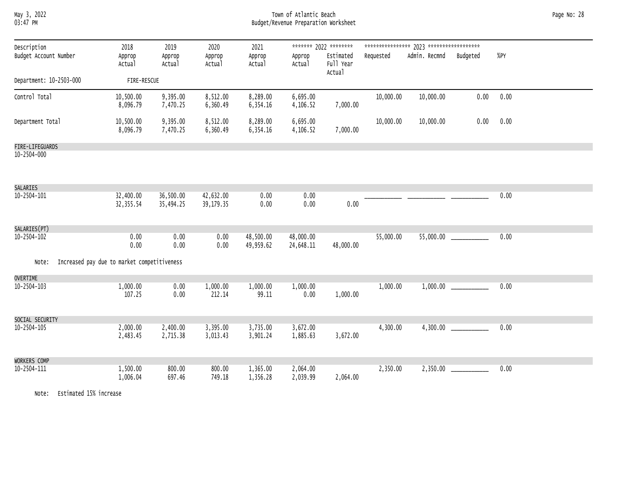May 3, 2022 Town of Atlantic Beach Page No: 28 03:47 PM Budget/Revenue Preparation Worksheet

| Description<br>Budget Account Number                 | 2018<br>Approp<br>Actual | 2019<br>Approp<br>Actual | 2020<br>Approp<br>Actual | 2021<br>Approp<br>Actual | Approp<br>Actual       | ******* 2022 ********<br>Estimated<br>Full Year<br>Actual | Requested | Admin. Recmnd | Budgeted | %PY  |
|------------------------------------------------------|--------------------------|--------------------------|--------------------------|--------------------------|------------------------|-----------------------------------------------------------|-----------|---------------|----------|------|
| Department: 10-2503-000                              | FIRE-RESCUE              |                          |                          |                          |                        |                                                           |           |               |          |      |
| Control Total                                        | 10,500.00<br>8,096.79    | 9,395.00<br>7,470.25     | 8,512.00<br>6,360.49     | 8,289.00<br>6,354.16     | 6,695.00<br>4,106.52   | 7,000.00                                                  | 10,000.00 | 10,000.00     | 0.00     | 0.00 |
| Department Total                                     | 10,500.00<br>8,096.79    | 9,395.00<br>7,470.25     | 8,512.00<br>6,360.49     | 8,289.00<br>6,354.16     | 6,695.00<br>4,106.52   | 7,000.00                                                  | 10,000.00 | 10,000.00     | 0.00     | 0.00 |
| FIRE-LIFEGUARDS                                      |                          |                          |                          |                          |                        |                                                           |           |               |          |      |
| 10-2504-000                                          |                          |                          |                          |                          |                        |                                                           |           |               |          |      |
| SALARIES                                             |                          |                          |                          |                          |                        |                                                           |           |               |          |      |
| $10 - 2504 - 101$                                    | 32,400.00<br>32, 355.54  | 36,500.00<br>35,494.25   | 42,632.00<br>39,179.35   | 0.00<br>0.00             | 0.00<br>0.00           | 0.00                                                      |           |               |          | 0.00 |
| SALARIES(PT)                                         |                          |                          |                          |                          |                        |                                                           |           |               |          |      |
| 10-2504-102                                          | 0.00<br>0.00             | 0.00<br>0.00             | 0.00<br>0.00             | 48,500.00<br>49,959.62   | 48,000.00<br>24,648.11 | 48,000.00                                                 | 55,000.00 |               |          | 0.00 |
| Increased pay due to market competitiveness<br>Note: |                          |                          |                          |                          |                        |                                                           |           |               |          |      |
| OVERTIME                                             |                          |                          |                          |                          |                        |                                                           |           |               |          |      |
| 10-2504-103                                          | 1,000.00<br>107.25       | 0.00<br>0.00             | 1,000.00<br>212.14       | 1,000.00<br>99.11        | 1,000.00<br>0.00       | 1,000.00                                                  | 1,000.00  | 1,000.00      |          | 0.00 |
| SOCIAL SECURITY                                      |                          |                          |                          |                          |                        |                                                           |           |               |          |      |
| 10-2504-105                                          | 2,000.00<br>2,483.45     | 2,400.00<br>2,715.38     | 3,395.00<br>3,013.43     | 3,735.00<br>3,901.24     | 3,672.00<br>1,885.63   | 3,672.00                                                  | 4,300.00  |               |          | 0.00 |
| WORKERS COMP                                         |                          |                          |                          |                          |                        |                                                           |           |               |          |      |
| 10-2504-111                                          | 1,500.00<br>1,006.04     | 800.00<br>697.46         | 800.00<br>749.18         | 1,365.00<br>1,356.28     | 2,064.00<br>2,039.99   | 2,064.00                                                  | 2,350.00  |               |          | 0.00 |

Note: Estimated 15% increase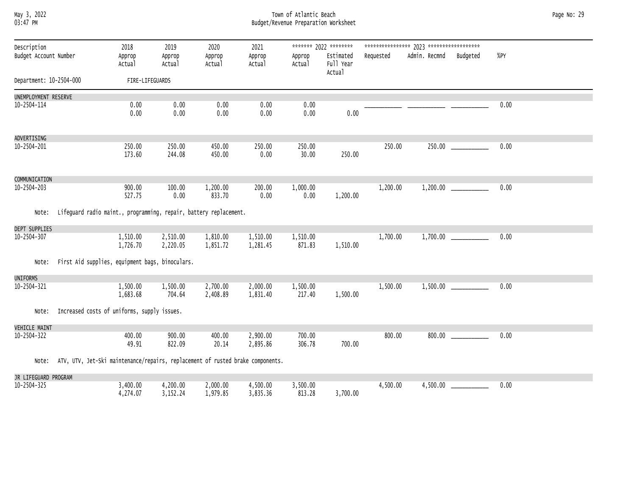# May 3, 2022 Town of Atlantic Beach Page No: 29 03:47 PM Budget/Revenue Preparation Worksheet

| Description             |                                                                                      | 2018                 | 2019                 | 2020                 | 2021                 |                    | ******* 2022 ********            |           |               |          |        |
|-------------------------|--------------------------------------------------------------------------------------|----------------------|----------------------|----------------------|----------------------|--------------------|----------------------------------|-----------|---------------|----------|--------|
| Budget Account Number   |                                                                                      | Approp<br>Actual     | Approp<br>Actual     | Approp<br>Actual     | Approp<br>Actual     | Approp<br>Actual   | Estimated<br>Full Year<br>Actual | Requested | Admin. Recmnd | Budgeted | $%$ PY |
| Department: 10-2504-000 |                                                                                      | FIRE-LIFEGUARDS      |                      |                      |                      |                    |                                  |           |               |          |        |
| UNEMPLOYMENT RESERVE    |                                                                                      |                      |                      |                      |                      |                    |                                  |           |               |          |        |
| 10-2504-114             |                                                                                      | 0.00<br>0.00         | 0.00<br>0.00         | 0.00<br>0.00         | 0.00<br>0.00         | 0.00<br>0.00       | 0.00                             |           |               |          | 0.00   |
| ADVERTISING             |                                                                                      |                      |                      |                      |                      |                    |                                  |           |               |          |        |
| 10-2504-201             |                                                                                      | 250.00<br>173.60     | 250.00<br>244.08     | 450.00<br>450.00     | 250.00<br>0.00       | 250.00<br>30.00    | 250.00                           | 250.00    |               |          | 0.00   |
| COMMUNICATION           |                                                                                      |                      |                      |                      |                      |                    |                                  |           |               |          |        |
| 10-2504-203             |                                                                                      | 900.00<br>527.75     | 100.00<br>0.00       | 1,200.00<br>833.70   | 200.00<br>0.00       | 1,000.00<br>0.00   | 1,200.00                         | 1,200.00  |               |          | 0.00   |
| Note:                   | Lifeguard radio maint., programming, repair, battery replacement.                    |                      |                      |                      |                      |                    |                                  |           |               |          |        |
| DEPT SUPPLIES           |                                                                                      |                      |                      |                      |                      |                    |                                  |           |               |          |        |
| 10-2504-307             |                                                                                      | 1,510.00<br>1,726.70 | 2,510.00<br>2,220.05 | 1,810.00<br>1,851.72 | 1,510.00<br>1,281.45 | 1,510.00<br>871.83 | 1,510.00                         | 1,700.00  |               |          | 0.00   |
| Note:                   | First Aid supplies, equipment bags, binoculars.                                      |                      |                      |                      |                      |                    |                                  |           |               |          |        |
| <b>UNIFORMS</b>         |                                                                                      |                      |                      |                      |                      |                    |                                  |           |               |          |        |
| 10-2504-321             |                                                                                      | 1,500.00<br>1,683.68 | 1,500.00<br>704.64   | 2,700.00<br>2,408.89 | 2,000.00<br>1,831.40 | 1,500.00<br>217.40 | 1,500.00                         | 1,500.00  |               |          | 0.00   |
| Note:                   | Increased costs of uniforms, supply issues.                                          |                      |                      |                      |                      |                    |                                  |           |               |          |        |
| <b>VEHICLE MAINT</b>    |                                                                                      |                      |                      |                      |                      |                    |                                  |           |               |          |        |
| 10-2504-322             |                                                                                      | 400.00<br>49.91      | 900.00<br>822.09     | 400.00<br>20.14      | 2,900.00<br>2,895.86 | 700.00<br>306.78   | 700.00                           | 800.00    | 800.00        |          | 0.00   |
|                         | Note: ATV, UTV, Jet-Ski maintenance/repairs, replacement of rusted brake components. |                      |                      |                      |                      |                    |                                  |           |               |          |        |
| JR LIFEGUARD PROGRAM    |                                                                                      |                      |                      |                      |                      |                    |                                  |           |               |          |        |
| 10-2504-325             |                                                                                      | 3,400.00<br>4,274.07 | 4,200.00<br>3,152.24 | 2,000.00<br>1,979.85 | 4,500.00<br>3,835.36 | 3,500.00<br>813.28 | 3,700.00                         | 4,500.00  | 4,500.00      |          | 0.00   |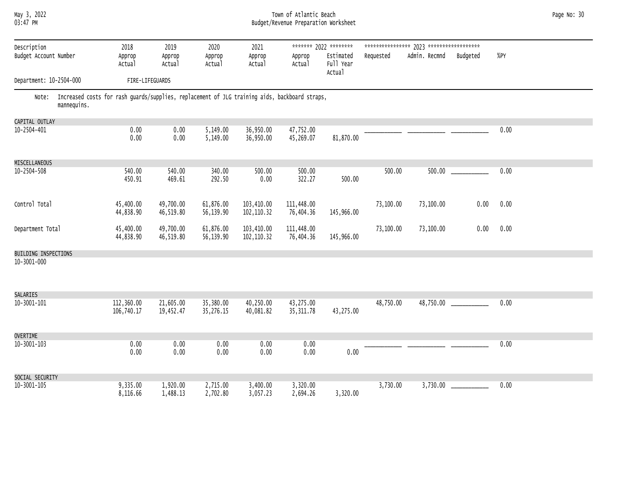# May 3, 2022 Town of Atlantic Beach Page No: 30 03:47 PM Budget/Revenue Preparation Worksheet

| Description<br>Budget Account Number                                                                               | 2018<br>Approp           | 2019<br>Approp         | 2020<br>Approp         | 2021<br>Approp            | Approp                  | ******* 2022 ********<br>Estimated | Requested | Admin. Recmnd | Budgeted | %PY  |
|--------------------------------------------------------------------------------------------------------------------|--------------------------|------------------------|------------------------|---------------------------|-------------------------|------------------------------------|-----------|---------------|----------|------|
|                                                                                                                    | Actual                   | Actual                 | Actual                 | Actual                    | Actual                  | Full Year<br>Actual                |           |               |          |      |
| Department: 10-2504-000                                                                                            | FIRE-LIFEGUARDS          |                        |                        |                           |                         |                                    |           |               |          |      |
| Note: Increased costs for rash guards/supplies, replacement of JLG training aids, backboard straps,<br>mannequins. |                          |                        |                        |                           |                         |                                    |           |               |          |      |
| CAPITAL OUTLAY                                                                                                     |                          |                        |                        |                           |                         |                                    |           |               |          |      |
| 10-2504-401                                                                                                        | 0.00<br>0.00             | 0.00<br>0.00           | 5,149.00<br>5,149.00   | 36,950.00<br>36,950.00    | 47,752.00<br>45,269.07  | 81,870.00                          |           |               |          | 0.00 |
| MISCELLANEOUS                                                                                                      |                          |                        |                        |                           |                         |                                    |           |               |          |      |
| $10 - 2504 - 508$                                                                                                  | 540.00<br>450.91         | 540.00<br>469.61       | 340.00<br>292.50       | 500.00<br>0.00            | 500.00<br>322.27        | 500.00                             | 500.00    | 500.00        |          | 0.00 |
| Control Total                                                                                                      | 45,400.00<br>44,838.90   | 49,700.00<br>46,519.80 | 61,876.00<br>56,139.90 | 103,410.00<br>102, 110.32 | 111,448.00<br>76,404.36 | 145,966.00                         | 73,100.00 | 73,100.00     | 0.00     | 0.00 |
| Department Total                                                                                                   | 45,400.00<br>44,838.90   | 49,700.00<br>46,519.80 | 61,876.00<br>56,139.90 | 103,410.00<br>102, 110.32 | 111,448.00<br>76,404.36 | 145,966.00                         | 73,100.00 | 73,100.00     | 0.00     | 0.00 |
| BUILDING INSPECTIONS                                                                                               |                          |                        |                        |                           |                         |                                    |           |               |          |      |
| 10-3001-000                                                                                                        |                          |                        |                        |                           |                         |                                    |           |               |          |      |
| SALARIES<br>$10 - 3001 - 101$                                                                                      | 112,360.00<br>106,740.17 | 21,605.00<br>19,452.47 | 35,380.00<br>35,276.15 | 40,250.00<br>40,081.82    | 43,275.00<br>35, 311.78 | 43,275.00                          | 48,750.00 |               |          | 0.00 |
| <b>OVERTIME</b>                                                                                                    |                          |                        |                        |                           |                         |                                    |           |               |          |      |
| $10 - 3001 - 103$                                                                                                  | 0.00<br>0.00             | 0.00<br>0.00           | 0.00<br>0.00           | 0.00<br>0.00              | 0.00<br>0.00            | 0.00                               |           |               |          | 0.00 |
| SOCIAL SECURITY                                                                                                    |                          |                        |                        |                           |                         |                                    |           |               |          |      |
| $10 - 3001 - 105$                                                                                                  | 9,335.00<br>8,116.66     | 1,920.00<br>1,488.13   | 2,715.00<br>2,702.80   | 3,400.00<br>3,057.23      | 3,320.00<br>2,694.26    | 3,320.00                           | 3,730.00  | 3,730.00      |          | 0.00 |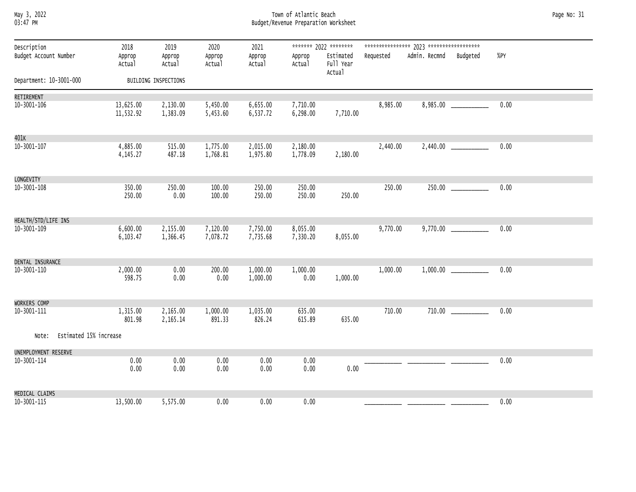### May 3, 2022 Town of Atlantic Beach Page No: 31 03:47 PM Budget/Revenue Preparation Worksheet

| Description                  | 2018                   | 2019                 | 2020                 | 2021                 |                      | ******* 2022 ********            |           |                        |                           |      |  |
|------------------------------|------------------------|----------------------|----------------------|----------------------|----------------------|----------------------------------|-----------|------------------------|---------------------------|------|--|
| Budget Account Number        | Approp<br>Actual       | Approp<br>Actual     | Approp<br>Actual     | Approp<br>Actual     | Approp<br>Actual     | Estimated<br>Full Year<br>Actual | Requested | Admin. Recmnd Budgeted |                           | %PY  |  |
| Department: 10-3001-000      |                        | BUILDING INSPECTIONS |                      |                      |                      |                                  |           |                        |                           |      |  |
| RETIREMENT                   |                        |                      |                      |                      |                      |                                  |           |                        |                           |      |  |
| 10-3001-106                  | 13,625.00<br>11,532.92 | 2,130.00<br>1,383.09 | 5,450.00<br>5,453.60 | 6,655.00<br>6,537.72 | 7,710.00<br>6,298.00 | 7,710.00                         | 8,985.00  |                        |                           | 0.00 |  |
| 401K                         |                        |                      |                      |                      |                      |                                  |           |                        |                           |      |  |
| 10-3001-107                  | 4,885.00<br>4, 145.27  | 515.00<br>487.18     | 1,775.00<br>1,768.81 | 2,015.00<br>1,975.80 | 2,180.00<br>1,778.09 | 2,180.00                         | 2,440.00  |                        |                           | 0.00 |  |
| LONGEVITY                    |                        |                      |                      |                      |                      |                                  |           |                        |                           |      |  |
| 10-3001-108                  | 350.00<br>250.00       | 250.00<br>0.00       | 100.00<br>100.00     | 250.00<br>250.00     | 250.00<br>250.00     | 250.00                           | 250.00    |                        |                           | 0.00 |  |
| HEALTH/STD/LIFE INS          |                        |                      |                      |                      |                      |                                  |           |                        |                           |      |  |
| 10-3001-109                  | 6,600.00<br>6, 103.47  | 2,155.00<br>1,366.45 | 7,120.00<br>7,078.72 | 7,750.00<br>7,735.68 | 8,055.00<br>7,330.20 | 8,055.00                         | 9,770.00  |                        | $9,770.00$ ______________ | 0.00 |  |
| DENTAL INSURANCE             |                        |                      |                      |                      |                      |                                  |           |                        |                           |      |  |
| 10-3001-110                  | 2,000.00<br>598.75     | 0.00<br>0.00         | 200.00<br>0.00       | 1,000.00<br>1,000.00 | 1,000.00<br>0.00     | 1,000.00                         | 1,000.00  |                        |                           | 0.00 |  |
| WORKERS COMP                 |                        |                      |                      |                      |                      |                                  |           |                        |                           |      |  |
| 10-3001-111                  | 1,315.00<br>801.98     | 2,165.00<br>2,165.14 | 1,000.00<br>891.33   | 1,035.00<br>826.24   | 635.00<br>615.89     | 635.00                           | 710.00    |                        |                           | 0.00 |  |
| Note: Estimated 15% increase |                        |                      |                      |                      |                      |                                  |           |                        |                           |      |  |
| UNEMPLOYMENT RESERVE         |                        |                      |                      |                      |                      |                                  |           |                        |                           |      |  |
| 10-3001-114                  | 0.00<br>0.00           | 0.00<br>0.00         | 0.00<br>0.00         | 0.00<br>0.00         | 0.00<br>0.00         | 0.00                             |           |                        |                           | 0.00 |  |
| MEDICAL CLAIMS               |                        |                      |                      |                      |                      |                                  |           |                        |                           |      |  |
| 10-3001-115                  | 13,500.00              | 5,575.00             | 0.00                 | 0.00                 | 0.00                 |                                  |           |                        |                           | 0.00 |  |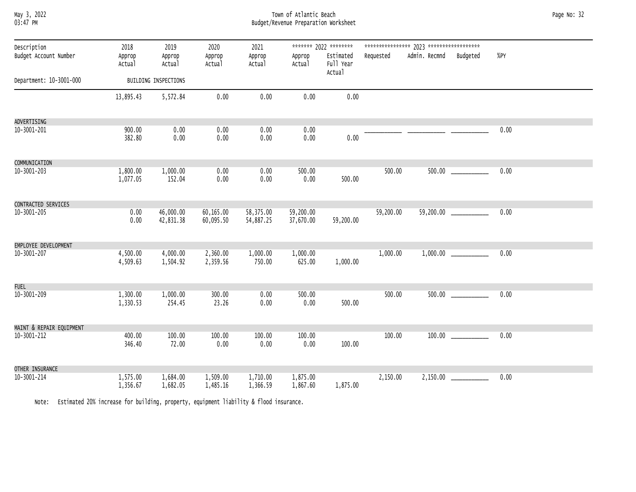|          | May 3, 2022 |
|----------|-------------|
| 03:47 PM |             |

# May 3, 2022 Town of Atlantic Beach Page No: 32 03:47 PM Budget/Revenue Preparation Worksheet

| Description<br>Budget Account Number | 2018<br>Approp<br>Actual | 2019<br>Approp<br>Actual | 2020<br>Approp<br>Actual | 2021<br>Approp<br>Actual | Approp<br>Actual       | ******* 2022 ********<br>Estimated<br>Full Year | Requested | Admin. Recmnd Budgeted |                            | %PY  |  |
|--------------------------------------|--------------------------|--------------------------|--------------------------|--------------------------|------------------------|-------------------------------------------------|-----------|------------------------|----------------------------|------|--|
|                                      |                          |                          |                          |                          |                        | Actual                                          |           |                        |                            |      |  |
| Department: 10-3001-000              |                          | BUILDING INSPECTIONS     |                          |                          |                        |                                                 |           |                        |                            |      |  |
|                                      | 13,895.43                | 5,572.84                 | 0.00                     | 0.00                     | 0.00                   | 0.00                                            |           |                        |                            |      |  |
| ADVERTISING                          |                          |                          |                          |                          |                        |                                                 |           |                        |                            |      |  |
| 10-3001-201                          | 900.00<br>382.80         | 0.00<br>0.00             | 0.00<br>0.00             | 0.00<br>0.00             | 0.00<br>0.00           | 0.00                                            |           |                        |                            | 0.00 |  |
| COMMUNICATION                        |                          |                          |                          |                          |                        |                                                 |           |                        |                            |      |  |
| 10-3001-203                          | 1,800.00<br>1,077.05     | 1,000.00<br>152.04       | 0.00<br>0.00             | 0.00<br>0.00             | 500.00<br>0.00         | 500.00                                          | 500.00    |                        |                            | 0.00 |  |
| CONTRACTED SERVICES                  |                          |                          |                          |                          |                        |                                                 |           |                        |                            |      |  |
| 10-3001-205                          | 0.00<br>0.00             | 46,000.00<br>42,831.38   | 60,165.00<br>60,095.50   | 58,375.00<br>54,887.25   | 59,200.00<br>37,670.00 | 59,200.00                                       | 59,200.00 |                        | 59,200.00 ___________      | 0.00 |  |
| EMPLOYEE DEVELOPMENT                 |                          |                          |                          |                          |                        |                                                 |           |                        |                            |      |  |
| 10-3001-207                          | 4,500.00<br>4,509.63     | 4,000.00<br>1,504.92     | 2,360.00<br>2,359.56     | 1,000.00<br>750.00       | 1,000.00<br>625.00     | 1,000.00                                        | 1,000.00  |                        | $1,000.00$ _______________ | 0.00 |  |
| <b>FUEL</b>                          |                          |                          |                          |                          |                        |                                                 |           |                        |                            |      |  |
| 10-3001-209                          | 1,300.00<br>1,330.53     | 1,000.00<br>254.45       | 300.00<br>23.26          | 0.00<br>0.00             | 500.00<br>0.00         | 500.00                                          | 500.00    |                        |                            | 0.00 |  |
| MAINT & REPAIR EQUIPMENT             |                          |                          |                          |                          |                        |                                                 |           |                        |                            |      |  |
| 10-3001-212                          | 400.00<br>346.40         | 100.00<br>72.00          | 100.00<br>0.00           | 100.00<br>0.00           | 100.00<br>0.00         | 100.00                                          | 100.00    |                        |                            | 0.00 |  |
| OTHER INSURANCE                      |                          |                          |                          |                          |                        |                                                 |           |                        |                            |      |  |
| 10-3001-214                          | 1,575.00<br>1,356.67     | 1,684.00<br>1,682.05     | 1,509.00<br>1,485.16     | 1,710.00<br>1,366.59     | 1,875.00<br>1,867.60   | 1,875.00                                        | 2,150.00  |                        |                            | 0.00 |  |

Note: Estimated 20% increase for building, property, equipment liability & flood insurance.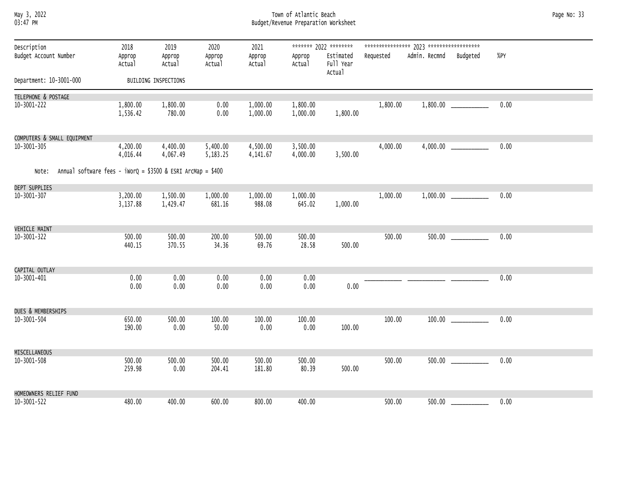# May 3, 2022 Town of Atlantic Beach Page No: 33 03:47 PM Budget/Revenue Preparation Worksheet

| Description<br>Budget Account Number                                  | 2018<br>Approp<br>Actual | 2019<br>Approp<br>Actual | 2020<br>Approp<br>Actual | 2021<br>Approp<br>Actual | Approp<br>Actual     | ******* 2022 ********<br>Estimated<br>Full Year<br>Actual | Requested | Admin. Recmnd | Budgeted | %PY  |  |
|-----------------------------------------------------------------------|--------------------------|--------------------------|--------------------------|--------------------------|----------------------|-----------------------------------------------------------|-----------|---------------|----------|------|--|
| Department: 10-3001-000                                               |                          | BUILDING INSPECTIONS     |                          |                          |                      |                                                           |           |               |          |      |  |
| TELEPHONE & POSTAGE                                                   |                          |                          |                          |                          |                      |                                                           |           |               |          |      |  |
| 10-3001-222                                                           | 1,800.00<br>1,536.42     | 1,800.00<br>780.00       | 0.00<br>0.00             | 1,000.00<br>1,000.00     | 1,800.00<br>1,000.00 | 1,800.00                                                  | 1,800.00  |               |          | 0.00 |  |
| COMPUTERS & SMALL EQUIPMENT                                           |                          |                          |                          |                          |                      |                                                           |           |               |          |      |  |
| 10-3001-305                                                           | 4,200.00<br>4,016.44     | 4,400.00<br>4,067.49     | 5,400.00<br>5,183.25     | 4,500.00<br>4,141.67     | 3,500.00<br>4,000.00 | 3,500.00                                                  | 4,000.00  | 4,000.00      |          | 0.00 |  |
| Annual software fees - $iworQ = $3500$ & ESRI ArcMap = \$400<br>Note: |                          |                          |                          |                          |                      |                                                           |           |               |          |      |  |
| DEPT SUPPLIES                                                         |                          |                          |                          |                          |                      |                                                           |           |               |          |      |  |
| 10-3001-307                                                           | 3,200.00<br>3,137.88     | 1,500.00<br>1,429.47     | 1,000.00<br>681.16       | 1,000.00<br>988.08       | 1,000.00<br>645.02   | 1,000.00                                                  | 1,000.00  |               |          | 0.00 |  |
| <b>VEHICLE MAINT</b>                                                  |                          |                          |                          |                          |                      |                                                           |           |               |          |      |  |
| 10-3001-322                                                           | 500.00<br>440.15         | 500.00<br>370.55         | 200.00<br>34.36          | 500.00<br>69.76          | 500.00<br>28.58      | 500.00                                                    | 500.00    |               |          | 0.00 |  |
| CAPITAL OUTLAY                                                        |                          |                          |                          |                          |                      |                                                           |           |               |          |      |  |
| 10-3001-401                                                           | 0.00<br>0.00             | 0.00<br>0.00             | 0.00<br>0.00             | 0.00<br>0.00             | 0.00<br>0.00         | 0.00                                                      |           |               |          | 0.00 |  |
| <b>DUES &amp; MEMBERSHIPS</b>                                         |                          |                          |                          |                          |                      |                                                           |           |               |          |      |  |
| 10-3001-504                                                           | 650.00<br>190.00         | 500.00<br>0.00           | 100.00<br>50.00          | 100.00<br>0.00           | 100.00<br>0.00       | 100.00                                                    | 100.00    |               |          | 0.00 |  |
| MISCELLANEOUS                                                         |                          |                          |                          |                          |                      |                                                           |           |               |          |      |  |
| 10-3001-508                                                           | 500.00<br>259.98         | 500.00<br>0.00           | 500.00<br>204.41         | 500.00<br>181.80         | 500.00<br>80.39      | 500.00                                                    | 500.00    | 500.00        |          | 0.00 |  |
| HOMEOWNERS RELIEF FUND                                                |                          |                          |                          |                          |                      |                                                           |           |               |          |      |  |
| 10-3001-522                                                           | 480.00                   | 400.00                   | 600.00                   | 800.00                   | 400.00               |                                                           | 500.00    | 500.00        |          | 0.00 |  |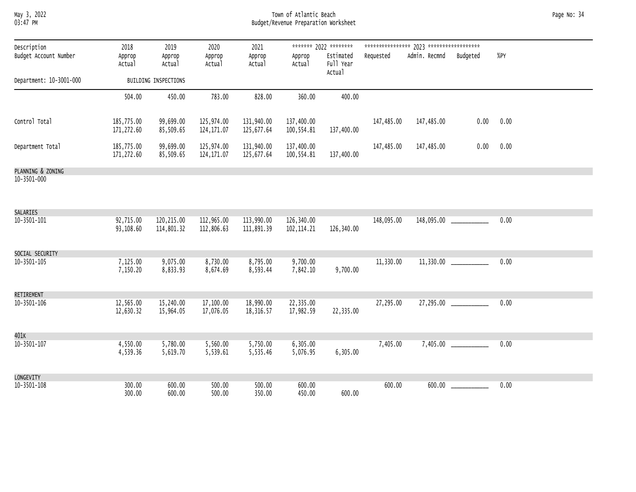May 3, 2022 Town of Atlantic Beach Page No: 34 03:47 PM Budget/Revenue Preparation Worksheet

| Description             | 2018                     | 2019                     | 2020                      | 2021                     |                           | ******* 2022 ********            |            |                        |                       |        |
|-------------------------|--------------------------|--------------------------|---------------------------|--------------------------|---------------------------|----------------------------------|------------|------------------------|-----------------------|--------|
| Budget Account Number   | Approp<br>Actual         | Approp<br>Actual         | Approp<br>Actual          | Approp<br>Actual         | Approp<br>Actual          | Estimated<br>Full Year<br>Actual | Requested  | Admin. Recmnd Budgeted |                       | $%$ PY |
| Department: 10-3001-000 |                          | BUILDING INSPECTIONS     |                           |                          |                           |                                  |            |                        |                       |        |
|                         | 504.00                   | 450.00                   | 783.00                    | 828.00                   | 360.00                    | 400.00                           |            |                        |                       |        |
| Control Total           | 185,775.00<br>171,272.60 | 99,699.00<br>85,509.65   | 125,974.00<br>124, 171.07 | 131,940.00<br>125,677.64 | 137,400.00<br>100,554.81  | 137,400.00                       | 147,485.00 | 147,485.00             | 0.00                  | 0.00   |
| Department Total        | 185,775.00<br>171,272.60 | 99,699.00<br>85,509.65   | 125,974.00<br>124, 171.07 | 131,940.00<br>125,677.64 | 137,400.00<br>100,554.81  | 137,400.00                       | 147,485.00 | 147,485.00             | 0.00                  | 0.00   |
| PLANNING & ZONING       |                          |                          |                           |                          |                           |                                  |            |                        |                       |        |
| 10-3501-000             |                          |                          |                           |                          |                           |                                  |            |                        |                       |        |
| SALARIES                |                          |                          |                           |                          |                           |                                  |            |                        |                       |        |
| 10-3501-101             | 92,715.00<br>93,108.60   | 120,215.00<br>114,801.32 | 112,965.00<br>112,806.63  | 113,990.00<br>111,891.39 | 126,340.00<br>102, 114.21 | 126,340.00                       | 148,095.00 |                        |                       | 0.00   |
| SOCIAL SECURITY         |                          |                          |                           |                          |                           |                                  |            |                        |                       |        |
| 10-3501-105             | 7,125.00<br>7,150.20     | 9,075.00<br>8,833.93     | 8,730.00<br>8,674.69      | 8,795.00<br>8,593.44     | 9,700.00<br>7,842.10      | 9,700.00                         | 11,330.00  |                        |                       | 0.00   |
| RETIREMENT              |                          |                          |                           |                          |                           |                                  |            |                        |                       |        |
| 10-3501-106             | 12,565.00<br>12,630.32   | 15,240.00<br>15,964.05   | 17,100.00<br>17,076.05    | 18,990.00<br>18,316.57   | 22,335.00<br>17,982.59    | 22,335.00                        | 27,295.00  |                        | 27,295.00             | 0.00   |
| 401K                    |                          |                          |                           |                          |                           |                                  |            |                        |                       |        |
| 10-3501-107             | 4,550.00<br>4,539.36     | 5,780.00<br>5,619.70     | 5,560.00<br>5,539.61      | 5,750.00<br>5,535.46     | 6,305.00<br>5,076.95      | 6,305.00                         | 7,405.00   |                        |                       | 0.00   |
| LONGEVITY               |                          |                          |                           |                          |                           |                                  |            |                        |                       |        |
| 10-3501-108             | 300.00<br>300.00         | 600.00<br>600.00         | 500.00<br>500.00          | 500.00<br>350.00         | 600.00<br>450.00          | 600.00                           | 600.00     |                        | $600.00$ ____________ | 0.00   |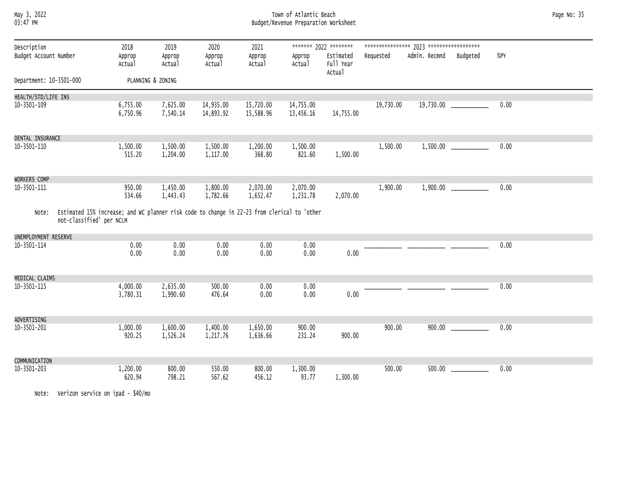## May 3, 2022 Town of Atlantic Beach Page No: 35 03:47 PM Budget/Revenue Preparation Worksheet

| Description             |                                                                                                                         | 2018                 | 2019                 | 2020                   | 2021                   |                        | ******* 2022 ********            |           |               |                           |      |
|-------------------------|-------------------------------------------------------------------------------------------------------------------------|----------------------|----------------------|------------------------|------------------------|------------------------|----------------------------------|-----------|---------------|---------------------------|------|
| Budget Account Number   |                                                                                                                         | Approp<br>Actual     | Approp<br>Actual     | Approp<br>Actual       | Approp<br>Actual       | Approp<br>Actual       | Estimated<br>Full Year<br>Actual | Requested | Admin. Recmnd | Budgeted                  | %PY  |
| Department: 10-3501-000 |                                                                                                                         |                      | PLANNING & ZONING    |                        |                        |                        |                                  |           |               |                           |      |
| HEALTH/STD/LIFE INS     |                                                                                                                         |                      |                      |                        |                        |                        |                                  |           |               |                           |      |
| $10 - 3501 - 109$       |                                                                                                                         | 6,755.00<br>6,750.96 | 7,625.00<br>7,540.14 | 14,935.00<br>14,893.92 | 15,720.00<br>15,588.96 | 14,755.00<br>13,456.16 | 14,755.00                        | 19,730.00 | 19,730.00     |                           | 0.00 |
| DENTAL INSURANCE        |                                                                                                                         |                      |                      |                        |                        |                        |                                  |           |               |                           |      |
| 10-3501-110             |                                                                                                                         | 1,500.00<br>515.20   | 1,500.00<br>1,204.00 | 1,500.00<br>1,117.00   | 1,200.00<br>368.80     | 1,500.00<br>821.60     | 1,500.00                         | 1,500.00  |               | $1,500.00$ ______________ | 0.00 |
| WORKERS COMP            |                                                                                                                         |                      |                      |                        |                        |                        |                                  |           |               |                           |      |
| 10-3501-111             |                                                                                                                         | 950.00<br>534.66     | 1,450.00<br>1,443.43 | 1,800.00<br>1,782.66   | 2,070.00<br>1,652.47   | 2,070.00<br>1,231.78   | 2,070.00                         | 1,900.00  |               |                           | 0.00 |
| Note:                   | Estimated 15% increase; and WC planner risk code to change in 22-23 from clerical to 'other<br>not-classified' per NCLM |                      |                      |                        |                        |                        |                                  |           |               |                           |      |
| UNEMPLOYMENT RESERVE    |                                                                                                                         |                      |                      |                        |                        |                        |                                  |           |               |                           |      |
| 10-3501-114             |                                                                                                                         | 0.00<br>0.00         | 0.00<br>0.00         | 0.00<br>0.00           | 0.00<br>0.00           | 0.00<br>0.00           | 0.00                             |           |               |                           | 0.00 |
| MEDICAL CLAIMS          |                                                                                                                         |                      |                      |                        |                        |                        |                                  |           |               |                           |      |
| 10-3501-115             |                                                                                                                         | 4,000.00<br>3,780.31 | 2,635.00<br>1,990.60 | 500.00<br>476.64       | 0.00<br>0.00           | 0.00<br>0.00           | 0.00                             |           |               |                           | 0.00 |
| ADVERTISING             |                                                                                                                         |                      |                      |                        |                        |                        |                                  |           |               |                           |      |
| $10 - 3501 - 201$       |                                                                                                                         | 1,000.00<br>920.25   | 1,600.00<br>1,526.24 | 1,400.00<br>1,217.76   | 1,650.00<br>1,636.66   | 900.00<br>231.24       | 900.00                           | 900.00    | 900.00        |                           | 0.00 |
| COMMUNICATION           |                                                                                                                         |                      |                      |                        |                        |                        |                                  |           |               |                           |      |
| $10 - 3501 - 203$       |                                                                                                                         | 1,200.00<br>620.94   | 800.00<br>798.21     | 550.00<br>567.62       | 800.00<br>456.12       | 1,300.00<br>93.77      | 1,300.00                         | 500.00    | 500.00        |                           | 0.00 |

Note: Verizon service on ipad - \$40/mo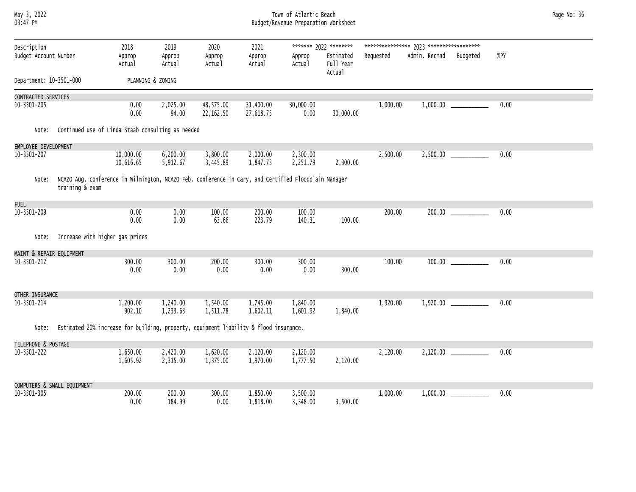## May 3, 2022 Town of Atlantic Beach Page No: 36 03:47 PM Budget/Revenue Preparation Worksheet

| Description              |                                       | 2018                                                                                                 | 2019                 | 2020                   | 2021                   |                      | ******* 2022 ********            |           |               |                       |      |  |
|--------------------------|---------------------------------------|------------------------------------------------------------------------------------------------------|----------------------|------------------------|------------------------|----------------------|----------------------------------|-----------|---------------|-----------------------|------|--|
| Budget Account Number    |                                       | Approp<br>Actual                                                                                     | Approp<br>Actual     | Approp<br>Actual       | Approp<br>Actual       | Approp<br>Actual     | Estimated<br>Full Year<br>Actual | Requested | Admin. Recmnd | Budgeted              | %PY  |  |
| Department: 10-3501-000  |                                       |                                                                                                      | PLANNING & ZONING    |                        |                        |                      |                                  |           |               |                       |      |  |
| CONTRACTED SERVICES      |                                       |                                                                                                      |                      |                        |                        |                      |                                  |           |               |                       |      |  |
| 10-3501-205              |                                       | 0.00<br>0.00                                                                                         | 2,025.00<br>94.00    | 48,575.00<br>22,162.50 | 31,400.00<br>27,618.75 | 30,000.00<br>0.00    | 30,000.00                        | 1,000.00  |               |                       | 0.00 |  |
| Note:                    |                                       | Continued use of Linda Staab consulting as needed                                                    |                      |                        |                        |                      |                                  |           |               |                       |      |  |
| EMPLOYEE DEVELOPMENT     |                                       |                                                                                                      |                      |                        |                        |                      |                                  |           |               |                       |      |  |
| 10-3501-207              |                                       | 10,000.00<br>10,616.65                                                                               | 6,200.00<br>5,912.67 | 3,800.00<br>3,445.89   | 2,000.00<br>1,847.73   | 2,300.00<br>2,251.79 | 2,300.00                         | 2,500.00  |               |                       | 0.00 |  |
| Note:                    | training & exam                       | NCAZO Aug. conference in Wilmington, NCAZO Feb. conference in Cary, and Certified Floodplain Manager |                      |                        |                        |                      |                                  |           |               |                       |      |  |
| <b>FUEL</b>              |                                       |                                                                                                      |                      |                        |                        |                      |                                  |           |               |                       |      |  |
| 10-3501-209              |                                       | 0.00<br>0.00                                                                                         | 0.00<br>0.00         | 100.00<br>63.66        | 200.00<br>223.79       | 100.00<br>140.31     | 100.00                           | 200.00    |               |                       | 0.00 |  |
|                          | Note: Increase with higher gas prices |                                                                                                      |                      |                        |                        |                      |                                  |           |               |                       |      |  |
| MAINT & REPAIR EQUIPMENT |                                       |                                                                                                      |                      |                        |                        |                      |                                  |           |               |                       |      |  |
| 10-3501-212              |                                       | 300.00<br>0.00                                                                                       | 300.00<br>0.00       | 200.00<br>0.00         | 300.00<br>0.00         | 300.00<br>0.00       | 300.00                           | 100.00    |               | $100.00$ ____________ | 0.00 |  |
| OTHER INSURANCE          |                                       |                                                                                                      |                      |                        |                        |                      |                                  |           |               |                       |      |  |
| 10-3501-214              |                                       | 1,200.00<br>902.10                                                                                   | 1,240.00<br>1,233.63 | 1,540.00<br>1,511.78   | 1,745.00<br>1,602.11   | 1,840.00<br>1,601.92 | 1,840.00                         | 1,920.00  |               |                       | 0.00 |  |
| Note:                    |                                       | Estimated 20% increase for building, property, equipment liability & flood insurance.                |                      |                        |                        |                      |                                  |           |               |                       |      |  |
| TELEPHONE & POSTAGE      |                                       |                                                                                                      |                      |                        |                        |                      |                                  |           |               |                       |      |  |
| 10-3501-222              |                                       | 1,650.00<br>1,605.92                                                                                 | 2,420.00<br>2,315.00 | 1,620.00<br>1,375.00   | 2,120.00<br>1,970.00   | 2,120.00<br>1,777.50 | 2,120.00                         | 2,120.00  |               |                       | 0.00 |  |
|                          | COMPUTERS & SMALL EQUIPMENT           |                                                                                                      |                      |                        |                        |                      |                                  |           |               |                       |      |  |
| 10-3501-305              |                                       | 200.00<br>0.00                                                                                       | 200.00<br>184.99     | 300.00<br>0.00         | 1,850.00<br>1,818.00   | 3,500.00<br>3,348.00 | 3,500.00                         | 1,000.00  |               |                       | 0.00 |  |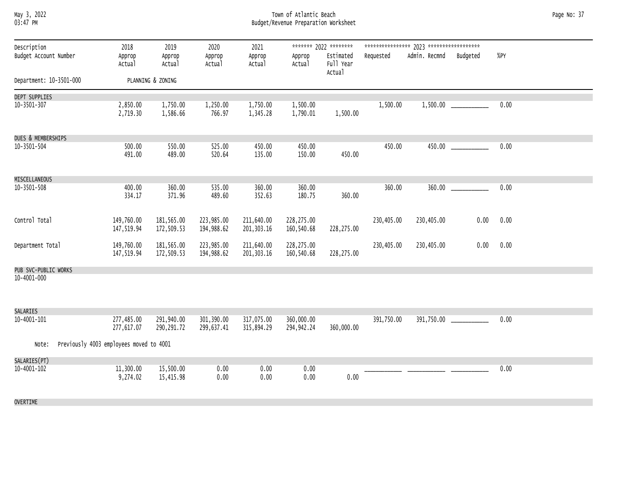### May 3, 2022 Town of Atlantic Beach Page No: 37 03:47 PM Budget/Revenue Preparation Worksheet

| ******* 2022 ********<br>Description<br>2018<br>2019<br>2020<br>2021<br>Admin. Recmnd<br>$%$ PY<br>Budget Account Number<br>Budgeted<br>Approp<br>Estimated<br>Requested<br>Approp<br>Approp<br>Approp<br>Approp<br>Full Year<br>Actual<br>Actual<br>Actual<br>Actual<br>Actual<br>Actual<br>PLANNING & ZONING<br>Department: 10-3501-000<br>DEPT SUPPLIES<br>1,750.00<br>1,500.00<br>0.00<br>10-3501-307<br>2,850.00<br>1,250.00<br>1,750.00<br>1,500.00<br>1,500.00<br>2,719.30<br>1,586.66<br>766.97<br>1,345.28<br>1,790.01<br>1,500.00<br>DUES & MEMBERSHIPS<br>525.00<br>450.00<br>450.00<br>0.00<br>$10 - 3501 - 504$<br>500.00<br>550.00<br>450.00<br>450.00<br>135.00<br>450.00<br>491.00<br>489.00<br>520.64<br>150.00<br>MISCELLANEOUS<br>360.00<br>535.00<br>0.00<br>10-3501-508<br>400.00<br>360.00<br>360.00<br>360.00<br>360.00<br>334.17<br>371.96<br>489.60<br>352.63<br>180.75<br>360.00<br>Control Total<br>0.00<br>0.00<br>149,760.00<br>181,565.00<br>223,985.00<br>211,640.00<br>228,275.00<br>230,405.00<br>230,405.00<br>194,988.62<br>201, 303.16<br>147,519.94<br>172,509.53<br>160,540.68<br>228,275.00<br>211,640.00<br>149,760.00<br>181,565.00<br>223,985.00<br>228,275.00<br>230,405.00<br>230,405.00<br>0.00<br>0.00<br>Department Total<br>172,509.53<br>194,988.62<br>201, 303.16<br>147,519.94<br>160,540.68<br>228,275.00<br>PUB SVC-PUBLIC WORKS<br>10-4001-000 |          |  |  |  |  |  |  |
|------------------------------------------------------------------------------------------------------------------------------------------------------------------------------------------------------------------------------------------------------------------------------------------------------------------------------------------------------------------------------------------------------------------------------------------------------------------------------------------------------------------------------------------------------------------------------------------------------------------------------------------------------------------------------------------------------------------------------------------------------------------------------------------------------------------------------------------------------------------------------------------------------------------------------------------------------------------------------------------------------------------------------------------------------------------------------------------------------------------------------------------------------------------------------------------------------------------------------------------------------------------------------------------------------------------------------------------------------------------------------------------------------|----------|--|--|--|--|--|--|
|                                                                                                                                                                                                                                                                                                                                                                                                                                                                                                                                                                                                                                                                                                                                                                                                                                                                                                                                                                                                                                                                                                                                                                                                                                                                                                                                                                                                      |          |  |  |  |  |  |  |
|                                                                                                                                                                                                                                                                                                                                                                                                                                                                                                                                                                                                                                                                                                                                                                                                                                                                                                                                                                                                                                                                                                                                                                                                                                                                                                                                                                                                      |          |  |  |  |  |  |  |
|                                                                                                                                                                                                                                                                                                                                                                                                                                                                                                                                                                                                                                                                                                                                                                                                                                                                                                                                                                                                                                                                                                                                                                                                                                                                                                                                                                                                      |          |  |  |  |  |  |  |
|                                                                                                                                                                                                                                                                                                                                                                                                                                                                                                                                                                                                                                                                                                                                                                                                                                                                                                                                                                                                                                                                                                                                                                                                                                                                                                                                                                                                      |          |  |  |  |  |  |  |
|                                                                                                                                                                                                                                                                                                                                                                                                                                                                                                                                                                                                                                                                                                                                                                                                                                                                                                                                                                                                                                                                                                                                                                                                                                                                                                                                                                                                      |          |  |  |  |  |  |  |
|                                                                                                                                                                                                                                                                                                                                                                                                                                                                                                                                                                                                                                                                                                                                                                                                                                                                                                                                                                                                                                                                                                                                                                                                                                                                                                                                                                                                      |          |  |  |  |  |  |  |
|                                                                                                                                                                                                                                                                                                                                                                                                                                                                                                                                                                                                                                                                                                                                                                                                                                                                                                                                                                                                                                                                                                                                                                                                                                                                                                                                                                                                      |          |  |  |  |  |  |  |
|                                                                                                                                                                                                                                                                                                                                                                                                                                                                                                                                                                                                                                                                                                                                                                                                                                                                                                                                                                                                                                                                                                                                                                                                                                                                                                                                                                                                      |          |  |  |  |  |  |  |
|                                                                                                                                                                                                                                                                                                                                                                                                                                                                                                                                                                                                                                                                                                                                                                                                                                                                                                                                                                                                                                                                                                                                                                                                                                                                                                                                                                                                      |          |  |  |  |  |  |  |
|                                                                                                                                                                                                                                                                                                                                                                                                                                                                                                                                                                                                                                                                                                                                                                                                                                                                                                                                                                                                                                                                                                                                                                                                                                                                                                                                                                                                      |          |  |  |  |  |  |  |
|                                                                                                                                                                                                                                                                                                                                                                                                                                                                                                                                                                                                                                                                                                                                                                                                                                                                                                                                                                                                                                                                                                                                                                                                                                                                                                                                                                                                      |          |  |  |  |  |  |  |
|                                                                                                                                                                                                                                                                                                                                                                                                                                                                                                                                                                                                                                                                                                                                                                                                                                                                                                                                                                                                                                                                                                                                                                                                                                                                                                                                                                                                      |          |  |  |  |  |  |  |
|                                                                                                                                                                                                                                                                                                                                                                                                                                                                                                                                                                                                                                                                                                                                                                                                                                                                                                                                                                                                                                                                                                                                                                                                                                                                                                                                                                                                      |          |  |  |  |  |  |  |
|                                                                                                                                                                                                                                                                                                                                                                                                                                                                                                                                                                                                                                                                                                                                                                                                                                                                                                                                                                                                                                                                                                                                                                                                                                                                                                                                                                                                      | SALARIES |  |  |  |  |  |  |
| 10-4001-101<br>277,485.00<br>291,940.00<br>301,390.00<br>391,750.00<br>0.00<br>317,075.00<br>360,000.00<br>391,750.00<br>290, 291.72<br>299,637.41<br>360,000.00<br>277,617.07<br>315,894.29<br>294, 942.24                                                                                                                                                                                                                                                                                                                                                                                                                                                                                                                                                                                                                                                                                                                                                                                                                                                                                                                                                                                                                                                                                                                                                                                          |          |  |  |  |  |  |  |
| Previously 4003 employees moved to 4001<br>Note:                                                                                                                                                                                                                                                                                                                                                                                                                                                                                                                                                                                                                                                                                                                                                                                                                                                                                                                                                                                                                                                                                                                                                                                                                                                                                                                                                     |          |  |  |  |  |  |  |
| SALARIES(PT)                                                                                                                                                                                                                                                                                                                                                                                                                                                                                                                                                                                                                                                                                                                                                                                                                                                                                                                                                                                                                                                                                                                                                                                                                                                                                                                                                                                         |          |  |  |  |  |  |  |
| 11,300.00<br>15,500.00<br>0.00<br>10-4001-102<br>0.00<br>0.00<br>0.00<br>9,274.02<br>15,415.98<br>0.00<br>0.00<br>0.00<br>0.00                                                                                                                                                                                                                                                                                                                                                                                                                                                                                                                                                                                                                                                                                                                                                                                                                                                                                                                                                                                                                                                                                                                                                                                                                                                                       |          |  |  |  |  |  |  |
| OVERTIME                                                                                                                                                                                                                                                                                                                                                                                                                                                                                                                                                                                                                                                                                                                                                                                                                                                                                                                                                                                                                                                                                                                                                                                                                                                                                                                                                                                             |          |  |  |  |  |  |  |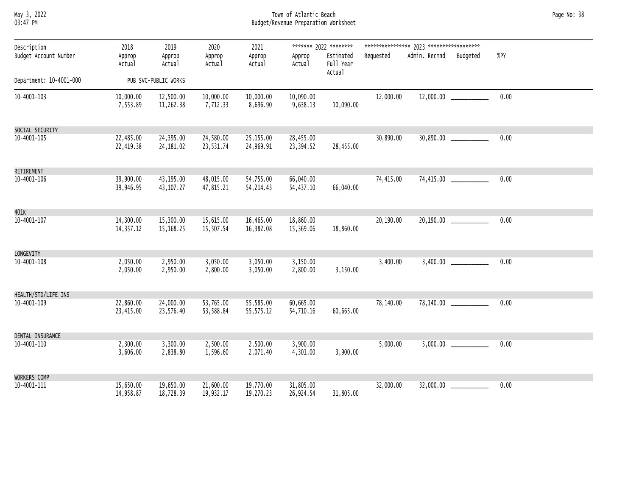May 3, 2022 Town of Atlantic Beach Page No: 38 03:47 PM Budget/Revenue Preparation Worksheet

| Description<br>Budget Account Number | 2018<br>Approp<br>Actual | 2019<br>Approp<br>Actual | 2020<br>Approp<br>Actual | 2021<br>Approp<br>Actual | Approp<br>Actual       | ******* 2022 ********<br>Estimated<br>Full Year<br>Actual | Requested | Admin. Recmnd | Budgeted                    | %PY  |  |
|--------------------------------------|--------------------------|--------------------------|--------------------------|--------------------------|------------------------|-----------------------------------------------------------|-----------|---------------|-----------------------------|------|--|
| Department: 10-4001-000              |                          | PUB SVC-PUBLIC WORKS     |                          |                          |                        |                                                           |           |               |                             |      |  |
| 10-4001-103                          | 10,000.00<br>7,553.89    | 12,500.00<br>11,262.38   | 10,000.00<br>7,712.33    | 10,000.00<br>8,696.90    | 10,090.00<br>9,638.13  | 10,090.00                                                 | 12,000.00 |               |                             | 0.00 |  |
| SOCIAL SECURITY                      |                          |                          |                          |                          |                        |                                                           |           |               |                             |      |  |
| 10-4001-105                          | 22,485.00<br>22,419.38   | 24,395.00<br>24,181.02   | 24,580.00<br>23,531.74   | 25,155.00<br>24,969.91   | 28,455.00<br>23,394.52 | 28,455.00                                                 | 30,890.00 |               |                             | 0.00 |  |
| RETIREMENT                           |                          |                          |                          |                          |                        |                                                           |           |               |                             |      |  |
| 10-4001-106                          | 39,900.00<br>39,946.95   | 43,195.00<br>43, 107.27  | 48,015.00<br>47,815.21   | 54,755.00<br>54, 214.43  | 66,040.00<br>54,437.10 | 66,040.00                                                 | 74,415.00 |               |                             | 0.00 |  |
| 401 <sub>K</sub>                     |                          |                          |                          |                          |                        |                                                           |           |               |                             |      |  |
| 10-4001-107                          | 14,300.00<br>14,357.12   | 15,300.00<br>15, 168.25  | 15,615.00<br>15,507.54   | 16,465.00<br>16,382.08   | 18,860.00<br>15,369.06 | 18,860.00                                                 | 20,190.00 |               |                             | 0.00 |  |
| LONGEVITY                            |                          |                          |                          |                          |                        |                                                           |           |               |                             |      |  |
| 10-4001-108                          | 2,050.00<br>2,050.00     | 2,950.00<br>2,950.00     | 3,050.00<br>2,800.00     | 3,050.00<br>3,050.00     | 3,150.00<br>2,800.00   | 3,150.00                                                  | 3,400.00  | 3,400.00      |                             | 0.00 |  |
| HEALTH/STD/LIFE INS                  |                          |                          |                          |                          |                        |                                                           |           |               |                             |      |  |
| 10-4001-109                          | 22,860.00<br>23,415.00   | 24,000.00<br>23,576.40   | 53,765.00<br>53,588.84   | 55,585.00<br>55,575.12   | 60,665.00<br>54,710.16 | 60,665.00                                                 | 78,140.00 |               | 78,140.00 ______________    | 0.00 |  |
| DENTAL INSURANCE                     |                          |                          |                          |                          |                        |                                                           |           |               |                             |      |  |
| 10-4001-110                          | 2,300.00<br>3,606.00     | 3,300.00<br>2,838.80     | 2,500.00<br>1,596.60     | 2,500.00<br>2,071.40     | 3,900.00<br>4,301.00   | 3,900.00                                                  | 5,000.00  |               |                             | 0.00 |  |
| WORKERS COMP                         |                          |                          |                          |                          |                        |                                                           |           |               |                             |      |  |
| 10-4001-111                          | 15,650.00<br>14,958.87   | 19,650.00<br>18,728.39   | 21,600.00<br>19,932.17   | 19,770.00<br>19,270.23   | 31,805.00<br>26,924.54 | 31,805.00                                                 | 32,000.00 |               | $32,000.00$ _______________ | 0.00 |  |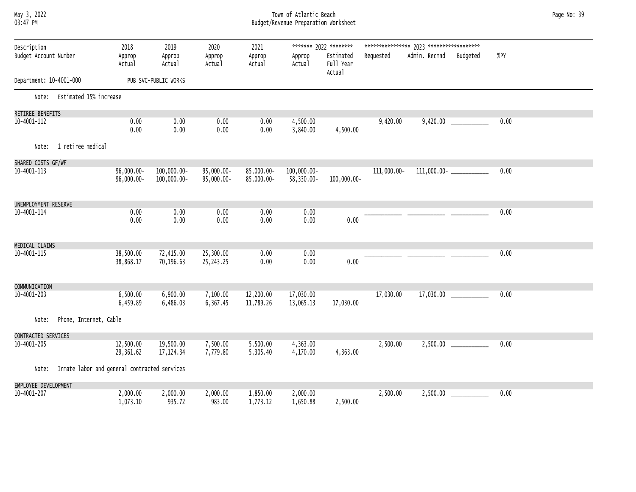### May 3, 2022 Town of Atlantic Beach Page No: 39 03:47 PM Budget/Revenue Preparation Worksheet

| Description<br>Budget Account Number |                                              | 2018<br>Approp<br>Actual    | 2019<br>Approp<br>Actual   | 2020<br>Approp<br>Actual | 2021<br>Approp<br>Actual | Approp<br>Actual          | ******* 2022 ********<br>Estimated<br>Full Year | Requested   | Admin. Recmnd | Budgeted                        | %PY  |
|--------------------------------------|----------------------------------------------|-----------------------------|----------------------------|--------------------------|--------------------------|---------------------------|-------------------------------------------------|-------------|---------------|---------------------------------|------|
| Department: 10-4001-000              |                                              |                             | PUB SVC-PUBLIC WORKS       |                          |                          |                           | Actual                                          |             |               |                                 |      |
| Note:                                | Estimated 15% increase                       |                             |                            |                          |                          |                           |                                                 |             |               |                                 |      |
| RETIREE BENEFITS                     |                                              |                             |                            |                          |                          |                           |                                                 |             |               |                                 |      |
| 10-4001-112                          |                                              | 0.00                        | 0.00                       | 0.00                     | 0.00                     | 4,500.00                  |                                                 | 9,420.00    |               |                                 | 0.00 |
|                                      |                                              | 0.00                        | 0.00                       | 0.00                     | 0.00                     | 3,840.00                  | 4,500.00                                        |             |               |                                 |      |
| Note:                                | 1 retiree medical                            |                             |                            |                          |                          |                           |                                                 |             |               |                                 |      |
| SHARED COSTS GF/WF                   |                                              |                             |                            |                          |                          |                           |                                                 |             |               |                                 |      |
| 10-4001-113                          |                                              | $96,000.00 -$<br>96,000.00- | 100,000.00-<br>100,000.00- | 95,000.00-<br>95,000.00- | 85,000.00-<br>85,000.00- | 100,000.00-<br>58,330.00- | 100,000.00-                                     | 111,000.00- |               | $111,000.00 -$ ________________ | 0.00 |
| UNEMPLOYMENT RESERVE                 |                                              |                             |                            |                          |                          |                           |                                                 |             |               |                                 |      |
| 10-4001-114                          |                                              | 0.00<br>0.00                | 0.00<br>0.00               | 0.00<br>0.00             | 0.00<br>0.00             | 0.00<br>0.00              | 0.00                                            |             |               |                                 | 0.00 |
| MEDICAL CLAIMS                       |                                              |                             |                            |                          |                          |                           |                                                 |             |               |                                 |      |
| 10-4001-115                          |                                              | 38,500.00<br>38,868.17      | 72,415.00<br>70,196.63     | 25,300.00<br>25,243.25   | 0.00<br>0.00             | 0.00<br>0.00              | 0.00                                            |             |               |                                 | 0.00 |
|                                      |                                              |                             |                            |                          |                          |                           |                                                 |             |               |                                 |      |
| COMMUNICATION<br>10-4001-203         |                                              | 6,500.00                    | 6,900.00                   | 7,100.00                 | 12,200.00                | 17,030.00                 |                                                 | 17,030.00   | 17,030.00     |                                 | 0.00 |
|                                      |                                              | 6,459.89                    | 6,486.03                   | 6,367.45                 | 11,789.26                | 13,065.13                 | 17,030.00                                       |             |               |                                 |      |
| Note:                                | Phone, Internet, Cable                       |                             |                            |                          |                          |                           |                                                 |             |               |                                 |      |
| CONTRACTED SERVICES                  |                                              |                             |                            |                          |                          |                           |                                                 |             |               |                                 |      |
| 10-4001-205                          |                                              | 12,500.00<br>29,361.62      | 19,500.00<br>17, 124.34    | 7,500.00<br>7,779.80     | 5,500.00<br>5,305.40     | 4,363.00<br>4,170.00      | 4,363.00                                        | 2,500.00    |               |                                 | 0.00 |
| Note:                                | Inmate labor and general contracted services |                             |                            |                          |                          |                           |                                                 |             |               |                                 |      |
| EMPLOYEE DEVELOPMENT                 |                                              |                             |                            |                          |                          |                           |                                                 |             |               |                                 |      |
| 10-4001-207                          |                                              | 2,000.00<br>1,073.10        | 2,000.00<br>935.72         | 2,000.00<br>983.00       | 1,850.00<br>1,773.12     | 2,000.00<br>1,650.88      | 2,500.00                                        | 2,500.00    |               |                                 | 0.00 |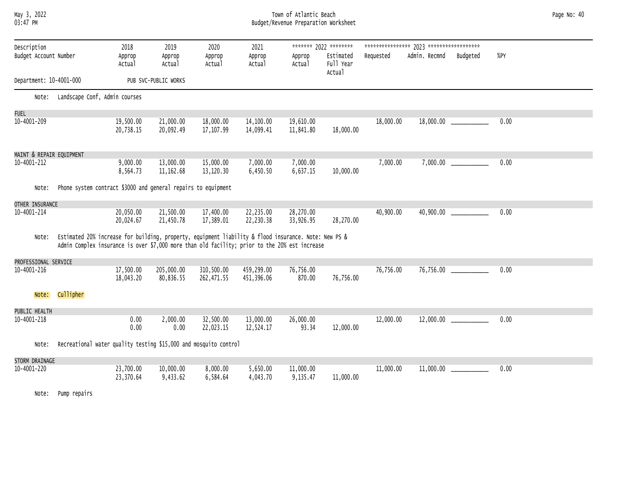# May 3, 2022 Town of Atlantic Beach Page No: 40 03:47 PM Budget/Revenue Preparation Worksheet

| Description<br>Budget Account Number |                                                                                                                                                                                                       | 2018<br>Approp<br>Actual | 2019<br>Approp<br>Actual | 2020<br>Approp<br>Actual | 2021<br>Approp<br>Actual | Approp<br>Actual       | ******* 2022 ********<br>Estimated<br>Full Year<br>Actual | Requested | Admin. Recmnd | Budgeted | %PY  |  |
|--------------------------------------|-------------------------------------------------------------------------------------------------------------------------------------------------------------------------------------------------------|--------------------------|--------------------------|--------------------------|--------------------------|------------------------|-----------------------------------------------------------|-----------|---------------|----------|------|--|
| Department: 10-4001-000              |                                                                                                                                                                                                       |                          | PUB SVC-PUBLIC WORKS     |                          |                          |                        |                                                           |           |               |          |      |  |
| Note:                                | Landscape Conf, Admin courses                                                                                                                                                                         |                          |                          |                          |                          |                        |                                                           |           |               |          |      |  |
| <b>FUEL</b>                          |                                                                                                                                                                                                       |                          |                          |                          |                          |                        |                                                           |           |               |          |      |  |
| 10-4001-209                          |                                                                                                                                                                                                       | 19,500.00<br>20,738.15   | 21,000.00<br>20,092.49   | 18,000.00<br>17,107.99   | 14,100.00<br>14,099.41   | 19,610.00<br>11,841.80 | 18,000.00                                                 | 18,000.00 |               |          | 0.00 |  |
| MAINT & REPAIR EQUIPMENT             |                                                                                                                                                                                                       |                          |                          |                          |                          |                        |                                                           |           |               |          |      |  |
| 10-4001-212                          |                                                                                                                                                                                                       | 9,000.00<br>8,564.73     | 13,000.00<br>11, 162.68  | 15,000.00<br>13,120.30   | 7,000.00<br>6,450.50     | 7,000.00<br>6,637.15   | 10,000.00                                                 | 7,000.00  | 7,000.00      |          | 0.00 |  |
| Note:                                | Phone system contract \$3000 and general repairs to equipment                                                                                                                                         |                          |                          |                          |                          |                        |                                                           |           |               |          |      |  |
| OTHER INSURANCE                      |                                                                                                                                                                                                       |                          |                          |                          |                          |                        |                                                           |           |               |          |      |  |
| 10-4001-214                          |                                                                                                                                                                                                       | 20,050.00<br>20,024.67   | 21,500.00<br>21,450.78   | 17,400.00<br>17,389.01   | 22,235.00<br>22,230.38   | 28,270.00<br>33,926.95 | 28,270.00                                                 | 40,900.00 | 40,900.00     |          | 0.00 |  |
| Note:                                | Estimated 20% increase for building, property, equipment liability & flood insurance. Note: New PS &<br>Admin Complex insurance is over \$7,000 more than old facility; prior to the 20% est increase |                          |                          |                          |                          |                        |                                                           |           |               |          |      |  |
| PROFESSIONAL SERVICE                 |                                                                                                                                                                                                       |                          |                          |                          |                          |                        |                                                           |           |               |          |      |  |
| 10-4001-216                          |                                                                                                                                                                                                       | 17,500.00<br>18,043.20   | 205,000.00<br>80,836.55  | 310,500.00<br>262,471.55 | 459,299.00<br>451,396.06 | 76,756.00<br>870.00    | 76,756.00                                                 | 76,756.00 | 76,756.00     |          | 0.00 |  |
| Note:                                | Cullipher                                                                                                                                                                                             |                          |                          |                          |                          |                        |                                                           |           |               |          |      |  |
| PUBLIC HEALTH                        |                                                                                                                                                                                                       |                          |                          |                          |                          |                        |                                                           |           |               |          |      |  |
| 10-4001-218                          |                                                                                                                                                                                                       | 0.00<br>0.00             | 2,000.00<br>0.00         | 32,500.00<br>22,023.15   | 13,000.00<br>12,524.17   | 26,000.00<br>93.34     | 12,000.00                                                 | 12,000.00 | 12,000.00     |          | 0.00 |  |
| Note:                                | Recreational water quality testing \$15,000 and mosquito control                                                                                                                                      |                          |                          |                          |                          |                        |                                                           |           |               |          |      |  |
| STORM DRAINAGE                       |                                                                                                                                                                                                       |                          |                          |                          |                          |                        |                                                           |           |               |          |      |  |
| 10-4001-220                          |                                                                                                                                                                                                       | 23,700.00<br>23,370.64   | 10,000.00<br>9,433.62    | 8,000.00<br>6,584.64     | 5,650.00<br>4,043.70     | 11,000.00<br>9,135.47  | 11,000.00                                                 | 11,000.00 | 11,000.00     |          | 0.00 |  |
| Note:                                | Pump repairs                                                                                                                                                                                          |                          |                          |                          |                          |                        |                                                           |           |               |          |      |  |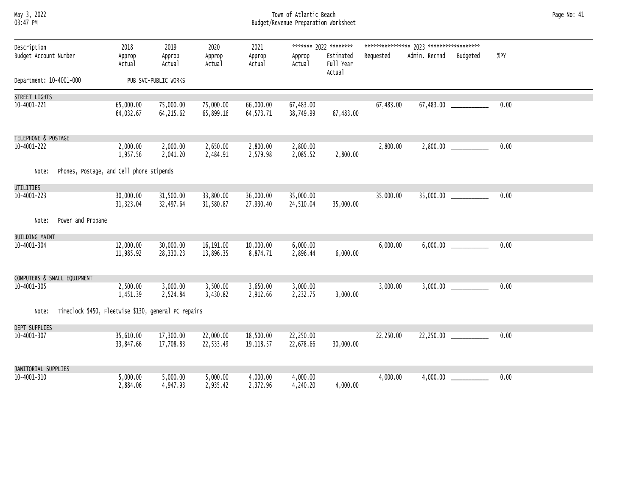# May 3, 2022 Town of Atlantic Beach Page No: 41 03:47 PM Budget/Revenue Preparation Worksheet

| Description             |                                                      | 2018                    | 2019                   | 2020                   | 2021                     |                        | ******* 2022 ********            |           |                        |                             |      |  |
|-------------------------|------------------------------------------------------|-------------------------|------------------------|------------------------|--------------------------|------------------------|----------------------------------|-----------|------------------------|-----------------------------|------|--|
| Budget Account Number   |                                                      | Approp<br>Actual        | Approp<br>Actual       | Approp<br>Actual       | Approp<br>Actual         | Approp<br>Actual       | Estimated<br>Full Year<br>Actual | Requested | Admin. Recmnd Budgeted |                             | %PY  |  |
| Department: 10-4001-000 |                                                      |                         | PUB SVC-PUBLIC WORKS   |                        |                          |                        |                                  |           |                        |                             |      |  |
| STREET LIGHTS           |                                                      |                         |                        |                        |                          |                        |                                  |           |                        |                             |      |  |
| 10-4001-221             |                                                      | 65,000.00<br>64,032.67  | 75,000.00<br>64,215.62 | 75,000.00<br>65,899.16 | 66,000.00<br>64, 573. 71 | 67,483.00<br>38,749.99 | 67,483.00                        | 67,483.00 |                        | 67,483.00 ____________      | 0.00 |  |
| TELEPHONE & POSTAGE     |                                                      |                         |                        |                        |                          |                        |                                  |           |                        |                             |      |  |
| 10-4001-222             |                                                      | 2,000.00<br>1,957.56    | 2,000.00<br>2,041.20   | 2,650.00<br>2,484.91   | 2,800.00<br>2,579.98     | 2,800.00<br>2,085.52   | 2,800.00                         | 2,800.00  |                        | $2,800.00$ _______________  | 0.00 |  |
| Note:                   | Phones, Postage, and Cell phone stipends             |                         |                        |                        |                          |                        |                                  |           |                        |                             |      |  |
| <b>UTILITIES</b>        |                                                      |                         |                        |                        |                          |                        |                                  |           |                        |                             |      |  |
| 10-4001-223             |                                                      | 30,000.00<br>31, 323.04 | 31,500.00<br>32,497.64 | 33,800.00<br>31,580.87 | 36,000.00<br>27,930.40   | 35,000.00<br>24,510.04 | 35,000.00                        | 35,000.00 |                        | $35,000.00$ _______________ | 0.00 |  |
| Note:                   | Power and Propane                                    |                         |                        |                        |                          |                        |                                  |           |                        |                             |      |  |
| <b>BUILDING MAINT</b>   |                                                      |                         |                        |                        |                          |                        |                                  |           |                        |                             |      |  |
| 10-4001-304             |                                                      | 12,000.00<br>11,985.92  | 30,000.00<br>28,330.23 | 16,191.00<br>13,896.35 | 10,000.00<br>8,874.71    | 6,000.00<br>2,896.44   | 6,000.00                         | 6,000.00  |                        |                             | 0.00 |  |
|                         | COMPUTERS & SMALL EQUIPMENT                          |                         |                        |                        |                          |                        |                                  |           |                        |                             |      |  |
| 10-4001-305             |                                                      | 2,500.00<br>1,451.39    | 3,000.00<br>2,524.84   | 3,500.00<br>3,430.82   | 3,650.00<br>2,912.66     | 3,000.00<br>2,232.75   | 3,000.00                         | 3,000.00  |                        | $3,000.00$ _______________  | 0.00 |  |
| Note:                   | Timeclock \$450, Fleetwise \$130, general PC repairs |                         |                        |                        |                          |                        |                                  |           |                        |                             |      |  |
| DEPT SUPPLIES           |                                                      |                         |                        |                        |                          |                        |                                  |           |                        |                             |      |  |
| 10-4001-307             |                                                      | 35,610.00<br>33,847.66  | 17,300.00<br>17,708.83 | 22,000.00<br>22,533.49 | 18,500.00<br>19, 118.57  | 22,250.00<br>22,678.66 | 30,000.00                        | 22,250.00 |                        |                             | 0.00 |  |
| JANITORIAL SUPPLIES     |                                                      |                         |                        |                        |                          |                        |                                  |           |                        |                             |      |  |
| 10-4001-310             |                                                      | 5,000.00<br>2,884.06    | 5,000.00<br>4,947.93   | 5,000.00<br>2,935.42   | 4,000.00<br>2,372.96     | 4,000.00<br>4,240.20   | 4,000.00                         | 4,000.00  |                        |                             | 0.00 |  |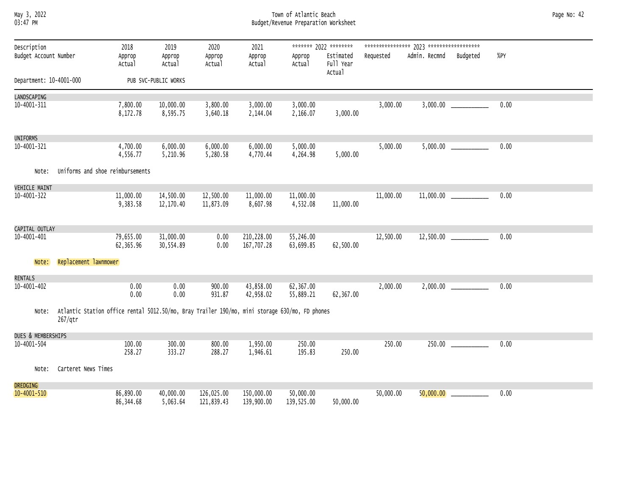# May 3, 2022 Town of Atlantic Beach Page No: 42 03:47 PM Budget/Revenue Preparation Worksheet

| Description             |                                                                                                           | 2018                    | 2019                   | 2020                     | 2021                     |                         | ******* 2022 ********            |           |               |                         |        |
|-------------------------|-----------------------------------------------------------------------------------------------------------|-------------------------|------------------------|--------------------------|--------------------------|-------------------------|----------------------------------|-----------|---------------|-------------------------|--------|
| Budget Account Number   |                                                                                                           | Approp<br>Actual        | Approp<br>Actual       | Approp<br>Actual         | Approp<br>Actual         | Approp<br>Actual        | Estimated<br>Full Year<br>Actual | Requested | Admin. Recmnd | Budgeted                | $%$ PY |
| Department: 10-4001-000 |                                                                                                           |                         | PUB SVC-PUBLIC WORKS   |                          |                          |                         |                                  |           |               |                         |        |
| LANDSCAPING             |                                                                                                           |                         |                        |                          |                          |                         |                                  |           |               |                         |        |
| 10-4001-311             |                                                                                                           | 7,800.00<br>8,172.78    | 10,000.00<br>8,595.75  | 3,800.00<br>3,640.18     | 3,000.00<br>2,144.04     | 3,000.00<br>2,166.07    | 3,000.00                         | 3,000.00  | 3,000.00      |                         | 0.00   |
| <b>UNIFORMS</b>         |                                                                                                           |                         |                        |                          |                          |                         |                                  |           |               |                         |        |
| $10 - 4001 - 321$       |                                                                                                           | 4,700.00<br>4,556.77    | 6,000.00<br>5,210.96   | 6,000.00<br>5,280.58     | 6,000.00<br>4,770.44     | 5,000.00<br>4,264.98    | 5,000.00                         | 5,000.00  |               | 5,000.00                | 0.00   |
| Note:                   | Uniforms and shoe reimbursements                                                                          |                         |                        |                          |                          |                         |                                  |           |               |                         |        |
| <b>VEHICLE MAINT</b>    |                                                                                                           |                         |                        |                          |                          |                         |                                  |           |               |                         |        |
| 10-4001-322             |                                                                                                           | 11,000.00<br>9,383.58   | 14,500.00<br>12,170.40 | 12,500.00<br>11,873.09   | 11,000.00<br>8,607.98    | 11,000.00<br>4,532.08   | 11,000.00                        | 11,000.00 |               |                         | 0.00   |
| CAPITAL OUTLAY          |                                                                                                           |                         |                        |                          |                          |                         |                                  |           |               |                         |        |
| 10-4001-401             |                                                                                                           | 79,655.00<br>62,365.96  | 31,000.00<br>30,554.89 | 0.00<br>0.00             | 210,228.00<br>167,707.28 | 55,246.00<br>63,699.85  | 62,500.00                        | 12,500.00 |               | 12,500.00 _____________ | 0.00   |
| Note:                   | Replacement lawnmower                                                                                     |                         |                        |                          |                          |                         |                                  |           |               |                         |        |
| <b>RENTALS</b>          |                                                                                                           |                         |                        |                          |                          |                         |                                  |           |               |                         |        |
| 10-4001-402             |                                                                                                           | 0.00<br>0.00            | 0.00<br>0.00           | 900.00<br>931.87         | 43,858.00<br>42,958.02   | 62,367.00<br>55,889.21  | 62,367.00                        | 2,000.00  |               |                         | 0.00   |
| Note:                   | Atlantic Station office rental 5012.50/mo, Bray Trailer 190/mo, mini storage 630/mo, FD phones<br>267/qtr |                         |                        |                          |                          |                         |                                  |           |               |                         |        |
| DUES & MEMBERSHIPS      |                                                                                                           |                         |                        |                          |                          |                         |                                  |           |               |                         |        |
| $10 - 4001 - 504$       |                                                                                                           | 100.00<br>258.27        | 300.00<br>333.27       | 800.00<br>288.27         | 1,950.00<br>1,946.61     | 250.00<br>195.83        | 250.00                           | 250.00    | 250.00        |                         | 0.00   |
| Note:                   | Carteret News Times                                                                                       |                         |                        |                          |                          |                         |                                  |           |               |                         |        |
| <b>DREDGING</b>         |                                                                                                           |                         |                        |                          |                          |                         |                                  |           |               |                         |        |
| $10 - 4001 - 510$       |                                                                                                           | 86,890.00<br>86, 344.68 | 40,000.00<br>5,063.64  | 126,025.00<br>121,839.43 | 150,000.00<br>139,900.00 | 50,000.00<br>139,525.00 | 50,000.00                        | 50,000.00 | 50,000.00     |                         | 0.00   |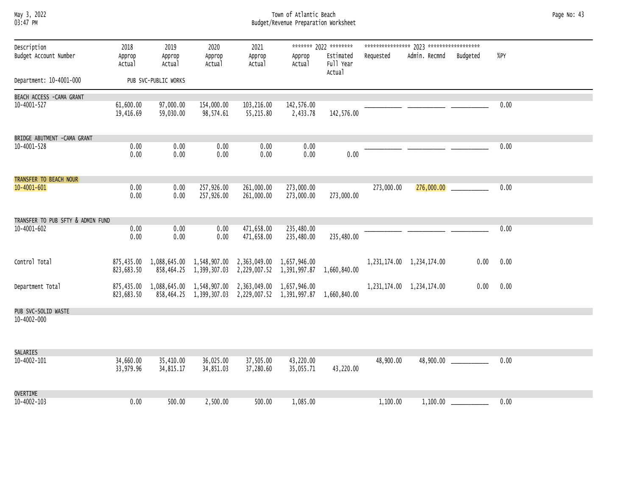### May 3, 2022 Town of Atlantic Beach Page No: 43 03:47 PM Budget/Revenue Preparation Worksheet

| Description                       | 2018                     | 2019                   | 2020                                                 | 2021                      |                                                        | ******* 2022 ********            |            |                           |                            |      |  |
|-----------------------------------|--------------------------|------------------------|------------------------------------------------------|---------------------------|--------------------------------------------------------|----------------------------------|------------|---------------------------|----------------------------|------|--|
| Budget Account Number             | Approp<br>Actual         | Approp<br>Actual       | Approp<br>Actual                                     | Approp<br>Actual          | Approp<br>Actual                                       | Estimated<br>Full Year<br>Actual | Requested  | Admin. Recmnd             | Budgeted                   | %PY  |  |
| Department: 10-4001-000           |                          | PUB SVC-PUBLIC WORKS   |                                                      |                           |                                                        |                                  |            |                           |                            |      |  |
| BEACH ACCESS -CAMA GRANT          |                          |                        |                                                      |                           |                                                        |                                  |            |                           |                            |      |  |
| 10-4001-527                       | 61,600.00<br>19,416.69   | 97,000.00<br>59,030.00 | 154,000.00<br>98,574.61                              | 103,216.00<br>55,215.80   | 142,576.00<br>2,433.78                                 | 142,576.00                       |            |                           |                            | 0.00 |  |
| BRIDGE ABUTMENT - CAMA GRANT      |                          |                        |                                                      |                           |                                                        |                                  |            |                           |                            |      |  |
| 10-4001-528                       | 0.00<br>0.00             | 0.00<br>0.00           | 0.00<br>0.00                                         | 0.00<br>0.00              | 0.00<br>0.00                                           | 0.00                             |            |                           |                            | 0.00 |  |
| TRANSFER TO BEACH NOUR            |                          |                        |                                                      |                           |                                                        |                                  |            |                           |                            |      |  |
| $10 - 4001 - 601$                 | 0.00<br>0.00             | 0.00<br>0.00           | 257,926.00<br>257,926.00                             | 261,000.00<br>261,000.00  | 273,000.00<br>273,000.00                               | 273,000.00                       | 273,000.00 |                           |                            | 0.00 |  |
| TRANSFER TO PUB SFTY & ADMIN FUND |                          |                        |                                                      |                           |                                                        |                                  |            |                           |                            |      |  |
| 10-4001-602                       | 0.00<br>0.00             | 0.00<br>0.00           | 0.00<br>0.00                                         | 471,658.00<br>471,658.00  | 235,480.00<br>235,480.00                               | 235,480.00                       |            |                           |                            | 0.00 |  |
| Control Total                     | 875,435.00<br>823,683.50 |                        | 1,088,645.00 1,548,907.00<br>858,464.25 1,399,307.03 | 2,363,049.00              | 1,657,946.00<br>2,229,007.52 1,391,997.87 1,660,840.00 |                                  |            | 1,231,174.00 1,234,174.00 | 0.00                       | 0.00 |  |
| Department Total                  | 875,435.00<br>823,683.50 |                        | 1,088,645.00 1,548,907.00<br>858,464.25 1,399,307.03 | 2,229,007.52 1,391,997.87 | 2,363,049.00 1,657,946.00                              | 1,660,840.00                     |            | 1,231,174.00 1,234,174.00 | 0.00                       | 0.00 |  |
| PUB SVC-SOLID WASTE               |                          |                        |                                                      |                           |                                                        |                                  |            |                           |                            |      |  |
| $10 - 4002 - 000$                 |                          |                        |                                                      |                           |                                                        |                                  |            |                           |                            |      |  |
| SALARIES                          |                          |                        |                                                      |                           |                                                        |                                  |            |                           |                            |      |  |
| $10 - 4002 - 101$                 | 34,660.00<br>33,979.96   | 35,410.00<br>34,815.17 | 36,025.00<br>34,851.03                               | 37,505.00<br>37,280.60    | 43,220.00<br>35,055.71                                 | 43,220.00                        | 48,900.00  |                           | $48,900.00$ ______________ | 0.00 |  |
| <b>OVERTIME</b>                   |                          |                        |                                                      |                           |                                                        |                                  |            |                           |                            |      |  |
| 10-4002-103                       | 0.00                     | 500.00                 | 2,500.00                                             | 500.00                    | 1,085.00                                               |                                  | 1,100.00   | 1,100.00                  |                            | 0.00 |  |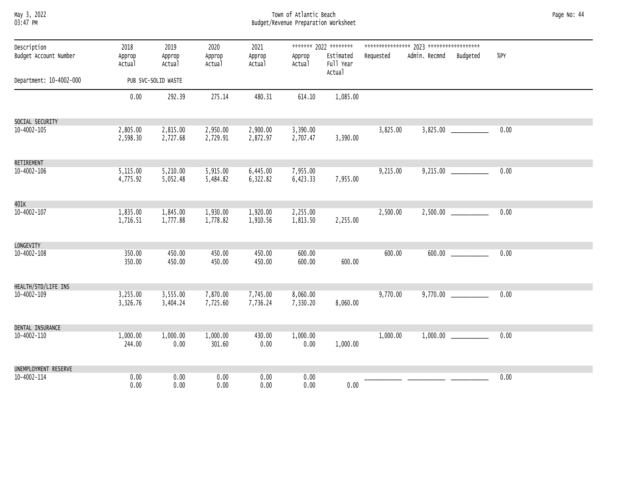| мау 3,   | 2022 |
|----------|------|
| 03:47 PM |      |

# May 3, 2022 Town of Atlantic Beach Page No: 44 03:47 PM Budget/Revenue Preparation Worksheet

| Description<br>Budget Account Number | 2018<br>Approp<br>Actual | 2019<br>Approp<br>Actual | 2020<br>Approp<br>Actual | 2021<br>Approp<br>Actual | Approp<br>Actual     | ******* 2022 ********<br>Estimated<br>Full Year | Requested | Admin. Recmnd Budgeted    | %PY  |
|--------------------------------------|--------------------------|--------------------------|--------------------------|--------------------------|----------------------|-------------------------------------------------|-----------|---------------------------|------|
| Department: 10-4002-000              |                          | PUB SVC-SOLID WASTE      |                          |                          |                      | Actual                                          |           |                           |      |
|                                      | 0.00                     | 292.39                   | 275.14                   | 480.31                   | 614.10               | 1,085.00                                        |           |                           |      |
| SOCIAL SECURITY                      |                          |                          |                          |                          |                      |                                                 |           |                           |      |
| 10-4002-105                          | 2,805.00<br>2,598.30     | 2,815.00<br>2,727.68     | 2,950.00<br>2,729.91     | 2,900.00<br>2,872.97     | 3,390.00<br>2,707.47 | 3,390.00                                        | 3,825.00  | $3,825.00$ ______________ | 0.00 |
| RETIREMENT                           |                          |                          |                          |                          |                      |                                                 |           |                           |      |
| 10-4002-106                          | 5,115.00<br>4,775.92     | 5,210.00<br>5,052.48     | 5,915.00<br>5,484.82     | 6,445.00<br>6,322.82     | 7,955.00<br>6,423.33 | 7,955.00                                        | 9,215.00  |                           | 0.00 |
| 401K                                 |                          |                          |                          |                          |                      |                                                 |           |                           |      |
| 10-4002-107                          | 1,835.00<br>1,716.51     | 1,845.00<br>1,777.88     | 1,930.00<br>1,778.82     | 1,920.00<br>1,910.56     | 2,255.00<br>1,813.50 | 2,255.00                                        | 2,500.00  | $2,500.00$ ______________ | 0.00 |
| LONGEVITY                            |                          |                          |                          |                          |                      |                                                 |           |                           |      |
| 10-4002-108                          | 350.00<br>350.00         | 450.00<br>450.00         | 450.00<br>450.00         | 450.00<br>450.00         | 600.00<br>600.00     | 600.00                                          | 600.00    | 600.00                    | 0.00 |
| HEALTH/STD/LIFE INS                  |                          |                          |                          |                          |                      |                                                 |           |                           |      |
| 10-4002-109                          | 3,255.00<br>3,326.76     | 3,555.00<br>3,404.24     | 7,870.00<br>7,725.60     | 7,745.00<br>7,736.24     | 8,060.00<br>7,330.20 | 8,060.00                                        | 9,770.00  |                           | 0.00 |
|                                      |                          |                          |                          |                          |                      |                                                 |           |                           |      |
| DENTAL INSURANCE<br>10-4002-110      | 1,000.00<br>244.00       | 1,000.00<br>0.00         | 1,000.00<br>301.60       | 430.00<br>0.00           | 1,000.00<br>0.00     | 1,000.00                                        | 1,000.00  |                           | 0.00 |
| UNEMPLOYMENT RESERVE                 |                          |                          |                          |                          |                      |                                                 |           |                           |      |
| 10-4002-114                          | 0.00<br>0.00             | 0.00<br>0.00             | 0.00<br>0.00             | 0.00<br>0.00             | 0.00<br>0.00         | 0.00                                            |           |                           | 0.00 |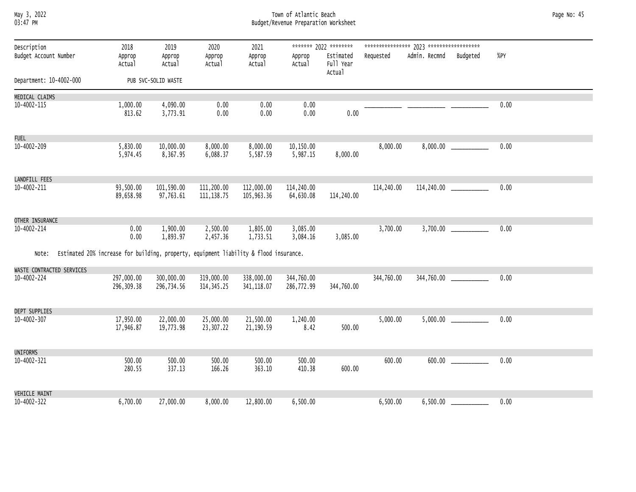### May 3, 2022 Town of Atlantic Beach Page No: 45 03:47 PM Budget/Revenue Preparation Worksheet

| Description                              | 2018                                                                                        | 2019                    | 2020                      | 2021                     |                         | ******* 2022 ********            |            |               |                           |      |  |
|------------------------------------------|---------------------------------------------------------------------------------------------|-------------------------|---------------------------|--------------------------|-------------------------|----------------------------------|------------|---------------|---------------------------|------|--|
| Budget Account Number                    | Approp<br>Actual                                                                            | Approp<br>Actual        | Approp<br>Actual          | Approp<br>Actual         | Approp<br>Actual        | Estimated<br>Full Year<br>Actual | Requested  | Admin. Recmnd | Budgeted                  | %PY  |  |
| Department: 10-4002-000                  |                                                                                             | PUB SVC-SOLID WASTE     |                           |                          |                         |                                  |            |               |                           |      |  |
| MEDICAL CLAIMS                           |                                                                                             |                         |                           |                          |                         |                                  |            |               |                           |      |  |
| 10-4002-115                              | 1,000.00<br>813.62                                                                          | 4,090.00<br>3,773.91    | 0.00<br>0.00              | 0.00<br>0.00             | 0.00<br>0.00            | 0.00                             |            |               |                           | 0.00 |  |
| <b>FUEL</b>                              |                                                                                             |                         |                           |                          |                         |                                  |            |               |                           |      |  |
| 10-4002-209                              | 5,830.00<br>5,974.45                                                                        | 10,000.00<br>8,367.95   | 8,000.00<br>6,088.37      | 8,000.00<br>5,587.59     | 10,150.00<br>5,987.15   | 8,000.00                         | 8,000.00   |               |                           | 0.00 |  |
| LANDFILL FEES                            |                                                                                             |                         |                           |                          |                         |                                  |            |               |                           |      |  |
| 10-4002-211                              | 93,500.00<br>89,658.98                                                                      | 101,590.00<br>97,763.61 | 111,200.00<br>111, 138.75 | 112,000.00<br>105,963.36 | 114,240.00<br>64,630.08 | 114,240.00                       | 114,240.00 |               | 114,240.00 ______________ | 0.00 |  |
| OTHER INSURANCE                          |                                                                                             |                         |                           |                          |                         |                                  |            |               |                           |      |  |
| 10-4002-214                              | 0.00<br>0.00                                                                                | 1,900.00<br>1,893.97    | 2,500.00<br>2,457.36      | 1,805.00<br>1,733.51     | 3,085.00<br>3,084.16    | 3,085.00                         | 3,700.00   |               |                           | 0.00 |  |
|                                          | Note: Estimated 20% increase for building, property, equipment liability & flood insurance. |                         |                           |                          |                         |                                  |            |               |                           |      |  |
| WASTE CONTRACTED SERVICES<br>10-4002-224 | 297,000.00                                                                                  | 300,000.00              | 319,000.00                | 338,000.00               | 344,760.00              |                                  | 344,760.00 |               | 344,760.00                | 0.00 |  |
|                                          | 296,309.38                                                                                  | 296,734.56              | 314, 345.25               | 341, 118.07              | 286,772.99              | 344,760.00                       |            |               |                           |      |  |
| DEPT SUPPLIES                            |                                                                                             |                         |                           |                          |                         |                                  |            |               |                           |      |  |
| 10-4002-307                              | 17,950.00<br>17,946.87                                                                      | 22,000.00<br>19,773.98  | 25,000.00<br>23,307.22    | 21,500.00<br>21,190.59   | 1,240.00<br>8.42        | 500.00                           | 5,000.00   |               |                           | 0.00 |  |
| UNIFORMS                                 |                                                                                             |                         |                           |                          |                         |                                  |            |               |                           |      |  |
| 10-4002-321                              | 500.00<br>280.55                                                                            | 500.00<br>337.13        | 500.00<br>166.26          | 500.00<br>363.10         | 500.00<br>410.38        | 600.00                           | 600.00     |               |                           | 0.00 |  |
| <b>VEHICLE MAINT</b>                     |                                                                                             |                         |                           |                          |                         |                                  |            |               |                           |      |  |
| 10-4002-322                              | 6,700.00                                                                                    | 27,000.00               | 8,000.00                  | 12,800.00                | 6,500.00                |                                  | 6,500.00   |               |                           | 0.00 |  |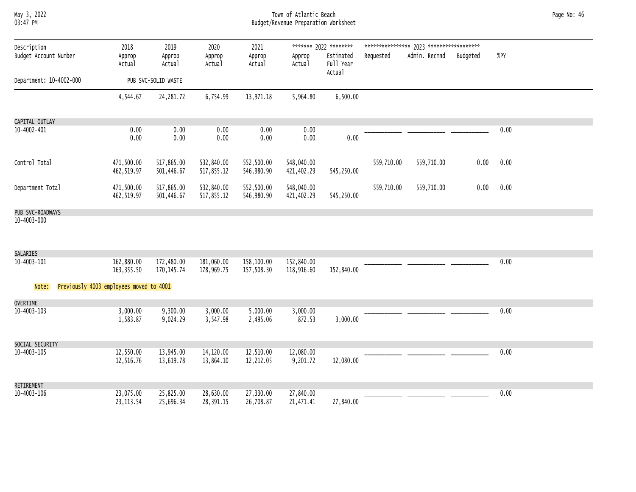# May 3, 2022 Town of Atlantic Beach Page No: 46 03:47 PM Budget/Revenue Preparation Worksheet

| Description             | 2018                                    | 2019                      | 2020                     | 2021                     |                          | ******* 2022 ********            |            |               |          |        |  |
|-------------------------|-----------------------------------------|---------------------------|--------------------------|--------------------------|--------------------------|----------------------------------|------------|---------------|----------|--------|--|
| Budget Account Number   | Approp<br>Actual                        | Approp<br>Actual          | Approp<br>Actual         | Approp<br>Actual         | Approp<br>Actual         | Estimated<br>Full Year<br>Actual | Requested  | Admin. Recmnd | Budgeted | $%$ PY |  |
| Department: 10-4002-000 |                                         | PUB SVC-SOLID WASTE       |                          |                          |                          |                                  |            |               |          |        |  |
|                         | 4,544.67                                | 24, 281.72                | 6,754.99                 | 13,971.18                | 5,964.80                 | 6,500.00                         |            |               |          |        |  |
| CAPITAL OUTLAY          |                                         |                           |                          |                          |                          |                                  |            |               |          |        |  |
| 10-4002-401             | 0.00<br>0.00                            | 0.00<br>0.00              | 0.00<br>0.00             | 0.00<br>0.00             | 0.00<br>0.00             | 0.00                             |            |               |          | 0.00   |  |
| Control Total           | 471,500.00<br>462,519.97                | 517,865.00<br>501,446.67  | 532,840.00<br>517,855.12 | 552,500.00<br>546,980.90 | 548,040.00<br>421,402.29 | 545,250.00                       | 559,710.00 | 559,710.00    | 0.00     | 0.00   |  |
| Department Total        | 471,500.00<br>462,519.97                | 517,865.00<br>501,446.67  | 532,840.00<br>517,855.12 | 552,500.00<br>546,980.90 | 548,040.00<br>421,402.29 | 545,250.00                       | 559,710.00 | 559,710.00    | 0.00     | 0.00   |  |
| PUB SVC-ROADWAYS        |                                         |                           |                          |                          |                          |                                  |            |               |          |        |  |
| 10-4003-000             |                                         |                           |                          |                          |                          |                                  |            |               |          |        |  |
| SALARIES                |                                         |                           |                          |                          |                          |                                  |            |               |          |        |  |
| 10-4003-101             | 162,880.00<br>163, 355.50               | 172,480.00<br>170, 145.74 | 181,060.00<br>178,969.75 | 158,100.00<br>157,508.30 | 152,840.00<br>118,916.60 | 152,840.00                       |            |               |          | 0.00   |  |
| Note:                   | Previously 4003 employees moved to 4001 |                           |                          |                          |                          |                                  |            |               |          |        |  |
| <b>OVERTIME</b>         |                                         |                           |                          |                          |                          |                                  |            |               |          |        |  |
| 10-4003-103             | 3,000.00<br>1,583.87                    | 9,300.00<br>9,024.29      | 3,000.00<br>3,547.98     | 5,000.00<br>2,495.06     | 3,000.00<br>872.53       | 3,000.00                         |            |               |          | 0.00   |  |
| SOCIAL SECURITY         |                                         |                           |                          |                          |                          |                                  |            |               |          |        |  |
| 10-4003-105             | 12,550.00<br>12,516.76                  | 13,945.00<br>13,619.78    | 14,120.00<br>13,864.10   | 12,510.00<br>12,212.05   | 12,080.00<br>9,201.72    | 12,080.00                        |            |               |          | 0.00   |  |
| RETIREMENT              |                                         |                           |                          |                          |                          |                                  |            |               |          |        |  |
| 10-4003-106             | 23,075.00<br>23, 113.54                 | 25,825.00<br>25,696.34    | 28,630.00<br>28,391.15   | 27,330.00<br>26,708.87   | 27,840.00<br>21,471.41   | 27,840.00                        |            |               |          | 0.00   |  |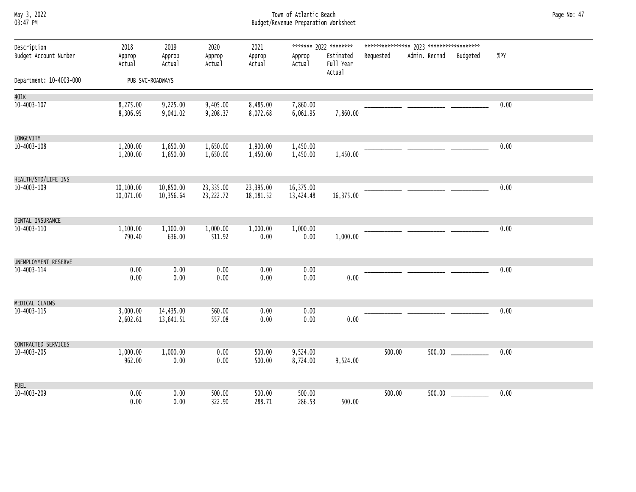# May 3, 2022 Town of Atlantic Beach Page No: 47 03:47 PM Budget/Revenue Preparation Worksheet

| Description             | 2018                   | 2019<br>Approp<br>Actual | 2020<br>Approp<br>Actual | 2021<br>Approp<br>Actual | ******* 2022 ********  |                                  |           |                        |  |      |
|-------------------------|------------------------|--------------------------|--------------------------|--------------------------|------------------------|----------------------------------|-----------|------------------------|--|------|
| Budget Account Number   | Approp<br>Actual       |                          |                          |                          | Approp<br>Actual       | Estimated<br>Full Year<br>Actual | Requested | Admin. Recmnd Budgeted |  | %PY  |
| Department: 10-4003-000 |                        | PUB SVC-ROADWAYS         |                          |                          |                        |                                  |           |                        |  |      |
| 401K                    |                        |                          |                          |                          |                        |                                  |           |                        |  |      |
| 10-4003-107             | 8,275.00<br>8,306.95   | 9,225.00<br>9,041.02     | 9,405.00<br>9,208.37     | 8,485.00<br>8,072.68     | 7,860.00<br>6,061.95   | 7,860.00                         |           |                        |  | 0.00 |
| LONGEVITY               |                        |                          |                          |                          |                        |                                  |           |                        |  |      |
| 10-4003-108             | 1,200.00<br>1,200.00   | 1,650.00<br>1,650.00     | 1,650.00<br>1,650.00     | 1,900.00<br>1,450.00     | 1,450.00<br>1,450.00   | 1,450.00                         |           |                        |  | 0.00 |
| HEALTH/STD/LIFE INS     |                        |                          |                          |                          |                        |                                  |           |                        |  |      |
| 10-4003-109             | 10,100.00<br>10,071.00 | 10,850.00<br>10,356.64   | 23,335.00<br>23,222.72   | 23,395.00<br>18,181.52   | 16,375.00<br>13,424.48 | 16,375.00                        |           |                        |  | 0.00 |
| DENTAL INSURANCE        |                        |                          |                          |                          |                        |                                  |           |                        |  |      |
| 10-4003-110             | 1,100.00<br>790.40     | 1,100.00<br>636.00       | 1,000.00<br>511.92       | 1,000.00<br>0.00         | 1,000.00<br>0.00       | 1,000.00                         |           |                        |  | 0.00 |
| UNEMPLOYMENT RESERVE    |                        |                          |                          |                          |                        |                                  |           |                        |  |      |
| 10-4003-114             | 0.00<br>0.00           | 0.00<br>0.00             | 0.00<br>0.00             | 0.00<br>0.00             | 0.00<br>0.00           | 0.00                             |           |                        |  | 0.00 |
| MEDICAL CLAIMS          |                        |                          |                          |                          |                        |                                  |           |                        |  |      |
| 10-4003-115             | 3,000.00<br>2,602.61   | 14,435.00<br>13,641.51   | 560.00<br>557.08         | 0.00<br>0.00             | 0.00<br>0.00           | 0.00                             |           |                        |  | 0.00 |
| CONTRACTED SERVICES     |                        |                          |                          |                          |                        |                                  |           |                        |  |      |
| 10-4003-205             | 1,000.00<br>962.00     | 1,000.00<br>0.00         | 0.00<br>0.00             | 500.00<br>500.00         | 9,524.00<br>8,724.00   | 9,524.00                         | 500.00    |                        |  | 0.00 |
| <b>FUEL</b>             |                        |                          |                          |                          |                        |                                  |           |                        |  |      |
| 10-4003-209             | 0.00<br>0.00           | 0.00<br>0.00             | 500.00<br>322.90         | 500.00<br>288.71         | 500.00<br>286.53       | 500.00                           | 500.00    |                        |  | 0.00 |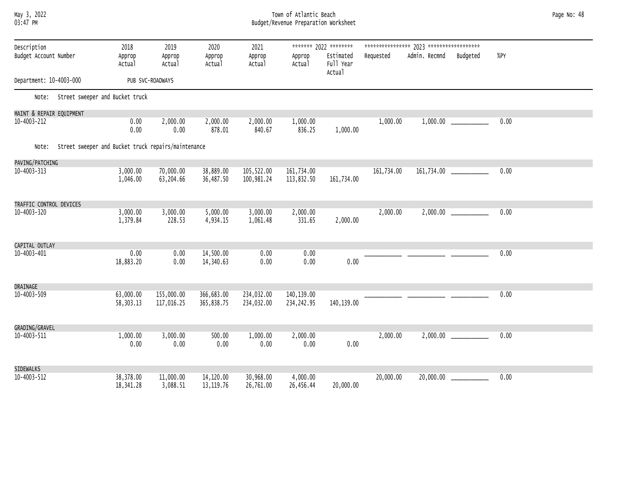# May 3, 2022 Town of Atlantic Beach Page No: 48 03:47 PM Budget/Revenue Preparation Worksheet

| Description<br>Budget Account Number                      |                                       | 2018<br>Approp<br>Actual | 2019<br>Approp<br>Actual | 2020<br>Approp<br>Actual | 2021<br>Approp<br>Actual | Approp<br>Actual         | ******* 2022 ********<br>Estimated<br>Full Year<br>Actual | Requested  | Admin. Recmnd | Budgeted                   | $%$ PY |
|-----------------------------------------------------------|---------------------------------------|--------------------------|--------------------------|--------------------------|--------------------------|--------------------------|-----------------------------------------------------------|------------|---------------|----------------------------|--------|
| Department: 10-4003-000<br>PUB SVC-ROADWAYS               |                                       |                          |                          |                          |                          |                          |                                                           |            |               |                            |        |
|                                                           | Note: Street sweeper and Bucket truck |                          |                          |                          |                          |                          |                                                           |            |               |                            |        |
| MAINT & REPAIR EQUIPMENT                                  |                                       |                          |                          |                          |                          |                          |                                                           |            |               |                            |        |
| 10-4003-212                                               |                                       | 0.00<br>0.00             | 2,000.00<br>0.00         | 2,000.00<br>878.01       | 2,000.00<br>840.67       | 1,000.00<br>836.25       | 1,000.00                                                  | 1,000.00   |               |                            | 0.00   |
| Note: Street sweeper and Bucket truck repairs/maintenance |                                       |                          |                          |                          |                          |                          |                                                           |            |               |                            |        |
| PAVING/PATCHING                                           |                                       |                          |                          |                          |                          |                          |                                                           |            |               |                            |        |
| 10-4003-313                                               |                                       | 3,000.00<br>1,046.00     | 70,000.00<br>63,204.66   | 38,889.00<br>36,487.50   | 105,522.00<br>100,981.24 | 161,734.00<br>113,832.50 | 161,734.00                                                | 161,734.00 |               |                            | 0.00   |
| TRAFFIC CONTROL DEVICES                                   |                                       |                          |                          |                          |                          |                          |                                                           |            |               |                            |        |
| 10-4003-320                                               |                                       | 3,000.00<br>1,379.84     | 3,000.00<br>228.53       | 5,000.00<br>4,934.15     | 3,000.00<br>1,061.48     | 2,000.00<br>331.65       | 2,000.00                                                  | 2,000.00   |               |                            | 0.00   |
| CAPITAL OUTLAY                                            |                                       |                          |                          |                          |                          |                          |                                                           |            |               |                            |        |
| 10-4003-401                                               |                                       | 0.00                     | 0.00                     | 14,500.00                | 0.00                     | 0.00                     |                                                           |            |               |                            | 0.00   |
|                                                           |                                       | 18,883.20                | 0.00                     | 14,340.63                | 0.00                     | 0.00                     | 0.00                                                      |            |               |                            |        |
| DRAINAGE                                                  |                                       |                          |                          |                          |                          |                          |                                                           |            |               |                            |        |
| $10 - 4003 - 509$                                         |                                       | 63,000.00<br>58,303.13   | 155,000.00<br>117,016.25 | 366,683.00<br>365,838.75 | 234,032.00<br>234,032.00 | 140,139.00<br>234,242.95 | 140,139.00                                                |            |               |                            | 0.00   |
| GRADING/GRAVEL                                            |                                       |                          |                          |                          |                          |                          |                                                           |            |               |                            |        |
| 10-4003-511                                               |                                       | 1,000.00<br>0.00         | 3,000.00<br>0.00         | 500.00<br>0.00           | 1,000.00<br>0.00         | 2,000.00<br>0.00         | 0.00                                                      | 2,000.00   |               |                            | 0.00   |
| SIDEWALKS                                                 |                                       |                          |                          |                          |                          |                          |                                                           |            |               |                            |        |
| 10-4003-512                                               |                                       | 38,378.00<br>18,341.28   | 11,000.00<br>3,088.51    | 14,120.00<br>13, 119.76  | 30,968.00<br>26,761.00   | 4,000.00<br>26,456.44    | 20,000.00                                                 | 20,000.00  |               | $20,000.00$ ______________ | 0.00   |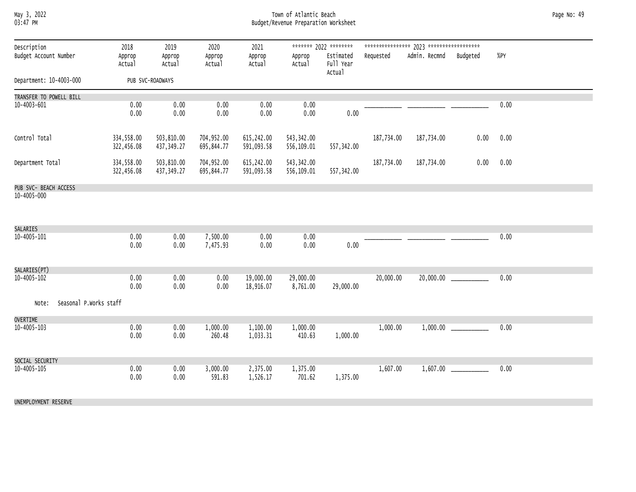### May 3, 2022 Town of Atlantic Beach Page No: 49 03:47 PM Budget/Revenue Preparation Worksheet

| Description<br>Budget Account Number | 2018<br>Approp<br>Actual | 2019<br>Approp<br>Actual  | 2020<br>Approp<br>Actual | 2021<br>Approp<br>Actual | Approp<br>Actual          | ******* 2022 ********<br>Estimated<br>Full Year<br>Actual | Requested  | Admin. Recmnd | Budgeted | %PY  |  |
|--------------------------------------|--------------------------|---------------------------|--------------------------|--------------------------|---------------------------|-----------------------------------------------------------|------------|---------------|----------|------|--|
| Department: 10-4003-000              |                          | PUB SVC-ROADWAYS          |                          |                          |                           |                                                           |            |               |          |      |  |
| TRANSFER TO POWELL BILL              |                          |                           |                          |                          |                           |                                                           |            |               |          |      |  |
| 10-4003-601                          | 0.00<br>0.00             | 0.00<br>0.00              | 0.00<br>0.00             | 0.00<br>0.00             | 0.00<br>0.00              | 0.00                                                      |            |               |          | 0.00 |  |
| Control Total                        | 334,558.00<br>322,456.08 | 503,810.00<br>437, 349.27 | 704,952.00<br>695,844.77 | 615,242.00<br>591,093.58 | 543, 342.00<br>556,109.01 | 557,342.00                                                | 187,734.00 | 187,734.00    | 0.00     | 0.00 |  |
| Department Total                     | 334,558.00<br>322,456.08 | 503,810.00<br>437, 349.27 | 704,952.00<br>695,844.77 | 615,242.00<br>591,093.58 | 543, 342.00<br>556,109.01 | 557,342.00                                                | 187,734.00 | 187,734.00    | 0.00     | 0.00 |  |
| PUB SVC- BEACH ACCESS                |                          |                           |                          |                          |                           |                                                           |            |               |          |      |  |
| $10 - 4005 - 000$                    |                          |                           |                          |                          |                           |                                                           |            |               |          |      |  |
| SALARIES                             |                          |                           |                          |                          |                           |                                                           |            |               |          |      |  |
| 10-4005-101                          | 0.00<br>0.00             | 0.00<br>0.00              | 7,500.00<br>7,475.93     | 0.00<br>0.00             | 0.00<br>0.00              | 0.00                                                      |            |               |          | 0.00 |  |
| SALARIES(PT)                         |                          |                           |                          |                          |                           |                                                           |            |               |          |      |  |
| $10 - 4005 - 102$                    | 0.00<br>0.00             | 0.00<br>0.00              | 0.00<br>0.00             | 19,000.00<br>18,916.07   | 29,000.00<br>8,761.00     | 29,000.00                                                 | 20,000.00  | 20,000.00     |          | 0.00 |  |
| Seasonal P.Works staff<br>Note:      |                          |                           |                          |                          |                           |                                                           |            |               |          |      |  |
| <b>OVERTIME</b>                      |                          |                           |                          |                          |                           |                                                           |            |               |          |      |  |
| $10 - 4005 - 103$                    | 0.00<br>0.00             | 0.00<br>0.00              | 1,000.00<br>260.48       | 1,100.00<br>1,033.31     | 1,000.00<br>410.63        | 1,000.00                                                  | 1,000.00   | 1,000.00      |          | 0.00 |  |
| SOCIAL SECURITY                      |                          |                           |                          |                          |                           |                                                           |            |               |          |      |  |
| 10-4005-105                          | 0.00<br>0.00             | 0.00<br>0.00              | 3,000.00<br>591.83       | 2,375.00<br>1,526.17     | 1,375.00<br>701.62        | 1,375.00                                                  | 1,607.00   |               |          | 0.00 |  |
| UNEMPLOYMENT RESERVE                 |                          |                           |                          |                          |                           |                                                           |            |               |          |      |  |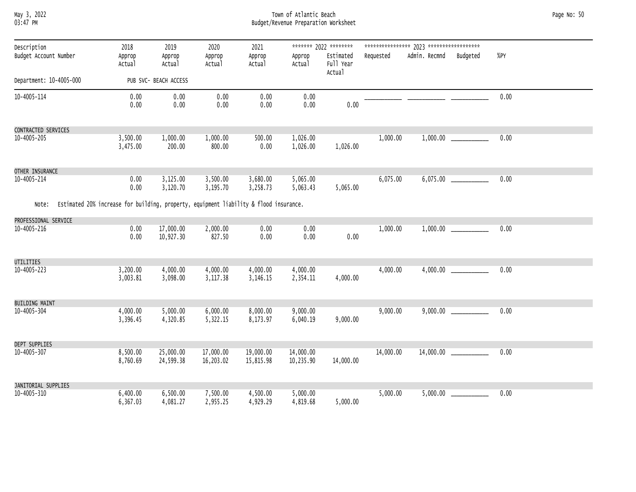### May 3, 2022 Town of Atlantic Beach Page No: 50 03:47 PM Budget/Revenue Preparation Worksheet

| Description<br>Budget Account Number | 2018<br>Approp<br>Actual                                                              | 2019<br>Approp<br>Actual | 2020<br>Approp<br>Actual | 2021<br>Approp<br>Actual | Approp<br>Actual       | ******* 2022 ********<br>Estimated<br>Full Year<br>Actual | Requested | Admin. Recmnd | Budgeted | %PY  |  |
|--------------------------------------|---------------------------------------------------------------------------------------|--------------------------|--------------------------|--------------------------|------------------------|-----------------------------------------------------------|-----------|---------------|----------|------|--|
| Department: 10-4005-000              |                                                                                       | PUB SVC- BEACH ACCESS    |                          |                          |                        |                                                           |           |               |          |      |  |
| 10-4005-114                          | 0.00<br>0.00                                                                          | 0.00<br>0.00             | 0.00<br>0.00             | 0.00<br>0.00             | 0.00<br>0.00           | 0.00                                                      |           |               |          | 0.00 |  |
| CONTRACTED SERVICES                  |                                                                                       |                          |                          |                          |                        |                                                           |           |               |          |      |  |
| 10-4005-205                          | 3,500.00<br>3,475.00                                                                  | 1,000.00<br>200.00       | 1,000.00<br>800.00       | 500.00<br>0.00           | 1,026.00<br>1,026.00   | 1,026.00                                                  | 1,000.00  |               |          | 0.00 |  |
| OTHER INSURANCE                      |                                                                                       |                          |                          |                          |                        |                                                           |           |               |          |      |  |
| 10-4005-214                          | 0.00<br>0.00                                                                          | 3,125.00<br>3,120.70     | 3,500.00<br>3,195.70     | 3,680.00<br>3,258.73     | 5,065.00<br>5,063.43   | 5,065.00                                                  | 6,075.00  |               |          | 0.00 |  |
| Note:                                | Estimated 20% increase for building, property, equipment liability & flood insurance. |                          |                          |                          |                        |                                                           |           |               |          |      |  |
| PROFESSIONAL SERVICE                 |                                                                                       |                          |                          |                          |                        |                                                           |           |               |          |      |  |
| 10-4005-216                          | 0.00<br>0.00                                                                          | 17,000.00<br>10,927.30   | 2,000.00<br>827.50       | 0.00<br>0.00             | 0.00<br>0.00           | 0.00                                                      | 1,000.00  |               |          | 0.00 |  |
| UTILITIES                            |                                                                                       |                          |                          |                          |                        |                                                           |           |               |          |      |  |
| 10-4005-223                          | 3,200.00<br>3,003.81                                                                  | 4,000.00<br>3,098.00     | 4,000.00<br>3,117.38     | 4,000.00<br>3,146.15     | 4,000.00<br>2,354.11   | 4,000.00                                                  | 4,000.00  |               | 4,000.00 | 0.00 |  |
| <b>BUILDING MAINT</b>                |                                                                                       |                          |                          |                          |                        |                                                           |           |               |          |      |  |
| 10-4005-304                          | 4,000.00<br>3,396.45                                                                  | 5,000.00<br>4,320.85     | 6,000.00<br>5,322.15     | 8,000.00<br>8,173.97     | 9,000.00<br>6,040.19   | 9,000.00                                                  | 9,000.00  |               |          | 0.00 |  |
| DEPT SUPPLIES                        |                                                                                       |                          |                          |                          |                        |                                                           |           |               |          |      |  |
| 10-4005-307                          | 8,500.00<br>8,760.69                                                                  | 25,000.00<br>24,599.38   | 17,000.00<br>16,203.02   | 19,000.00<br>15,815.98   | 14,000.00<br>10,235.90 | 14,000.00                                                 | 14,000.00 |               |          | 0.00 |  |
| JANITORIAL SUPPLIES                  |                                                                                       |                          |                          |                          |                        |                                                           |           |               |          |      |  |
| 10-4005-310                          | 6,400.00<br>6,367.03                                                                  | 6,500.00<br>4,081.27     | 7,500.00<br>2,955.25     | 4,500.00<br>4,929.29     | 5,000.00<br>4,819.68   | 5,000.00                                                  | 5,000.00  |               |          | 0.00 |  |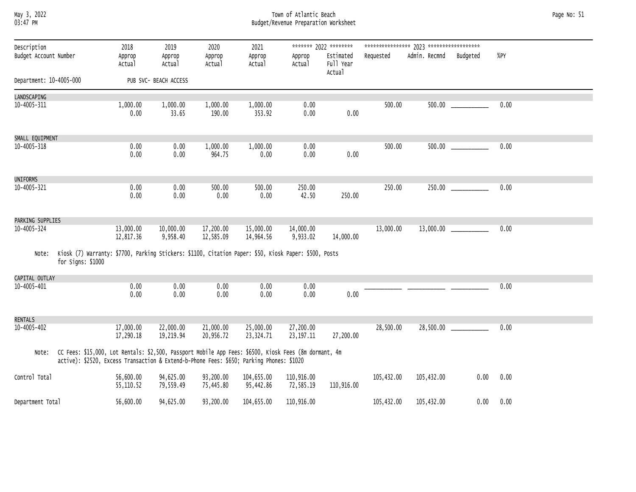### May 3, 2022 Town of Atlantic Beach Page No: 51 03:47 PM Budget/Revenue Preparation Worksheet

| Description<br>Budget Account Number |                                                                                                                                                                                                   | 2018<br>Approp<br>Actual | 2019<br>Approp<br>Actual | 2020<br>Approp<br>Actual | 2021<br>Approp<br>Actual | Approp<br>Actual         | ******* 2022 ********<br>Estimated<br>Full Year<br>Actual | Requested  | Admin. Recmnd | Budgeted | %PY  |  |
|--------------------------------------|---------------------------------------------------------------------------------------------------------------------------------------------------------------------------------------------------|--------------------------|--------------------------|--------------------------|--------------------------|--------------------------|-----------------------------------------------------------|------------|---------------|----------|------|--|
| Department: 10-4005-000              |                                                                                                                                                                                                   |                          | PUB SVC- BEACH ACCESS    |                          |                          |                          |                                                           |            |               |          |      |  |
| LANDSCAPING                          |                                                                                                                                                                                                   |                          |                          |                          |                          |                          |                                                           |            |               |          |      |  |
| 10-4005-311                          |                                                                                                                                                                                                   | 1,000.00<br>0.00         | 1,000.00<br>33.65        | 1,000.00<br>190.00       | 1,000.00<br>353.92       | 0.00<br>0.00             | 0.00                                                      | 500.00     |               |          | 0.00 |  |
| SMALL EQUIPMENT                      |                                                                                                                                                                                                   |                          |                          |                          |                          |                          |                                                           |            |               |          |      |  |
| 10-4005-318                          |                                                                                                                                                                                                   | 0.00<br>0.00             | 0.00<br>0.00             | 1,000.00<br>964.75       | 1,000.00<br>0.00         | 0.00<br>0.00             | 0.00                                                      | 500.00     |               |          | 0.00 |  |
| UNIFORMS                             |                                                                                                                                                                                                   |                          |                          |                          |                          |                          |                                                           |            |               |          |      |  |
| 10-4005-321                          |                                                                                                                                                                                                   | 0.00<br>0.00             | 0.00<br>0.00             | 500.00<br>0.00           | 500.00<br>0.00           | 250.00<br>42.50          | 250.00                                                    | 250.00     |               | 250.00   | 0.00 |  |
| PARKING SUPPLIES                     |                                                                                                                                                                                                   |                          |                          |                          |                          |                          |                                                           |            |               |          |      |  |
| 10-4005-324                          |                                                                                                                                                                                                   | 13,000.00<br>12,817.36   | 10,000.00<br>9,958.40    | 17,200.00<br>12,585.09   | 15,000.00<br>14,964.56   | 14,000.00<br>9,933.02    | 14,000.00                                                 | 13,000.00  |               |          | 0.00 |  |
| Note:                                | Kiosk (7) Warranty: \$7700, Parking Stickers: \$1100, Citation Paper: \$50, Kiosk Paper: \$500, Posts<br>for Signs: \$1000                                                                        |                          |                          |                          |                          |                          |                                                           |            |               |          |      |  |
| CAPITAL OUTLAY                       |                                                                                                                                                                                                   |                          |                          |                          |                          |                          |                                                           |            |               |          |      |  |
| 10-4005-401                          |                                                                                                                                                                                                   | 0.00<br>0.00             | 0.00<br>0.00             | 0.00<br>0.00             | 0.00<br>0.00             | 0.00<br>0.00             | 0.00                                                      |            |               |          | 0.00 |  |
| RENTALS                              |                                                                                                                                                                                                   |                          |                          |                          |                          |                          |                                                           |            |               |          |      |  |
| 10-4005-402                          |                                                                                                                                                                                                   | 17,000.00<br>17,290.18   | 22,000.00<br>19,219.94   | 21,000.00<br>20,956.72   | 25,000.00<br>23,324.71   | 27,200.00<br>23, 197. 11 | 27,200.00                                                 | 28,500.00  |               |          | 0.00 |  |
| Note:                                | CC Fees: \$15,000, Lot Rentals: \$2,500, Passport Mobile App Fees: \$6500, Kiosk Fees (8m dormant, 4m<br>active): \$2520, Excess Transaction & Extend-b-Phone Fees: \$650; Parking Phones: \$1020 |                          |                          |                          |                          |                          |                                                           |            |               |          |      |  |
| Control Total                        |                                                                                                                                                                                                   | 56,600.00<br>55,110.52   | 94,625.00<br>79,559.49   | 93,200.00<br>75,445.80   | 104,655.00<br>95,442.86  | 110,916.00<br>72,585.19  | 110,916.00                                                | 105,432.00 | 105,432.00    | 0.00     | 0.00 |  |
| Department Total                     |                                                                                                                                                                                                   | 56,600.00                | 94,625.00                | 93,200.00                | 104,655.00               | 110,916.00               |                                                           | 105,432.00 | 105,432.00    | 0.00     | 0.00 |  |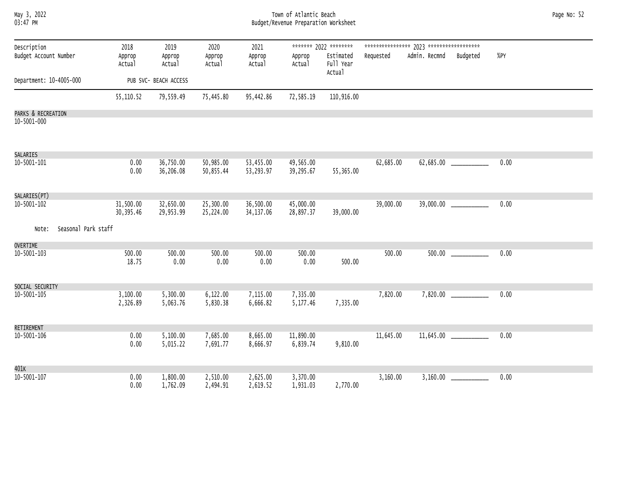| May 3, 2022<br>03:47 PM              |                          |                          |                          |                          | Town of Atlantic Beach<br>Budget/Revenue Preparation Worksheet |                                                           |           |               |                         |      | Page No: 52 |
|--------------------------------------|--------------------------|--------------------------|--------------------------|--------------------------|----------------------------------------------------------------|-----------------------------------------------------------|-----------|---------------|-------------------------|------|-------------|
| Description<br>Budget Account Number | 2018<br>Approp<br>Actual | 2019<br>Approp<br>Actual | 2020<br>Approp<br>Actual | 2021<br>Approp<br>Actual | Approp<br>Actual                                               | ******* 2022 ********<br>Estimated<br>Full Year<br>Actual | Requested | Admin. Recmnd | Budgeted                | %PY  |             |
| Department: 10-4005-000              |                          | PUB SVC- BEACH ACCESS    |                          |                          |                                                                |                                                           |           |               |                         |      |             |
|                                      | 55,110.52                | 79,559.49                | 75,445.80                | 95,442.86                | 72,585.19                                                      | 110,916.00                                                |           |               |                         |      |             |
| PARKS & RECREATION<br>10-5001-000    |                          |                          |                          |                          |                                                                |                                                           |           |               |                         |      |             |
| SALARIES                             |                          |                          |                          |                          |                                                                |                                                           |           |               |                         |      |             |
| 10-5001-101                          | 0.00<br>0.00             | 36,750.00<br>36,206.08   | 50,985.00<br>50,855.44   | 53,455.00<br>53,293.97   | 49,565.00<br>39,295.67                                         | 55,365.00                                                 | 62,685.00 |               | 62,685.00 _____________ | 0.00 |             |
| SALARIES(PT)                         |                          |                          |                          |                          |                                                                |                                                           |           |               |                         |      |             |
| 10-5001-102                          | 31,500.00<br>30,395.46   | 32,650.00<br>29,953.99   | 25,300.00<br>25,224.00   | 36,500.00<br>34, 137.06  | 45,000.00<br>28,897.37                                         | 39,000.00                                                 | 39,000.00 |               | 39,000.00 ____________  | 0.00 |             |
| Seasonal Park staff<br>Note:         |                          |                          |                          |                          |                                                                |                                                           |           |               |                         |      |             |
| <b>OVERTIME</b>                      |                          |                          |                          |                          |                                                                |                                                           |           |               |                         |      |             |
| 10-5001-103                          | 500.00<br>18.75          | 500.00<br>0.00           | 500.00<br>0.00           | 500.00<br>0.00           | 500.00<br>0.00                                                 | 500.00                                                    | 500.00    |               |                         | 0.00 |             |
| SOCIAL SECURITY                      |                          |                          |                          |                          |                                                                |                                                           |           |               |                         |      |             |
| 10-5001-105                          | 3,100.00<br>2,326.89     | 5,300.00<br>5,063.76     | 6,122.00<br>5,830.38     | 7,115.00<br>6,666.82     | 7,335.00<br>5,177.46                                           | 7,335.00                                                  | 7,820.00  |               | 7,820.00                | 0.00 |             |
| RETIREMENT                           |                          |                          |                          |                          |                                                                |                                                           |           |               |                         |      |             |
| 10-5001-106                          | 0.00<br>0.00             | 5,100.00<br>5,015.22     | 7,685.00<br>7,691.77     | 8,665.00<br>8,666.97     | 11,890.00<br>6,839.74                                          | 9,810.00                                                  | 11,645.00 |               |                         | 0.00 |             |
| 401K                                 |                          |                          |                          |                          |                                                                |                                                           |           |               |                         |      |             |
| 10-5001-107                          | 0.00<br>0.00             | 1,800.00<br>1,762.09     | 2,510.00<br>2,494.91     | 2,625.00<br>2,619.52     | 3,370.00<br>1,931.03                                           | 2,770.00                                                  | 3,160.00  |               |                         | 0.00 |             |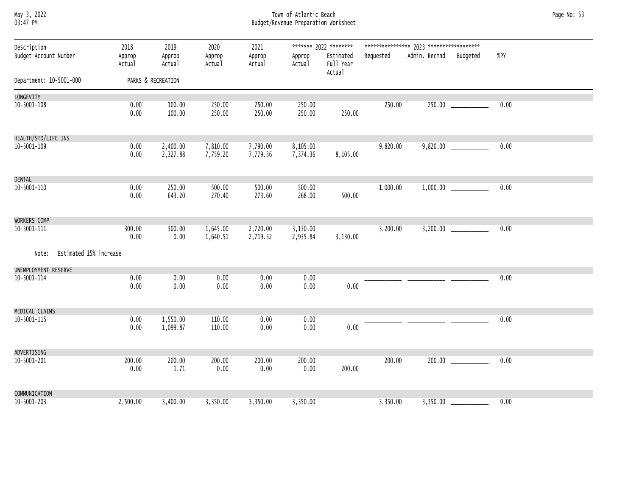### May 3, 2022 Town of Atlantic Beach Page No: 53 03:47 PM Budget/Revenue Preparation Worksheet

| Description<br>Budget Account Number | 2018<br>Approp<br>Actual | 2019<br>Approp<br>Actual | 2020<br>Approp<br>Actual | 2021<br>Approp<br>Actual | Approp<br>Actual     | ******* 2022 ********<br>Estimated<br>Full Year<br>Actual | Requested | Admin. Recmnd Budgeted | %PY  |  |
|--------------------------------------|--------------------------|--------------------------|--------------------------|--------------------------|----------------------|-----------------------------------------------------------|-----------|------------------------|------|--|
| Department: 10-5001-000              |                          | PARKS & RECREATION       |                          |                          |                      |                                                           |           |                        |      |  |
| LONGEVITY                            |                          |                          |                          |                          |                      |                                                           |           |                        |      |  |
| 10-5001-108                          | 0.00<br>0.00             | 100.00<br>100.00         | 250.00<br>250.00         | 250.00<br>250.00         | 250.00<br>250.00     | 250.00                                                    | 250.00    |                        | 0.00 |  |
| HEALTH/STD/LIFE INS                  |                          |                          |                          |                          |                      |                                                           |           |                        |      |  |
| 10-5001-109                          | 0.00<br>0.00             | 2,400.00<br>2,327.88     | 7,810.00<br>7,759.20     | 7,790.00<br>7,779.36     | 8,105.00<br>7,374.36 | 8,105.00                                                  | 9,820.00  |                        | 0.00 |  |
| DENTAL                               |                          |                          |                          |                          |                      |                                                           |           |                        |      |  |
| 10-5001-110                          | 0.00<br>0.00             | 250.00<br>643.20         | 500.00<br>270.40         | 500.00<br>273.60         | 500.00<br>268.00     | 500.00                                                    | 1,000.00  |                        | 0.00 |  |
| WORKERS COMP                         |                          |                          |                          |                          |                      |                                                           |           |                        |      |  |
| 10-5001-111                          | 300.00<br>0.00           | 300.00<br>0.00           | 1,645.00<br>1,640.51     | 2,720.00<br>2,719.52     | 3,130.00<br>2,935.84 | 3,130.00                                                  | 3,200.00  |                        | 0.00 |  |
| Note: Estimated 15% increase         |                          |                          |                          |                          |                      |                                                           |           |                        |      |  |
| UNEMPLOYMENT RESERVE<br>10-5001-114  | 0.00                     | 0.00                     | 0.00                     | 0.00                     | 0.00                 |                                                           |           |                        | 0.00 |  |
|                                      | 0.00                     | 0.00                     | 0.00                     | 0.00                     | 0.00                 | 0.00                                                      |           |                        |      |  |
| MEDICAL CLAIMS                       |                          |                          |                          |                          |                      |                                                           |           |                        |      |  |
| 10-5001-115                          | 0.00<br>0.00             | 1,550.00<br>1,099.87     | 110.00<br>110.00         | 0.00<br>0.00             | 0.00<br>0.00         | 0.00                                                      |           |                        | 0.00 |  |
| ADVERTISING                          |                          |                          |                          |                          |                      |                                                           |           |                        |      |  |
| 10-5001-201                          | 200.00<br>0.00           | 200.00<br>1.71           | 200.00<br>0.00           | 200.00<br>0.00           | 200.00<br>0.00       | 200.00                                                    | 200.00    |                        | 0.00 |  |
| COMMUNICATION                        |                          |                          |                          |                          |                      |                                                           |           |                        |      |  |
| 10-5001-203                          | 2,500.00                 | 3,400.00                 | 3,350.00                 | 3,350.00                 | 3,350.00             |                                                           | 3,350.00  |                        | 0.00 |  |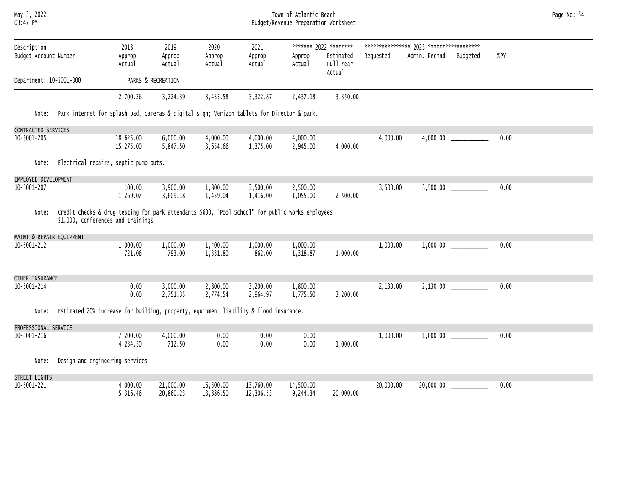May 3, 2022 Town of Atlantic Beach Page No: 54 03:47 PM Budget/Revenue Preparation Worksheet

| Description<br>Budget Account Number |                                                                                                                                        | 2018<br>Approp<br>Actual | 2019<br>Approp<br>Actual | 2020<br>Approp<br>Actual | 2021<br>Approp<br>Actual | Approp<br>Actual      | ******* 2022 ********<br>Estimated<br>Full Year<br>Actual | Requested | Admin. Recmnd | Budgeted | %PY  |
|--------------------------------------|----------------------------------------------------------------------------------------------------------------------------------------|--------------------------|--------------------------|--------------------------|--------------------------|-----------------------|-----------------------------------------------------------|-----------|---------------|----------|------|
| Department: 10-5001-000              |                                                                                                                                        |                          | PARKS & RECREATION       |                          |                          |                       |                                                           |           |               |          |      |
|                                      |                                                                                                                                        | 2,700.26                 | 3,224.39                 | 3,435.58                 | 3,322.87                 | 2,437.18              | 3,350.00                                                  |           |               |          |      |
| Note:                                | Park internet for splash pad, cameras & digital sign; Verizon tablets for Director & park.                                             |                          |                          |                          |                          |                       |                                                           |           |               |          |      |
| CONTRACTED SERVICES                  |                                                                                                                                        |                          |                          |                          |                          |                       |                                                           |           |               |          |      |
| 10-5001-205                          |                                                                                                                                        | 18,625.00<br>15,275.00   | 6,000.00<br>5,847.50     | 4,000.00<br>3,654.66     | 4,000.00<br>1,375.00     | 4,000.00<br>2,945.00  | 4,000.00                                                  | 4,000.00  |               |          | 0.00 |
| Note:                                | Electrical repairs, septic pump outs.                                                                                                  |                          |                          |                          |                          |                       |                                                           |           |               |          |      |
| EMPLOYEE DEVELOPMENT                 |                                                                                                                                        |                          |                          |                          |                          |                       |                                                           |           |               |          |      |
| 10-5001-207                          |                                                                                                                                        | 100.00<br>1,269.07       | 3,900.00<br>3,609.18     | 1,800.00<br>1,459.04     | 3,500.00<br>1,416.00     | 2,500.00<br>1,055.00  | 2,500.00                                                  | 3,500.00  |               |          | 0.00 |
| Note:                                | Credit checks & drug testing for park attendants \$600, "Pool School" for public works employees<br>\$1,000, conferences and trainings |                          |                          |                          |                          |                       |                                                           |           |               |          |      |
| MAINT & REPAIR EQUIPMENT             |                                                                                                                                        |                          |                          |                          |                          |                       |                                                           |           |               |          |      |
| 10-5001-212                          |                                                                                                                                        | 1,000.00<br>721.06       | 1,000.00<br>793.00       | 1,400.00<br>1,331.80     | 1,000.00<br>862.00       | 1,000.00<br>1,318.87  | 1,000.00                                                  | 1,000.00  |               |          | 0.00 |
| OTHER INSURANCE                      |                                                                                                                                        |                          |                          |                          |                          |                       |                                                           |           |               |          |      |
| 10-5001-214                          |                                                                                                                                        | 0.00<br>0.00             | 3,000.00<br>2,751.35     | 2,800.00<br>2,774.54     | 3,200.00<br>2,964.97     | 1,800.00<br>1,775.50  | 3,200.00                                                  | 2,130.00  |               |          | 0.00 |
| Note:                                | Estimated 20% increase for building, property, equipment liability & flood insurance.                                                  |                          |                          |                          |                          |                       |                                                           |           |               |          |      |
| PROFESSIONAL SERVICE                 |                                                                                                                                        |                          |                          |                          |                          |                       |                                                           |           |               |          |      |
| 10-5001-216                          |                                                                                                                                        | 7,200.00<br>4,234.50     | 4,000.00<br>712.50       | 0.00<br>0.00             | 0.00<br>0.00             | 0.00<br>0.00          | 1,000.00                                                  | 1,000.00  |               |          | 0.00 |
| Note:                                | Design and engineering services                                                                                                        |                          |                          |                          |                          |                       |                                                           |           |               |          |      |
| STREET LIGHTS                        |                                                                                                                                        |                          |                          |                          |                          |                       |                                                           |           |               |          |      |
| 10-5001-221                          |                                                                                                                                        | 4,000.00<br>5,316.46     | 21,000.00<br>20,860.23   | 16,500.00<br>13,886.50   | 13,760.00<br>12,306.53   | 14,500.00<br>9,244.34 | 20,000.00                                                 | 20,000.00 | 20,000.00     |          | 0.00 |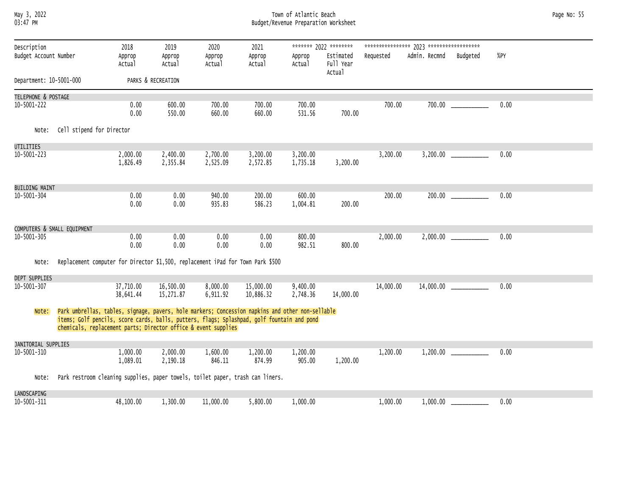### May 3, 2022 Town of Atlantic Beach Page No: 55 03:47 PM Budget/Revenue Preparation Worksheet

| Description<br>Budget Account Number |                                                                                                                                                                                                                                                                  | 2018<br>Approp<br>Actual | 2019<br>Approp<br>Actual | 2020<br>Approp<br>Actual | 2021<br>Approp<br>Actual | Approp<br>Actual     | ******* 2022 ********<br>Estimated<br>Full Year | Requested | Admin. Recmnd | Budgeted                   | %PY  |
|--------------------------------------|------------------------------------------------------------------------------------------------------------------------------------------------------------------------------------------------------------------------------------------------------------------|--------------------------|--------------------------|--------------------------|--------------------------|----------------------|-------------------------------------------------|-----------|---------------|----------------------------|------|
| Department: 10-5001-000              |                                                                                                                                                                                                                                                                  |                          | PARKS & RECREATION       |                          |                          |                      | Actual                                          |           |               |                            |      |
|                                      |                                                                                                                                                                                                                                                                  |                          |                          |                          |                          |                      |                                                 |           |               |                            |      |
| TELEPHONE & POSTAGE                  |                                                                                                                                                                                                                                                                  |                          |                          |                          |                          |                      |                                                 |           |               |                            |      |
| $10 - 5001 - 222$                    |                                                                                                                                                                                                                                                                  | 0.00<br>0.00             | 600.00<br>550.00         | 700.00<br>660.00         | 700.00<br>660.00         | 700.00<br>531.56     | 700.00                                          | 700.00    |               | 700.00                     | 0.00 |
| Note:                                | Cell stipend for Director                                                                                                                                                                                                                                        |                          |                          |                          |                          |                      |                                                 |           |               |                            |      |
| UTILITIES                            |                                                                                                                                                                                                                                                                  |                          |                          |                          |                          |                      |                                                 |           |               |                            |      |
| 10-5001-223                          |                                                                                                                                                                                                                                                                  | 2,000.00<br>1,826.49     | 2,400.00<br>2,355.84     | 2,700.00<br>2,525.09     | 3,200.00<br>2,572.85     | 3,200.00<br>1,735.18 | 3,200.00                                        | 3,200.00  |               |                            | 0.00 |
| <b>BUILDING MAINT</b>                |                                                                                                                                                                                                                                                                  |                          |                          |                          |                          |                      |                                                 |           |               |                            |      |
| 10-5001-304                          |                                                                                                                                                                                                                                                                  | 0.00<br>0.00             | 0.00<br>0.00             | 940.00<br>935.83         | 200.00<br>586.23         | 600.00<br>1,004.81   | 200.00                                          | 200.00    |               |                            | 0.00 |
|                                      | COMPUTERS & SMALL EQUIPMENT                                                                                                                                                                                                                                      |                          |                          |                          |                          |                      |                                                 |           |               |                            |      |
| $10 - 5001 - 305$                    |                                                                                                                                                                                                                                                                  | 0.00<br>0.00             | 0.00<br>0.00             | 0.00<br>0.00             | 0.00<br>0.00             | 800.00<br>982.51     | 800.00                                          | 2,000.00  |               | $2,000.00$ ______________  | 0.00 |
| Note:                                | Replacement computer for Director \$1,500, replacement iPad for Town Park \$500                                                                                                                                                                                  |                          |                          |                          |                          |                      |                                                 |           |               |                            |      |
| DEPT SUPPLIES                        |                                                                                                                                                                                                                                                                  |                          |                          |                          |                          |                      |                                                 |           |               |                            |      |
| 10-5001-307                          |                                                                                                                                                                                                                                                                  | 37,710.00<br>38,641.44   | 16,500.00<br>15,271.87   | 8,000.00<br>6,911.92     | 15,000.00<br>10,886.32   | 9,400.00<br>2,748.36 | 14,000.00                                       | 14,000.00 |               |                            | 0.00 |
| Note:                                | Park umbrellas, tables, signage, pavers, hole markers; Concession napkins and other non-sellable<br>items; Golf pencils, score cards, balls, putters, flags; Splashpad, golf fountain and pond<br>chemicals, replacement parts; Director office & event supplies |                          |                          |                          |                          |                      |                                                 |           |               |                            |      |
| JANITORIAL SUPPLIES                  |                                                                                                                                                                                                                                                                  |                          |                          |                          |                          |                      |                                                 |           |               |                            |      |
| 10-5001-310                          |                                                                                                                                                                                                                                                                  | 1,000.00<br>1,089.01     | 2,000.00<br>2,190.18     | 1,600.00<br>846.11       | 1,200.00<br>874.99       | 1,200.00<br>905.00   | 1,200.00                                        | 1,200.00  |               | 1,200.00                   | 0.00 |
| Note:                                | Park restroom cleaning supplies, paper towels, toilet paper, trash can liners.                                                                                                                                                                                   |                          |                          |                          |                          |                      |                                                 |           |               |                            |      |
| LANDSCAPING                          |                                                                                                                                                                                                                                                                  |                          |                          |                          |                          |                      |                                                 |           |               |                            |      |
| 10-5001-311                          |                                                                                                                                                                                                                                                                  | 48,100.00                | 1,300.00                 | 11,000.00                | 5,800.00                 | 1,000.00             |                                                 | 1,000.00  |               | $1,000.00$ _______________ | 0.00 |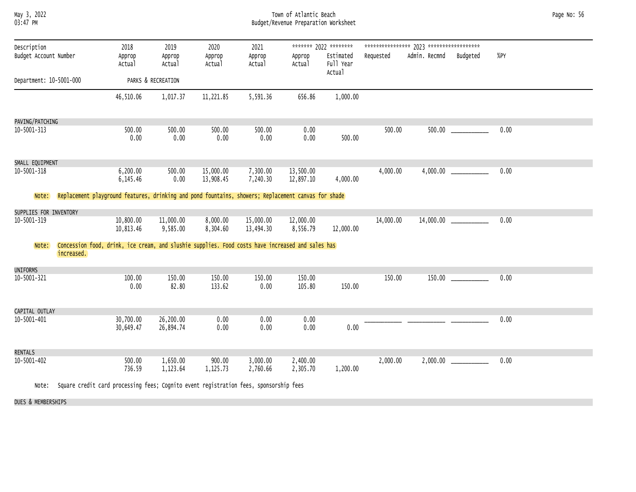| ******* 2022 ********<br>Description<br>2018<br>2019<br>2020<br>2021<br>Budget Account Number<br>Admin. Recmnd<br>%PY<br>Estimated<br>Requested<br>Budgeted<br>Approp<br>Approp<br>Approp<br>Approp<br>Approp<br>Full Year<br>Actual<br>Actual<br>Actual<br>Actual<br>Actual<br>Actual<br>Department: 10-5001-000<br>PARKS & RECREATION<br>1,000.00<br>1,017.37<br>11,221.85<br>5,591.36<br>656.86<br>46,510.06<br>PAVING/PATCHING<br>0.00<br>500.00<br>0.00<br>500.00<br>10-5001-313<br>500.00<br>500.00<br>500.00<br>0.00<br>0.00<br>0.00<br>0.00<br>0.00<br>500.00 | Page No: 56 |
|-----------------------------------------------------------------------------------------------------------------------------------------------------------------------------------------------------------------------------------------------------------------------------------------------------------------------------------------------------------------------------------------------------------------------------------------------------------------------------------------------------------------------------------------------------------------------|-------------|
|                                                                                                                                                                                                                                                                                                                                                                                                                                                                                                                                                                       |             |
|                                                                                                                                                                                                                                                                                                                                                                                                                                                                                                                                                                       |             |
|                                                                                                                                                                                                                                                                                                                                                                                                                                                                                                                                                                       |             |
| SMALL EQUIPMENT<br>0.00<br>$10 - 5001 - 318$<br>6,200.00<br>15,000.00<br>7,300.00<br>13,500.00<br>4,000.00<br>500.00<br>7,240.30<br>0.00<br>13,908.45<br>12,897.10<br>4,000.00<br>6,145.46                                                                                                                                                                                                                                                                                                                                                                            |             |
| Replacement playground features, drinking and pond fountains, showers; Replacement canvas for shade<br>Note:                                                                                                                                                                                                                                                                                                                                                                                                                                                          |             |
| SUPPLIES FOR INVENTORY<br>0.00<br>10,800.00<br>11,000.00<br>15,000.00<br>14,000.00<br>10-5001-319<br>8,000.00<br>12,000.00<br>9,585.00<br>8,304.60<br>13,494.30<br>8,556.79<br>12,000.00<br>10,813.46                                                                                                                                                                                                                                                                                                                                                                 |             |
| Concession food, drink, ice cream, and slushie supplies. Food costs have increased and sales has<br>Note:<br>increased.                                                                                                                                                                                                                                                                                                                                                                                                                                               |             |
| UNIFORMS                                                                                                                                                                                                                                                                                                                                                                                                                                                                                                                                                              |             |
| 10-5001-321<br>150.00<br>150.00<br>150.00<br>0.00<br>100.00<br>150.00<br>150.00<br>0.00<br>82.80<br>133.62<br>0.00<br>105.80<br>150.00                                                                                                                                                                                                                                                                                                                                                                                                                                |             |
| CAPITAL OUTLAY                                                                                                                                                                                                                                                                                                                                                                                                                                                                                                                                                        |             |
| 0.00<br>26,200.00<br>10-5001-401<br>30,700.00<br>0.00<br>0.00<br>0.00<br>0.00<br>30,649.47<br>26,894.74<br>0.00<br>0.00<br>0.00                                                                                                                                                                                                                                                                                                                                                                                                                                       |             |
| RENTALS                                                                                                                                                                                                                                                                                                                                                                                                                                                                                                                                                               |             |
| 1,650.00<br>900.00<br>3,000.00<br>2,400.00<br>0.00<br>10-5001-402<br>500.00<br>2,000.00<br>736.59<br>1,123.64<br>1,125.73<br>2,760.66<br>2,305.70<br>1,200.00<br>$\sim$ $\sim$ $\sim$<br><b>Contract Contract Contract Contract</b>                                                                                                                                                                                                                                                                                                                                   |             |

Note: Square credit card processing fees; Cognito event registration fees, sponsorship fees

DUES & MEMBERSHIPS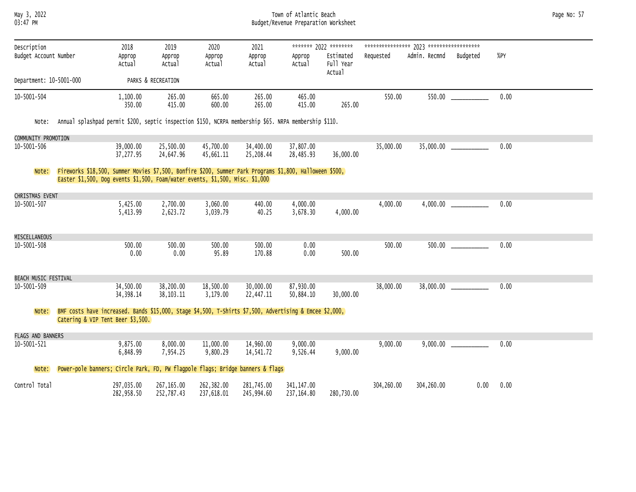May 3, 2022 Town of Atlantic Beach Page No: 57 03:47 PM Budget/Revenue Preparation Worksheet

| Description<br>Budget Account Number | 2018<br>Approp<br>Actual                                                                                                                                                                  | 2019<br>Approp<br>Actual | 2020<br>Approp<br>Actual | 2021<br>Approp<br>Actual | Approp<br>Actual          | ******* 2022 ********<br>Estimated<br>Full Year<br>Actual | Requested  | Admin. Recmnd | Budgeted | $%$ PY |
|--------------------------------------|-------------------------------------------------------------------------------------------------------------------------------------------------------------------------------------------|--------------------------|--------------------------|--------------------------|---------------------------|-----------------------------------------------------------|------------|---------------|----------|--------|
| Department: 10-5001-000              |                                                                                                                                                                                           | PARKS & RECREATION       |                          |                          |                           |                                                           |            |               |          |        |
| 10-5001-504                          | 1,100.00<br>350.00                                                                                                                                                                        | 265.00<br>415.00         | 665.00<br>600.00         | 265.00<br>265.00         | 465.00<br>415.00          | 265.00                                                    | 550.00     |               |          | 0.00   |
| Note:                                | Annual splashpad permit \$200, septic inspection \$150, NCRPA membership \$65. NRPA membership \$110.                                                                                     |                          |                          |                          |                           |                                                           |            |               |          |        |
| COMMUNITY PROMOTION                  |                                                                                                                                                                                           |                          |                          |                          |                           |                                                           |            |               |          |        |
| 10-5001-506                          | 39,000.00<br>37,277.95                                                                                                                                                                    | 25,500.00<br>24,647.96   | 45,700.00<br>45,661.11   | 34,400.00<br>25,208.44   | 37,807.00<br>28,485.93    | 36,000.00                                                 | 35,000.00  |               |          | 0.00   |
| Note:                                | Fireworks \$18,500, Summer Movies \$7,500, Bonfire \$200, Summer Park Programs \$1,800, Halloween \$500,<br>Easter \$1,500, Dog events \$1,500, Foam/water events, \$1,500, Misc. \$1,000 |                          |                          |                          |                           |                                                           |            |               |          |        |
| CHRISTMAS EVENT                      |                                                                                                                                                                                           |                          |                          |                          |                           |                                                           |            |               |          |        |
| 10-5001-507                          | 5,425.00<br>5,413.99                                                                                                                                                                      | 2,700.00<br>2,623.72     | 3,060.00<br>3,039.79     | 440.00<br>40.25          | 4,000.00<br>3,678.30      | 4,000.00                                                  | 4,000.00   |               |          | 0.00   |
| MISCELLANEOUS                        |                                                                                                                                                                                           |                          |                          |                          |                           |                                                           |            |               |          |        |
| 10-5001-508                          | 500.00<br>0.00                                                                                                                                                                            | 500.00<br>0.00           | 500.00<br>95.89          | 500.00<br>170.88         | 0.00<br>0.00              | 500.00                                                    | 500.00     |               |          | 0.00   |
| BEACH MUSIC FESTIVAL                 |                                                                                                                                                                                           |                          |                          |                          |                           |                                                           |            |               |          |        |
| 10-5001-509                          | 34,500.00<br>34, 398.14                                                                                                                                                                   | 38,200.00<br>38, 103. 11 | 18,500.00<br>3,179.00    | 30,000.00<br>22,447.11   | 87,930.00<br>50,884.10    | 30,000.00                                                 | 38,000.00  |               |          | 0.00   |
| Note:                                | BMF costs have increased. Bands \$15,000, Stage \$4,500, T-Shirts \$7,500, Advertising & Emcee \$2,000,<br>Catering & VIP Tent Beer \$3,500.                                              |                          |                          |                          |                           |                                                           |            |               |          |        |
| <b>FLAGS AND BANNERS</b>             |                                                                                                                                                                                           |                          |                          |                          |                           |                                                           |            |               |          |        |
| 10-5001-521                          | 9,875.00<br>6,848.99                                                                                                                                                                      | 8,000.00<br>7,954.25     | 11,000.00<br>9,800.29    | 14,960.00<br>14,541.72   | 9,000.00<br>9,526.44      | 9,000.00                                                  | 9,000.00   |               |          | 0.00   |
| Note:                                | Power-pole banners; Circle Park, FD, PW flagpole flags; Bridge banners & flags                                                                                                            |                          |                          |                          |                           |                                                           |            |               |          |        |
| Control Total                        | 297,035.00<br>282,958.50                                                                                                                                                                  | 267,165.00<br>252,787.43 | 262,382.00<br>237,618.01 | 281,745.00<br>245,994.60 | 341, 147.00<br>237,164.80 | 280,730.00                                                | 304,260.00 | 304,260.00    | 0.00     | 0.00   |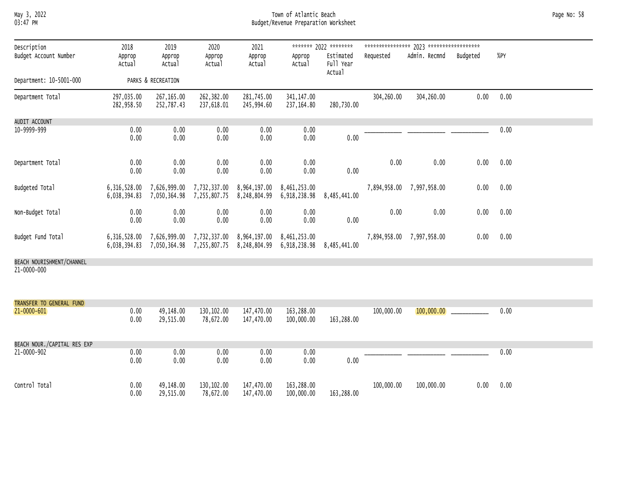### May 3, 2022 Town of Atlantic Beach Page No: 58 03:47 PM Budget/Revenue Preparation Worksheet

| Description                 | 2018                     | 2019                                                                                                                                 | 2020                     | 2021                      |                            | ******* 2022 ********            |            |                           |          |      |  |
|-----------------------------|--------------------------|--------------------------------------------------------------------------------------------------------------------------------------|--------------------------|---------------------------|----------------------------|----------------------------------|------------|---------------------------|----------|------|--|
| Budget Account Number       | Approp<br>Actual         | Approp<br>Actual                                                                                                                     | Approp<br>Actual         | Approp<br>Actual          | Approp<br>Actual           | Estimated<br>Full Year<br>Actual | Requested  | Admin. Recmnd             | Budgeted | %PY  |  |
| Department: 10-5001-000     |                          | PARKS & RECREATION                                                                                                                   |                          |                           |                            |                                  |            |                           |          |      |  |
| Department Total            | 297,035.00<br>282,958.50 | 267,165.00<br>252,787.43                                                                                                             | 262,382.00<br>237,618.01 | 281,745.00<br>245,994.60  | 341, 147.00<br>237, 164.80 | 280,730.00                       | 304,260.00 | 304,260.00                | 0.00     | 0.00 |  |
| AUDIT ACCOUNT               |                          |                                                                                                                                      |                          |                           |                            |                                  |            |                           |          |      |  |
| 10-9999-999                 | 0.00<br>0.00             | 0.00<br>0.00                                                                                                                         | 0.00<br>0.00             | 0.00<br>0.00              | 0.00<br>0.00               | 0.00                             |            |                           |          | 0.00 |  |
| Department Total            | 0.00<br>0.00             | 0.00<br>0.00                                                                                                                         | 0.00<br>0.00             | 0.00<br>0.00              | 0.00<br>0.00               | 0.00                             | 0.00       | 0.00                      | 0.00     | 0.00 |  |
| Budgeted Total              |                          | 6,316,528.00 7,626,999.00<br>6,038,394.83 7,050,364.98 7,255,807.75 8,248,804.99 6,918,238.98                                        | 7,732,337.00             | 8,964,197.00 8,461,253.00 |                            | 8,485,441.00                     |            | 7,894,958.00 7,997,958.00 | 0.00     | 0.00 |  |
| Non-Budget Total            | 0.00<br>0.00             | 0.00<br>0.00                                                                                                                         | 0.00<br>0.00             | 0.00<br>0.00              | 0.00<br>0.00               | 0.00                             | 0.00       | 0.00                      | 0.00     | 0.00 |  |
| Budget Fund Total           |                          | 6,316,528.00 7,626,999.00 7,732,337.00 8,964,197.00 8,461,253.00<br>6,038,394.83 7,050,364.98 7,255,807.75 8,248,804.99 6,918,238.98 |                          |                           |                            | 8,485,441.00                     |            | 7,894,958.00 7,997,958.00 | 0.00     | 0.00 |  |
| BEACH NOURISHMENT/CHANNEL   |                          |                                                                                                                                      |                          |                           |                            |                                  |            |                           |          |      |  |
| 21-0000-000                 |                          |                                                                                                                                      |                          |                           |                            |                                  |            |                           |          |      |  |
| TRANSFER TO GENERAL FUND    |                          |                                                                                                                                      |                          |                           |                            |                                  |            |                           |          |      |  |
| $21 - 0000 - 601$           | 0.00<br>0.00             | 49,148.00<br>29,515.00                                                                                                               | 130,102.00<br>78,672.00  | 147,470.00<br>147,470.00  | 163,288.00<br>100,000.00   | 163,288.00                       | 100,000.00 | 100,000.00                |          | 0.00 |  |
| BEACH NOUR./CAPITAL RES EXP |                          |                                                                                                                                      |                          |                           |                            |                                  |            |                           |          |      |  |
| 21-0000-902                 | 0.00<br>0.00             | 0.00<br>0.00                                                                                                                         | 0.00<br>0.00             | 0.00<br>0.00              | 0.00<br>0.00               | 0.00                             |            |                           |          | 0.00 |  |
| Control Total               | 0.00<br>0.00             | 49,148.00<br>29,515.00                                                                                                               | 130,102.00<br>78,672.00  | 147,470.00<br>147,470.00  | 163,288.00<br>100,000.00   | 163,288.00                       | 100,000.00 | 100,000.00                | 0.00     | 0.00 |  |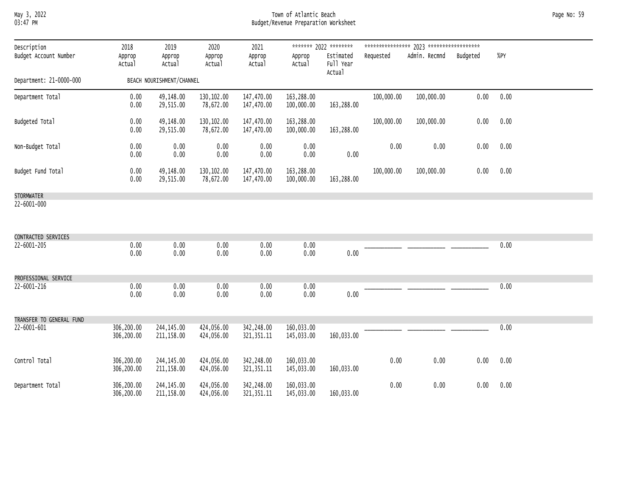# May 3, 2022 Town of Atlantic Beach Page No: 59 03:47 PM Budget/Revenue Preparation Worksheet

| Description              | 2018                     | 2019                       | 2020                     | 2021                       |                          | ******* 2022 ********            |            |               |          |      |  |
|--------------------------|--------------------------|----------------------------|--------------------------|----------------------------|--------------------------|----------------------------------|------------|---------------|----------|------|--|
| Budget Account Number    | Approp<br>Actual         | Approp<br>Actual           | Approp<br>Actual         | Approp<br>Actual           | Approp<br>Actual         | Estimated<br>Full Year<br>Actual | Requested  | Admin. Recmnd | Budgeted | %PY  |  |
| Department: 21-0000-000  |                          | BEACH NOURISHMENT/CHANNEL  |                          |                            |                          |                                  |            |               |          |      |  |
| Department Total         | 0.00<br>0.00             | 49,148.00<br>29,515.00     | 130,102.00<br>78,672.00  | 147,470.00<br>147,470.00   | 163,288.00<br>100,000.00 | 163,288.00                       | 100,000.00 | 100,000.00    | 0.00     | 0.00 |  |
| Budgeted Total           | 0.00<br>0.00             | 49,148.00<br>29,515.00     | 130,102.00<br>78,672.00  | 147,470.00<br>147,470.00   | 163,288.00<br>100,000.00 | 163,288.00                       | 100,000.00 | 100,000.00    | 0.00     | 0.00 |  |
| Non-Budget Total         | 0.00<br>0.00             | 0.00<br>0.00               | 0.00<br>0.00             | 0.00<br>0.00               | 0.00<br>0.00             | 0.00                             | 0.00       | 0.00          | 0.00     | 0.00 |  |
| Budget Fund Total        | 0.00<br>0.00             | 49,148.00<br>29,515.00     | 130,102.00<br>78,672.00  | 147,470.00<br>147,470.00   | 163,288.00<br>100,000.00 | 163,288.00                       | 100,000.00 | 100,000.00    | 0.00     | 0.00 |  |
| <b>STORMWATER</b>        |                          |                            |                          |                            |                          |                                  |            |               |          |      |  |
| 22-6001-000              |                          |                            |                          |                            |                          |                                  |            |               |          |      |  |
| CONTRACTED SERVICES      |                          |                            |                          |                            |                          |                                  |            |               |          |      |  |
| 22-6001-205              | 0.00<br>0.00             | 0.00<br>0.00               | 0.00<br>0.00             | 0.00<br>0.00               | 0.00<br>0.00             | 0.00                             |            |               |          | 0.00 |  |
| PROFESSIONAL SERVICE     |                          |                            |                          |                            |                          |                                  |            |               |          |      |  |
| 22-6001-216              | 0.00<br>0.00             | 0.00<br>0.00               | 0.00<br>0.00             | 0.00<br>0.00               | 0.00<br>0.00             | 0.00                             |            |               |          | 0.00 |  |
| TRANSFER TO GENERAL FUND |                          |                            |                          |                            |                          |                                  |            |               |          |      |  |
| 22-6001-601              | 306,200.00<br>306,200.00 | 244, 145.00<br>211, 158.00 | 424,056.00<br>424,056.00 | 342,248.00<br>321, 351. 11 | 160,033.00<br>145,033.00 | 160,033.00                       |            |               |          | 0.00 |  |
| Control Total            | 306,200.00<br>306,200.00 | 244, 145.00<br>211, 158.00 | 424,056.00<br>424,056.00 | 342,248.00<br>321, 351. 11 | 160,033.00<br>145,033.00 | 160,033.00                       | 0.00       | 0.00          | 0.00     | 0.00 |  |
| Department Total         | 306,200.00<br>306,200.00 | 244, 145.00<br>211,158.00  | 424,056.00<br>424,056.00 | 342,248.00<br>321, 351.11  | 160,033.00<br>145,033.00 | 160,033.00                       | 0.00       | 0.00          | 0.00     | 0.00 |  |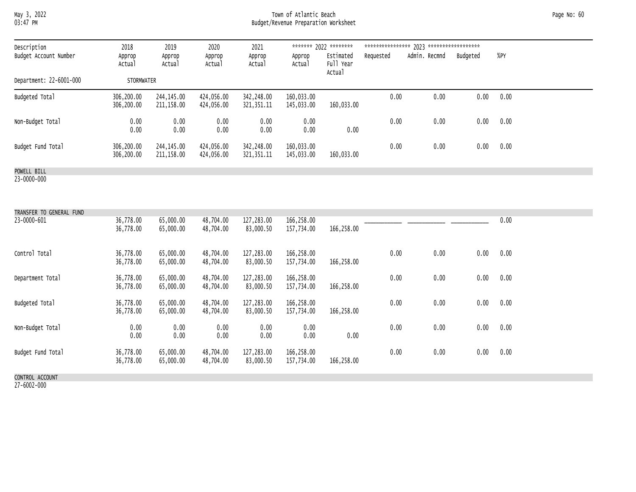### May 3, 2022 Town of Atlantic Beach Page No: 60 03:47 PM Budget/Revenue Preparation Worksheet

| Description<br>Budget Account Number | 2018<br>Approp<br>Actual | 2019<br>Approp<br>Actual | 2020<br>Approp<br>Actual | 2021<br>Approp<br>Actual   | Approp<br>Actual         | ******* 2022 ********<br>Estimated<br>Full Year | ****************<br>Requested | 2023 *******************<br>Admin. Recmnd | Budgeted | %PY  |
|--------------------------------------|--------------------------|--------------------------|--------------------------|----------------------------|--------------------------|-------------------------------------------------|-------------------------------|-------------------------------------------|----------|------|
| Department: 22-6001-000              | <b>STORMWATER</b>        |                          |                          |                            |                          | Actual                                          |                               |                                           |          |      |
| Budgeted Total                       | 306,200.00<br>306,200.00 | 244,145,00<br>211,158.00 | 424,056.00<br>424,056.00 | 342,248.00<br>321, 351. 11 | 160,033.00<br>145,033.00 | 160,033.00                                      | 0.00                          | 0.00                                      | 0.00     | 0.00 |
| Non-Budget Total                     | 0.00<br>0.00             | 0.00<br>0.00             | 0.00<br>0.00             | 0.00<br>0.00               | 0.00<br>0.00             | 0.00                                            | 0.00                          | 0.00                                      | 0.00     | 0.00 |
| Budget Fund Total                    | 306,200.00<br>306,200.00 | 244,145.00<br>211,158.00 | 424,056.00<br>424,056.00 | 342,248.00<br>321, 351. 11 | 160,033.00<br>145,033.00 | 160,033.00                                      | 0.00                          | 0.00                                      | 0.00     | 0.00 |
| POWELL RTLL                          |                          |                          |                          |                            |                          |                                                 |                               |                                           |          |      |

POWELL BILL 23-0000-000

| TRANSFER TO GENERAL FUND |                        |                        |                        |                         |                          |            |      |      |      |      |
|--------------------------|------------------------|------------------------|------------------------|-------------------------|--------------------------|------------|------|------|------|------|
| 23-0000-601              | 36,778.00<br>36,778.00 | 65,000.00<br>65,000.00 | 48,704.00<br>48,704.00 | 127,283.00<br>83,000.50 | 166,258.00<br>157,734.00 | 166,258.00 |      |      |      | 0.00 |
| Control Total            | 36,778.00<br>36,778.00 | 65,000.00<br>65,000.00 | 48,704.00<br>48,704.00 | 127,283.00<br>83,000.50 | 166,258.00<br>157,734.00 | 166,258.00 | 0.00 | 0.00 | 0.00 | 0.00 |
| Department Total         | 36,778.00<br>36,778.00 | 65,000.00<br>65,000.00 | 48,704.00<br>48,704.00 | 127,283.00<br>83,000.50 | 166,258.00<br>157,734.00 | 166,258.00 | 0.00 | 0.00 | 0.00 | 0.00 |
| Budgeted Total           | 36,778.00<br>36,778.00 | 65,000.00<br>65,000.00 | 48,704.00<br>48,704.00 | 127,283.00<br>83,000.50 | 166,258.00<br>157,734.00 | 166,258.00 | 0.00 | 0.00 | 0.00 | 0.00 |
| Non-Budget Total         | 0.00<br>0.00           | 0.00<br>0.00           | 0.00<br>0.00           | 0.00<br>0.00            | 0.00<br>0.00             | 0.00       | 0.00 | 0.00 | 0.00 | 0.00 |
| Budget Fund Total        | 36,778.00<br>36,778.00 | 65,000.00<br>65,000.00 | 48,704.00<br>48,704.00 | 127,283.00<br>83,000.50 | 166,258.00<br>157,734.00 | 166,258.00 | 0.00 | 0.00 | 0.00 | 0.00 |
| CONTROL ACCOUNT          |                        |                        |                        |                         |                          |            |      |      |      |      |

27-6002-000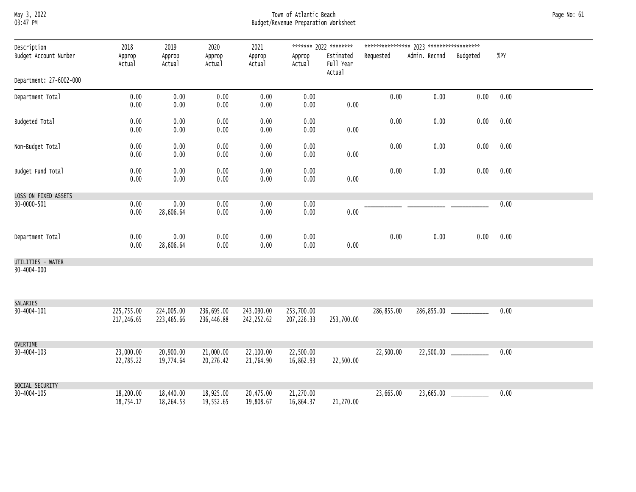# May 3, 2022 Town of Atlantic Beach Page No: 61 03:47 PM Budget/Revenue Preparation Worksheet

| Description             | 2018                     | 2019                     | 2020                     | 2021                     |                           | ******* 2022 ********            |            |               |                            |      |  |
|-------------------------|--------------------------|--------------------------|--------------------------|--------------------------|---------------------------|----------------------------------|------------|---------------|----------------------------|------|--|
| Budget Account Number   | Approp<br>Actual         | Approp<br>Actual         | Approp<br>Actual         | Approp<br>Actual         | Approp<br>Actual          | Estimated<br>Full Year<br>Actual | Requested  | Admin. Recmnd | Budgeted                   | %PY  |  |
| Department: 27-6002-000 |                          |                          |                          |                          |                           |                                  |            |               |                            |      |  |
| Department Total        | 0.00<br>0.00             | 0.00<br>0.00             | 0.00<br>0.00             | 0.00<br>0.00             | 0.00<br>0.00              | $0.00\,$                         | 0.00       | 0.00          | 0.00                       | 0.00 |  |
| Budgeted Total          | 0.00<br>0.00             | 0.00<br>0.00             | $0.00\,$<br>0.00         | 0.00<br>0.00             | 0.00<br>0.00              | 0.00                             | 0.00       | 0.00          | 0.00                       | 0.00 |  |
| Non-Budget Total        | 0.00<br>0.00             | 0.00<br>0.00             | 0.00<br>0.00             | 0.00<br>0.00             | 0.00<br>0.00              | 0.00                             | $0.00\,$   | 0.00          | 0.00                       | 0.00 |  |
| Budget Fund Total       | 0.00<br>0.00             | 0.00<br>0.00             | 0.00<br>0.00             | 0.00<br>0.00             | 0.00<br>0.00              | 0.00                             | 0.00       | 0.00          | 0.00                       | 0.00 |  |
| LOSS ON FIXED ASSETS    |                          |                          |                          |                          |                           |                                  |            |               |                            |      |  |
| 30-0000-501             | 0.00<br>0.00             | 0.00<br>28,606.64        | 0.00<br>0.00             | 0.00<br>0.00             | 0.00<br>0.00              | $0.00\,$                         |            |               |                            | 0.00 |  |
| Department Total        | 0.00<br>0.00             | 0.00<br>28,606.64        | 0.00<br>0.00             | 0.00<br>0.00             | 0.00<br>0.00              | 0.00                             | 0.00       | 0.00          | 0.00                       | 0.00 |  |
| UTILITIES - WATER       |                          |                          |                          |                          |                           |                                  |            |               |                            |      |  |
| 30-4004-000             |                          |                          |                          |                          |                           |                                  |            |               |                            |      |  |
| SALARIES                |                          |                          |                          |                          |                           |                                  |            |               |                            |      |  |
| 30-4004-101             | 225,755.00<br>217,246.65 | 224,005.00<br>223,465.66 | 236,695.00<br>236,446.88 | 243,090.00<br>242,252.62 | 253,700.00<br>207, 226.33 | 253,700.00                       | 286,855.00 |               | 286,855.00 ______________  | 0.00 |  |
| OVERTIME                |                          |                          |                          |                          |                           |                                  |            |               |                            |      |  |
| 30-4004-103             | 23,000.00<br>22,785.22   | 20,900.00<br>19,774.64   | 21,000.00<br>20,276.42   | 22,100.00<br>21,764.90   | 22,500.00<br>16,862.93    | 22,500.00                        | 22,500.00  |               | $22,500.00$ ______________ | 0.00 |  |
| SOCIAL SECURITY         |                          |                          |                          |                          |                           |                                  |            |               |                            |      |  |
| 30-4004-105             | 18,200.00<br>18,754.17   | 18,440.00<br>18,264.53   | 18,925.00<br>19,552.65   | 20,475.00<br>19,808.67   | 21,270.00<br>16,864.37    | 21,270.00                        | 23,665.00  |               |                            | 0.00 |  |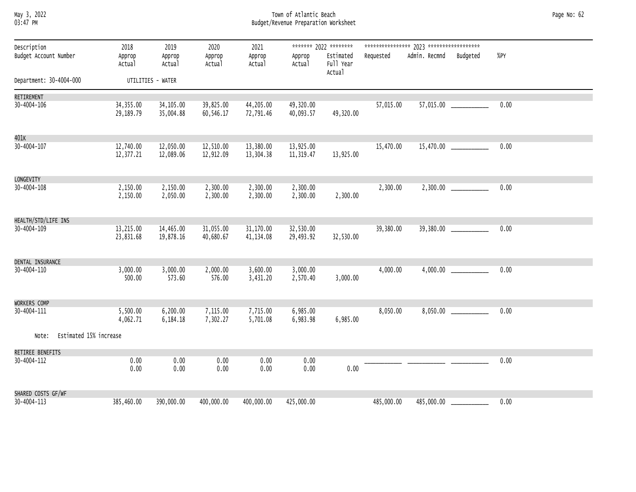| Мау      | 3, | 2022 |
|----------|----|------|
| በ3·47 ÞM |    |      |

### May 3, 2022 Town of Atlantic Beach Page No: 62 03:47 PM Budget/Revenue Preparation Worksheet

| Description                     | 2018                   | 2019                   | 2020                          | 2021                   |                        | ******* 2022 ********            |            |               |                           |      |
|---------------------------------|------------------------|------------------------|-------------------------------|------------------------|------------------------|----------------------------------|------------|---------------|---------------------------|------|
| Budget Account Number           | Approp<br>Actual       | Approp<br>Actual       | Approp<br>Actual              | Approp<br>Actual       | Approp<br>Actual       | Estimated<br>Full Year<br>Actual | Requested  | Admin. Recmnd | Budgeted                  | %PY  |
| Department: 30-4004-000         |                        | UTILITIES - WATER      |                               |                        |                        |                                  |            |               |                           |      |
| RETIREMENT                      |                        |                        |                               |                        |                        |                                  |            |               |                           |      |
| 30-4004-106                     | 34,355.00<br>29,189.79 | 34,105.00<br>35,004.88 | 39,825.00<br>60,546.17        | 44,205.00<br>72,791.46 | 49,320.00<br>40,093.57 | 49,320.00                        | 57,015.00  |               | 57,015.00 _____________   | 0.00 |
| 401K                            |                        |                        |                               |                        |                        |                                  |            |               |                           |      |
| 30-4004-107                     | 12,740.00<br>12,377.21 | 12,050.00<br>12,089.06 | 12,510.00<br>12,912.09        | 13,380.00<br>13,304.38 | 13,925.00<br>11,319.47 | 13,925.00                        | 15,470.00  |               |                           | 0.00 |
| LONGEVITY                       |                        |                        |                               |                        |                        |                                  |            |               |                           |      |
| 30-4004-108                     | 2,150.00<br>2,150.00   | 2,150.00<br>2,050.00   | 2,300.00<br>2,300.00          | 2,300.00<br>2,300.00   | 2,300.00<br>2,300.00   | 2,300.00                         | 2,300.00   |               | $2,300.00$ ______________ | 0.00 |
| HEALTH/STD/LIFE INS             |                        |                        |                               |                        |                        |                                  |            |               |                           |      |
| 30-4004-109                     | 13,215.00<br>23,831.68 | 14,465.00<br>19,878.16 | 31,055.00<br>40,680.67        | 31,170.00<br>41,134.08 | 32,530.00<br>29,493.92 | 32,530.00                        | 39,380.00  |               | 39,380.00 _____________   | 0.00 |
| DENTAL INSURANCE                |                        |                        |                               |                        |                        |                                  |            |               |                           |      |
| 30-4004-110                     | 3,000.00<br>500.00     | 3,000.00<br>573.60     | 2,000.00<br>576.00            | 3,600.00<br>3,431.20   | 3,000.00<br>2,570.40   | 3,000.00                         | 4,000.00   |               |                           | 0.00 |
| WORKERS COMP                    |                        |                        |                               |                        |                        |                                  |            |               |                           |      |
| 30-4004-111                     | 5,500.00<br>4,062.71   | 6,184.18               | 6,200.00 7,115.00<br>7,302.27 | 7,715.00<br>5,701.08   | 6,985.00<br>6,983.98   | 6,985.00                         | 8,050.00   |               | $8,050.00$ ______________ | 0.00 |
| Estimated 15% increase<br>Note: |                        |                        |                               |                        |                        |                                  |            |               |                           |      |
| RETIREE BENEFITS                |                        |                        |                               |                        |                        |                                  |            |               |                           |      |
| 30-4004-112                     | 0.00<br>0.00           | 0.00<br>0.00           | 0.00<br>0.00                  | 0.00<br>0.00           | 0.00<br>0.00           | 0.00                             |            |               |                           | 0.00 |
| SHARED COSTS GF/WF              |                        |                        |                               |                        |                        |                                  |            |               |                           |      |
| 30-4004-113                     | 385,460.00             | 390,000.00             | 400,000.00                    | 400,000.00             | 425,000.00             |                                  | 485,000.00 |               | 485,000.00 ______________ | 0.00 |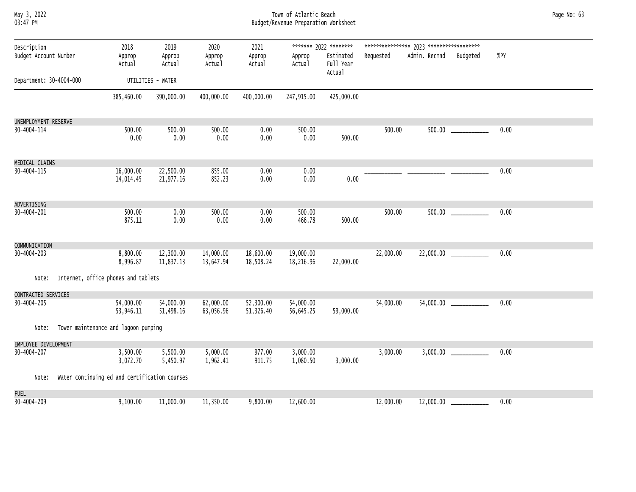|          | May 3, 2022 |
|----------|-------------|
| 03:47 PM |             |

# May 3, 2022 Town of Atlantic Beach Page No: 63 03:47 PM Budget/Revenue Preparation Worksheet

| Description             |                                               | 2018                   | 2019                   | 2020                   | 2021                   |                        | ******* 2022 ********            |           |               |                            |      |  |
|-------------------------|-----------------------------------------------|------------------------|------------------------|------------------------|------------------------|------------------------|----------------------------------|-----------|---------------|----------------------------|------|--|
| Budget Account Number   |                                               | Approp<br>Actual       | Approp<br>Actual       | Approp<br>Actual       | Approp<br>Actual       | Approp<br>Actual       | Estimated<br>Full Year<br>Actual | Requested | Admin. Recmnd | Budgeted                   | %PY  |  |
| Department: 30-4004-000 |                                               |                        | UTILITIES - WATER      |                        |                        |                        |                                  |           |               |                            |      |  |
|                         |                                               | 385,460.00             | 390,000.00             | 400,000.00             | 400,000.00             | 247,915.00             | 425,000.00                       |           |               |                            |      |  |
| UNEMPLOYMENT RESERVE    |                                               |                        |                        |                        |                        |                        |                                  |           |               |                            |      |  |
| 30-4004-114             |                                               | 500.00<br>0.00         | 500.00<br>0.00         | 500.00<br>0.00         | 0.00<br>0.00           | 500.00<br>0.00         | 500.00                           | 500.00    | 500.00        |                            | 0.00 |  |
| MEDICAL CLAIMS          |                                               |                        |                        |                        |                        |                        |                                  |           |               |                            |      |  |
| 30-4004-115             |                                               | 16,000.00<br>14,014.45 | 22,500.00<br>21,977.16 | 855.00<br>852.23       | 0.00<br>0.00           | 0.00<br>0.00           | 0.00                             |           |               |                            | 0.00 |  |
| ADVERTISING             |                                               |                        |                        |                        |                        |                        |                                  |           |               |                            |      |  |
| 30-4004-201             |                                               | 500.00<br>875.11       | 0.00<br>0.00           | 500.00<br>0.00         | 0.00<br>0.00           | 500.00<br>466.78       | 500.00                           | 500.00    |               |                            | 0.00 |  |
| COMMUNICATION           |                                               |                        |                        |                        |                        |                        |                                  |           |               |                            |      |  |
| 30-4004-203             |                                               | 8,800.00<br>8,996.87   | 12,300.00<br>11,837.13 | 14,000.00<br>13,647.94 | 18,600.00<br>18,508.24 | 19,000.00<br>18,216.96 | 22,000.00                        | 22,000.00 | 22,000.00     |                            | 0.00 |  |
| Note:                   | Internet, office phones and tablets           |                        |                        |                        |                        |                        |                                  |           |               |                            |      |  |
| CONTRACTED SERVICES     |                                               |                        |                        |                        |                        |                        |                                  |           |               |                            |      |  |
| 30-4004-205             |                                               | 54,000.00<br>53,946.11 | 54,000.00<br>51,498.16 | 62,000.00<br>63,056.96 | 52,300.00<br>51,326.40 | 54,000.00<br>56,645.25 | 59,000.00                        | 54,000.00 |               | $54,000.00$ ______________ | 0.00 |  |
| Note:                   | Tower maintenance and lagoon pumping          |                        |                        |                        |                        |                        |                                  |           |               |                            |      |  |
| EMPLOYEE DEVELOPMENT    |                                               |                        |                        |                        |                        |                        |                                  |           |               |                            |      |  |
| 30-4004-207             |                                               | 3,500.00<br>3,072.70   | 5,500.00<br>5,450.97   | 5,000.00<br>1,962.41   | 977.00<br>911.75       | 3,000.00<br>1,080.50   | 3,000.00                         | 3,000.00  |               | 3,000.00                   | 0.00 |  |
| Note:                   | Water continuing ed and certification courses |                        |                        |                        |                        |                        |                                  |           |               |                            |      |  |
| <b>FUEL</b>             |                                               |                        |                        |                        |                        |                        |                                  |           |               |                            |      |  |
| 30-4004-209             |                                               | 9,100.00               | 11,000.00              | 11,350.00              | 9,800.00               | 12,600.00              |                                  | 12,000.00 | 12,000.00     |                            | 0.00 |  |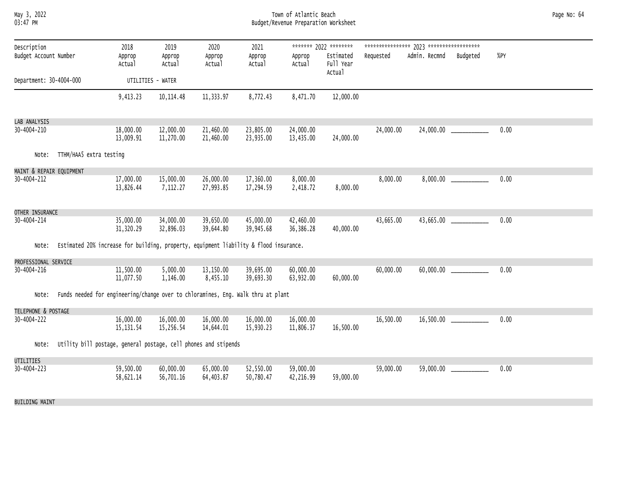#### May 3, 2022 Town of Atlantic Beach Page No: 64 03:47 PM Budget/Revenue Preparation Worksheet

| Description              |                                                                                       | 2018                    | 2019                   | 2020                   | 2021                   |                        | ******* 2022 ********            |           |               |                             |      |  |
|--------------------------|---------------------------------------------------------------------------------------|-------------------------|------------------------|------------------------|------------------------|------------------------|----------------------------------|-----------|---------------|-----------------------------|------|--|
| Budget Account Number    |                                                                                       | Approp<br>Actual        | Approp<br>Actual       | Approp<br>Actual       | Approp<br>Actual       | Approp<br>Actual       | Estimated<br>Full Year<br>Actual | Requested | Admin. Recmnd | Budgeted                    | %PY  |  |
| Department: 30-4004-000  |                                                                                       |                         | UTILITIES - WATER      |                        |                        |                        |                                  |           |               |                             |      |  |
|                          |                                                                                       | 9,413.23                | 10, 114.48             | 11,333.97              | 8,772.43               | 8,471.70               | 12,000.00                        |           |               |                             |      |  |
| LAB ANALYSIS             |                                                                                       |                         |                        |                        |                        |                        |                                  |           |               |                             |      |  |
| 30-4004-210              |                                                                                       | 18,000.00<br>13,009.91  | 12,000.00<br>11,270.00 | 21,460.00<br>21,460.00 | 23,805.00<br>23,935.00 | 24,000.00<br>13,435.00 | 24,000.00                        | 24,000.00 |               | $24,000.00$ _______________ | 0.00 |  |
| Note:                    | TTHM/HAA5 extra testing                                                               |                         |                        |                        |                        |                        |                                  |           |               |                             |      |  |
| MAINT & REPAIR EQUIPMENT |                                                                                       |                         |                        |                        |                        |                        |                                  |           |               |                             |      |  |
| 30-4004-212              |                                                                                       | 17,000.00<br>13,826.44  | 15,000.00<br>7,112.27  | 26,000.00<br>27,993.85 | 17,360.00<br>17,294.59 | 8,000.00<br>2,418.72   | 8,000.00                         | 8,000.00  |               |                             | 0.00 |  |
| OTHER INSURANCE          |                                                                                       |                         |                        |                        |                        |                        |                                  |           |               |                             |      |  |
| 30-4004-214              |                                                                                       | 35,000.00<br>31,320.29  | 34,000.00<br>32,896.03 | 39,650.00<br>39,644.80 | 45,000.00<br>39,945.68 | 42,460.00<br>36,386.28 | 40,000.00                        | 43,665.00 |               |                             | 0.00 |  |
| Note:                    | Estimated 20% increase for building, property, equipment liability & flood insurance. |                         |                        |                        |                        |                        |                                  |           |               |                             |      |  |
| PROFESSIONAL SERVICE     |                                                                                       |                         |                        |                        |                        |                        |                                  |           |               |                             |      |  |
| 30-4004-216              |                                                                                       | 11,500.00<br>11,077.50  | 5,000.00<br>1,146.00   | 13,150.00<br>8,455.10  | 39,695.00<br>39,693.30 | 60,000.00<br>63,932.00 | 60,000.00                        | 60,000.00 |               | $60,000.00$ _______________ | 0.00 |  |
| Note:                    | Funds needed for engineering/change over to chloramines, Eng. Walk thru at plant      |                         |                        |                        |                        |                        |                                  |           |               |                             |      |  |
| TELEPHONE & POSTAGE      |                                                                                       |                         |                        |                        |                        |                        |                                  |           |               |                             |      |  |
| 30-4004-222              |                                                                                       | 16,000.00<br>15, 131.54 | 16,000.00<br>15,256.54 | 16,000.00<br>14,644.01 | 16,000.00<br>15,930.23 | 16,000.00<br>11,806.37 | 16,500.00                        | 16,500.00 |               |                             | 0.00 |  |
| Note:                    | Utility bill postage, general postage, cell phones and stipends                       |                         |                        |                        |                        |                        |                                  |           |               |                             |      |  |
| <b>UTILITIES</b>         |                                                                                       |                         |                        |                        |                        |                        |                                  |           |               |                             |      |  |
| 30-4004-223              |                                                                                       | 59,500.00<br>58,621.14  | 60,000.00<br>56,701.16 | 65,000.00<br>64,403.87 | 52,550.00<br>50,780.47 | 59,000.00<br>42,216.99 | 59,000.00                        | 59,000.00 | 59,000.00     |                             | 0.00 |  |
| <b>BUILDING MAINT</b>    |                                                                                       |                         |                        |                        |                        |                        |                                  |           |               |                             |      |  |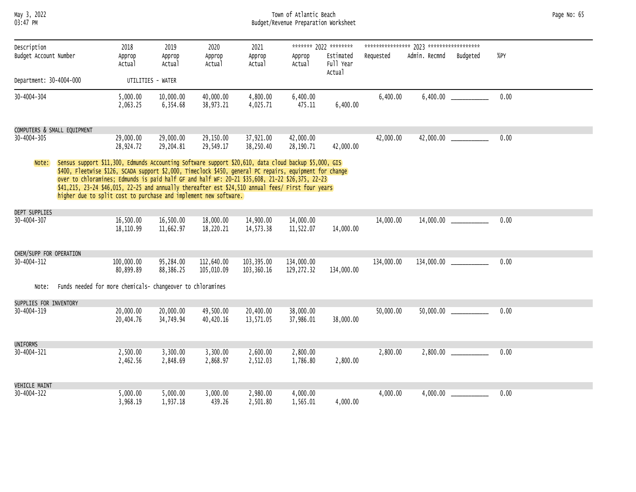May 3, 2022 Town of Atlantic Beach Page No: 65 03:47 PM Budget/Revenue Preparation Worksheet

| Description             |                                                                                                                                                                                                                                                                                                                                                                                                                                                                                                | 2018                    | 2019                   | 2020                     | 2021                     |                          | ******* 2022 ********            |            |               |                            |      |  |
|-------------------------|------------------------------------------------------------------------------------------------------------------------------------------------------------------------------------------------------------------------------------------------------------------------------------------------------------------------------------------------------------------------------------------------------------------------------------------------------------------------------------------------|-------------------------|------------------------|--------------------------|--------------------------|--------------------------|----------------------------------|------------|---------------|----------------------------|------|--|
| Budget Account Number   |                                                                                                                                                                                                                                                                                                                                                                                                                                                                                                | Approp<br>Actual        | Approp<br>Actual       | Approp<br>Actual         | Approp<br>Actual         | Approp<br>Actual         | Estimated<br>Full Year<br>Actual | Requested  | Admin. Recmnd | Budgeted                   | %PY  |  |
| Department: 30-4004-000 |                                                                                                                                                                                                                                                                                                                                                                                                                                                                                                |                         | UTILITIES - WATER      |                          |                          |                          |                                  |            |               |                            |      |  |
| $30 - 4004 - 304$       |                                                                                                                                                                                                                                                                                                                                                                                                                                                                                                | 5,000.00<br>2,063.25    | 10,000.00<br>6,354.68  | 40,000.00<br>38,973.21   | 4,800.00<br>4,025.71     | 6,400.00<br>475.11       | 6,400.00                         | 6,400.00   |               |                            | 0.00 |  |
|                         | COMPUTERS & SMALL EQUIPMENT                                                                                                                                                                                                                                                                                                                                                                                                                                                                    |                         |                        |                          |                          |                          |                                  |            |               |                            |      |  |
| 30-4004-305             |                                                                                                                                                                                                                                                                                                                                                                                                                                                                                                | 29,000.00<br>28,924.72  | 29,000.00<br>29,204.81 | 29,150.00<br>29,549.17   | 37,921.00<br>38,250.40   | 42,000.00<br>28,190.71   | 42,000.00                        | 42,000.00  |               |                            | 0.00 |  |
| Note:                   | Sensus support \$11,300, Edmunds Accounting Software support \$20,610, data cloud backup \$5,000, GIS<br>\$400, Fleetwise \$126, SCADA support \$2,000, Timeclock \$450, general PC repairs, equipment for change<br>over to chloramines; Edmunds is paid half GF and half WF: 20-21 \$35,608, 21-22 \$26,375, 22-23<br>\$41,215, 23-24 \$46,015, 22-25 and annually thereafter est \$24,510 annual fees/ First four years<br>higher due to split cost to purchase and implement new software. |                         |                        |                          |                          |                          |                                  |            |               |                            |      |  |
| DEPT SUPPLIES           |                                                                                                                                                                                                                                                                                                                                                                                                                                                                                                |                         |                        |                          |                          |                          |                                  |            |               |                            |      |  |
| 30-4004-307             |                                                                                                                                                                                                                                                                                                                                                                                                                                                                                                | 16,500.00<br>18,110.99  | 16,500.00<br>11,662.97 | 18,000.00<br>18,220.21   | 14,900.00<br>14,573.38   | 14,000.00<br>11,522.07   | 14,000.00                        | 14,000.00  |               | $14,000.00$ ______________ | 0.00 |  |
| CHEM/SUPP FOR OPERATION |                                                                                                                                                                                                                                                                                                                                                                                                                                                                                                |                         |                        |                          |                          |                          |                                  |            |               |                            |      |  |
| 30-4004-312             |                                                                                                                                                                                                                                                                                                                                                                                                                                                                                                | 100,000.00<br>80,899.89 | 95,284.00<br>88,386.25 | 112,640.00<br>105,010.09 | 103,395.00<br>103,360.16 | 134,000.00<br>129,272.32 | 134,000.00                       | 134,000.00 |               | 134,000.00 ______________  | 0.00 |  |
| Note:                   | Funds needed for more chemicals- changeover to chloramines                                                                                                                                                                                                                                                                                                                                                                                                                                     |                         |                        |                          |                          |                          |                                  |            |               |                            |      |  |
| SUPPLIES FOR INVENTORY  |                                                                                                                                                                                                                                                                                                                                                                                                                                                                                                |                         |                        |                          |                          |                          |                                  |            |               |                            |      |  |
| 30-4004-319             |                                                                                                                                                                                                                                                                                                                                                                                                                                                                                                | 20,000.00<br>20,404.76  | 20,000.00<br>34,749.94 | 49,500.00<br>40,420.16   | 20,400.00<br>13,571.05   | 38,000.00<br>37,986.01   | 38,000.00                        | 50,000.00  |               |                            | 0.00 |  |
| <b>UNIFORMS</b>         |                                                                                                                                                                                                                                                                                                                                                                                                                                                                                                |                         |                        |                          |                          |                          |                                  |            |               |                            |      |  |
| 30-4004-321             |                                                                                                                                                                                                                                                                                                                                                                                                                                                                                                | 2,500.00<br>2,462.56    | 3,300.00<br>2,848.69   | 3,300.00<br>2,868.97     | 2,600.00<br>2,512.03     | 2,800.00<br>1,786.80     | 2,800.00                         | 2,800.00   |               | 2,800.00                   | 0.00 |  |
| <b>VEHICLE MAINT</b>    |                                                                                                                                                                                                                                                                                                                                                                                                                                                                                                |                         |                        |                          |                          |                          |                                  |            |               |                            |      |  |
| 30-4004-322             |                                                                                                                                                                                                                                                                                                                                                                                                                                                                                                | 5.000.00<br>3,968.19    | 5,000.00<br>1,937.18   | 3,000.00<br>439.26       | 2,980.00<br>2,501.80     | 4,000.00<br>1,565.01     | 4,000.00                         | 4,000.00   | 4,000.00      |                            | 0.00 |  |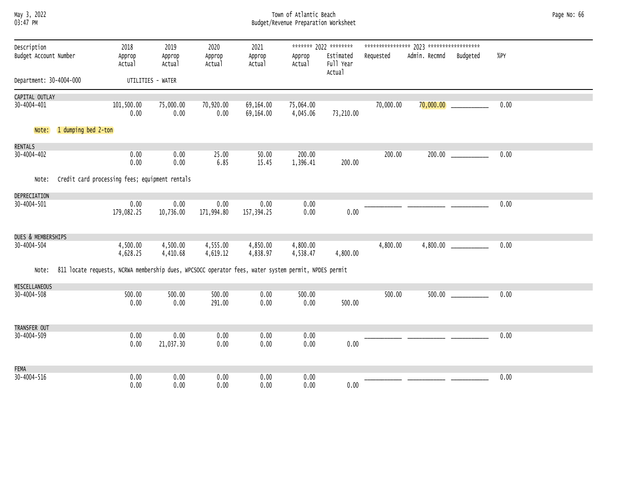| may 3.   | 2022 |
|----------|------|
| 03:47 PM |      |

# May 3, 2022 Town of Atlantic Beach Page No: 66 03:47 PM Budget/Revenue Preparation Worksheet

| Description             |                     | 2018                                                                                                 | 2019                 | 2020                 | 2021                   |                       | ******* 2022 ********            |           |               |                           |      |  |
|-------------------------|---------------------|------------------------------------------------------------------------------------------------------|----------------------|----------------------|------------------------|-----------------------|----------------------------------|-----------|---------------|---------------------------|------|--|
| Budget Account Number   |                     | Approp<br>Actual                                                                                     | Approp<br>Actual     | Approp<br>Actual     | Approp<br>Actual       | Approp<br>Actual      | Estimated<br>Full Year<br>Actual | Requested | Admin. Recmnd | Budgeted                  | %PY  |  |
| Department: 30-4004-000 |                     |                                                                                                      | UTILITIES - WATER    |                      |                        |                       |                                  |           |               |                           |      |  |
| CAPITAL OUTLAY          |                     |                                                                                                      |                      |                      |                        |                       |                                  |           |               |                           |      |  |
| 30-4004-401             |                     | 101,500.00<br>0.00                                                                                   | 75,000.00<br>0.00    | 70,920.00<br>0.00    | 69,164.00<br>69,164.00 | 75,064.00<br>4,045.06 | 73,210.00                        | 70,000.00 |               | $70,000.00$ _____________ | 0.00 |  |
| Note:                   | 1 dumping bed 2-ton |                                                                                                      |                      |                      |                        |                       |                                  |           |               |                           |      |  |
| RENTALS                 |                     |                                                                                                      |                      |                      |                        |                       |                                  |           |               |                           |      |  |
| $30 - 4004 - 402$       |                     | 0.00<br>0.00                                                                                         | 0.00<br>0.00         | 25.00<br>6.85        | 50.00<br>15.45         | 200.00<br>1,396.41    | 200.00                           | 200.00    |               |                           | 0.00 |  |
| Note:                   |                     | Credit card processing fees; equipment rentals                                                       |                      |                      |                        |                       |                                  |           |               |                           |      |  |
| DEPRECIATION            |                     |                                                                                                      |                      |                      |                        |                       |                                  |           |               |                           |      |  |
| 30-4004-501             |                     | 0.00<br>179,082.25                                                                                   | 0.00<br>10,736.00    | 0.00<br>171,994.80   | 0.00<br>157,394.25     | 0.00<br>0.00          | 0.00                             |           |               |                           | 0.00 |  |
| DUES & MEMBERSHIPS      |                     |                                                                                                      |                      |                      |                        |                       |                                  |           |               |                           |      |  |
| 30-4004-504             |                     | 4,500.00<br>4,628.25                                                                                 | 4,500.00<br>4,410.68 | 4,555.00<br>4,619.12 | 4,850.00<br>4,838.97   | 4,800.00<br>4,538.47  | 4,800.00                         | 4,800.00  |               |                           | 0.00 |  |
| Note:                   |                     | 811 locate requests, NCRWA membership dues, WPCSOCC operator fees, water system permit, NPDES permit |                      |                      |                        |                       |                                  |           |               |                           |      |  |
| MISCELLANEOUS           |                     |                                                                                                      |                      |                      |                        |                       |                                  |           |               |                           |      |  |
| $30 - 4004 - 508$       |                     | 500.00<br>0.00                                                                                       | 500.00<br>0.00       | 500.00<br>291.00     | 0.00<br>0.00           | 500.00<br>0.00        | 500.00                           | 500.00    | 500.00        |                           | 0.00 |  |
| TRANSFER OUT            |                     |                                                                                                      |                      |                      |                        |                       |                                  |           |               |                           |      |  |
| 30-4004-509             |                     | 0.00<br>0.00                                                                                         | 0.00<br>21,037.30    | 0.00<br>0.00         | 0.00<br>0.00           | 0.00<br>0.00          | 0.00                             |           |               |                           | 0.00 |  |
| <b>FEMA</b>             |                     |                                                                                                      |                      |                      |                        |                       |                                  |           |               |                           |      |  |
| $30 - 4004 - 516$       |                     | 0.00<br>0.00                                                                                         | 0.00<br>0.00         | 0.00<br>0.00         | 0.00<br>0.00           | 0.00<br>0.00          | 0.00                             |           |               |                           | 0.00 |  |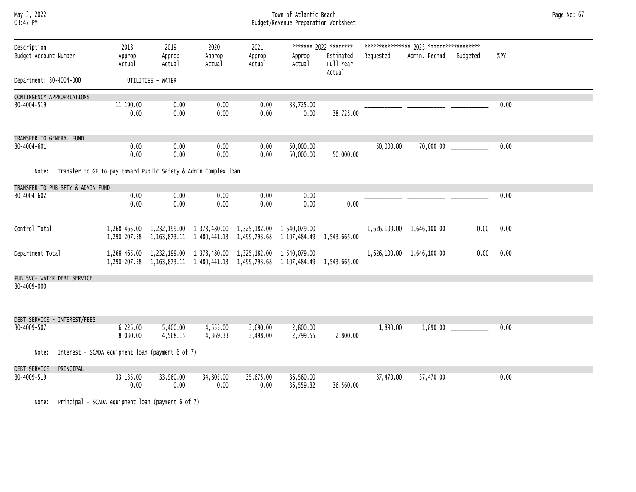### May 3, 2022 Town of Atlantic Beach Page No: 67 03:47 PM Budget/Revenue Preparation Worksheet

| Description<br>Budget Account Number |                                   | 2018<br>Approp<br>Actual                                        | 2019<br>Approp<br>Actual | 2020<br>Approp<br>Actual                                                                                                                       | 2021<br>Approp<br>Actual | Approp<br>Actual          | ******* 2022 ********<br>Estimated<br>Full Year<br>Actual | Requested | Admin. Recmnd             | Budgeted | %PY  |
|--------------------------------------|-----------------------------------|-----------------------------------------------------------------|--------------------------|------------------------------------------------------------------------------------------------------------------------------------------------|--------------------------|---------------------------|-----------------------------------------------------------|-----------|---------------------------|----------|------|
| Department: 30-4004-000              |                                   |                                                                 | UTILITIES - WATER        |                                                                                                                                                |                          |                           |                                                           |           |                           |          |      |
| CONTINGENCY APPROPRIATIONS           |                                   |                                                                 |                          |                                                                                                                                                |                          |                           |                                                           |           |                           |          |      |
| 30-4004-519                          |                                   | 11,190.00<br>0.00                                               | 0.00<br>0.00             | 0.00<br>0.00                                                                                                                                   | 0.00<br>0.00             | 38,725.00<br>0.00         | 38,725.00                                                 |           |                           |          | 0.00 |
| TRANSFER TO GENERAL FUND             |                                   |                                                                 |                          |                                                                                                                                                |                          |                           |                                                           |           |                           |          |      |
| 30-4004-601                          |                                   | 0.00<br>0.00                                                    | 0.00<br>0.00             | 0.00<br>0.00                                                                                                                                   | 0.00<br>0.00             | 50,000.00<br>50,000.00    | 50,000.00                                                 | 50,000.00 | 70,000.00                 |          | 0.00 |
| Note:                                |                                   | Transfer to GF to pay toward Public Safety & Admin Complex loan |                          |                                                                                                                                                |                          |                           |                                                           |           |                           |          |      |
|                                      | TRANSFER TO PUB SFTY & ADMIN FUND |                                                                 |                          |                                                                                                                                                |                          |                           |                                                           |           |                           |          |      |
| 30-4004-602                          |                                   | 0.00<br>0.00                                                    | 0.00<br>0.00             | 0.00<br>0.00                                                                                                                                   | 0.00<br>0.00             | 0.00<br>0.00              | 0.00                                                      |           |                           |          | 0.00 |
| Control Total                        |                                   | 1,290,207.58                                                    |                          | 1,268,465.00 1,232,199.00 1,378,480.00 1,325,182.00 1,540,079.00<br>1, 163, 873.11 1, 480, 441.13                                              |                          | 1,499,793.68 1,107,484.49 | 1,543,665.00                                              |           | 1,626,100.00 1,646,100.00 | 0.00     | 0.00 |
| Department Total                     |                                   |                                                                 |                          | 1,268,465.00 1,232,199.00 1,378,480.00 1,325,182.00 1,540,079.00<br>1, 290, 207.58 1, 163, 873.11 1, 480, 441.13 1, 499, 793.68 1, 107, 484.49 |                          |                           | 1,543,665.00                                              |           | 1,626,100.00 1,646,100.00 | 0.00     | 0.00 |
|                                      | PUB SVC- WATER DEBT SERVICE       |                                                                 |                          |                                                                                                                                                |                          |                           |                                                           |           |                           |          |      |
| 30-4009-000                          |                                   |                                                                 |                          |                                                                                                                                                |                          |                           |                                                           |           |                           |          |      |
|                                      | DEBT SERVICE - INTEREST/FEES      |                                                                 |                          |                                                                                                                                                |                          |                           |                                                           |           |                           |          |      |
| 30-4009-507                          |                                   | 6,225.00<br>8,030.00                                            | 5,400.00<br>4,568.15     | 4,555.00<br>4,369.33                                                                                                                           | 3,690.00<br>3,498.00     | 2,800.00<br>2,799.55      | 2,800.00                                                  | 1,890.00  | 1,890.00                  |          | 0.00 |
| Note:                                |                                   | Interest - SCADA equipment loan (payment 6 of 7)                |                          |                                                                                                                                                |                          |                           |                                                           |           |                           |          |      |
| DEBT SERVICE - PRINCIPAL             |                                   |                                                                 |                          |                                                                                                                                                |                          |                           |                                                           |           |                           |          |      |
| 30-4009-519                          |                                   | 33,135.00<br>0.00                                               | 33,960.00<br>0.00        | 34,805.00<br>0.00                                                                                                                              | 35,675.00<br>0.00        | 36,560.00<br>36,559.32    | 36,560.00                                                 | 37,470.00 | 37,470.00                 |          | 0.00 |

Note: Principal - SCADA equipment loan (payment 6 of 7)